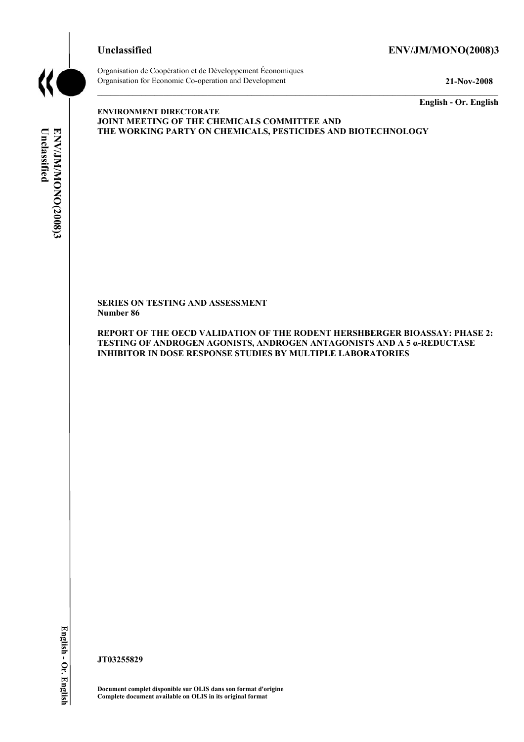

# **Unclassified ENV/JM/MONO(2008)3**



Organisation de Coopération et de Développement Économiques Organisation for Economic Co-operation and Development **21-Nov-2008** 

**English - Or. English** 

# Unclassified **Unclassified**  ENV/JM/MONO(2008)3 **ENV/JM/MONO(2008)3 English - Or. English**

**ENVIRONMENT DIRECTORATE JOINT MEETING OF THE CHEMICALS COMMITTEE AND THE WORKING PARTY ON CHEMICALS, PESTICIDES AND BIOTECHNOLOGY** 

**SERIES ON TESTING AND ASSESSMENT Number 86** 

**REPORT OF THE OECD VALIDATION OF THE RODENT HERSHBERGER BIOASSAY: PHASE 2: TESTING OF ANDROGEN AGONISTS, ANDROGEN ANTAGONISTS AND A 5 α-REDUCTASE INHIBITOR IN DOSE RESPONSE STUDIES BY MULTIPLE LABORATORIES** 

**JT03255829** 

**Document complet disponible sur OLIS dans son format d'origine Complete document available on OLIS in its original format**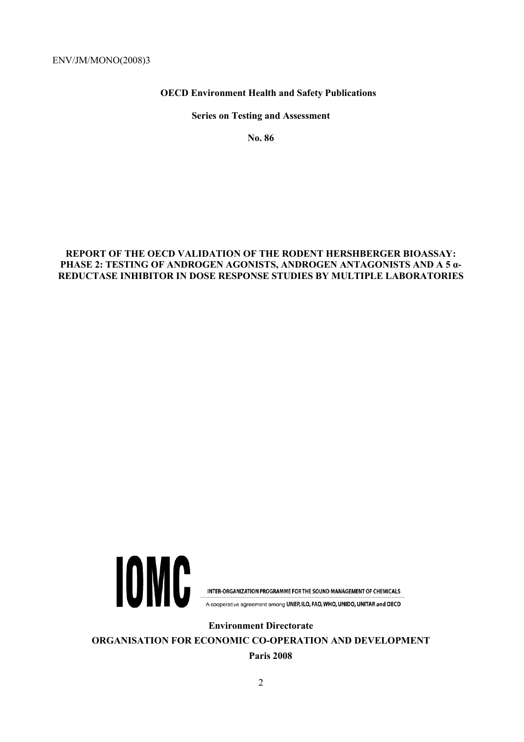# **OECD Environment Health and Safety Publications**

**Series on Testing and Assessment** 

**No. 86** 

# **REPORT OF THE OECD VALIDATION OF THE RODENT HERSHBERGER BIOASSAY: PHASE 2: TESTING OF ANDROGEN AGONISTS, ANDROGEN ANTAGONISTS AND A 5 α-REDUCTASE INHIBITOR IN DOSE RESPONSE STUDIES BY MULTIPLE LABORATORIES**



INTER-ORGANIZATION PROGRAMME FOR THE SOUND MANAGEMENT OF CHEMICALS

A cooperative agreement among UNEP, ILO, FAO, WHO, UNIDO, UNITAR and OECD

**Environment Directorate** 

**ORGANISATION FOR ECONOMIC CO-OPERATION AND DEVELOPMENT Paris 2008**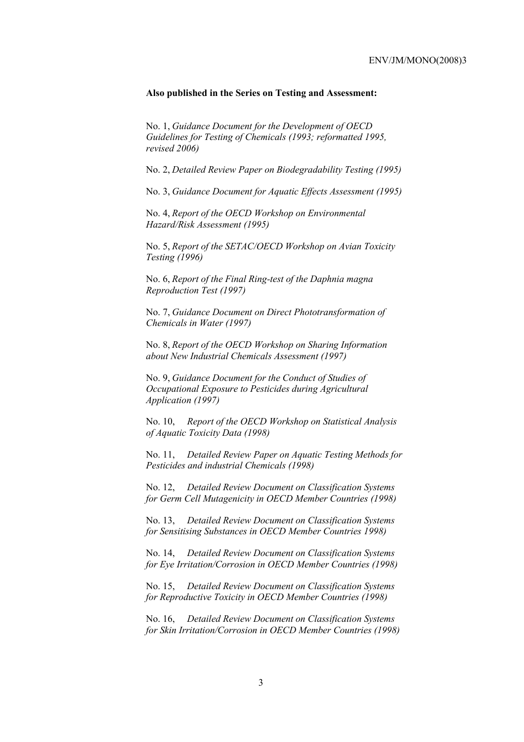#### **Also published in the Series on Testing and Assessment:**

No. 1, *Guidance Document for the Development of OECD Guidelines for Testing of Chemicals (1993; reformatted 1995, revised 2006)*

No. 2, *Detailed Review Paper on Biodegradability Testing (1995)*

No. 3, *Guidance Document for Aquatic Effects Assessment (1995)* 

No. 4, *Report of the OECD Workshop on Environmental Hazard/Risk Assessment (1995)*

No. 5, *Report of the SETAC/OECD Workshop on Avian Toxicity Testing (1996)*

No. 6, *Report of the Final Ring-test of the Daphnia magna Reproduction Test (1997)*

No. 7, *Guidance Document on Direct Phototransformation of Chemicals in Water (1997)* 

No. 8, *Report of the OECD Workshop on Sharing Information about New Industrial Chemicals Assessment (1997)*

No. 9, *Guidance Document for the Conduct of Studies of Occupational Exposure to Pesticides during Agricultural Application (1997)*

No. 10, *Report of the OECD Workshop on Statistical Analysis of Aquatic Toxicity Data (1998)*

No. 11, *Detailed Review Paper on Aquatic Testing Methods for Pesticides and industrial Chemicals (1998)*

No. 12, *Detailed Review Document on Classification Systems for Germ Cell Mutagenicity in OECD Member Countries (1998)*

No. 13, *Detailed Review Document on Classification Systems for Sensitising Substances in OECD Member Countries 1998)*

No. 14, *Detailed Review Document on Classification Systems for Eye Irritation/Corrosion in OECD Member Countries (1998)*

No. 15, *Detailed Review Document on Classification Systems for Reproductive Toxicity in OECD Member Countries (1998)*

No. 16, *Detailed Review Document on Classification Systems for Skin Irritation/Corrosion in OECD Member Countries (1998)*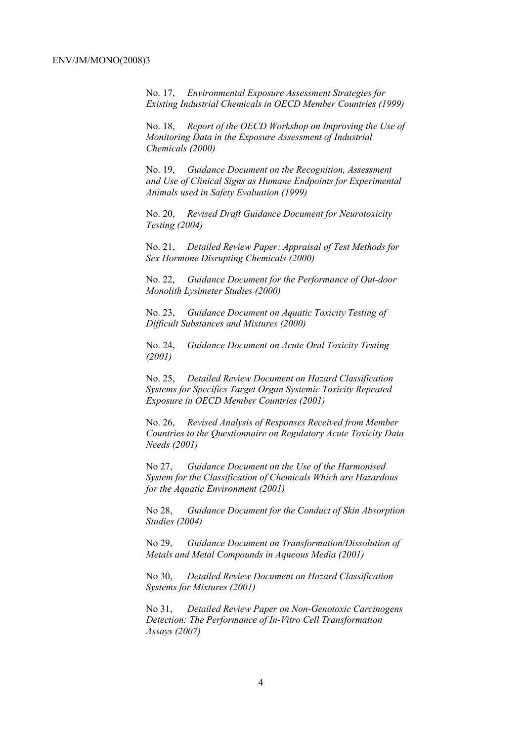No. 17, *Environmental Exposure Assessment Strategies for Existing Industrial Chemicals in OECD Member Countries (1999)*

No. 18, *Report of the OECD Workshop on Improving the Use of Monitoring Data in the Exposure Assessment of Industrial Chemicals (2000)*

No. 19, *Guidance Document on the Recognition, Assessment and Use of Clinical Signs as Humane Endpoints for Experimental Animals used in Safety Evaluation (1999)*

No. 20, *Revised Draft Guidance Document for Neurotoxicity Testing (2004)*

No. 21, *Detailed Review Paper: Appraisal of Test Methods for Sex Hormone Disrupting Chemicals (2000)*

No. 22, *Guidance Document for the Performance of Out-door Monolith Lysimeter Studies (2000)*

No. 23, *Guidance Document on Aquatic Toxicity Testing of Difficult Substances and Mixtures (2000)*

No. 24, *Guidance Document on Acute Oral Toxicity Testing (2001)*

No. 25, *Detailed Review Document on Hazard Classification Systems for Specifics Target Organ Systemic Toxicity Repeated Exposure in OECD Member Countries (2001)*

No. 26, *Revised Analysis of Responses Received from Member Countries to the Questionnaire on Regulatory Acute Toxicity Data Needs (2001)*

No 27, *Guidance Document on the Use of the Harmonised System for the Classification of Chemicals Which are Hazardous for the Aquatic Environment (2001)*

No 28, *Guidance Document for the Conduct of Skin Absorption Studies (2004)*

No 29, *Guidance Document on Transformation/Dissolution of Metals and Metal Compounds in Aqueous Media (2001)*

No 30, *Detailed Review Document on Hazard Classification Systems for Mixtures (2001)*

No 31, *Detailed Review Paper on Non-Genotoxic Carcinogens Detection: The Performance of In-Vitro Cell Transformation Assays (2007)*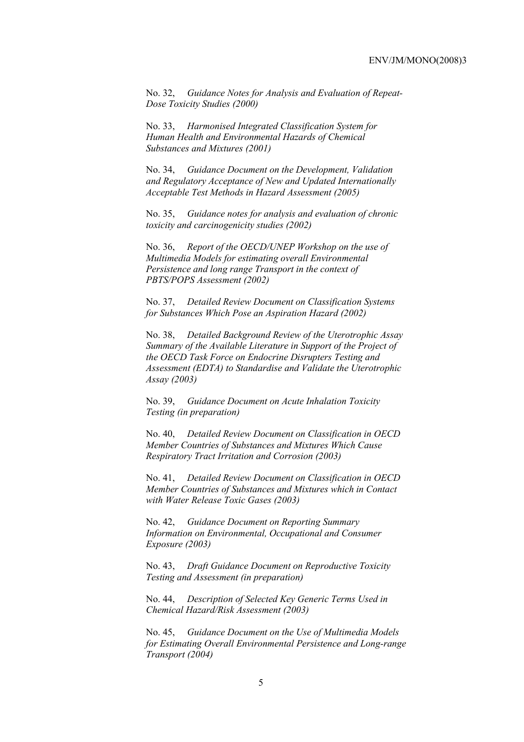No. 32, *Guidance Notes for Analysis and Evaluation of Repeat-Dose Toxicity Studies (2000)*

No. 33, *Harmonised Integrated Classification System for Human Health and Environmental Hazards of Chemical Substances and Mixtures (2001)*

No. 34, *Guidance Document on the Development, Validation and Regulatory Acceptance of New and Updated Internationally Acceptable Test Methods in Hazard Assessment (2005)*

No. 35, *Guidance notes for analysis and evaluation of chronic toxicity and carcinogenicity studies (2002)*

No. 36, *Report of the OECD/UNEP Workshop on the use of Multimedia Models for estimating overall Environmental Persistence and long range Transport in the context of PBTS/POPS Assessment (2002)*

No. 37, *Detailed Review Document on Classification Systems for Substances Which Pose an Aspiration Hazard (2002)*

No. 38, *Detailed Background Review of the Uterotrophic Assay Summary of the Available Literature in Support of the Project of the OECD Task Force on Endocrine Disrupters Testing and Assessment (EDTA) to Standardise and Validate the Uterotrophic Assay (2003)*

No. 39, *Guidance Document on Acute Inhalation Toxicity Testing (in preparation)*

No. 40, *Detailed Review Document on Classification in OECD Member Countries of Substances and Mixtures Which Cause Respiratory Tract Irritation and Corrosion (2003)*

No. 41, *Detailed Review Document on Classification in OECD Member Countries of Substances and Mixtures which in Contact with Water Release Toxic Gases (2003)*

No. 42, *Guidance Document on Reporting Summary Information on Environmental, Occupational and Consumer Exposure (2003)*

No. 43, *Draft Guidance Document on Reproductive Toxicity Testing and Assessment (in preparation)*

No. 44, *Description of Selected Key Generic Terms Used in Chemical Hazard/Risk Assessment (2003)* 

No. 45, *Guidance Document on the Use of Multimedia Models for Estimating Overall Environmental Persistence and Long-range Transport (2004)*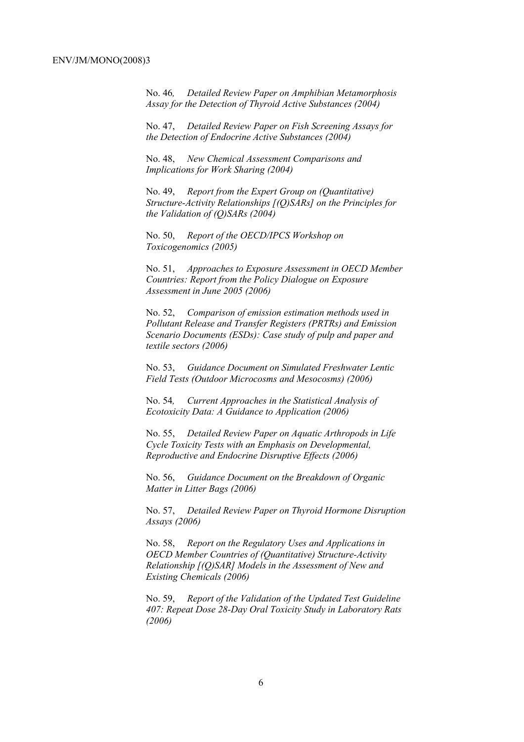No. 46*, Detailed Review Paper on Amphibian Metamorphosis Assay for the Detection of Thyroid Active Substances (2004)* 

No. 47, *Detailed Review Paper on Fish Screening Assays for the Detection of Endocrine Active Substances (2004)* 

No. 48, *New Chemical Assessment Comparisons and Implications for Work Sharing (2004)* 

No. 49, *Report from the Expert Group on (Quantitative) Structure-Activity Relationships [(Q)SARs] on the Principles for the Validation of (Q)SARs (2004)* 

No. 50, *Report of the OECD/IPCS Workshop on Toxicogenomics (2005)* 

No. 51, *Approaches to Exposure Assessment in OECD Member Countries: Report from the Policy Dialogue on Exposure Assessment in June 2005 (2006)* 

No. 52, *Comparison of emission estimation methods used in Pollutant Release and Transfer Registers (PRTRs) and Emission Scenario Documents (ESDs): Case study of pulp and paper and textile sectors (2006)* 

No. 53, *Guidance Document on Simulated Freshwater Lentic Field Tests (Outdoor Microcosms and Mesocosms) (2006)* 

No. 54*, Current Approaches in the Statistical Analysis of Ecotoxicity Data: A Guidance to Application (2006)* 

No. 55, *Detailed Review Paper on Aquatic Arthropods in Life Cycle Toxicity Tests with an Emphasis on Developmental, Reproductive and Endocrine Disruptive Effects (2006)* 

No. 56, *Guidance Document on the Breakdown of Organic Matter in Litter Bags (2006)* 

No. 57, *Detailed Review Paper on Thyroid Hormone Disruption Assays (2006)* 

No. 58, *Report on the Regulatory Uses and Applications in OECD Member Countries of (Quantitative) Structure-Activity Relationship [(Q)SAR] Models in the Assessment of New and Existing Chemicals (2006)* 

No. 59, *Report of the Validation of the Updated Test Guideline 407: Repeat Dose 28-Day Oral Toxicity Study in Laboratory Rats (2006)*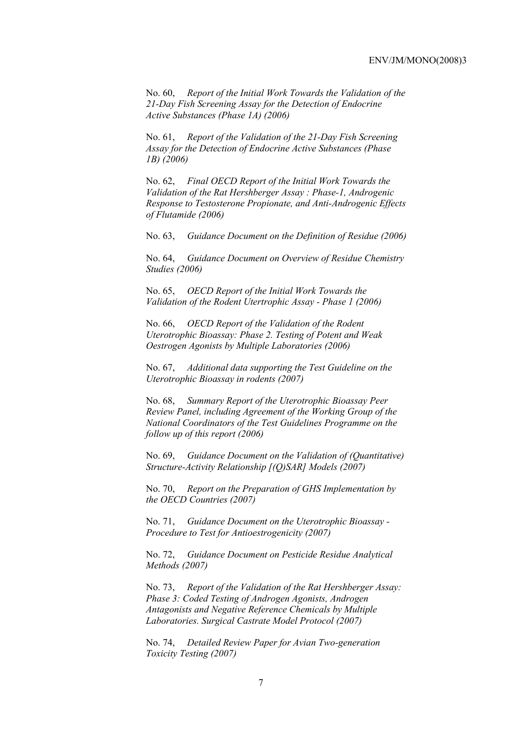No. 60, *Report of the Initial Work Towards the Validation of the 21-Day Fish Screening Assay for the Detection of Endocrine Active Substances (Phase 1A) (2006)* 

No. 61, *Report of the Validation of the 21-Day Fish Screening Assay for the Detection of Endocrine Active Substances (Phase 1B) (2006)* 

No. 62, *Final OECD Report of the Initial Work Towards the Validation of the Rat Hershberger Assay : Phase-1, Androgenic Response to Testosterone Propionate, and Anti-Androgenic Effects of Flutamide (2006)* 

No. 63, *Guidance Document on the Definition of Residue (2006)* 

No. 64, *Guidance Document on Overview of Residue Chemistry Studies (2006)* 

No. 65, *OECD Report of the Initial Work Towards the Validation of the Rodent Utertrophic Assay - Phase 1 (2006)* 

No. 66, *OECD Report of the Validation of the Rodent Uterotrophic Bioassay: Phase 2. Testing of Potent and Weak Oestrogen Agonists by Multiple Laboratories (2006)* 

No. 67, *Additional data supporting the Test Guideline on the Uterotrophic Bioassay in rodents (2007)* 

No. 68, *Summary Report of the Uterotrophic Bioassay Peer Review Panel, including Agreement of the Working Group of the National Coordinators of the Test Guidelines Programme on the follow up of this report (2006)* 

No. 69, *Guidance Document on the Validation of (Quantitative) Structure-Activity Relationship [(Q)SAR] Models (2007)* 

No. 70, *Report on the Preparation of GHS Implementation by the OECD Countries (2007)*

No. 71, *Guidance Document on the Uterotrophic Bioassay - Procedure to Test for Antioestrogenicity (2007)*

No. 72, *Guidance Document on Pesticide Residue Analytical Methods (2007)* 

No. 73, *Report of the Validation of the Rat Hershberger Assay: Phase 3: Coded Testing of Androgen Agonists, Androgen Antagonists and Negative Reference Chemicals by Multiple Laboratories. Surgical Castrate Model Protocol (2007)* 

No. 74, *Detailed Review Paper for Avian Two-generation Toxicity Testing (2007)*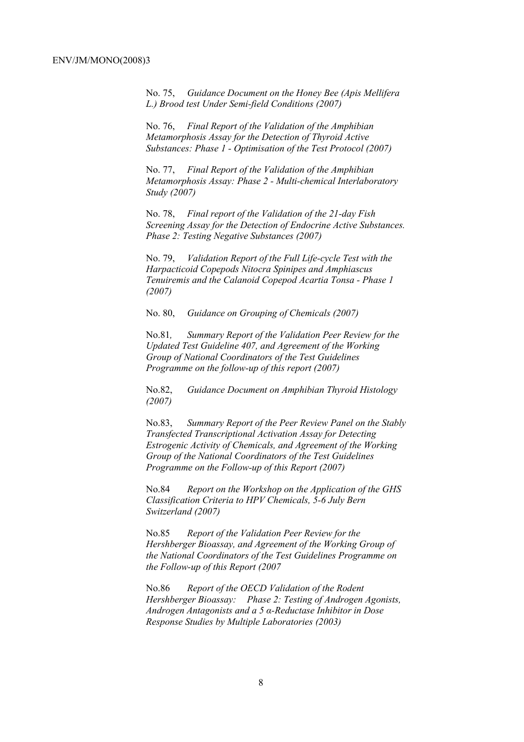No. 75, *Guidance Document on the Honey Bee (Apis Mellifera L.) Brood test Under Semi-field Conditions (2007)* 

No. 76, *Final Report of the Validation of the Amphibian Metamorphosis Assay for the Detection of Thyroid Active Substances: Phase 1 - Optimisation of the Test Protocol (2007)* 

No. 77, *Final Report of the Validation of the Amphibian Metamorphosis Assay: Phase 2 - Multi-chemical Interlaboratory Study (2007)* 

No. 78, *Final report of the Validation of the 21-day Fish Screening Assay for the Detection of Endocrine Active Substances. Phase 2: Testing Negative Substances (2007)* 

No. 79, *Validation Report of the Full Life-cycle Test with the Harpacticoid Copepods Nitocra Spinipes and Amphiascus Tenuiremis and the Calanoid Copepod Acartia Tonsa - Phase 1 (2007)* 

No. 80, *Guidance on Grouping of Chemicals (2007)* 

No.81*, Summary Report of the Validation Peer Review for the Updated Test Guideline 407, and Agreement of the Working Group of National Coordinators of the Test Guidelines Programme on the follow-up of this report (2007)* 

No.82, *Guidance Document on Amphibian Thyroid Histology (2007)* 

No.83, *Summary Report of the Peer Review Panel on the Stably Transfected Transcriptional Activation Assay for Detecting Estrogenic Activity of Chemicals, and Agreement of the Working Group of the National Coordinators of the Test Guidelines Programme on the Follow-up of this Report (2007)* 

No.84 *Report on the Workshop on the Application of the GHS Classification Criteria to HPV Chemicals, 5-6 July Bern Switzerland (2007)* 

No.85 *Report of the Validation Peer Review for the Hershberger Bioassay, and Agreement of the Working Group of the National Coordinators of the Test Guidelines Programme on the Follow-up of this Report (2007* 

No.86 *Report of the OECD Validation of the Rodent Hershberger Bioassay: Phase 2: Testing of Androgen Agonists, Androgen Antagonists and a 5 α-Reductase Inhibitor in Dose Response Studies by Multiple Laboratories (2003)*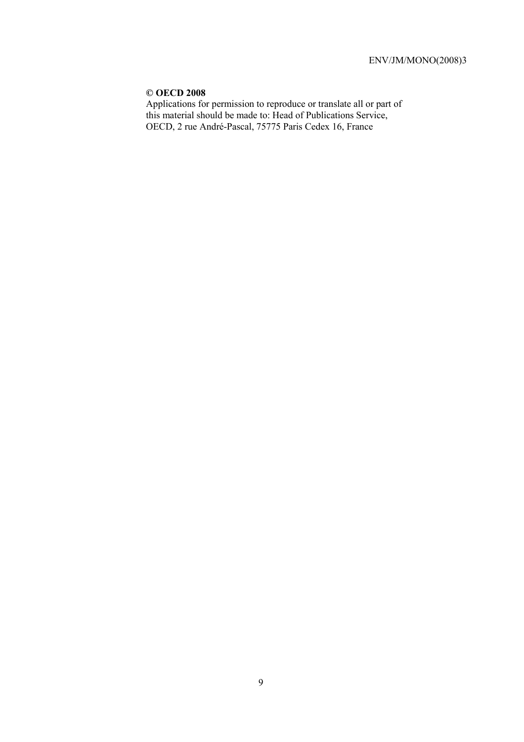# **© OECD 2008**

Applications for permission to reproduce or translate all or part of this material should be made to: Head of Publications Service, OECD, 2 rue André-Pascal, 75775 Paris Cedex 16, France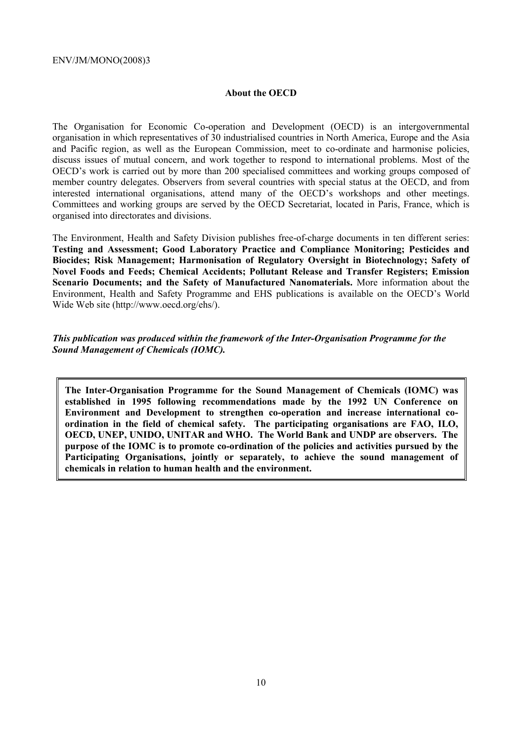#### **About the OECD**

The Organisation for Economic Co-operation and Development (OECD) is an intergovernmental organisation in which representatives of 30 industrialised countries in North America, Europe and the Asia and Pacific region, as well as the European Commission, meet to co-ordinate and harmonise policies, discuss issues of mutual concern, and work together to respond to international problems. Most of the OECD's work is carried out by more than 200 specialised committees and working groups composed of member country delegates. Observers from several countries with special status at the OECD, and from interested international organisations, attend many of the OECD's workshops and other meetings. Committees and working groups are served by the OECD Secretariat, located in Paris, France, which is organised into directorates and divisions.

The Environment, Health and Safety Division publishes free-of-charge documents in ten different series: **Testing and Assessment; Good Laboratory Practice and Compliance Monitoring; Pesticides and Biocides; Risk Management; Harmonisation of Regulatory Oversight in Biotechnology; Safety of Novel Foods and Feeds; Chemical Accidents; Pollutant Release and Transfer Registers; Emission Scenario Documents; and the Safety of Manufactured Nanomaterials.** More information about the Environment, Health and Safety Programme and EHS publications is available on the OECD's World Wide Web site (http://www.oecd.org/ehs/).

#### *This publication was produced within the framework of the Inter-Organisation Programme for the Sound Management of Chemicals (IOMC).*

**The Inter-Organisation Programme for the Sound Management of Chemicals (IOMC) was established in 1995 following recommendations made by the 1992 UN Conference on Environment and Development to strengthen co-operation and increase international coordination in the field of chemical safety. The participating organisations are FAO, ILO, OECD, UNEP, UNIDO, UNITAR and WHO. The World Bank and UNDP are observers. The purpose of the IOMC is to promote co-ordination of the policies and activities pursued by the Participating Organisations, jointly or separately, to achieve the sound management of chemicals in relation to human health and the environment.**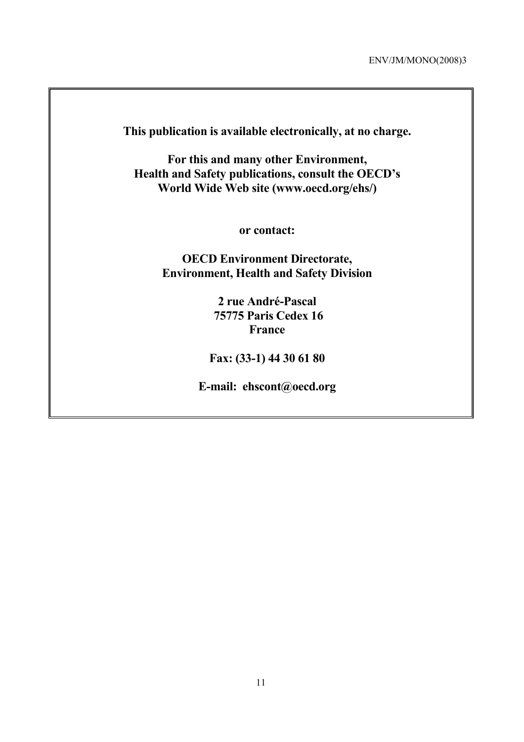**This publication is available electronically, at no charge.** 

**For this and many other Environment, Health and Safety publications, consult the OECD's World Wide Web site (www.oecd.org/ehs/)** 

**or contact:** 

**OECD Environment Directorate, Environment, Health and Safety Division**

> **2 rue André-Pascal 75775 Paris Cedex 16 France**

**Fax: (33-1) 44 30 61 80** 

**E-mail: ehscont@oecd.org**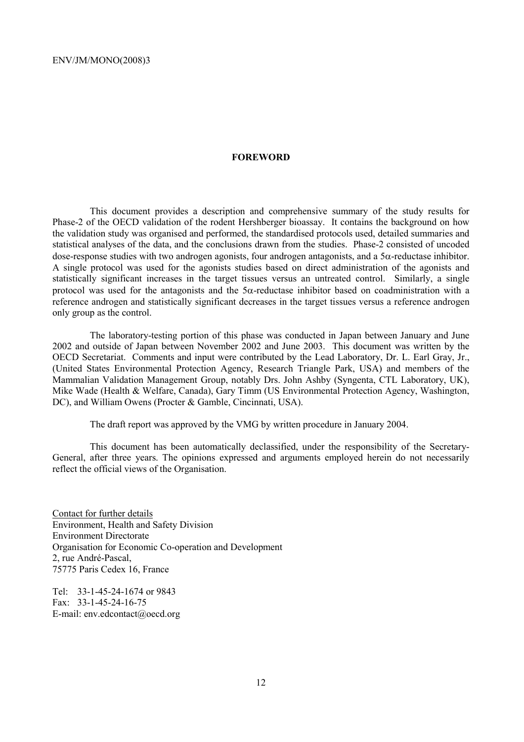#### **FOREWORD**

 This document provides a description and comprehensive summary of the study results for Phase-2 of the OECD validation of the rodent Hershberger bioassay. It contains the background on how the validation study was organised and performed, the standardised protocols used, detailed summaries and statistical analyses of the data, and the conclusions drawn from the studies. Phase-2 consisted of uncoded dose-response studies with two androgen agonists, four androgen antagonists, and a  $5\alpha$ -reductase inhibitor. A single protocol was used for the agonists studies based on direct administration of the agonists and statistically significant increases in the target tissues versus an untreated control. Similarly, a single protocol was used for the antagonists and the  $5\alpha$ -reductase inhibitor based on coadministration with a reference androgen and statistically significant decreases in the target tissues versus a reference androgen only group as the control.

 The laboratory-testing portion of this phase was conducted in Japan between January and June 2002 and outside of Japan between November 2002 and June 2003. This document was written by the OECD Secretariat. Comments and input were contributed by the Lead Laboratory, Dr. L. Earl Gray, Jr., (United States Environmental Protection Agency, Research Triangle Park, USA) and members of the Mammalian Validation Management Group, notably Drs. John Ashby (Syngenta, CTL Laboratory, UK), Mike Wade (Health & Welfare, Canada), Gary Timm (US Environmental Protection Agency, Washington, DC), and William Owens (Procter & Gamble, Cincinnati, USA).

The draft report was approved by the VMG by written procedure in January 2004.

 This document has been automatically declassified, under the responsibility of the Secretary-General, after three years. The opinions expressed and arguments employed herein do not necessarily reflect the official views of the Organisation.

Contact for further details Environment, Health and Safety Division Environment Directorate Organisation for Economic Co-operation and Development 2, rue André-Pascal, 75775 Paris Cedex 16, France

Tel: 33-1-45-24-1674 or 9843 Fax: 33-1-45-24-16-75 E-mail: env.edcontact@oecd.org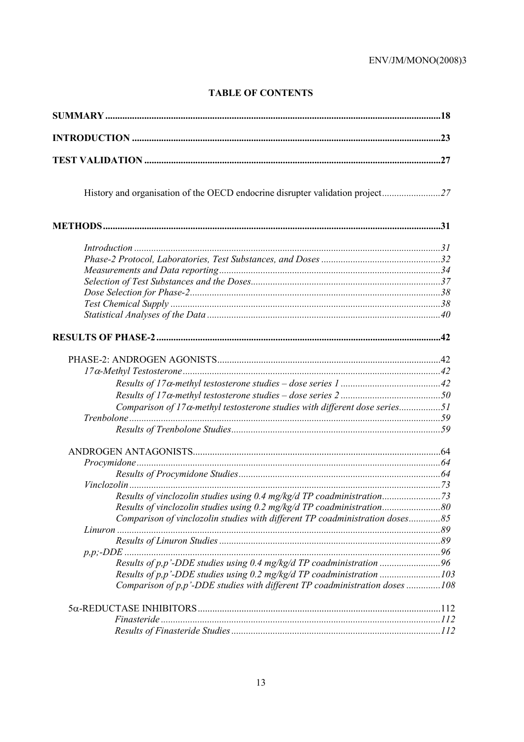# **TABLE OF CONTENTS**

| Introduction 1, 31                                                                                                                                   |  |
|------------------------------------------------------------------------------------------------------------------------------------------------------|--|
|                                                                                                                                                      |  |
|                                                                                                                                                      |  |
|                                                                                                                                                      |  |
|                                                                                                                                                      |  |
|                                                                                                                                                      |  |
|                                                                                                                                                      |  |
|                                                                                                                                                      |  |
|                                                                                                                                                      |  |
|                                                                                                                                                      |  |
|                                                                                                                                                      |  |
|                                                                                                                                                      |  |
| Comparison of 17 $\alpha$ -methyl testosterone studies with different dose series51                                                                  |  |
|                                                                                                                                                      |  |
|                                                                                                                                                      |  |
|                                                                                                                                                      |  |
|                                                                                                                                                      |  |
|                                                                                                                                                      |  |
|                                                                                                                                                      |  |
| Results of vinclozolin studies using 0.4 mg/kg/d TP coadministration73                                                                               |  |
| Results of vinclozolin studies using 0.2 mg/kg/d TP coadministration80                                                                               |  |
| Comparison of vinclozolin studies with different TP coadministration doses85                                                                         |  |
|                                                                                                                                                      |  |
|                                                                                                                                                      |  |
|                                                                                                                                                      |  |
| Results of p,p'-DDE studies using 0.4 mg/kg/d TP coadministration 96                                                                                 |  |
| Results of p,p'-DDE studies using 0.2 mg/kg/d TP coadministration 103<br>Comparison of p,p'-DDE studies with different TP coadministration doses 108 |  |
|                                                                                                                                                      |  |
|                                                                                                                                                      |  |
|                                                                                                                                                      |  |
|                                                                                                                                                      |  |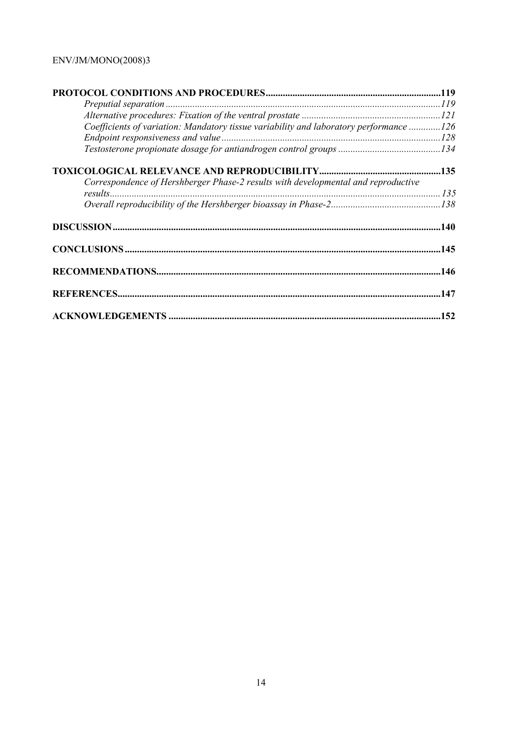| Coefficients of variation: Mandatory tissue variability and laboratory performance 126 |  |
|----------------------------------------------------------------------------------------|--|
|                                                                                        |  |
|                                                                                        |  |
|                                                                                        |  |
| Correspondence of Hershberger Phase-2 results with developmental and reproductive      |  |
|                                                                                        |  |
|                                                                                        |  |
|                                                                                        |  |
|                                                                                        |  |
|                                                                                        |  |
|                                                                                        |  |
|                                                                                        |  |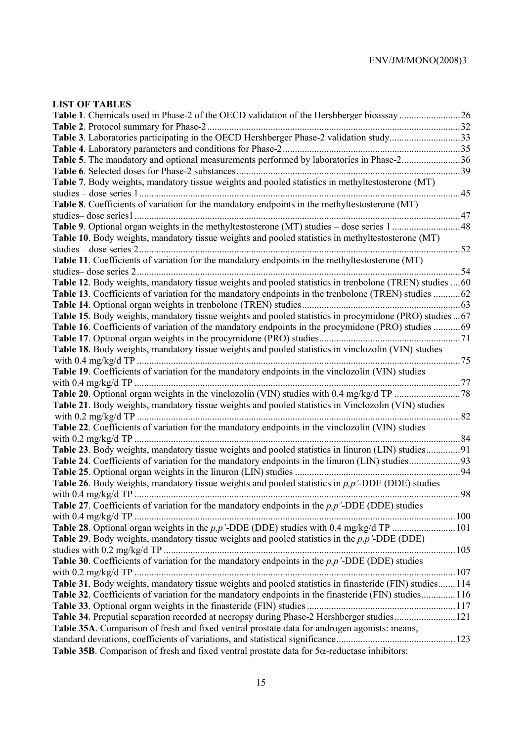# **LIST OF TABLES**

| Table 3. Laboratories participating in the OECD Hershberger Phase-2 validation study33                  |
|---------------------------------------------------------------------------------------------------------|
|                                                                                                         |
|                                                                                                         |
|                                                                                                         |
| Table 5. The mandatory and optional measurements performed by laboratories in Phase-236                 |
|                                                                                                         |
| Table 7. Body weights, mandatory tissue weights and pooled statistics in methyltestosterone (MT)        |
| 45<br>studies – dose series 1.                                                                          |
| Table 8. Coefficients of variation for the mandatory endpoints in the methyltestosterone (MT)           |
| studies-dose series1<br>.47                                                                             |
|                                                                                                         |
| Table 10. Body weights, mandatory tissue weights and pooled statistics in methyltestosterone (MT)       |
|                                                                                                         |
| Table 11. Coefficients of variation for the mandatory endpoints in the methyltestosterone (MT)          |
| studies-dose series 2.<br>. 54                                                                          |
| Table 12. Body weights, mandatory tissue weights and pooled statistics in trenbolone (TREN) studies  60 |
| Table 13. Coefficients of variation for the mandatory endpoints in the trenbolone (TREN) studies 62     |
|                                                                                                         |
| Table 15. Body weights, mandatory tissue weights and pooled statistics in procymidone (PRO) studies67   |
| Table 16. Coefficients of variation of the mandatory endpoints in the procymidone (PRO) studies 69      |
|                                                                                                         |
|                                                                                                         |
| Table 18. Body weights, mandatory tissue weights and pooled statistics in vinclozolin (VIN) studies     |
|                                                                                                         |
| Table 19. Coefficients of variation for the mandatory endpoints in the vinclozolin (VIN) studies        |
|                                                                                                         |
|                                                                                                         |
| Table 21. Body weights, mandatory tissue weights and pooled statistics in Vinclozolin (VIN) studies     |
| with $0.2 \text{ mg/kg/d TP}$ .<br>82                                                                   |
| Table 22. Coefficients of variation for the mandatory endpoints in the vinclozolin (VIN) studies        |
|                                                                                                         |
| Table 23. Body weights, mandatory tissue weights and pooled statistics in linuron (LIN) studies91       |
|                                                                                                         |
|                                                                                                         |
| Table 26. Body weights, mandatory tissue weights and pooled statistics in $p, p'$ -DDE (DDE) studies    |
| .98                                                                                                     |
| Table 27. Coefficients of variation for the mandatory endpoints in the $p, p'$ -DDE (DDE) studies       |
|                                                                                                         |
| Table 28. Optional organ weights in the $p, p'$ -DDE (DDE) studies with 0.4 mg/kg/d TP 101              |
| Table 29. Body weights, mandatory tissue weights and pooled statistics in the $p, p'$ -DDE (DDE)        |
|                                                                                                         |
| Table 30. Coefficients of variation for the mandatory endpoints in the $p, p'$ -DDE (DDE) studies       |
|                                                                                                         |
| Table 31. Body weights, mandatory tissue weights and pooled statistics in finasteride (FIN) studies114  |
| Table 32. Coefficients of variation for the mandatory endpoints in the finasteride (FIN) studies116     |
|                                                                                                         |
| Table 34. Preputial separation recorded at necropsy during Phase-2 Hershberger studies121               |
| Table 35A. Comparison of fresh and fixed ventral prostate data for androgen agonists: means,            |
|                                                                                                         |
| Table 35B. Comparison of fresh and fixed ventral prostate data for $5\alpha$ -reductase inhibitors:     |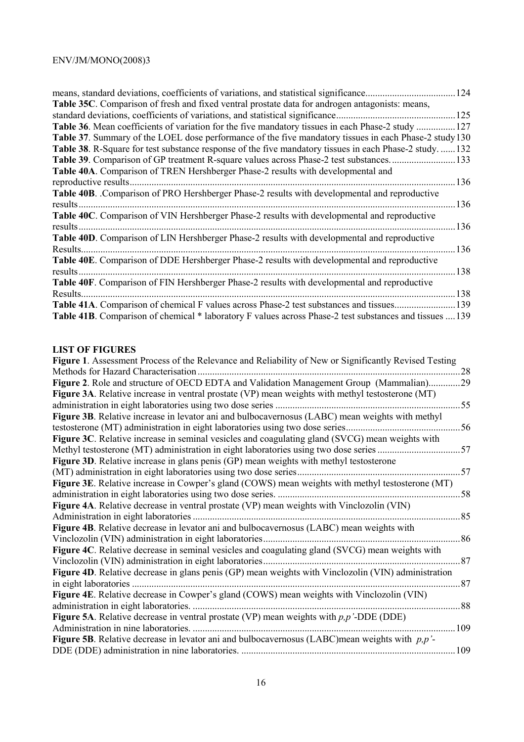| means, standard deviations, coefficients of variations, and statistical significance.                          | 124         |
|----------------------------------------------------------------------------------------------------------------|-------------|
| <b>Table 35C.</b> Comparison of fresh and fixed ventral prostate data for androgen antagonists: means,         |             |
| standard deviations, coefficients of variations, and statistical significance.                                 | 125         |
| Table 36. Mean coefficients of variation for the five mandatory tissues in each Phase-2 study.                 | 127         |
| <b>Table 37.</b> Summary of the LOEL dose performance of the five mandatory tissues in each Phase-2 study 130  |             |
| <b>Table 38</b> . R-Square for test substance response of the five mandatory tissues in each Phase-2 study.    | $\dots$ 132 |
| Table 39. Comparison of GP treatment R-square values across Phase-2 test substances                            | 133         |
| Table 40A. Comparison of TREN Hershberger Phase-2 results with developmental and                               |             |
| reproductive results.                                                                                          | 136         |
| Table 40B. Comparison of PRO Hershberger Phase-2 results with developmental and reproductive                   |             |
| results                                                                                                        | 136         |
| Table 40C. Comparison of VIN Hershberger Phase-2 results with developmental and reproductive                   |             |
| results.                                                                                                       | 136         |
| Table 40D. Comparison of LIN Hershberger Phase-2 results with developmental and reproductive                   |             |
| Results.                                                                                                       | 136         |
| Table 40E. Comparison of DDE Hershberger Phase-2 results with developmental and reproductive                   |             |
| results.                                                                                                       | 138         |
| Table 40F. Comparison of FIN Hershberger Phase-2 results with developmental and reproductive                   |             |
| Results.                                                                                                       | 138         |
| Table 41A. Comparison of chemical F values across Phase-2 test substances and tissues                          | 139         |
| <b>Table 41B.</b> Comparison of chemical * laboratory F values across Phase-2 test substances and tissues  139 |             |

## **LIST OF FIGURES**

| LINI VI FIUUNLN                                                                                           |     |
|-----------------------------------------------------------------------------------------------------------|-----|
| Figure 1. Assessment Process of the Relevance and Reliability of New or Significantly Revised Testing     |     |
| Methods for Hazard Characterisation                                                                       | 28  |
| Figure 2. Role and structure of OECD EDTA and Validation Management Group (Mammalian)                     | 29  |
| <b>Figure 3A.</b> Relative increase in ventral prostate (VP) mean weights with methyl testosterone (MT)   |     |
|                                                                                                           | 55  |
| Figure 3B. Relative increase in levator ani and bulbocavernosus (LABC) mean weights with methyl           |     |
| testosterone (MT) administration in eight laboratories using two dose series                              | 56  |
| Figure 3C. Relative increase in seminal vesicles and coagulating gland (SVCG) mean weights with           |     |
| Methyl testosterone (MT) administration in eight laboratories using two dose series                       | 57  |
| <b>Figure 3D.</b> Relative increase in glans penis (GP) mean weights with methyl testosterone             |     |
| (MT) administration in eight laboratories using two dose series.                                          | 57  |
| Figure 3E. Relative increase in Cowper's gland (COWS) mean weights with methyl testosterone (MT)          |     |
| administration in eight laboratories using two dose series.                                               | 58  |
| Figure 4A. Relative decrease in ventral prostate (VP) mean weights with Vinclozolin (VIN)                 |     |
| Administration in eight laboratories                                                                      | 85  |
| Figure 4B. Relative decrease in levator ani and bulbocavernosus (LABC) mean weights with                  |     |
| Vinclozolin (VIN) administration in eight laboratories                                                    | 86  |
| Figure 4C. Relative decrease in seminal vesicles and coagulating gland (SVCG) mean weights with           |     |
| Vinclozolin (VIN) administration in eight laboratories.                                                   | 87  |
| Figure 4D. Relative decrease in glans penis (GP) mean weights with Vinclozolin (VIN) administration       |     |
| in eight laboratories                                                                                     | 87  |
| Figure 4E. Relative decrease in Cowper's gland (COWS) mean weights with Vinclozolin (VIN)                 |     |
| administration in eight laboratories.                                                                     | 88  |
| <b>Figure 5A.</b> Relative decrease in ventral prostate (VP) mean weights with $p, p'$ -DDE (DDE)         |     |
| Administration in nine laboratories.                                                                      | 109 |
| <b>Figure 5B.</b> Relative decrease in levator ani and bulbocavernosus (LABC) mean weights with $p, p'$ - |     |
| DDE (DDE) administration in nine laboratories                                                             | 109 |
|                                                                                                           |     |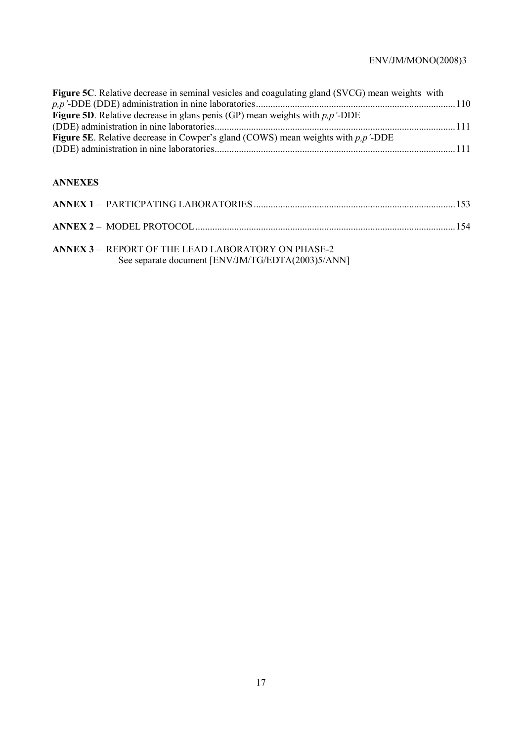| <b>Figure 5C.</b> Relative decrease in seminal vesicles and coagulating gland (SVCG) mean weights with  |  |
|---------------------------------------------------------------------------------------------------------|--|
| <b>Figure 5D</b> . Relative decrease in glans penis (GP) mean weights with $p, p'$ -DDE                 |  |
| Figure 5E. Relative decrease in Cowper's gland (COWS) mean weights with $p, p'$ -DDE                    |  |
|                                                                                                         |  |
| <b>ANNEXES</b>                                                                                          |  |
|                                                                                                         |  |
|                                                                                                         |  |
| ANNEX 3 - REPORT OF THE LEAD LABORATORY ON PHASE-2<br>See separate document [ENV/JM/TG/EDTA(2003)5/ANN] |  |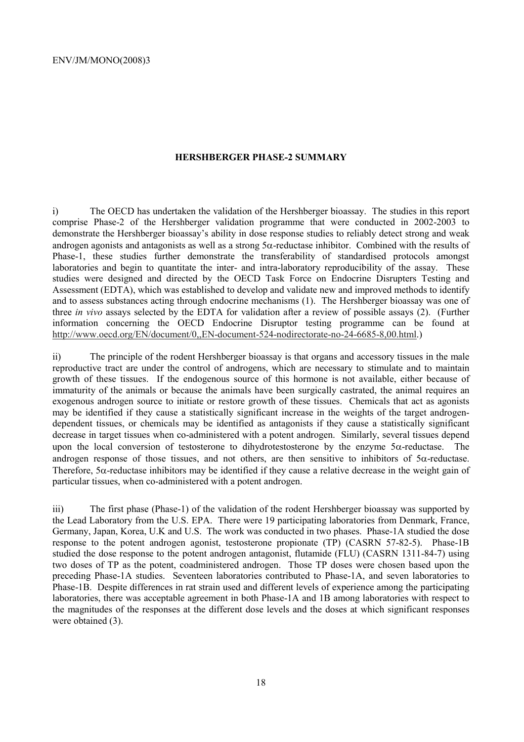#### **HERSHBERGER PHASE-2 SUMMARY**

i) The OECD has undertaken the validation of the Hershberger bioassay. The studies in this report comprise Phase-2 of the Hershberger validation programme that were conducted in 2002-2003 to demonstrate the Hershberger bioassay's ability in dose response studies to reliably detect strong and weak androgen agonists and antagonists as well as a strong 5α-reductase inhibitor. Combined with the results of Phase-1, these studies further demonstrate the transferability of standardised protocols amongst laboratories and begin to quantitate the inter- and intra-laboratory reproducibility of the assay. These studies were designed and directed by the OECD Task Force on Endocrine Disrupters Testing and Assessment (EDTA), which was established to develop and validate new and improved methods to identify and to assess substances acting through endocrine mechanisms (1). The Hershberger bioassay was one of three *in vivo* assays selected by the EDTA for validation after a review of possible assays (2). (Further information concerning the OECD Endocrine Disruptor testing programme can be found at http://www.oecd.org/EN/document/0,,EN-document-524-nodirectorate-no-24-6685-8,00.html.)

ii) The principle of the rodent Hershberger bioassay is that organs and accessory tissues in the male reproductive tract are under the control of androgens, which are necessary to stimulate and to maintain growth of these tissues. If the endogenous source of this hormone is not available, either because of immaturity of the animals or because the animals have been surgically castrated, the animal requires an exogenous androgen source to initiate or restore growth of these tissues. Chemicals that act as agonists may be identified if they cause a statistically significant increase in the weights of the target androgendependent tissues, or chemicals may be identified as antagonists if they cause a statistically significant decrease in target tissues when co-administered with a potent androgen. Similarly, several tissues depend upon the local conversion of testosterone to dihydrotestosterone by the enzyme  $5\alpha$ -reductase. The androgen response of those tissues, and not others, are then sensitive to inhibitors of  $5\alpha$ -reductase. Therefore, 5α-reductase inhibitors may be identified if they cause a relative decrease in the weight gain of particular tissues, when co-administered with a potent androgen.

iii) The first phase (Phase-1) of the validation of the rodent Hershberger bioassay was supported by the Lead Laboratory from the U.S. EPA. There were 19 participating laboratories from Denmark, France, Germany, Japan, Korea, U.K and U.S. The work was conducted in two phases. Phase-1A studied the dose response to the potent androgen agonist, testosterone propionate (TP) (CASRN 57-82-5). Phase-1B studied the dose response to the potent androgen antagonist, flutamide (FLU) (CASRN 1311-84-7) using two doses of TP as the potent, coadministered androgen. Those TP doses were chosen based upon the preceding Phase-1A studies. Seventeen laboratories contributed to Phase-1A, and seven laboratories to Phase-1B. Despite differences in rat strain used and different levels of experience among the participating laboratories, there was acceptable agreement in both Phase-1A and 1B among laboratories with respect to the magnitudes of the responses at the different dose levels and the doses at which significant responses were obtained  $(3)$ .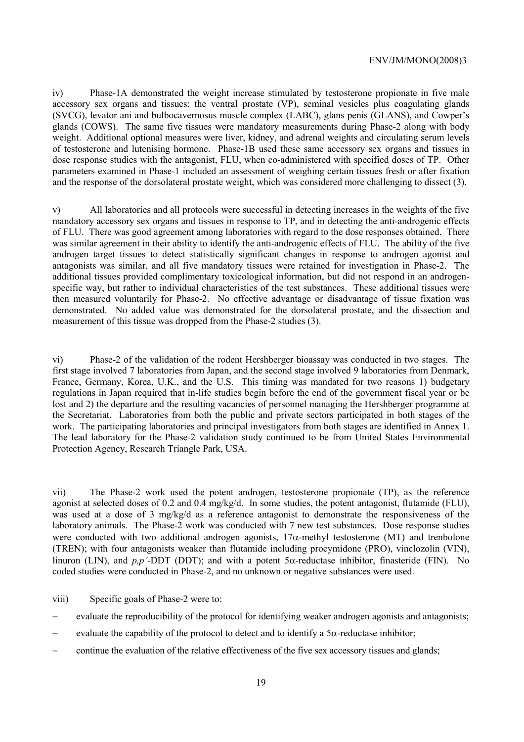iv) Phase-1A demonstrated the weight increase stimulated by testosterone propionate in five male accessory sex organs and tissues: the ventral prostate (VP), seminal vesicles plus coagulating glands (SVCG), levator ani and bulbocavernosus muscle complex (LABC), glans penis (GLANS), and Cowper's glands (COWS). The same five tissues were mandatory measurements during Phase-2 along with body weight. Additional optional measures were liver, kidney, and adrenal weights and circulating serum levels of testosterone and lutenising hormone. Phase-1B used these same accessory sex organs and tissues in dose response studies with the antagonist, FLU, when co-administered with specified doses of TP. Other parameters examined in Phase-1 included an assessment of weighing certain tissues fresh or after fixation and the response of the dorsolateral prostate weight, which was considered more challenging to dissect (3).

v) All laboratories and all protocols were successful in detecting increases in the weights of the five mandatory accessory sex organs and tissues in response to TP, and in detecting the anti-androgenic effects of FLU. There was good agreement among laboratories with regard to the dose responses obtained. There was similar agreement in their ability to identify the anti-androgenic effects of FLU. The ability of the five androgen target tissues to detect statistically significant changes in response to androgen agonist and antagonists was similar, and all five mandatory tissues were retained for investigation in Phase-2. The additional tissues provided complimentary toxicological information, but did not respond in an androgenspecific way, but rather to individual characteristics of the test substances. These additional tissues were then measured voluntarily for Phase-2. No effective advantage or disadvantage of tissue fixation was demonstrated. No added value was demonstrated for the dorsolateral prostate, and the dissection and measurement of this tissue was dropped from the Phase-2 studies (3).

vi) Phase-2 of the validation of the rodent Hershberger bioassay was conducted in two stages. The first stage involved 7 laboratories from Japan, and the second stage involved 9 laboratories from Denmark, France, Germany, Korea, U.K., and the U.S. This timing was mandated for two reasons 1) budgetary regulations in Japan required that in-life studies begin before the end of the government fiscal year or be lost and 2) the departure and the resulting vacancies of personnel managing the Hershberger programme at the Secretariat. Laboratories from both the public and private sectors participated in both stages of the work. The participating laboratories and principal investigators from both stages are identified in Annex 1. The lead laboratory for the Phase-2 validation study continued to be from United States Environmental Protection Agency, Research Triangle Park, USA.

vii) The Phase-2 work used the potent androgen, testosterone propionate (TP), as the reference agonist at selected doses of 0.2 and 0.4 mg/kg/d. In some studies, the potent antagonist, flutamide (FLU), was used at a dose of 3 mg/kg/d as a reference antagonist to demonstrate the responsiveness of the laboratory animals. The Phase-2 work was conducted with 7 new test substances. Dose response studies were conducted with two additional androgen agonists,  $17\alpha$ -methyl testosterone (MT) and trenbolone (TREN); with four antagonists weaker than flutamide including procymidone (PRO), vinclozolin (VIN), linuron (LIN), and *p,p'*-DDT (DDT); and with a potent 5α-reductase inhibitor, finasteride (FIN). No coded studies were conducted in Phase-2, and no unknown or negative substances were used.

viii) Specific goals of Phase-2 were to:

- evaluate the reproducibility of the protocol for identifying weaker androgen agonists and antagonists;
- evaluate the capability of the protocol to detect and to identify a  $5\alpha$ -reductase inhibitor;
- − continue the evaluation of the relative effectiveness of the five sex accessory tissues and glands;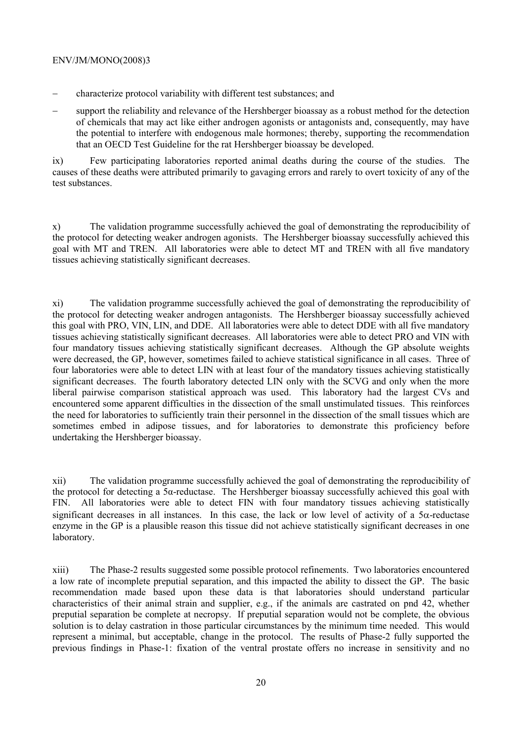- − characterize protocol variability with different test substances; and
- support the reliability and relevance of the Hershberger bioassay as a robust method for the detection of chemicals that may act like either androgen agonists or antagonists and, consequently, may have the potential to interfere with endogenous male hormones; thereby, supporting the recommendation that an OECD Test Guideline for the rat Hershberger bioassay be developed.

ix) Few participating laboratories reported animal deaths during the course of the studies. The causes of these deaths were attributed primarily to gavaging errors and rarely to overt toxicity of any of the test substances.

x) The validation programme successfully achieved the goal of demonstrating the reproducibility of the protocol for detecting weaker androgen agonists. The Hershberger bioassay successfully achieved this goal with MT and TREN. All laboratories were able to detect MT and TREN with all five mandatory tissues achieving statistically significant decreases.

xi) The validation programme successfully achieved the goal of demonstrating the reproducibility of the protocol for detecting weaker androgen antagonists. The Hershberger bioassay successfully achieved this goal with PRO, VIN, LIN, and DDE. All laboratories were able to detect DDE with all five mandatory tissues achieving statistically significant decreases. All laboratories were able to detect PRO and VIN with four mandatory tissues achieving statistically significant decreases. Although the GP absolute weights were decreased, the GP, however, sometimes failed to achieve statistical significance in all cases. Three of four laboratories were able to detect LIN with at least four of the mandatory tissues achieving statistically significant decreases. The fourth laboratory detected LIN only with the SCVG and only when the more liberal pairwise comparison statistical approach was used. This laboratory had the largest CVs and encountered some apparent difficulties in the dissection of the small unstimulated tissues. This reinforces the need for laboratories to sufficiently train their personnel in the dissection of the small tissues which are sometimes embed in adipose tissues, and for laboratories to demonstrate this proficiency before undertaking the Hershberger bioassay.

xii) The validation programme successfully achieved the goal of demonstrating the reproducibility of the protocol for detecting a 5α-reductase. The Hershberger bioassay successfully achieved this goal with FIN. All laboratories were able to detect FIN with four mandatory tissues achieving statistically significant decreases in all instances. In this case, the lack or low level of activity of a  $5\alpha$ -reductase enzyme in the GP is a plausible reason this tissue did not achieve statistically significant decreases in one laboratory.

xiii) The Phase-2 results suggested some possible protocol refinements. Two laboratories encountered a low rate of incomplete preputial separation, and this impacted the ability to dissect the GP. The basic recommendation made based upon these data is that laboratories should understand particular characteristics of their animal strain and supplier, e.g., if the animals are castrated on pnd 42, whether preputial separation be complete at necropsy. If preputial separation would not be complete, the obvious solution is to delay castration in those particular circumstances by the minimum time needed. This would represent a minimal, but acceptable, change in the protocol. The results of Phase-2 fully supported the previous findings in Phase-1: fixation of the ventral prostate offers no increase in sensitivity and no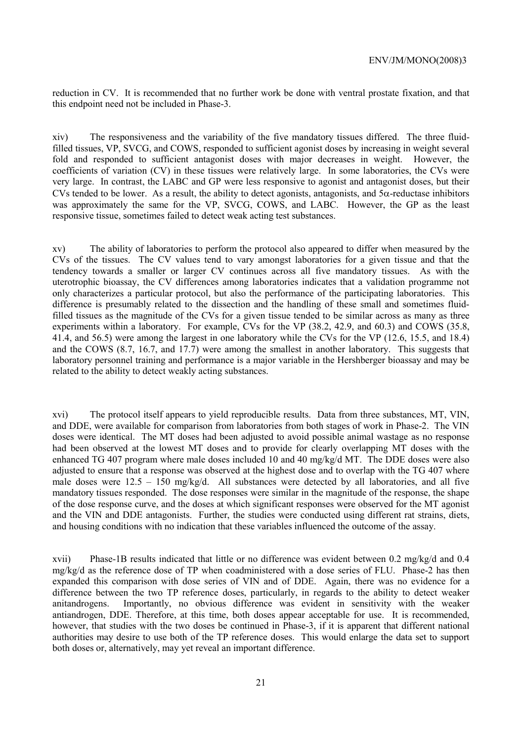reduction in CV. It is recommended that no further work be done with ventral prostate fixation, and that this endpoint need not be included in Phase-3.

xiv) The responsiveness and the variability of the five mandatory tissues differed. The three fluidfilled tissues, VP, SVCG, and COWS, responded to sufficient agonist doses by increasing in weight several fold and responded to sufficient antagonist doses with major decreases in weight. However, the coefficients of variation (CV) in these tissues were relatively large. In some laboratories, the CVs were very large. In contrast, the LABC and GP were less responsive to agonist and antagonist doses, but their CVs tended to be lower. As a result, the ability to detect agonists, antagonists, and  $5\alpha$ -reductase inhibitors was approximately the same for the VP, SVCG, COWS, and LABC. However, the GP as the least responsive tissue, sometimes failed to detect weak acting test substances.

xv) The ability of laboratories to perform the protocol also appeared to differ when measured by the CVs of the tissues. The CV values tend to vary amongst laboratories for a given tissue and that the tendency towards a smaller or larger CV continues across all five mandatory tissues. As with the uterotrophic bioassay, the CV differences among laboratories indicates that a validation programme not only characterizes a particular protocol, but also the performance of the participating laboratories. This difference is presumably related to the dissection and the handling of these small and sometimes fluidfilled tissues as the magnitude of the CVs for a given tissue tended to be similar across as many as three experiments within a laboratory. For example, CVs for the VP (38.2, 42.9, and 60.3) and COWS (35.8, 41.4, and 56.5) were among the largest in one laboratory while the CVs for the VP (12.6, 15.5, and 18.4) and the COWS (8.7, 16.7, and 17.7) were among the smallest in another laboratory. This suggests that laboratory personnel training and performance is a major variable in the Hershberger bioassay and may be related to the ability to detect weakly acting substances.

xvi) The protocol itself appears to yield reproducible results. Data from three substances, MT, VIN, and DDE, were available for comparison from laboratories from both stages of work in Phase-2. The VIN doses were identical. The MT doses had been adjusted to avoid possible animal wastage as no response had been observed at the lowest MT doses and to provide for clearly overlapping MT doses with the enhanced TG 407 program where male doses included 10 and 40 mg/kg/d MT. The DDE doses were also adjusted to ensure that a response was observed at the highest dose and to overlap with the TG 407 where male doses were  $12.5 - 150$  mg/kg/d. All substances were detected by all laboratories, and all five mandatory tissues responded. The dose responses were similar in the magnitude of the response, the shape of the dose response curve, and the doses at which significant responses were observed for the MT agonist and the VIN and DDE antagonists. Further, the studies were conducted using different rat strains, diets, and housing conditions with no indication that these variables influenced the outcome of the assay.

xvii) Phase-1B results indicated that little or no difference was evident between 0.2 mg/kg/d and 0.4 mg/kg/d as the reference dose of TP when coadministered with a dose series of FLU. Phase-2 has then expanded this comparison with dose series of VIN and of DDE. Again, there was no evidence for a difference between the two TP reference doses, particularly, in regards to the ability to detect weaker anitandrogens. Importantly, no obvious difference was evident in sensitivity with the weaker antiandrogen, DDE. Therefore, at this time, both doses appear acceptable for use. It is recommended, however, that studies with the two doses be continued in Phase-3, if it is apparent that different national authorities may desire to use both of the TP reference doses. This would enlarge the data set to support both doses or, alternatively, may yet reveal an important difference.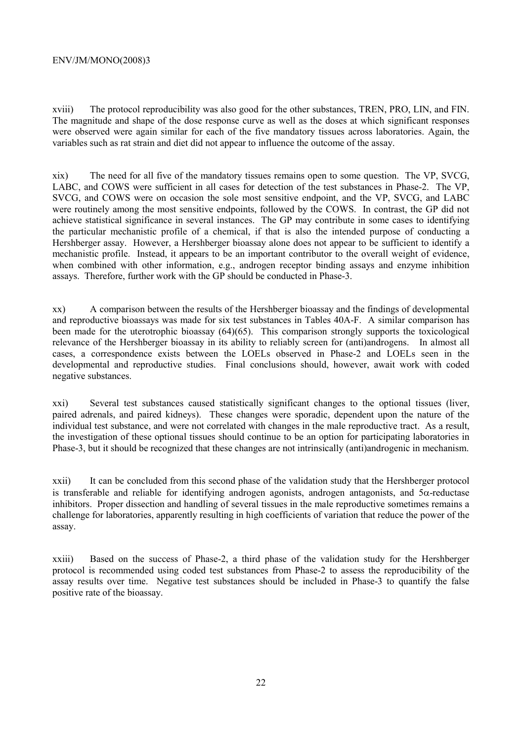xviii) The protocol reproducibility was also good for the other substances, TREN, PRO, LIN, and FIN. The magnitude and shape of the dose response curve as well as the doses at which significant responses were observed were again similar for each of the five mandatory tissues across laboratories. Again, the variables such as rat strain and diet did not appear to influence the outcome of the assay.

xix) The need for all five of the mandatory tissues remains open to some question. The VP, SVCG, LABC, and COWS were sufficient in all cases for detection of the test substances in Phase-2. The VP, SVCG, and COWS were on occasion the sole most sensitive endpoint, and the VP, SVCG, and LABC were routinely among the most sensitive endpoints, followed by the COWS. In contrast, the GP did not achieve statistical significance in several instances. The GP may contribute in some cases to identifying the particular mechanistic profile of a chemical, if that is also the intended purpose of conducting a Hershberger assay. However, a Hershberger bioassay alone does not appear to be sufficient to identify a mechanistic profile. Instead, it appears to be an important contributor to the overall weight of evidence, when combined with other information, e.g., androgen receptor binding assays and enzyme inhibition assays. Therefore, further work with the GP should be conducted in Phase-3.

xx) A comparison between the results of the Hershberger bioassay and the findings of developmental and reproductive bioassays was made for six test substances in Tables 40A-F. A similar comparison has been made for the uterotrophic bioassay (64)(65). This comparison strongly supports the toxicological relevance of the Hershberger bioassay in its ability to reliably screen for (anti)androgens. In almost all cases, a correspondence exists between the LOELs observed in Phase-2 and LOELs seen in the developmental and reproductive studies. Final conclusions should, however, await work with coded negative substances.

xxi) Several test substances caused statistically significant changes to the optional tissues (liver, paired adrenals, and paired kidneys). These changes were sporadic, dependent upon the nature of the individual test substance, and were not correlated with changes in the male reproductive tract. As a result, the investigation of these optional tissues should continue to be an option for participating laboratories in Phase-3, but it should be recognized that these changes are not intrinsically (anti)androgenic in mechanism.

xxii) It can be concluded from this second phase of the validation study that the Hershberger protocol is transferable and reliable for identifying androgen agonists, androgen antagonists, and 5α-reductase inhibitors. Proper dissection and handling of several tissues in the male reproductive sometimes remains a challenge for laboratories, apparently resulting in high coefficients of variation that reduce the power of the assay.

xxiii) Based on the success of Phase-2, a third phase of the validation study for the Hershberger protocol is recommended using coded test substances from Phase-2 to assess the reproducibility of the assay results over time. Negative test substances should be included in Phase-3 to quantify the false positive rate of the bioassay.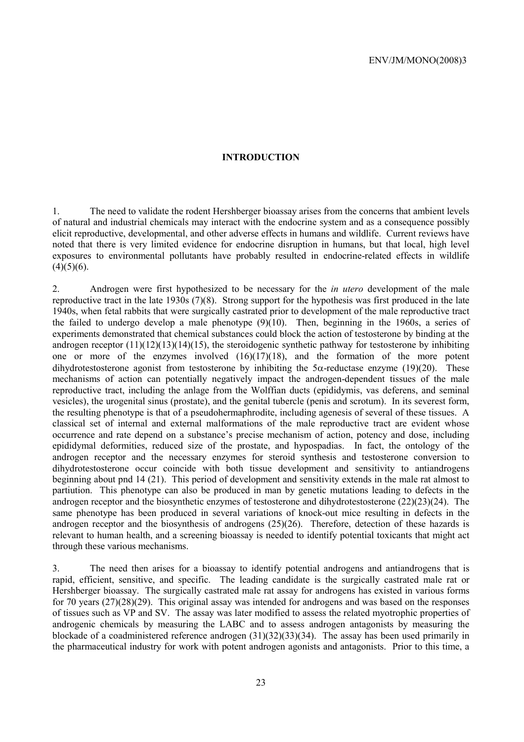#### **INTRODUCTION**

1. The need to validate the rodent Hershberger bioassay arises from the concerns that ambient levels of natural and industrial chemicals may interact with the endocrine system and as a consequence possibly elicit reproductive, developmental, and other adverse effects in humans and wildlife. Current reviews have noted that there is very limited evidence for endocrine disruption in humans, but that local, high level exposures to environmental pollutants have probably resulted in endocrine-related effects in wildlife  $(4)(5)(6)$ .

2. Androgen were first hypothesized to be necessary for the *in utero* development of the male reproductive tract in the late 1930s (7)(8). Strong support for the hypothesis was first produced in the late 1940s, when fetal rabbits that were surgically castrated prior to development of the male reproductive tract the failed to undergo develop a male phenotype (9)(10). Then, beginning in the 1960s, a series of experiments demonstrated that chemical substances could block the action of testosterone by binding at the androgen receptor (11)(12)(13)(14)(15), the steroidogenic synthetic pathway for testosterone by inhibiting one or more of the enzymes involved (16)(17)(18), and the formation of the more potent dihydrotestosterone agonist from testosterone by inhibiting the  $5\alpha$ -reductase enzyme (19)(20). These mechanisms of action can potentially negatively impact the androgen-dependent tissues of the male reproductive tract, including the anlage from the Wolffian ducts (epididymis, vas deferens, and seminal vesicles), the urogenital sinus (prostate), and the genital tubercle (penis and scrotum). In its severest form, the resulting phenotype is that of a pseudohermaphrodite, including agenesis of several of these tissues. A classical set of internal and external malformations of the male reproductive tract are evident whose occurrence and rate depend on a substance's precise mechanism of action, potency and dose, including epididymal deformities, reduced size of the prostate, and hypospadias. In fact, the ontology of the androgen receptor and the necessary enzymes for steroid synthesis and testosterone conversion to dihydrotestosterone occur coincide with both tissue development and sensitivity to antiandrogens beginning about pnd 14 (21). This period of development and sensitivity extends in the male rat almost to partiution. This phenotype can also be produced in man by genetic mutations leading to defects in the androgen receptor and the biosynthetic enzymes of testosterone and dihydrotestosterone (22)(23)(24). The same phenotype has been produced in several variations of knock-out mice resulting in defects in the androgen receptor and the biosynthesis of androgens (25)(26). Therefore, detection of these hazards is relevant to human health, and a screening bioassay is needed to identify potential toxicants that might act through these various mechanisms.

3. The need then arises for a bioassay to identify potential androgens and antiandrogens that is rapid, efficient, sensitive, and specific. The leading candidate is the surgically castrated male rat or Hershberger bioassay. The surgically castrated male rat assay for androgens has existed in various forms for 70 years (27)(28)(29). This original assay was intended for androgens and was based on the responses of tissues such as VP and SV. The assay was later modified to assess the related myotrophic properties of androgenic chemicals by measuring the LABC and to assess androgen antagonists by measuring the blockade of a coadministered reference androgen (31)(32)(33)(34). The assay has been used primarily in the pharmaceutical industry for work with potent androgen agonists and antagonists. Prior to this time, a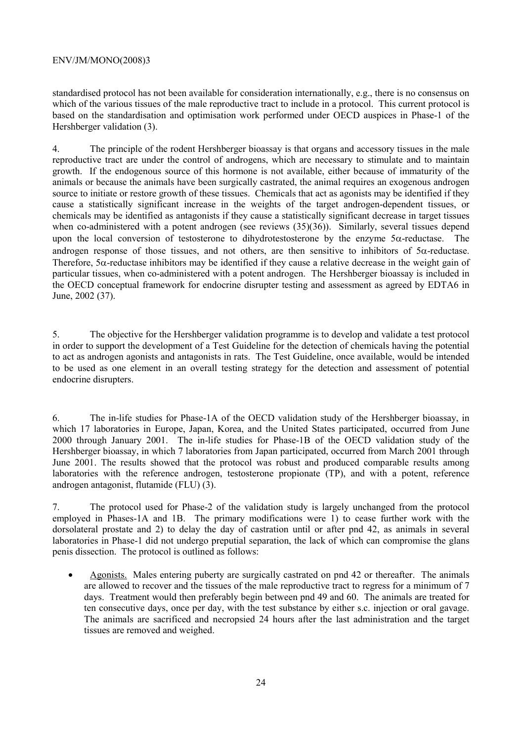standardised protocol has not been available for consideration internationally, e.g., there is no consensus on which of the various tissues of the male reproductive tract to include in a protocol. This current protocol is based on the standardisation and optimisation work performed under OECD auspices in Phase-1 of the Hershberger validation (3).

4. The principle of the rodent Hershberger bioassay is that organs and accessory tissues in the male reproductive tract are under the control of androgens, which are necessary to stimulate and to maintain growth. If the endogenous source of this hormone is not available, either because of immaturity of the animals or because the animals have been surgically castrated, the animal requires an exogenous androgen source to initiate or restore growth of these tissues. Chemicals that act as agonists may be identified if they cause a statistically significant increase in the weights of the target androgen-dependent tissues, or chemicals may be identified as antagonists if they cause a statistically significant decrease in target tissues when co-administered with a potent androgen (see reviews  $(35)(36)$ ). Similarly, several tissues depend upon the local conversion of testosterone to dihydrotestosterone by the enzyme  $5\alpha$ -reductase. The androgen response of those tissues, and not others, are then sensitive to inhibitors of  $5\alpha$ -reductase. Therefore,  $5\alpha$ -reductase inhibitors may be identified if they cause a relative decrease in the weight gain of particular tissues, when co-administered with a potent androgen. The Hershberger bioassay is included in the OECD conceptual framework for endocrine disrupter testing and assessment as agreed by EDTA6 in June, 2002 (37).

5. The objective for the Hershberger validation programme is to develop and validate a test protocol in order to support the development of a Test Guideline for the detection of chemicals having the potential to act as androgen agonists and antagonists in rats. The Test Guideline, once available, would be intended to be used as one element in an overall testing strategy for the detection and assessment of potential endocrine disrupters.

6. The in-life studies for Phase-1A of the OECD validation study of the Hershberger bioassay, in which 17 laboratories in Europe, Japan, Korea, and the United States participated, occurred from June 2000 through January 2001. The in-life studies for Phase-1B of the OECD validation study of the Hershberger bioassay, in which 7 laboratories from Japan participated, occurred from March 2001 through June 2001. The results showed that the protocol was robust and produced comparable results among laboratories with the reference androgen, testosterone propionate (TP), and with a potent, reference androgen antagonist, flutamide (FLU) (3).

7. The protocol used for Phase-2 of the validation study is largely unchanged from the protocol employed in Phases-1A and 1B. The primary modifications were 1) to cease further work with the dorsolateral prostate and 2) to delay the day of castration until or after pnd 42, as animals in several laboratories in Phase-1 did not undergo preputial separation, the lack of which can compromise the glans penis dissection. The protocol is outlined as follows:

• Agonists. Males entering puberty are surgically castrated on pnd 42 or thereafter. The animals are allowed to recover and the tissues of the male reproductive tract to regress for a minimum of 7 days. Treatment would then preferably begin between pnd 49 and 60. The animals are treated for ten consecutive days, once per day, with the test substance by either s.c. injection or oral gavage. The animals are sacrificed and necropsied 24 hours after the last administration and the target tissues are removed and weighed.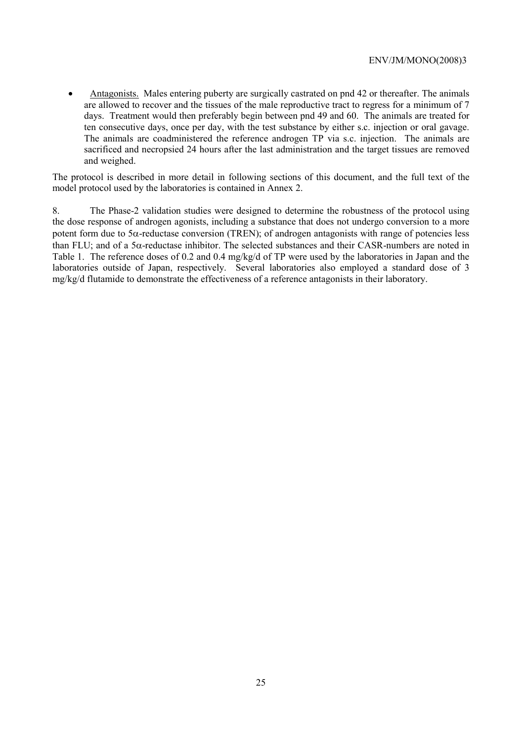• Antagonists. Males entering puberty are surgically castrated on pnd 42 or thereafter. The animals are allowed to recover and the tissues of the male reproductive tract to regress for a minimum of 7 days. Treatment would then preferably begin between pnd 49 and 60. The animals are treated for ten consecutive days, once per day, with the test substance by either s.c. injection or oral gavage. The animals are coadministered the reference androgen TP via s.c. injection. The animals are sacrificed and necropsied 24 hours after the last administration and the target tissues are removed and weighed.

The protocol is described in more detail in following sections of this document, and the full text of the model protocol used by the laboratories is contained in Annex 2.

8. The Phase-2 validation studies were designed to determine the robustness of the protocol using the dose response of androgen agonists, including a substance that does not undergo conversion to a more potent form due to  $5\alpha$ -reductase conversion (TREN); of androgen antagonists with range of potencies less than FLU; and of a 5 $\alpha$ -reductase inhibitor. The selected substances and their CASR-numbers are noted in Table 1. The reference doses of 0.2 and 0.4 mg/kg/d of TP were used by the laboratories in Japan and the laboratories outside of Japan, respectively. Several laboratories also employed a standard dose of 3 mg/kg/d flutamide to demonstrate the effectiveness of a reference antagonists in their laboratory.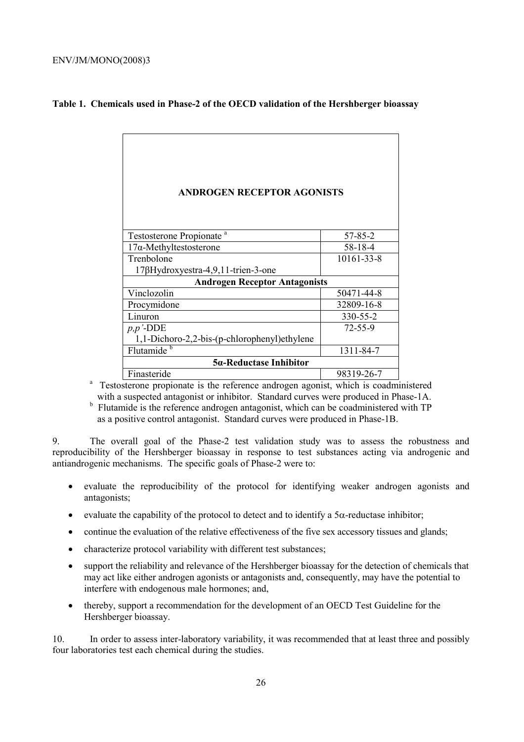| <b>ANDROGEN RECEPTOR AGONISTS</b>             |               |  |
|-----------------------------------------------|---------------|--|
|                                               |               |  |
|                                               |               |  |
|                                               |               |  |
| Testosterone Propionate <sup>a</sup>          | 57-85-2       |  |
| $17\alpha$ -Methyltestosterone                | 58-18-4       |  |
| Trenbolone                                    | 10161-33-8    |  |
| $17\beta$ Hydroxyestra-4,9,11-trien-3-one     |               |  |
| <b>Androgen Receptor Antagonists</b>          |               |  |
| Vinclozolin                                   | 50471-44-8    |  |
| Procymidone                                   | 32809-16-8    |  |
| Linuron                                       | 330-55-2      |  |
| $p, p'$ -DDE                                  | $72 - 55 - 9$ |  |
| 1,1-Dichoro-2,2-bis-(p-chlorophenyl) ethylene |               |  |
| Flutamide <sup>b</sup>                        | 1311-84-7     |  |
| 5α-Reductase Inhibitor                        |               |  |
| Finasteride                                   | 98319-26-7    |  |

# **Table 1. Chemicals used in Phase-2 of the OECD validation of the Hershberger bioassay**

Finasteride 98319-26-7<br>
<sup>a</sup> Testosterone propionate is the reference androgen agonist, which is coadministered with a suspected antagonist or inhibitor. Standard curves were produced in Phase-1A.

<sup>b</sup> Flutamide is the reference androgen antagonist, which can be coadministered with TP as a positive control antagonist. Standard curves were produced in Phase-1B.

9. The overall goal of the Phase-2 test validation study was to assess the robustness and reproducibility of the Hershberger bioassay in response to test substances acting via androgenic and antiandrogenic mechanisms. The specific goals of Phase-2 were to:

- evaluate the reproducibility of the protocol for identifying weaker androgen agonists and antagonists;
- evaluate the capability of the protocol to detect and to identify a  $5\alpha$ -reductase inhibitor;
- continue the evaluation of the relative effectiveness of the five sex accessory tissues and glands;
- characterize protocol variability with different test substances;
- support the reliability and relevance of the Hershberger bioassay for the detection of chemicals that may act like either androgen agonists or antagonists and, consequently, may have the potential to interfere with endogenous male hormones; and,
- thereby, support a recommendation for the development of an OECD Test Guideline for the Hershberger bioassay.

10. In order to assess inter-laboratory variability, it was recommended that at least three and possibly four laboratories test each chemical during the studies.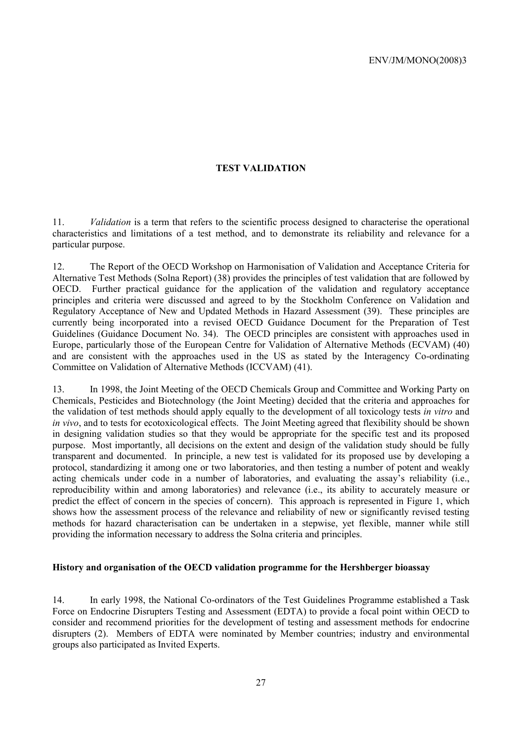#### **TEST VALIDATION**

11. *Validation* is a term that refers to the scientific process designed to characterise the operational characteristics and limitations of a test method, and to demonstrate its reliability and relevance for a particular purpose.

12. The Report of the OECD Workshop on Harmonisation of Validation and Acceptance Criteria for Alternative Test Methods (Solna Report) (38) provides the principles of test validation that are followed by OECD. Further practical guidance for the application of the validation and regulatory acceptance principles and criteria were discussed and agreed to by the Stockholm Conference on Validation and Regulatory Acceptance of New and Updated Methods in Hazard Assessment (39). These principles are currently being incorporated into a revised OECD Guidance Document for the Preparation of Test Guidelines (Guidance Document No. 34). The OECD principles are consistent with approaches used in Europe, particularly those of the European Centre for Validation of Alternative Methods (ECVAM) (40) and are consistent with the approaches used in the US as stated by the Interagency Co-ordinating Committee on Validation of Alternative Methods (ICCVAM) (41).

13. In 1998, the Joint Meeting of the OECD Chemicals Group and Committee and Working Party on Chemicals, Pesticides and Biotechnology (the Joint Meeting) decided that the criteria and approaches for the validation of test methods should apply equally to the development of all toxicology tests *in vitro* and *in vivo*, and to tests for ecotoxicological effects. The Joint Meeting agreed that flexibility should be shown in designing validation studies so that they would be appropriate for the specific test and its proposed purpose. Most importantly, all decisions on the extent and design of the validation study should be fully transparent and documented. In principle, a new test is validated for its proposed use by developing a protocol, standardizing it among one or two laboratories, and then testing a number of potent and weakly acting chemicals under code in a number of laboratories, and evaluating the assay's reliability (i.e., reproducibility within and among laboratories) and relevance (i.e., its ability to accurately measure or predict the effect of concern in the species of concern). This approach is represented in Figure 1, which shows how the assessment process of the relevance and reliability of new or significantly revised testing methods for hazard characterisation can be undertaken in a stepwise, yet flexible, manner while still providing the information necessary to address the Solna criteria and principles.

#### **History and organisation of the OECD validation programme for the Hershberger bioassay**

14. In early 1998, the National Co-ordinators of the Test Guidelines Programme established a Task Force on Endocrine Disrupters Testing and Assessment (EDTA) to provide a focal point within OECD to consider and recommend priorities for the development of testing and assessment methods for endocrine disrupters (2). Members of EDTA were nominated by Member countries; industry and environmental groups also participated as Invited Experts.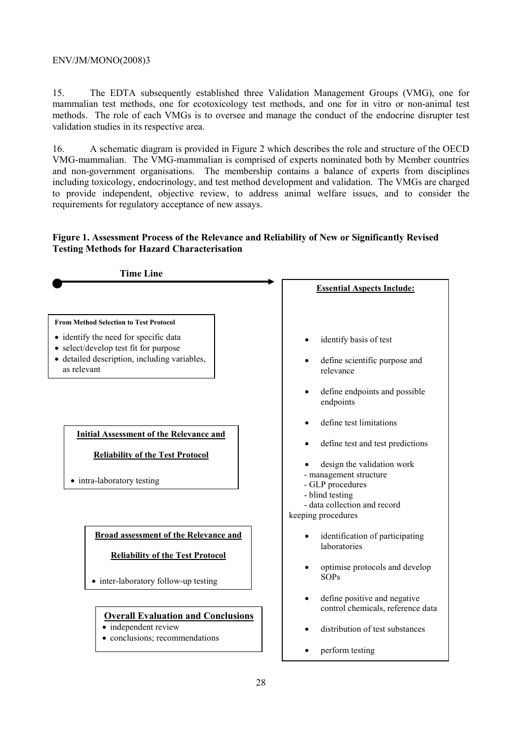15. The EDTA subsequently established three Validation Management Groups (VMG), one for mammalian test methods, one for ecotoxicology test methods, and one for in vitro or non-animal test methods. The role of each VMGs is to oversee and manage the conduct of the endocrine disrupter test validation studies in its respective area.

16. A schematic diagram is provided in Figure 2 which describes the role and structure of the OECD VMG-mammalian. The VMG-mammalian is comprised of experts nominated both by Member countries and non-government organisations. The membership contains a balance of experts from disciplines including toxicology, endocrinology, and test method development and validation. The VMGs are charged to provide independent, objective review, to address animal welfare issues, and to consider the requirements for regulatory acceptance of new assays.

# **Figure 1. Assessment Process of the Relevance and Reliability of New or Significantly Revised Testing Methods for Hazard Characterisation**

| <b>Time Line</b>                                                                                                                              |                                                                                          |
|-----------------------------------------------------------------------------------------------------------------------------------------------|------------------------------------------------------------------------------------------|
|                                                                                                                                               | <b>Essential Aspects Include:</b>                                                        |
| <b>From Method Selection to Test Protocol</b>                                                                                                 |                                                                                          |
| • identify the need for specific data<br>• select/develop test fit for purpose<br>• detailed description, including variables,<br>as relevant | identify basis of test<br>define scientific purpose and<br>relevance                     |
|                                                                                                                                               | define endpoints and possible<br>endpoints                                               |
|                                                                                                                                               | define test limitations                                                                  |
| <b>Initial Assessment of the Relevance and</b><br><b>Reliability of the Test Protocol</b>                                                     | define test and test predictions<br>design the validation work<br>- management structure |
| • intra-laboratory testing                                                                                                                    | - GLP procedures<br>- blind testing                                                      |
|                                                                                                                                               | - data collection and record<br>keeping procedures                                       |
| <b>Broad assessment of the Relevance and</b>                                                                                                  | identification of participating<br>laboratories                                          |
| <b>Reliability of the Test Protocol</b><br>• inter-laboratory follow-up testing                                                               | optimise protocols and develop<br>SOPs                                                   |
| <b>Overall Evaluation and Conclusions</b>                                                                                                     | define positive and negative<br>control chemicals, reference data                        |
| • independent review<br>• conclusions; recommendations                                                                                        | distribution of test substances                                                          |
|                                                                                                                                               | perform testing                                                                          |
| $\Omega$                                                                                                                                      |                                                                                          |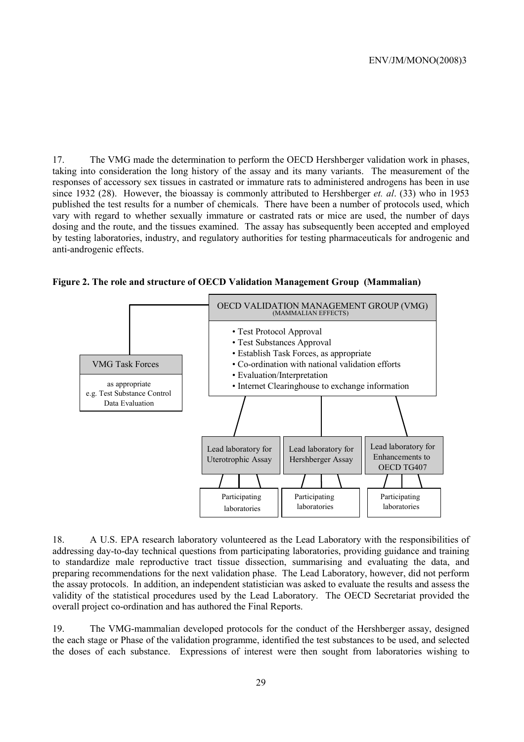17. The VMG made the determination to perform the OECD Hershberger validation work in phases, taking into consideration the long history of the assay and its many variants. The measurement of the responses of accessory sex tissues in castrated or immature rats to administered androgens has been in use since 1932 (28). However, the bioassay is commonly attributed to Hershberger *et. al*. (33) who in 1953 published the test results for a number of chemicals. There have been a number of protocols used, which vary with regard to whether sexually immature or castrated rats or mice are used, the number of days dosing and the route, and the tissues examined. The assay has subsequently been accepted and employed by testing laboratories, industry, and regulatory authorities for testing pharmaceuticals for androgenic and anti-androgenic effects.





18. A U.S. EPA research laboratory volunteered as the Lead Laboratory with the responsibilities of addressing day-to-day technical questions from participating laboratories, providing guidance and training to standardize male reproductive tract tissue dissection, summarising and evaluating the data, and preparing recommendations for the next validation phase. The Lead Laboratory, however, did not perform the assay protocols. In addition, an independent statistician was asked to evaluate the results and assess the validity of the statistical procedures used by the Lead Laboratory. The OECD Secretariat provided the overall project co-ordination and has authored the Final Reports.

19. The VMG-mammalian developed protocols for the conduct of the Hershberger assay, designed the each stage or Phase of the validation programme, identified the test substances to be used, and selected the doses of each substance. Expressions of interest were then sought from laboratories wishing to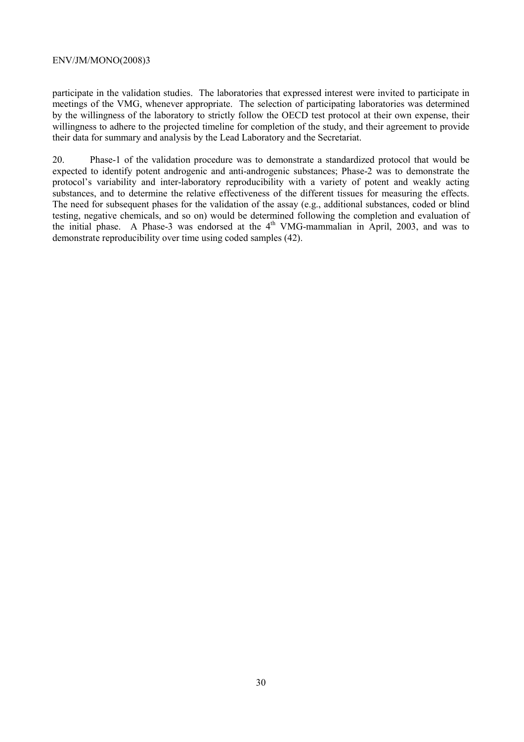participate in the validation studies. The laboratories that expressed interest were invited to participate in meetings of the VMG, whenever appropriate. The selection of participating laboratories was determined by the willingness of the laboratory to strictly follow the OECD test protocol at their own expense, their willingness to adhere to the projected timeline for completion of the study, and their agreement to provide their data for summary and analysis by the Lead Laboratory and the Secretariat.

20. Phase-1 of the validation procedure was to demonstrate a standardized protocol that would be expected to identify potent androgenic and anti-androgenic substances; Phase-2 was to demonstrate the protocol's variability and inter-laboratory reproducibility with a variety of potent and weakly acting substances, and to determine the relative effectiveness of the different tissues for measuring the effects. The need for subsequent phases for the validation of the assay (e.g., additional substances, coded or blind testing, negative chemicals, and so on) would be determined following the completion and evaluation of the initial phase. A Phase-3 was endorsed at the  $4<sup>th</sup>$  VMG-mammalian in April, 2003, and was to demonstrate reproducibility over time using coded samples (42).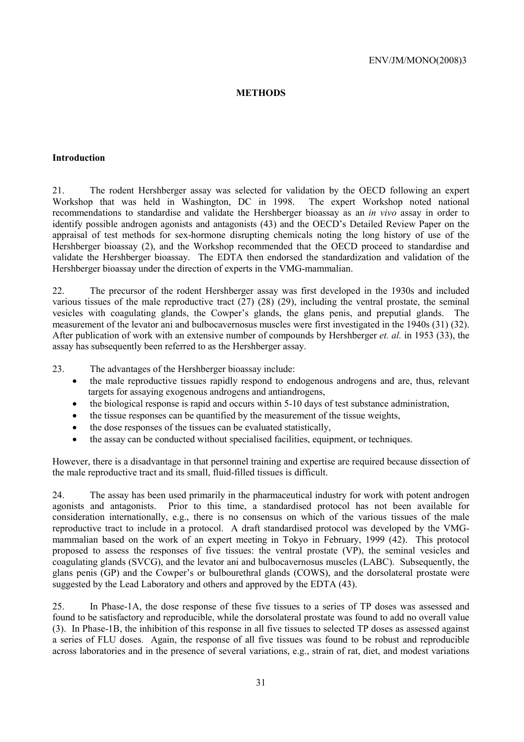#### **METHODS**

#### **Introduction**

21. The rodent Hershberger assay was selected for validation by the OECD following an expert Workshop that was held in Washington, DC in 1998. The expert Workshop noted national recommendations to standardise and validate the Hershberger bioassay as an *in vivo* assay in order to identify possible androgen agonists and antagonists (43) and the OECD's Detailed Review Paper on the appraisal of test methods for sex-hormone disrupting chemicals noting the long history of use of the Hershberger bioassay (2), and the Workshop recommended that the OECD proceed to standardise and validate the Hershberger bioassay. The EDTA then endorsed the standardization and validation of the Hershberger bioassay under the direction of experts in the VMG-mammalian.

22. The precursor of the rodent Hershberger assay was first developed in the 1930s and included various tissues of the male reproductive tract (27) (28) (29), including the ventral prostate, the seminal vesicles with coagulating glands, the Cowper's glands, the glans penis, and preputial glands. The measurement of the levator ani and bulbocavernosus muscles were first investigated in the 1940s (31) (32). After publication of work with an extensive number of compounds by Hershberger *et. al.* in 1953 (33), the assay has subsequently been referred to as the Hershberger assay.

23. The advantages of the Hershberger bioassay include:

- the male reproductive tissues rapidly respond to endogenous androgens and are, thus, relevant targets for assaying exogenous androgens and antiandrogens,
- the biological response is rapid and occurs within 5-10 days of test substance administration,
- the tissue responses can be quantified by the measurement of the tissue weights,
- the dose responses of the tissues can be evaluated statistically,
- the assay can be conducted without specialised facilities, equipment, or techniques.

However, there is a disadvantage in that personnel training and expertise are required because dissection of the male reproductive tract and its small, fluid-filled tissues is difficult.

24. The assay has been used primarily in the pharmaceutical industry for work with potent androgen agonists and antagonists. Prior to this time, a standardised protocol has not been available for consideration internationally, e.g., there is no consensus on which of the various tissues of the male reproductive tract to include in a protocol. A draft standardised protocol was developed by the VMGmammalian based on the work of an expert meeting in Tokyo in February, 1999 (42). This protocol proposed to assess the responses of five tissues: the ventral prostate (VP), the seminal vesicles and coagulating glands (SVCG), and the levator ani and bulbocavernosus muscles (LABC). Subsequently, the glans penis (GP) and the Cowper's or bulbourethral glands (COWS), and the dorsolateral prostate were suggested by the Lead Laboratory and others and approved by the EDTA (43).

25. In Phase-1A, the dose response of these five tissues to a series of TP doses was assessed and found to be satisfactory and reproducible, while the dorsolateral prostate was found to add no overall value (3). In Phase-1B, the inhibition of this response in all five tissues to selected TP doses as assessed against a series of FLU doses. Again, the response of all five tissues was found to be robust and reproducible across laboratories and in the presence of several variations, e.g., strain of rat, diet, and modest variations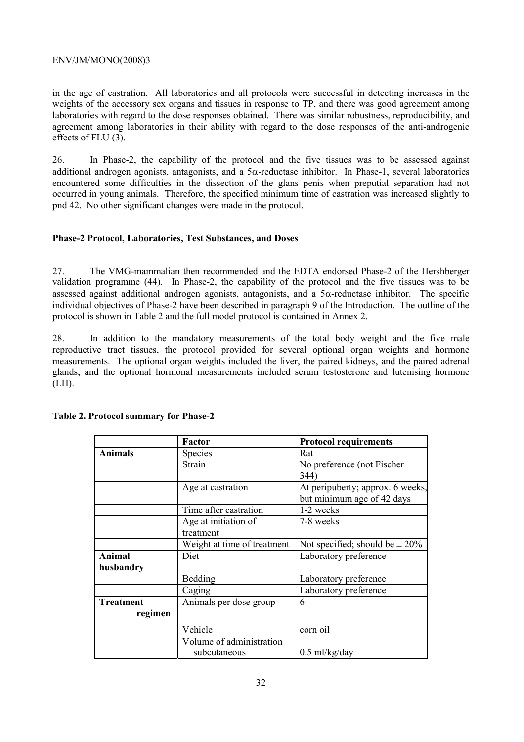in the age of castration. All laboratories and all protocols were successful in detecting increases in the weights of the accessory sex organs and tissues in response to TP, and there was good agreement among laboratories with regard to the dose responses obtained. There was similar robustness, reproducibility, and agreement among laboratories in their ability with regard to the dose responses of the anti-androgenic effects of FLU (3).

26. In Phase-2, the capability of the protocol and the five tissues was to be assessed against additional androgen agonists, antagonists, and a  $5\alpha$ -reductase inhibitor. In Phase-1, several laboratories encountered some difficulties in the dissection of the glans penis when preputial separation had not occurred in young animals. Therefore, the specified minimum time of castration was increased slightly to pnd 42. No other significant changes were made in the protocol.

## **Phase-2 Protocol, Laboratories, Test Substances, and Doses**

27. The VMG-mammalian then recommended and the EDTA endorsed Phase-2 of the Hershberger validation programme (44). In Phase-2, the capability of the protocol and the five tissues was to be assessed against additional androgen agonists, antagonists, and a 5α-reductase inhibitor. The specific individual objectives of Phase-2 have been described in paragraph 9 of the Introduction. The outline of the protocol is shown in Table 2 and the full model protocol is contained in Annex 2.

28. In addition to the mandatory measurements of the total body weight and the five male reproductive tract tissues, the protocol provided for several optional organ weights and hormone measurements. The optional organ weights included the liver, the paired kidneys, and the paired adrenal glands, and the optional hormonal measurements included serum testosterone and lutenising hormone  $(LH)$ .

|                  | Factor                      | <b>Protocol requirements</b>        |
|------------------|-----------------------------|-------------------------------------|
| <b>Animals</b>   | <b>Species</b>              | Rat                                 |
|                  | Strain                      | No preference (not Fischer          |
|                  |                             | 344)                                |
|                  | Age at castration           | At peripuberty; approx. 6 weeks,    |
|                  |                             | but minimum age of 42 days          |
|                  | Time after castration       | 1-2 weeks                           |
|                  | Age at initiation of        | 7-8 weeks                           |
|                  | treatment                   |                                     |
|                  | Weight at time of treatment | Not specified; should be $\pm 20\%$ |
| <b>Animal</b>    | Diet                        | Laboratory preference               |
| husbandry        |                             |                                     |
|                  | Bedding                     | Laboratory preference               |
|                  | Caging                      | Laboratory preference               |
| <b>Treatment</b> | Animals per dose group      | 6                                   |
| regimen          |                             |                                     |
|                  | Vehicle                     | corn oil                            |
|                  | Volume of administration    |                                     |
|                  | subcutaneous                | $0.5$ ml/kg/day                     |

#### **Table 2. Protocol summary for Phase-2**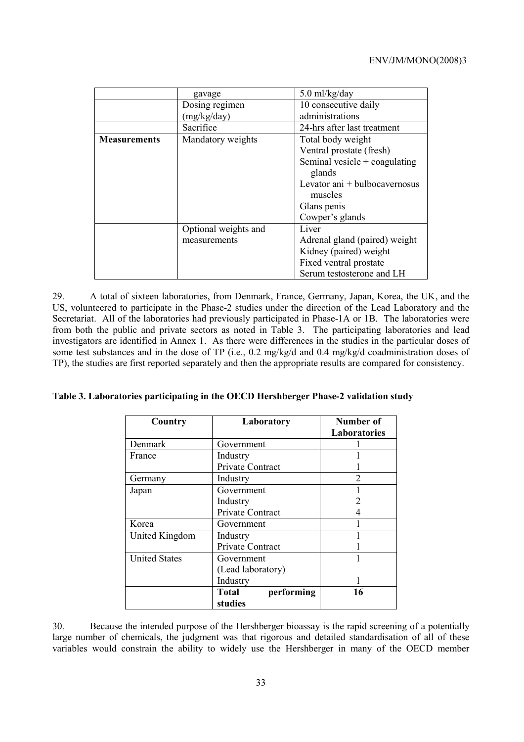|                     | gavage               | $5.0$ ml/kg/day                 |
|---------------------|----------------------|---------------------------------|
|                     | Dosing regimen       | 10 consecutive daily            |
|                     | (mg/kg/day)          | administrations                 |
|                     | Sacrifice            | 24-hrs after last treatment     |
| <b>Measurements</b> | Mandatory weights    | Total body weight               |
|                     |                      | Ventral prostate (fresh)        |
|                     |                      | Seminal vesicle $+$ coagulating |
|                     |                      | glands                          |
|                     |                      | Levator ani + bulbocavernosus   |
|                     |                      | muscles                         |
|                     |                      | Glans penis                     |
|                     |                      | Cowper's glands                 |
|                     | Optional weights and | Liver                           |
|                     | measurements         | Adrenal gland (paired) weight   |
|                     |                      | Kidney (paired) weight          |
|                     |                      | Fixed ventral prostate          |
|                     |                      | Serum testosterone and LH       |

29. A total of sixteen laboratories, from Denmark, France, Germany, Japan, Korea, the UK, and the US, volunteered to participate in the Phase-2 studies under the direction of the Lead Laboratory and the Secretariat. All of the laboratories had previously participated in Phase-1A or 1B. The laboratories were from both the public and private sectors as noted in Table 3. The participating laboratories and lead investigators are identified in Annex 1. As there were differences in the studies in the particular doses of some test substances and in the dose of TP (i.e., 0.2 mg/kg/d and 0.4 mg/kg/d coadministration doses of TP), the studies are first reported separately and then the appropriate results are compared for consistency.

| Country              | Laboratory                 | Number of           |
|----------------------|----------------------------|---------------------|
|                      |                            | <b>Laboratories</b> |
| Denmark              | Government                 |                     |
| France               | Industry                   |                     |
|                      | Private Contract           |                     |
| Germany              | Industry                   | າ                   |
| Japan                | Government                 |                     |
|                      | Industry                   |                     |
|                      | <b>Private Contract</b>    |                     |
| Korea                | Government                 |                     |
| United Kingdom       | Industry                   |                     |
|                      | Private Contract           |                     |
| <b>United States</b> | Government                 |                     |
|                      | (Lead laboratory)          |                     |
|                      | Industry                   |                     |
|                      | performing<br><b>Total</b> | 16                  |
|                      | studies                    |                     |

| Table 3. Laboratories participating in the OECD Hershberger Phase-2 validation study |  |  |
|--------------------------------------------------------------------------------------|--|--|
|                                                                                      |  |  |

30. Because the intended purpose of the Hershberger bioassay is the rapid screening of a potentially large number of chemicals, the judgment was that rigorous and detailed standardisation of all of these variables would constrain the ability to widely use the Hershberger in many of the OECD member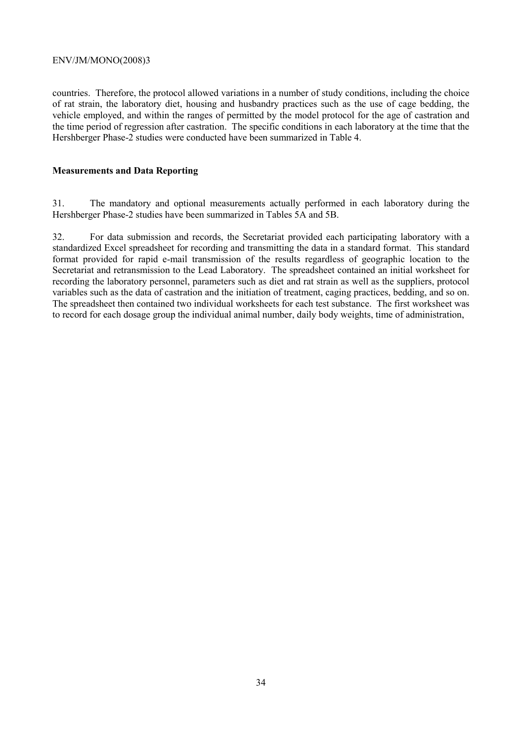countries. Therefore, the protocol allowed variations in a number of study conditions, including the choice of rat strain, the laboratory diet, housing and husbandry practices such as the use of cage bedding, the vehicle employed, and within the ranges of permitted by the model protocol for the age of castration and the time period of regression after castration. The specific conditions in each laboratory at the time that the Hershberger Phase-2 studies were conducted have been summarized in Table 4.

#### **Measurements and Data Reporting**

31. The mandatory and optional measurements actually performed in each laboratory during the Hershberger Phase-2 studies have been summarized in Tables 5A and 5B.

32. For data submission and records, the Secretariat provided each participating laboratory with a standardized Excel spreadsheet for recording and transmitting the data in a standard format. This standard format provided for rapid e-mail transmission of the results regardless of geographic location to the Secretariat and retransmission to the Lead Laboratory. The spreadsheet contained an initial worksheet for recording the laboratory personnel, parameters such as diet and rat strain as well as the suppliers, protocol variables such as the data of castration and the initiation of treatment, caging practices, bedding, and so on. The spreadsheet then contained two individual worksheets for each test substance. The first worksheet was to record for each dosage group the individual animal number, daily body weights, time of administration,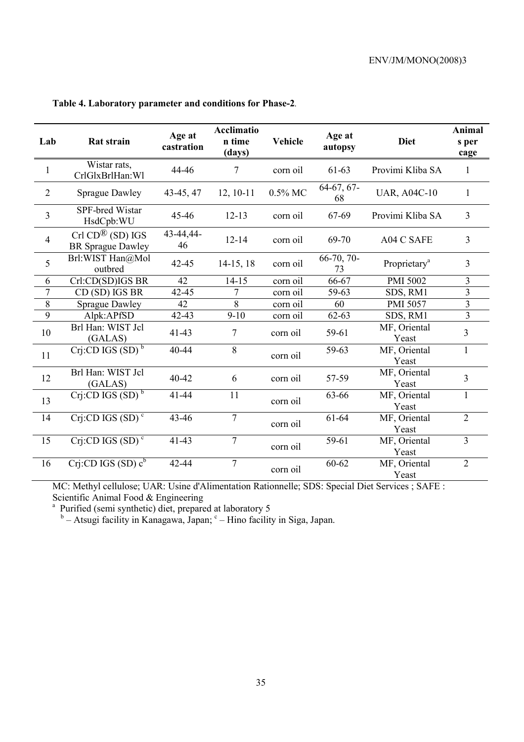| Lab            | Rat strain                                                                              | Age at<br>castration | <b>Acclimatio</b><br>n time<br>(days) | Age at<br><b>Vehicle</b><br>autopsy |                    | <b>Diet</b>              | Animal<br>s per<br>cage |
|----------------|-----------------------------------------------------------------------------------------|----------------------|---------------------------------------|-------------------------------------|--------------------|--------------------------|-------------------------|
| $\mathbf{1}$   | Wistar rats,<br>CrlGlxBrlHan: Wl                                                        | 44-46                | 7                                     | corn oil                            | $61 - 63$          | Provimi Kliba SA         | 1                       |
| $\overline{2}$ | <b>Sprague Dawley</b>                                                                   | 43-45, 47            | $12, 10-11$                           | $0.5\%$ MC                          | 64-67, 67-<br>68   | <b>UAR, A04C-10</b>      | $\mathbf{1}$            |
| $\overline{3}$ | <b>SPF-bred Wistar</b><br>HsdCpb:WU                                                     | 45-46                | $12 - 13$                             | corn oil                            | 67-69              | Provimi Kliba SA         | $\overline{3}$          |
| $\overline{4}$ | $\operatorname{Crl} \operatorname{CD}^{\circledR}$ (SD) IGS<br><b>BR</b> Sprague Dawley | 43-44,44-<br>46      | $12 - 14$                             | corn oil                            | 69-70              | A04 C SAFE               | $\overline{3}$          |
| 5              | Brl:WIST Han@Mol<br>outbred                                                             | $42 - 45$            | $14-15, 18$                           | corn oil                            | $66-70, 70-$<br>73 | Proprietary <sup>a</sup> | $\overline{3}$          |
| 6              | Crl:CD(SD)IGS BR                                                                        | 42                   | $14 - 15$                             | corn oil                            | 66-67              | <b>PMI 5002</b>          | 3                       |
| 7              | CD (SD) IGS BR                                                                          | 42-45                | 7                                     | corn oil                            | 59-63              | SDS, RM1                 | $\overline{3}$          |
| 8              | <b>Sprague Dawley</b>                                                                   | 42                   | 8                                     | corn oil                            | 60                 | PMI 5057                 | $\overline{3}$          |
| $\overline{9}$ | Alpk:APfSD                                                                              | $42 - 43$            | $9-10$                                | corn oil                            | $62 - 63$          | SDS, RM1                 | $\overline{3}$          |
| 10             | Brl Han: WIST Jcl<br>(GALAS)                                                            | $41 - 43$            | 7                                     | corn oil                            | 59-61              | MF, Oriental<br>Yeast    | $\overline{3}$          |
| 11             | $Crj$ :CD IGS (SD) <sup>b</sup>                                                         | 40-44                | 8                                     | corn oil                            | 59-63              | MF, Oriental<br>Yeast    | 1                       |
| 12             | Brl Han: WIST Jcl<br>(GALAS)                                                            | 40-42                | 6                                     | corn oil                            | 57-59              | MF, Oriental<br>Yeast    | $\overline{3}$          |
| 13             | Crj:CD IGS $(SD)$ <sup>b</sup>                                                          | 41-44                | 11                                    | corn oil                            | 63-66              | MF, Oriental<br>Yeast    | 1                       |
| 14             | Crj:CD IGS $(SD)^c$                                                                     | 43-46                | $\overline{7}$                        | corn oil                            | 61-64              | MF, Oriental<br>Yeast    | $\overline{2}$          |
| 15             | $Cri$ :CD IGS (SD) <sup>c</sup>                                                         | $41 - 43$            | $\overline{7}$                        | corn oil                            | 59-61              | MF, Oriental<br>Yeast    | $\overline{3}$          |
| 16             | $Crj$ :CD IGS (SD) $c^b$                                                                | 42-44                | 7                                     | corn oil                            | 60-62              | MF, Oriental<br>Yeast    | $\overline{2}$          |

# **Table 4. Laboratory parameter and conditions for Phase-2***.*

MC: Methyl cellulose; UAR: Usine d'Alimentation Rationnelle; SDS: Special Diet Services ; SAFE : Scientific Animal Food & Engineering<br>
<sup>a</sup> Purified (semi synthetic) diet, prepared at laboratory 5<br>
<sup>b</sup> – Atsugi facility in Kanagawa, Japan; <sup>c</sup> – Hino facility in Siga, Japan.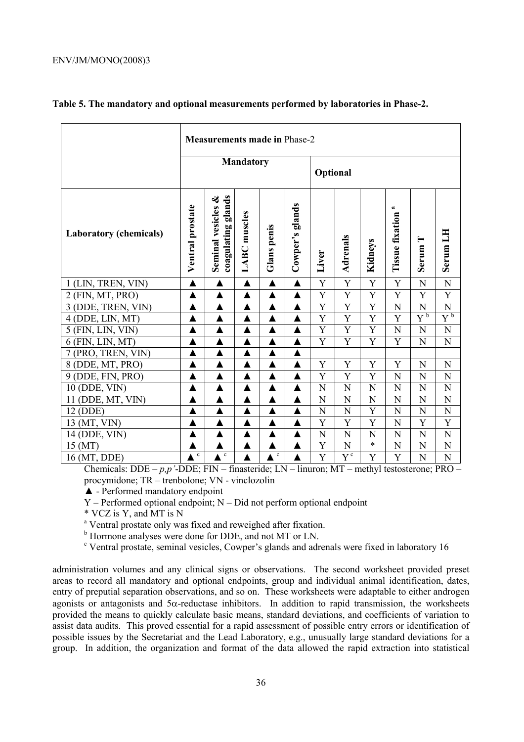|                               | <b>Measurements made in Phase-2</b> |                                             |                     |                  |                  |                |                               |                |                             |                                |                    |
|-------------------------------|-------------------------------------|---------------------------------------------|---------------------|------------------|------------------|----------------|-------------------------------|----------------|-----------------------------|--------------------------------|--------------------|
|                               | <b>Mandatory</b>                    |                                             |                     |                  | Optional         |                |                               |                |                             |                                |                    |
| <b>Laboratory (chemicals)</b> | Ventral prostate                    | coagulating glands<br>ళ<br>Seminal vesicles | <b>LABC</b> muscles | Glans penis      | Cowper's glands  | Liver          | Adrenals                      | Kidneys        | a<br><b>Tissue fixation</b> | $\blacksquare$<br><b>Serum</b> | Serum LH           |
| 1 (LIN, TREN, VIN)            | ▲                                   | $\blacktriangle$                            | ▲                   | $\blacktriangle$ | $\blacktriangle$ | Y              | Y                             | $\overline{Y}$ | Y                           | N                              | N                  |
| 2 (FIN, MT, PRO)              | $\blacktriangle$                    | $\blacktriangle$                            | ▲                   | $\blacktriangle$ | $\blacktriangle$ | Y              | Y                             | Y              | Y                           | Y                              | Y                  |
| 3 (DDE, TREN, VIN)            |                                     | ▲                                           |                     | ▲                | ▲                | Y              | Y                             | Y              | N                           | N                              | N                  |
| 4 (DDE, LIN, MT)              |                                     | ▲                                           |                     | ▲                | $\blacktriangle$ | $\overline{Y}$ | $\overline{Y}$                | $\overline{Y}$ | $\overline{Y}$              | $Y^{\mathfrak{b}}$             | $Y^{\mathfrak{b}}$ |
| 5 (FIN, LIN, VIN)             |                                     |                                             |                     | ▲                | ▲                | Y              | Y                             | Y              | N                           | N                              | N                  |
| $6$ (FIN, LIN, MT)            | $\blacktriangle$                    | $\blacktriangle$                            | ▲                   | $\blacktriangle$ | $\blacktriangle$ | Y              | Y                             | Y              | Y                           | N                              | N                  |
| 7 (PRO, TREN, VIN)            | ▲                                   | $\blacktriangle$                            |                     | ▲                | ▲                |                |                               |                |                             |                                |                    |
| 8 (DDE, MT, PRO)              |                                     | $\blacktriangle$                            |                     | $\blacktriangle$ | $\blacktriangle$ | Y              | Y                             | Y              | Y                           | N                              | N                  |
| 9 (DDE, FIN, PRO)             | ▲                                   | $\blacktriangle$                            | ▲                   | ▲                | ▲                | Y              | Y                             | Y              | N                           | N                              | N                  |
| 10 (DDE, VIN)                 | ▲                                   | $\blacktriangle$                            | ▲                   | ▲                | ▲                | N              | N                             | N              | N                           | N                              | N                  |
| 11 (DDE, MT, VIN)             |                                     | ▲                                           |                     | ▲                | ▲                | N              | N                             | N              | N                           | N                              | N                  |
| 12 (DDE)                      |                                     | Δ                                           |                     | ▲                | ▲                | N              | N                             | Y              | N                           | N                              | N                  |
| 13 (MT, VIN)                  |                                     | ▲                                           | ▲                   | ▲                | ▲                | Y              | Y                             | Y              | N                           | Y                              | Y                  |
| 14 (DDE, VIN)                 | ▲                                   | ▲                                           | ▲                   | ▲                | ▲                | N              | N                             | N              | N                           | N                              | N                  |
| 15 (MT)                       |                                     |                                             |                     | ▲                | $\blacktriangle$ | Y              | N                             | $\ast$         | N                           | N                              | N                  |
| 16 (MT, DDE)                  | $\mathbf c$                         | $\mathbf c$                                 | ▲                   | $\mathbf c$      | $\blacktriangle$ | Y              | $\overline{Y}^{\mathfrak{c}}$ | Y              | Y                           | N                              | N                  |

### **Table 5. The mandatory and optional measurements performed by laboratories in Phase-2.**

Chemicals: DDE – *p,p'*-DDE; FIN – finasteride; LN – linuron; MT – methyl testosterone; PRO – procymidone; TR – trenbolone; VN - vinclozolin

▲ - Performed mandatory endpoint

Y – Performed optional endpoint; N – Did not perform optional endpoint

\* VCZ is Y, and MT is N

<sup>a</sup> Ventral prostate only was fixed and reweighed after fixation.

<sup>b</sup> Hormone analyses were done for DDE, and not MT or LN.

<sup>c</sup> Ventral prostate, seminal vesicles, Cowper's glands and adrenals were fixed in laboratory 16

administration volumes and any clinical signs or observations. The second worksheet provided preset areas to record all mandatory and optional endpoints, group and individual animal identification, dates, entry of preputial separation observations, and so on. These worksheets were adaptable to either androgen agonists or antagonists and  $5\alpha$ -reductase inhibitors. In addition to rapid transmission, the worksheets provided the means to quickly calculate basic means, standard deviations, and coefficients of variation to assist data audits. This proved essential for a rapid assessment of possible entry errors or identification of possible issues by the Secretariat and the Lead Laboratory, e.g., unusually large standard deviations for a group. In addition, the organization and format of the data allowed the rapid extraction into statistical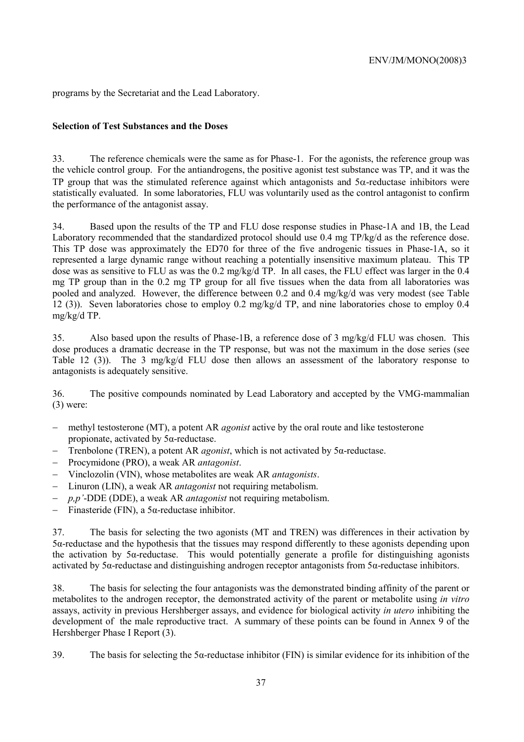programs by the Secretariat and the Lead Laboratory.

# **Selection of Test Substances and the Doses**

33. The reference chemicals were the same as for Phase-1. For the agonists, the reference group was the vehicle control group. For the antiandrogens, the positive agonist test substance was TP, and it was the TP group that was the stimulated reference against which antagonists and  $5\alpha$ -reductase inhibitors were statistically evaluated. In some laboratories, FLU was voluntarily used as the control antagonist to confirm the performance of the antagonist assay.

34. Based upon the results of the TP and FLU dose response studies in Phase-1A and 1B, the Lead Laboratory recommended that the standardized protocol should use 0.4 mg TP/kg/d as the reference dose. This TP dose was approximately the ED70 for three of the five androgenic tissues in Phase-1A, so it represented a large dynamic range without reaching a potentially insensitive maximum plateau. This TP dose was as sensitive to FLU as was the 0.2 mg/kg/d TP. In all cases, the FLU effect was larger in the 0.4 mg TP group than in the 0.2 mg TP group for all five tissues when the data from all laboratories was pooled and analyzed. However, the difference between 0.2 and 0.4 mg/kg/d was very modest (see Table 12 (3)). Seven laboratories chose to employ 0.2 mg/kg/d TP, and nine laboratories chose to employ 0.4 mg/kg/d TP.

35. Also based upon the results of Phase-1B, a reference dose of 3 mg/kg/d FLU was chosen. This dose produces a dramatic decrease in the TP response, but was not the maximum in the dose series (see Table 12 (3)). The 3 mg/kg/d FLU dose then allows an assessment of the laboratory response to antagonists is adequately sensitive.

36. The positive compounds nominated by Lead Laboratory and accepted by the VMG-mammalian (3) were:

- − methyl testosterone (MT), a potent AR *agonist* active by the oral route and like testosterone propionate, activated by 5α-reductase.
- − Trenbolone (TREN), a potent AR *agonist*, which is not activated by 5α-reductase.
- − Procymidone (PRO), a weak AR *antagonist*.
- − Vinclozolin (VIN), whose metabolites are weak AR *antagonists*.
- − Linuron (LIN), a weak AR *antagonist* not requiring metabolism.
- − *p,p'*-DDE (DDE), a weak AR *antagonist* not requiring metabolism.
- − Finasteride (FIN), a 5α-reductase inhibitor.

37. The basis for selecting the two agonists (MT and TREN) was differences in their activation by 5α-reductase and the hypothesis that the tissues may respond differently to these agonists depending upon the activation by 5α-reductase. This would potentially generate a profile for distinguishing agonists activated by 5 $\alpha$ -reductase and distinguishing androgen receptor antagonists from 5 $\alpha$ -reductase inhibitors.

38. The basis for selecting the four antagonists was the demonstrated binding affinity of the parent or metabolites to the androgen receptor, the demonstrated activity of the parent or metabolite using *in vitro* assays, activity in previous Hershberger assays, and evidence for biological activity *in utero* inhibiting the development of the male reproductive tract. A summary of these points can be found in Annex 9 of the Hershberger Phase I Report (3).

39. The basis for selecting the 5α-reductase inhibitor (FIN) is similar evidence for its inhibition of the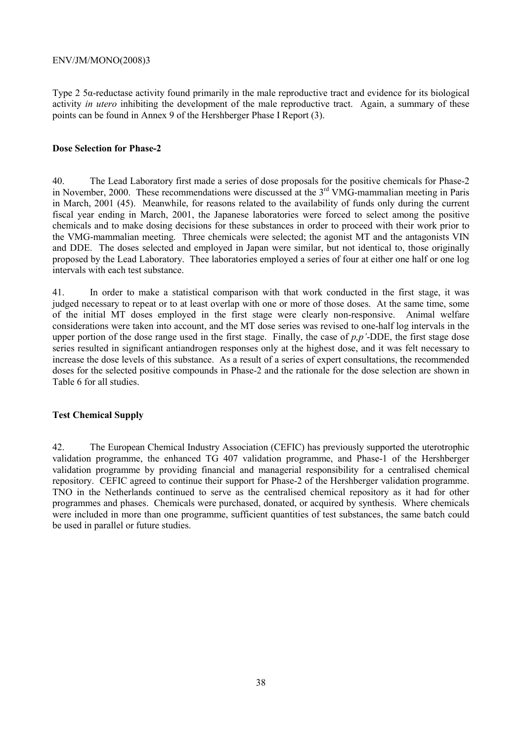Type 2 5α-reductase activity found primarily in the male reproductive tract and evidence for its biological activity *in utero* inhibiting the development of the male reproductive tract. Again, a summary of these points can be found in Annex 9 of the Hershberger Phase I Report (3).

### **Dose Selection for Phase-2**

40. The Lead Laboratory first made a series of dose proposals for the positive chemicals for Phase-2 in November, 2000. These recommendations were discussed at the  $3<sup>rd</sup>$  VMG-mammalian meeting in Paris in March, 2001 (45). Meanwhile, for reasons related to the availability of funds only during the current fiscal year ending in March, 2001, the Japanese laboratories were forced to select among the positive chemicals and to make dosing decisions for these substances in order to proceed with their work prior to the VMG-mammalian meeting. Three chemicals were selected; the agonist MT and the antagonists VIN and DDE. The doses selected and employed in Japan were similar, but not identical to, those originally proposed by the Lead Laboratory. Thee laboratories employed a series of four at either one half or one log intervals with each test substance.

41. In order to make a statistical comparison with that work conducted in the first stage, it was judged necessary to repeat or to at least overlap with one or more of those doses. At the same time, some of the initial MT doses employed in the first stage were clearly non-responsive. Animal welfare considerations were taken into account, and the MT dose series was revised to one-half log intervals in the upper portion of the dose range used in the first stage. Finally, the case of *p,p'*-DDE, the first stage dose series resulted in significant antiandrogen responses only at the highest dose, and it was felt necessary to increase the dose levels of this substance. As a result of a series of expert consultations, the recommended doses for the selected positive compounds in Phase-2 and the rationale for the dose selection are shown in Table 6 for all studies.

## **Test Chemical Supply**

42. The European Chemical Industry Association (CEFIC) has previously supported the uterotrophic validation programme, the enhanced TG 407 validation programme, and Phase-1 of the Hershberger validation programme by providing financial and managerial responsibility for a centralised chemical repository. CEFIC agreed to continue their support for Phase-2 of the Hershberger validation programme. TNO in the Netherlands continued to serve as the centralised chemical repository as it had for other programmes and phases. Chemicals were purchased, donated, or acquired by synthesis. Where chemicals were included in more than one programme, sufficient quantities of test substances, the same batch could be used in parallel or future studies.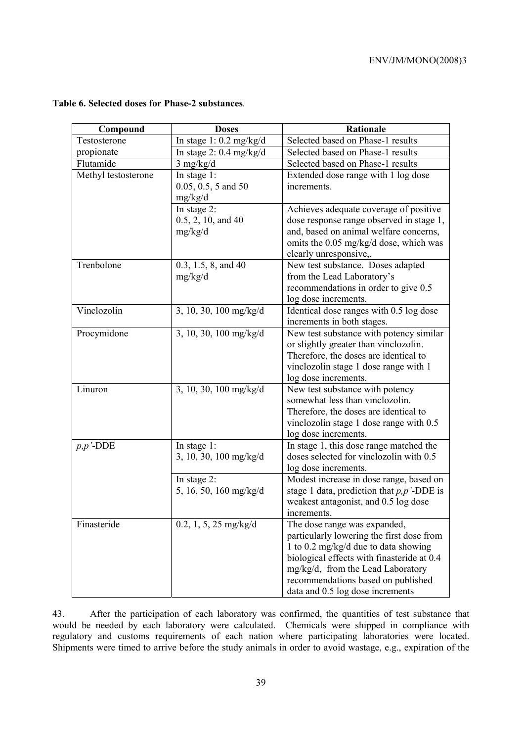| Compound            | <b>Doses</b>              | <b>Rationale</b>                                                                   |
|---------------------|---------------------------|------------------------------------------------------------------------------------|
| Testosterone        | In stage $1:0.2$ mg/kg/d  | Selected based on Phase-1 results                                                  |
| propionate          | In stage $2: 0.4$ mg/kg/d | Selected based on Phase-1 results                                                  |
| Flutamide           | $3$ mg/kg/d               | Selected based on Phase-1 results                                                  |
| Methyl testosterone | In stage $1$ :            | Extended dose range with 1 log dose                                                |
|                     | $0.05, 0.5, 5$ and 50     | increments.                                                                        |
|                     | mg/kg/d                   |                                                                                    |
|                     | In stage 2:               | Achieves adequate coverage of positive                                             |
|                     | $0.5, 2, 10,$ and $40$    | dose response range observed in stage 1,                                           |
|                     | mg/kg/d                   | and, based on animal welfare concerns,                                             |
|                     |                           | omits the 0.05 mg/kg/d dose, which was                                             |
|                     |                           | clearly unresponsive,.                                                             |
| Trenbolone          | $0.3, 1.5, 8,$ and 40     | New test substance. Doses adapted                                                  |
|                     | mg/kg/d                   | from the Lead Laboratory's                                                         |
|                     |                           | recommendations in order to give 0.5                                               |
|                     |                           | log dose increments.                                                               |
| Vinclozolin         | 3, 10, 30, 100 mg/kg/d    | Identical dose ranges with 0.5 log dose                                            |
|                     |                           | increments in both stages.                                                         |
| Procymidone         | 3, 10, 30, 100 mg/kg/d    | New test substance with potency similar                                            |
|                     |                           | or slightly greater than vinclozolin.                                              |
|                     |                           | Therefore, the doses are identical to                                              |
|                     |                           | vinclozolin stage 1 dose range with 1                                              |
|                     |                           | log dose increments.                                                               |
| Linuron             | 3, 10, 30, 100 mg/kg/d    | New test substance with potency                                                    |
|                     |                           | somewhat less than vinclozolin.                                                    |
|                     |                           | Therefore, the doses are identical to                                              |
|                     |                           | vinclozolin stage 1 dose range with 0.5                                            |
|                     |                           | log dose increments.                                                               |
| $p, p'$ -DDE        | In stage $1$ :            | In stage 1, this dose range matched the                                            |
|                     | $3, 10, 30, 100$ mg/kg/d  | doses selected for vinclozolin with 0.5                                            |
|                     |                           | log dose increments.                                                               |
|                     | In stage 2:               | Modest increase in dose range, based on                                            |
|                     | 5, 16, 50, 160 mg/kg/d    | stage 1 data, prediction that $p, p'$ -DDE is                                      |
|                     |                           | weakest antagonist, and 0.5 log dose                                               |
|                     |                           | increments.                                                                        |
| Finasteride         | $0.2, 1, 5, 25$ mg/kg/d   | The dose range was expanded,                                                       |
|                     |                           | particularly lowering the first dose from                                          |
|                     |                           | 1 to 0.2 mg/kg/d due to data showing<br>biological effects with finasteride at 0.4 |
|                     |                           |                                                                                    |
|                     |                           | mg/kg/d, from the Lead Laboratory                                                  |
|                     |                           | recommendations based on published                                                 |
|                     |                           | data and 0.5 log dose increments                                                   |

# **Table 6. Selected doses for Phase-2 substances***.*

43. After the participation of each laboratory was confirmed, the quantities of test substance that would be needed by each laboratory were calculated. Chemicals were shipped in compliance with regulatory and customs requirements of each nation where participating laboratories were located. Shipments were timed to arrive before the study animals in order to avoid wastage, e.g., expiration of the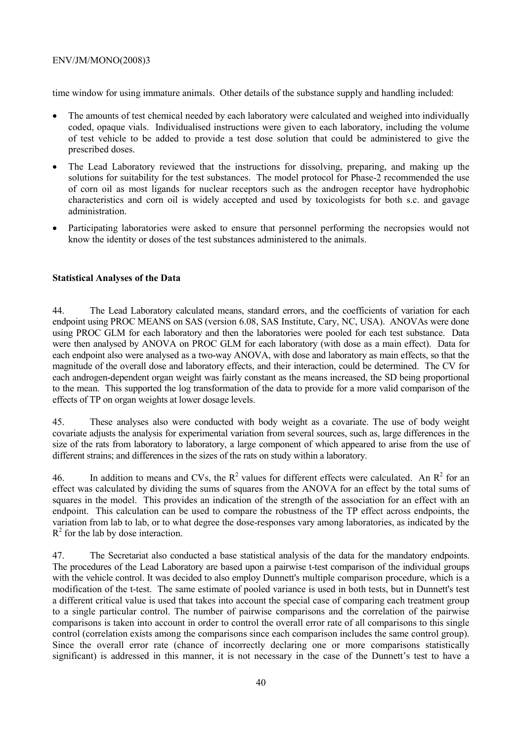time window for using immature animals. Other details of the substance supply and handling included:

- The amounts of test chemical needed by each laboratory were calculated and weighed into individually coded, opaque vials. Individualised instructions were given to each laboratory, including the volume of test vehicle to be added to provide a test dose solution that could be administered to give the prescribed doses.
- The Lead Laboratory reviewed that the instructions for dissolving, preparing, and making up the solutions for suitability for the test substances. The model protocol for Phase-2 recommended the use of corn oil as most ligands for nuclear receptors such as the androgen receptor have hydrophobic characteristics and corn oil is widely accepted and used by toxicologists for both s.c. and gavage administration.
- Participating laboratories were asked to ensure that personnel performing the necropsies would not know the identity or doses of the test substances administered to the animals.

## **Statistical Analyses of the Data**

44. The Lead Laboratory calculated means, standard errors, and the coefficients of variation for each endpoint using PROC MEANS on SAS (version 6.08, SAS Institute, Cary, NC, USA). ANOVAs were done using PROC GLM for each laboratory and then the laboratories were pooled for each test substance. Data were then analysed by ANOVA on PROC GLM for each laboratory (with dose as a main effect). Data for each endpoint also were analysed as a two-way ANOVA, with dose and laboratory as main effects, so that the magnitude of the overall dose and laboratory effects, and their interaction, could be determined. The CV for each androgen-dependent organ weight was fairly constant as the means increased, the SD being proportional to the mean. This supported the log transformation of the data to provide for a more valid comparison of the effects of TP on organ weights at lower dosage levels.

45. These analyses also were conducted with body weight as a covariate. The use of body weight covariate adjusts the analysis for experimental variation from several sources, such as, large differences in the size of the rats from laboratory to laboratory, a large component of which appeared to arise from the use of different strains; and differences in the sizes of the rats on study within a laboratory.

46. In addition to means and CVs, the  $R^2$  values for different effects were calculated. An  $R^2$  for an effect was calculated by dividing the sums of squares from the ANOVA for an effect by the total sums of squares in the model. This provides an indication of the strength of the association for an effect with an endpoint. This calculation can be used to compare the robustness of the TP effect across endpoints, the variation from lab to lab, or to what degree the dose-responses vary among laboratories, as indicated by the  $R<sup>2</sup>$  for the lab by dose interaction.

47. The Secretariat also conducted a base statistical analysis of the data for the mandatory endpoints. The procedures of the Lead Laboratory are based upon a pairwise t-test comparison of the individual groups with the vehicle control. It was decided to also employ Dunnett's multiple comparison procedure, which is a modification of the t-test. The same estimate of pooled variance is used in both tests, but in Dunnett's test a different critical value is used that takes into account the special case of comparing each treatment group to a single particular control. The number of pairwise comparisons and the correlation of the pairwise comparisons is taken into account in order to control the overall error rate of all comparisons to this single control (correlation exists among the comparisons since each comparison includes the same control group). Since the overall error rate (chance of incorrectly declaring one or more comparisons statistically significant) is addressed in this manner, it is not necessary in the case of the Dunnett's test to have a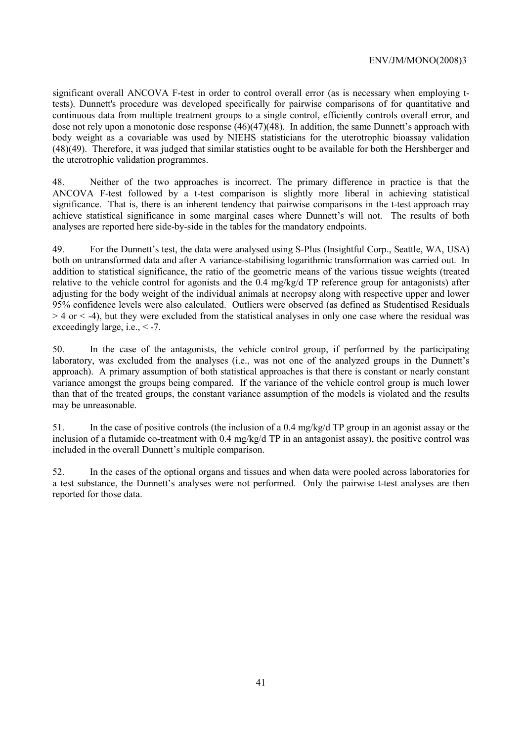significant overall ANCOVA F-test in order to control overall error (as is necessary when employing ttests). Dunnett's procedure was developed specifically for pairwise comparisons of for quantitative and continuous data from multiple treatment groups to a single control, efficiently controls overall error, and dose not rely upon a monotonic dose response (46)(47)(48). In addition, the same Dunnett's approach with body weight as a covariable was used by NIEHS statisticians for the uterotrophic bioassay validation (48)(49). Therefore, it was judged that similar statistics ought to be available for both the Hershberger and the uterotrophic validation programmes.

48. Neither of the two approaches is incorrect. The primary difference in practice is that the ANCOVA F-test followed by a t-test comparison is slightly more liberal in achieving statistical significance. That is, there is an inherent tendency that pairwise comparisons in the t-test approach may achieve statistical significance in some marginal cases where Dunnett's will not. The results of both analyses are reported here side-by-side in the tables for the mandatory endpoints.

49. For the Dunnett's test, the data were analysed using S-Plus (Insightful Corp., Seattle, WA, USA) both on untransformed data and after A variance-stabilising logarithmic transformation was carried out. In addition to statistical significance, the ratio of the geometric means of the various tissue weights (treated relative to the vehicle control for agonists and the 0.4 mg/kg/d TP reference group for antagonists) after adjusting for the body weight of the individual animals at necropsy along with respective upper and lower 95% confidence levels were also calculated. Outliers were observed (as defined as Studentised Residuals  $> 4$  or  $<$  -4), but they were excluded from the statistical analyses in only one case where the residual was exceedingly large, i.e.,  $\leq -7$ .

50. In the case of the antagonists, the vehicle control group, if performed by the participating laboratory, was excluded from the analyses (i.e., was not one of the analyzed groups in the Dunnett's approach). A primary assumption of both statistical approaches is that there is constant or nearly constant variance amongst the groups being compared. If the variance of the vehicle control group is much lower than that of the treated groups, the constant variance assumption of the models is violated and the results may be unreasonable.

51. In the case of positive controls (the inclusion of a 0.4 mg/kg/d TP group in an agonist assay or the inclusion of a flutamide co-treatment with 0.4 mg/kg/d TP in an antagonist assay), the positive control was included in the overall Dunnett's multiple comparison.

52. In the cases of the optional organs and tissues and when data were pooled across laboratories for a test substance, the Dunnett's analyses were not performed. Only the pairwise t-test analyses are then reported for those data.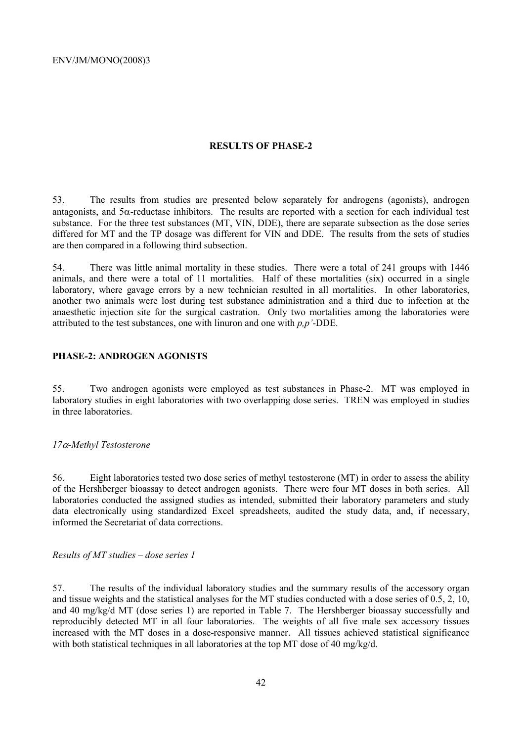### **RESULTS OF PHASE-2**

53. The results from studies are presented below separately for androgens (agonists), androgen antagonists, and  $5\alpha$ -reductase inhibitors. The results are reported with a section for each individual test substance. For the three test substances (MT, VIN, DDE), there are separate subsection as the dose series differed for MT and the TP dosage was different for VIN and DDE. The results from the sets of studies are then compared in a following third subsection.

54. There was little animal mortality in these studies. There were a total of 241 groups with 1446 animals, and there were a total of 11 mortalities. Half of these mortalities (six) occurred in a single laboratory, where gavage errors by a new technician resulted in all mortalities. In other laboratories, another two animals were lost during test substance administration and a third due to infection at the anaesthetic injection site for the surgical castration. Only two mortalities among the laboratories were attributed to the test substances, one with linuron and one with *p,p'*-DDE.

### **PHASE-2: ANDROGEN AGONISTS**

55. Two androgen agonists were employed as test substances in Phase-2. MT was employed in laboratory studies in eight laboratories with two overlapping dose series. TREN was employed in studies in three laboratories.

### *17*α*-Methyl Testosterone*

56. Eight laboratories tested two dose series of methyl testosterone (MT) in order to assess the ability of the Hershberger bioassay to detect androgen agonists. There were four MT doses in both series. All laboratories conducted the assigned studies as intended, submitted their laboratory parameters and study data electronically using standardized Excel spreadsheets, audited the study data, and, if necessary, informed the Secretariat of data corrections.

## *Results of MT studies – dose series 1*

57. The results of the individual laboratory studies and the summary results of the accessory organ and tissue weights and the statistical analyses for the MT studies conducted with a dose series of 0.5, 2, 10, and 40 mg/kg/d MT (dose series 1) are reported in Table 7. The Hershberger bioassay successfully and reproducibly detected MT in all four laboratories. The weights of all five male sex accessory tissues increased with the MT doses in a dose-responsive manner. All tissues achieved statistical significance with both statistical techniques in all laboratories at the top MT dose of 40 mg/kg/d.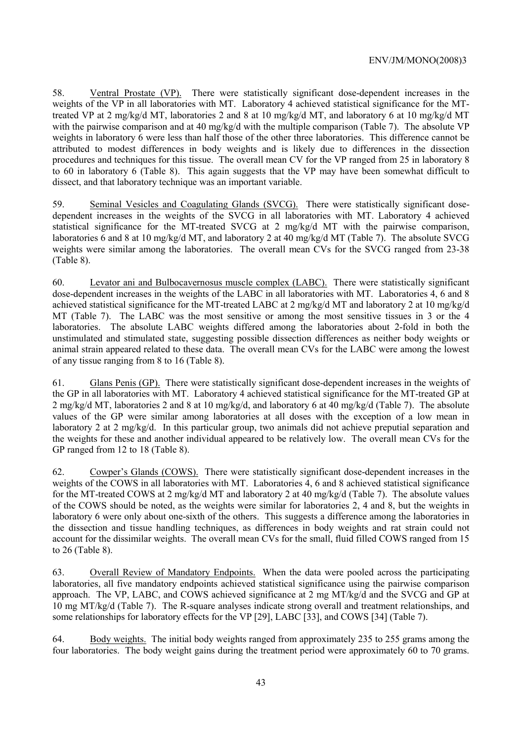58. Ventral Prostate (VP). There were statistically significant dose-dependent increases in the weights of the VP in all laboratories with MT. Laboratory 4 achieved statistical significance for the MTtreated VP at 2 mg/kg/d MT, laboratories 2 and 8 at 10 mg/kg/d MT, and laboratory 6 at 10 mg/kg/d MT with the pairwise comparison and at 40 mg/kg/d with the multiple comparison (Table 7). The absolute VP weights in laboratory 6 were less than half those of the other three laboratories. This difference cannot be attributed to modest differences in body weights and is likely due to differences in the dissection procedures and techniques for this tissue. The overall mean CV for the VP ranged from 25 in laboratory 8 to 60 in laboratory 6 (Table 8). This again suggests that the VP may have been somewhat difficult to dissect, and that laboratory technique was an important variable.

59. Seminal Vesicles and Coagulating Glands (SVCG). There were statistically significant dosedependent increases in the weights of the SVCG in all laboratories with MT. Laboratory 4 achieved statistical significance for the MT-treated SVCG at 2 mg/kg/d MT with the pairwise comparison, laboratories 6 and 8 at 10 mg/kg/d MT, and laboratory 2 at 40 mg/kg/d MT (Table 7). The absolute SVCG weights were similar among the laboratories. The overall mean CVs for the SVCG ranged from 23-38 (Table 8).

60. Levator ani and Bulbocavernosus muscle complex (LABC). There were statistically significant dose-dependent increases in the weights of the LABC in all laboratories with MT. Laboratories 4, 6 and 8 achieved statistical significance for the MT-treated LABC at 2 mg/kg/d MT and laboratory 2 at 10 mg/kg/d MT (Table 7). The LABC was the most sensitive or among the most sensitive tissues in 3 or the 4 laboratories. The absolute LABC weights differed among the laboratories about 2-fold in both the unstimulated and stimulated state, suggesting possible dissection differences as neither body weights or animal strain appeared related to these data. The overall mean CVs for the LABC were among the lowest of any tissue ranging from 8 to 16 (Table 8).

61. Glans Penis (GP). There were statistically significant dose-dependent increases in the weights of the GP in all laboratories with MT. Laboratory 4 achieved statistical significance for the MT-treated GP at 2 mg/kg/d MT, laboratories 2 and 8 at 10 mg/kg/d, and laboratory 6 at 40 mg/kg/d (Table 7). The absolute values of the GP were similar among laboratories at all doses with the exception of a low mean in laboratory 2 at 2 mg/kg/d. In this particular group, two animals did not achieve preputial separation and the weights for these and another individual appeared to be relatively low. The overall mean CVs for the GP ranged from 12 to 18 (Table 8).

62. Cowper's Glands (COWS). There were statistically significant dose-dependent increases in the weights of the COWS in all laboratories with MT. Laboratories 4, 6 and 8 achieved statistical significance for the MT-treated COWS at 2 mg/kg/d MT and laboratory 2 at 40 mg/kg/d (Table 7). The absolute values of the COWS should be noted, as the weights were similar for laboratories 2, 4 and 8, but the weights in laboratory 6 were only about one-sixth of the others. This suggests a difference among the laboratories in the dissection and tissue handling techniques, as differences in body weights and rat strain could not account for the dissimilar weights. The overall mean CVs for the small, fluid filled COWS ranged from 15 to 26 (Table 8).

63. Overall Review of Mandatory Endpoints. When the data were pooled across the participating laboratories, all five mandatory endpoints achieved statistical significance using the pairwise comparison approach. The VP, LABC, and COWS achieved significance at 2 mg MT/kg/d and the SVCG and GP at 10 mg MT/kg/d (Table 7). The R-square analyses indicate strong overall and treatment relationships, and some relationships for laboratory effects for the VP [29], LABC [33], and COWS [34] (Table 7).

64. Body weights. The initial body weights ranged from approximately 235 to 255 grams among the four laboratories. The body weight gains during the treatment period were approximately 60 to 70 grams.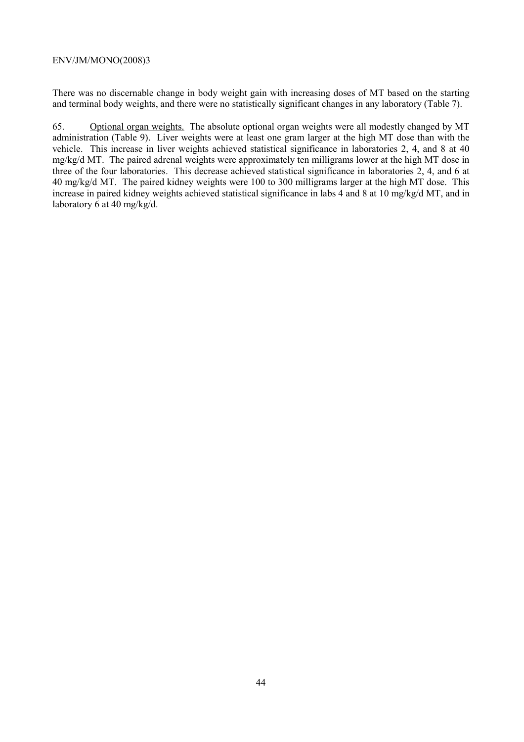There was no discernable change in body weight gain with increasing doses of MT based on the starting and terminal body weights, and there were no statistically significant changes in any laboratory (Table 7).

65. Optional organ weights. The absolute optional organ weights were all modestly changed by MT administration (Table 9). Liver weights were at least one gram larger at the high MT dose than with the vehicle. This increase in liver weights achieved statistical significance in laboratories 2, 4, and 8 at 40 mg/kg/d MT. The paired adrenal weights were approximately ten milligrams lower at the high MT dose in three of the four laboratories. This decrease achieved statistical significance in laboratories 2, 4, and 6 at 40 mg/kg/d MT. The paired kidney weights were 100 to 300 milligrams larger at the high MT dose. This increase in paired kidney weights achieved statistical significance in labs 4 and 8 at 10 mg/kg/d MT, and in laboratory  $\overline{6}$  at 40 mg/kg/d.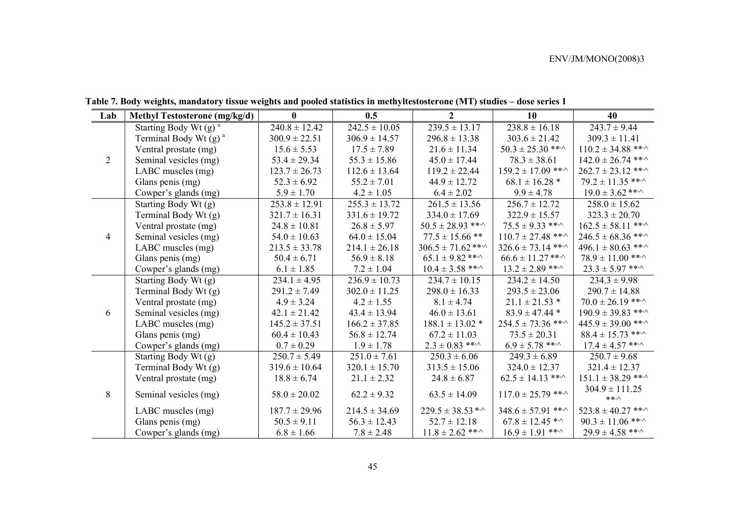| Lab            | <b>Methyl Testosterone (mg/kg/d)</b> | $\bf{0}$          | 0.5                                  | $\overline{2}$               | 10                              | 40                           |
|----------------|--------------------------------------|-------------------|--------------------------------------|------------------------------|---------------------------------|------------------------------|
|                | Starting Body Wt $(g)$ <sup>a</sup>  | $240.8 \pm 12.42$ | $242.5 \pm 10.05$                    | $239.5 \pm 13.17$            | $238.8 \pm 16.18$               | $243.7 \pm 9.44$             |
|                | Terminal Body Wt $(g)$ <sup>a</sup>  | $300.9 \pm 22.51$ | $306.9 \pm 14.57$                    | $296.8 \pm 13.38$            | $303.6 \pm 21.42$               | $309.3 \pm 11.41$            |
|                | Ventral prostate (mg)                | $15.6 \pm 5.53$   | $17.5 \pm 7.89$                      | $21.6 \pm 11.34$             | $50.3 \pm 25.30$ ** $\cdot$     | $110.2 \pm 34.88$ **         |
| 2              | Seminal vesicles (mg)                | $53.4 \pm 29.34$  | $55.3 \pm 15.86$<br>$45.0 \pm 17.44$ |                              | $78.3 \pm 38.61$                | $142.0 \pm 26.74$ ***        |
|                | LABC muscles (mg)                    | $123.7 \pm 26.73$ | $112.6 \pm 13.64$                    | $119.2 \pm 22.44$            | $159.2 \pm 17.09$ ***           | $262.7 \pm 23.12$ **         |
|                | Glans penis (mg)                     | $52.3 \pm 6.92$   | $55.2 \pm 7.01$                      | $44.9 \pm 12.72$             | $68.1 \pm 16.28$ *              | $79.2 \pm 11.35$ ***         |
|                | Cowper's glands (mg)                 | $5.9 \pm 1.70$    | $4.2 \pm 1.05$                       | $6.4 \pm 2.02$               | $9.9 \pm 4.78$                  | $19.0 \pm 3.62$ ** $\cdot$   |
|                | Starting Body Wt (g)                 | $253.8 \pm 12.91$ | $255.3 \pm 13.72$                    | $261.5 \pm 13.56$            | $256.7 \pm 12.72$               | $258.0 \pm 15.62$            |
|                | Terminal Body Wt (g)                 | $321.7 \pm 16.31$ | $331.6 \pm 19.72$                    | $334.0 \pm 17.69$            | $322.9 \pm 15.57$               | $323.3 \pm 20.70$            |
|                | Ventral prostate (mg)                | $24.8 \pm 10.81$  | $26.8 \pm 5.97$                      | $50.5 \pm 28.93$ ** $\cdot$  | $75.5 \pm 9.33$ ** $\cdot$      | $162.5 \pm 58.11$ ***        |
| $\overline{4}$ | Seminal vesicles (mg)                | $54.0 \pm 10.63$  | $64.0 \pm 15.04$                     | $77.5 \pm 15.66$ **          | $110.7 \pm 27.48$ ***           | $246.5 \pm 68.36$ ** $\cdot$ |
|                | LABC muscles (mg)                    | $213.5 \pm 33.78$ | $214.1 \pm 26.18$                    | $306.5 \pm 71.62$ ** $\cdot$ | $326.6 \pm 73.14$ ***           | $496.1 \pm 80.63$ ** $\cdot$ |
|                | Glans penis (mg)                     | $50.4 \pm 6.71$   | $56.9 \pm 8.18$                      | $65.1 \pm 9.82$ ** $\cdot$   | $66.6 \pm 11.27$ ** $\cdot$     | $78.9 \pm 11.00$ ***         |
|                | Cowper's glands (mg)                 | $6.1 \pm 1.85$    | $7.2 \pm 1.04$                       | $10.4 \pm 3.58$ ***          | $13.2 \pm 2.89$ ***             | $23.3 \pm 5.97$ ** $\cdot$   |
|                | Starting Body Wt (g)                 | $234.1 \pm 4.95$  | $236.9 \pm 10.73$                    | $234.7 \pm 10.15$            | $234.2 \pm 14.50$               | $234.3 \pm 9.98$             |
|                | Terminal Body Wt (g)                 | $291.2 \pm 7.49$  | $302.0 \pm 11.25$                    | $298.0 \pm 16.33$            | $293.5 \pm 23.06$               | $290.7 \pm 14.88$            |
|                | Ventral prostate (mg)                | $4.9 \pm 3.24$    | $4.2 \pm 1.55$                       | $8.1 \pm 4.74$               | $21.1 \pm 21.53$ *              | $70.0 \pm 26.19$ ***         |
| 6              | Seminal vesicles (mg)                | $42.1 \pm 21.42$  | $43.4 \pm 13.94$                     | $46.0 \pm 13.61$             | $83.9 \pm 47.44$ *              | $190.9 \pm 39.83$ ** $\cdot$ |
|                | LABC muscles (mg)                    | $145.2 \pm 37.51$ | $166.2 \pm 37.85$                    | $188.1 \pm 13.02$ *          | $254.5 \pm 73.36$ ** $\cdot$    | $445.9 \pm 39.00$ ** $\cdot$ |
|                | Glans penis (mg)                     | $60.4 \pm 10.43$  | $56.8 \pm 12.74$                     | $67.2 \pm 11.03$             | $73.5 \pm 20.31$                | $88.4 \pm 15.73$ ** $\cdot$  |
|                | Cowper's glands (mg)                 | $0.7 \pm 0.29$    | $1.9 \pm 1.78$                       | $2.3 \pm 0.83$ ** $\cdot$    | $6.9 \pm 5.78$ ** $\cdot$       | $17.4 \pm 4.57$ ** $\cdot$   |
|                | Starting Body Wt (g)                 | $250.7 \pm 5.49$  | $251.0 \pm 7.61$                     | $250.3 \pm 6.06$             | $249.3 \pm 6.89$                | $250.7 \pm 9.68$             |
|                | Terminal Body Wt (g)                 | $319.6 \pm 10.64$ | $320.1 \pm 15.70$                    | $313.5 \pm 15.06$            | $324.0 \pm 12.37$               | $321.4 \pm 12.37$            |
|                | Ventral prostate (mg)                | $18.8 \pm 6.74$   | $21.1 \pm 2.32$                      | $24.8 \pm 6.87$              | $62.5 \pm 14.13$ ** $\cdot$     | $151.1 \pm 38.29$ ***        |
| 8              | Seminal vesicles (mg)                | $58.0 \pm 20.02$  | $62.2 \pm 9.32$                      | $63.5 \pm 14.09$             | $117.0 \pm 25.79$ ***           | $304.9 \pm 111.25$           |
|                |                                      |                   |                                      |                              |                                 | $***\wedge$                  |
|                | LABC muscles (mg)                    | $187.7 \pm 29.96$ | $214.5 \pm 34.69$                    | $229.5 \pm 38.53$ *^         | $348.6 \pm 57.91$ **            | $523.8 \pm 40.27$ ***        |
|                | Glans penis (mg)                     | $50.5 \pm 9.11$   | $56.3 \pm 12.43$                     | $52.7 \pm 12.18$             | $67.8 \pm 12.45$ * <sup>^</sup> | $90.3 \pm 11.06$ ***         |
|                | Cowper's glands (mg)                 | $6.8 \pm 1.66$    | $7.8 \pm 2.48$                       | $11.8 \pm 2.62$ **           | $16.9 \pm 1.91$ ***             | $29.9 \pm 4.58$ ** $\cdot$   |

**Table 7. Body weights, mandatory tissue weights and pooled statistics in methyltestosterone (MT) studies – dose series 1**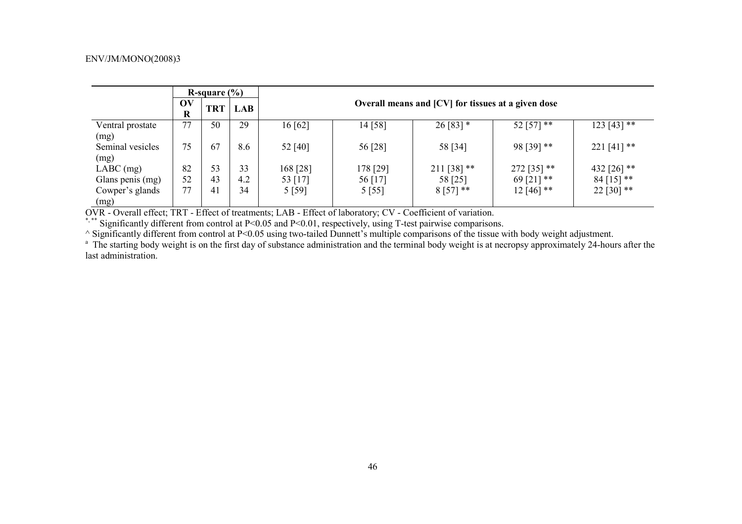|                          |               | R-square $(\% )$ |            |                                                    |          |               |             |               |  |  |  |
|--------------------------|---------------|------------------|------------|----------------------------------------------------|----------|---------------|-------------|---------------|--|--|--|
|                          | OV<br>$\bf R$ | <b>TRT</b>       | <b>LAB</b> | Overall means and [CV] for tissues at a given dose |          |               |             |               |  |  |  |
| Ventral prostate<br>(mg) | 77            | 50               | 29         | 16[62]                                             | 14 [58]  | $26 [83]$ *   | 52 [57] **  | $123 [43]$ ** |  |  |  |
| Seminal vesicles<br>(mg) | 75            | 67               | 8.6        | 52 [40]                                            | 56 [28]  | 58 [34]       | 98 [39] **  | 221 [41] **   |  |  |  |
| $LABC$ (mg)              | 82            | 53               | 33         | 168 [28]                                           | 178 [29] | $211$ [38] ** | 272 [35] ** | 432 [26] **   |  |  |  |
| Glans penis (mg)         | 52            | 43               | 4.2        | 53 [17]                                            | 56 [17]  | 58 [25]       | 69 [21] **  | $84$ [15] **  |  |  |  |
| Cowper's glands<br>(mg)  | 77            | 41               | 34         | 5 [59]                                             | 5 [55]   | $8[57]$ **    | $12[46]$ ** | 22 [30] **    |  |  |  |

OVR - Overall effect; TRT - Effect of treatments; LAB - Effect of laboratory; CV - Coefficient of variation.

\*,\*\* Significantly different from control at P<0.05 and P<0.01, respectively, using T-test pairwise comparisons.

^ Significantly different from control at P<0.05 using two-tailed Dunnett's multiple comparisons of the tissue with body weight adjustment.

<sup>a</sup> The starting body weight is on the first day of substance administration and the terminal body weight is at necropsy approximately 24-hours after the last administration.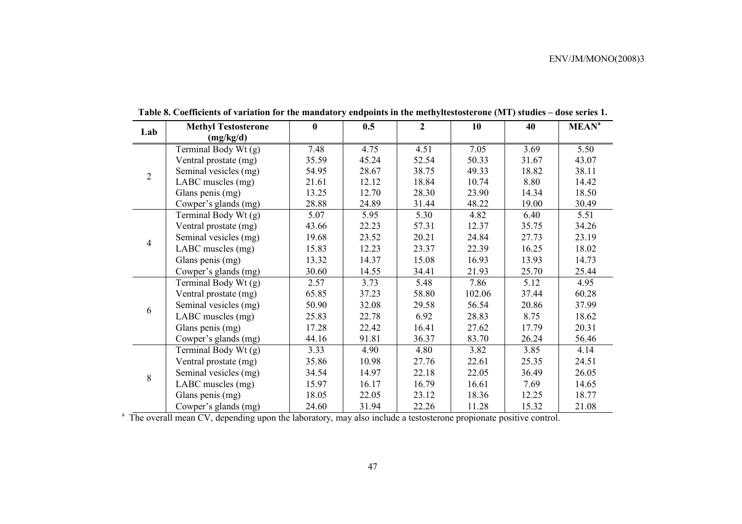| Lab            | <b>Methyl Testosterone</b> | $\bf{0}$ | 0.5   | $\overline{2}$ | 10     | 40    | <b>MEAN<sup>a</sup></b> |
|----------------|----------------------------|----------|-------|----------------|--------|-------|-------------------------|
|                | (mg/kg/d)                  |          |       |                |        |       |                         |
|                | Terminal Body Wt (g)       | 7.48     | 4.75  | 4.51           | 7.05   | 3.69  | 5.50                    |
|                | Ventral prostate (mg)      | 35.59    | 45.24 | 52.54          | 50.33  | 31.67 | 43.07                   |
| $\overline{2}$ | Seminal vesicles (mg)      | 54.95    | 28.67 | 38.75          | 49.33  | 18.82 | 38.11                   |
|                | LABC muscles (mg)          | 21.61    | 12.12 | 18.84          | 10.74  | 8.80  | 14.42                   |
|                | Glans penis (mg)           | 13.25    | 12.70 | 28.30          | 23.90  | 14.34 | 18.50                   |
|                | Cowper's glands (mg)       | 28.88    | 24.89 | 31.44          | 48.22  | 19.00 | 30.49                   |
|                | Terminal Body Wt (g)       | 5.07     | 5.95  | 5.30           | 4.82   | 6.40  | 5.51                    |
|                | Ventral prostate (mg)      | 43.66    | 22.23 | 57.31          | 12.37  | 35.75 | 34.26                   |
| $\overline{4}$ | Seminal vesicles (mg)      | 19.68    | 23.52 | 20.21          | 24.84  | 27.73 | 23.19                   |
|                | LABC muscles (mg)          | 15.83    | 12.23 | 23.37          | 22.39  | 16.25 | 18.02                   |
|                | Glans penis (mg)           | 13.32    | 14.37 | 15.08          | 16.93  | 13.93 | 14.73                   |
|                | Cowper's glands (mg)       | 30.60    | 14.55 | 34.41          | 21.93  | 25.70 | 25.44                   |
|                | Terminal Body Wt (g)       | 2.57     | 3.73  | 5.48           | 7.86   | 5.12  | 4.95                    |
|                | Ventral prostate (mg)      | 65.85    | 37.23 | 58.80          | 102.06 | 37.44 | 60.28                   |
| 6              | Seminal vesicles (mg)      | 50.90    | 32.08 | 29.58          | 56.54  | 20.86 | 37.99                   |
|                | LABC muscles (mg)          | 25.83    | 22.78 | 6.92           | 28.83  | 8.75  | 18.62                   |
|                | Glans penis (mg)           | 17.28    | 22.42 | 16.41          | 27.62  | 17.79 | 20.31                   |
|                | Cowper's glands (mg)       | 44.16    | 91.81 | 36.37          | 83.70  | 26.24 | 56.46                   |
|                | Terminal Body Wt (g)       | 3.33     | 4.90  | 4.80           | 3.82   | 3.85  | 4.14                    |
|                | Ventral prostate (mg)      | 35.86    | 10.98 | 27.76          | 22.61  | 25.35 | 24.51                   |
| 8              | Seminal vesicles (mg)      | 34.54    | 14.97 | 22.18          | 22.05  | 36.49 | 26.05                   |
|                | LABC muscles (mg)          | 15.97    | 16.17 | 16.79          | 16.61  | 7.69  | 14.65                   |
|                | Glans penis (mg)           | 18.05    | 22.05 | 23.12          | 18.36  | 12.25 | 18.77                   |
|                | Cowper's glands (mg)       | 24.60    | 31.94 | 22.26          | 11.28  | 15.32 | 21.08                   |

**Table 8. Coefficients of variation for the mandatory endpoints in the methyltestosterone (MT) studies – dose series 1.** 

<sup>a</sup> The overall mean CV, depending upon the laboratory, may also include a testosterone propionate positive control.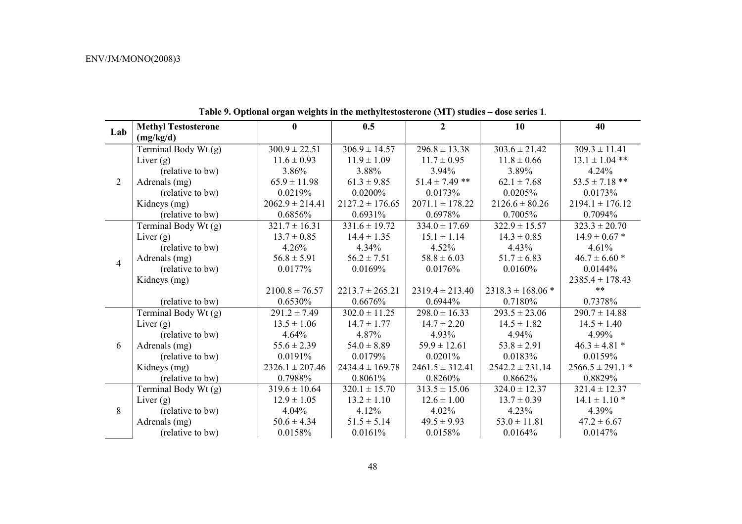|                | <b>Methyl Testosterone</b> | $\bf{0}$            | 0.5                 | $\boldsymbol{2}$    | 10                    | 40                   |
|----------------|----------------------------|---------------------|---------------------|---------------------|-----------------------|----------------------|
| Lab            | (mg/kg/d)                  |                     |                     |                     |                       |                      |
|                | Terminal Body Wt (g)       | $300.9 \pm 22.51$   | $306.9 \pm 14.57$   | $296.8 \pm 13.38$   | $303.6 \pm 21.42$     | $309.3 \pm 11.41$    |
|                | Liver $(g)$                | $11.6 \pm 0.93$     | $11.9 \pm 1.09$     | $11.7 \pm 0.95$     | $11.8 \pm 0.66$       | $13.1 \pm 1.04$ **   |
|                | (relative to bw)           | 3.86%               | 3.88%               | 3.94%               | 3.89%                 | 4.24%                |
| $\overline{2}$ | Adrenals (mg)              | $65.9 \pm 11.98$    | $61.3 \pm 9.85$     | $51.4 \pm 7.49$ **  | $62.1 \pm 7.68$       | $53.5 \pm 7.18$ **   |
|                | (relative to bw)           | 0.0219%             | 0.0200%             | 0.0173%             | 0.0205%               | 0.0173%              |
|                | Kidneys (mg)               | $2062.9 \pm 214.41$ | $2127.2 \pm 176.65$ | $2071.1 \pm 178.22$ | $2126.6 \pm 80.26$    | $2194.1 \pm 176.12$  |
|                | (relative to bw)           | 0.6856%             | 0.6931%             | 0.6978%             | 0.7005%               | 0.7094%              |
|                | Terminal Body Wt (g)       | $321.7 \pm 16.31$   | $331.6 \pm 19.72$   | $334.0 \pm 17.69$   | $322.9 \pm 15.57$     | $323.3 \pm 20.70$    |
|                | Liver $(g)$                | $13.7 \pm 0.85$     | $14.4 \pm 1.35$     | $15.1 \pm 1.14$     | $14.3 \pm 0.85$       | $14.9 \pm 0.67$ *    |
|                | (relative to bw)           | 4.26%               | 4.34%               | 4.52%               | 4.43%                 | 4.61%                |
| $\overline{4}$ | Adrenals (mg)              | $56.8 \pm 5.91$     | $56.2 \pm 7.51$     | $58.8 \pm 6.03$     | $51.7 \pm 6.83$       | $46.7 \pm 6.60$ *    |
|                | (relative to bw)           | 0.0177%             | 0.0169%             | 0.0176%             | 0.0160%               | 0.0144%              |
|                | Kidneys (mg)               |                     |                     |                     |                       | $2385.4 \pm 178.43$  |
|                |                            | $2100.8 \pm 76.57$  | $2213.7 \pm 265.21$ | $2319.4 \pm 213.40$ | $2318.3 \pm 168.06$ * | $***$                |
|                | (relative to bw)           | 0.6530%             | 0.6676%             | 0.6944%             | 0.7180%               | 0.7378%              |
|                | Terminal Body Wt (g)       | $291.2 \pm 7.49$    | $302.0 \pm 11.25$   | $298.0 \pm 16.33$   | $293.5 \pm 23.06$     | $290.7 \pm 14.88$    |
|                | Liver $(g)$                | $13.5 \pm 1.06$     | $14.7 \pm 1.77$     | $14.7 \pm 2.20$     | $14.5 \pm 1.82$       | $14.5 \pm 1.40$      |
|                | (relative to bw)           | 4.64%               | 4.87%               | 4.93%               | 4.94%                 | 4.99%                |
| 6              | Adrenals (mg)              | $55.6 \pm 2.39$     | $54.0 \pm 8.89$     | $59.9 \pm 12.61$    | $53.8 \pm 2.91$       | $46.3 \pm 4.81$ *    |
|                | (relative to bw)           | 0.0191%             | 0.0179%             | 0.0201%             | 0.0183%               | 0.0159%              |
|                | Kidneys (mg)               | $2326.1 \pm 207.46$ | $2434.4 \pm 169.78$ | $2461.5 \pm 312.41$ | $2542.2 \pm 231.14$   | $2566.5 \pm 291.1$ * |
|                | (relative to bw)           | 0.7988%             | 0.8061%             | 0.8260%             | 0.8662%               | 0.8829%              |
|                | Terminal Body Wt (g)       | $319.6 \pm 10.64$   | $320.1 \pm 15.70$   | $313.5 \pm 15.06$   | $324.0 \pm 12.37$     | $321.4 \pm 12.37$    |
|                | Liver $(g)$                | $12.9 \pm 1.05$     | $13.2 \pm 1.10$     | $12.6 \pm 1.00$     | $13.7 \pm 0.39$       | $14.1 \pm 1.10$ *    |
| 8              | (relative to bw)           | 4.04%               | 4.12%               | 4.02%               | 4.23%                 | 4.39%                |
|                | Adrenals (mg)              | $50.6 \pm 4.34$     | $51.5 \pm 5.14$     | $49.5 \pm 9.93$     | $53.0 \pm 11.81$      | $47.2 \pm 6.67$      |
|                | (relative to bw)           | 0.0158%             | 0.0161%             | 0.0158%             | 0.0164%               | 0.0147%              |

**Table 9. Optional organ weights in the methyltestosterone (MT) studies – dose series 1***.*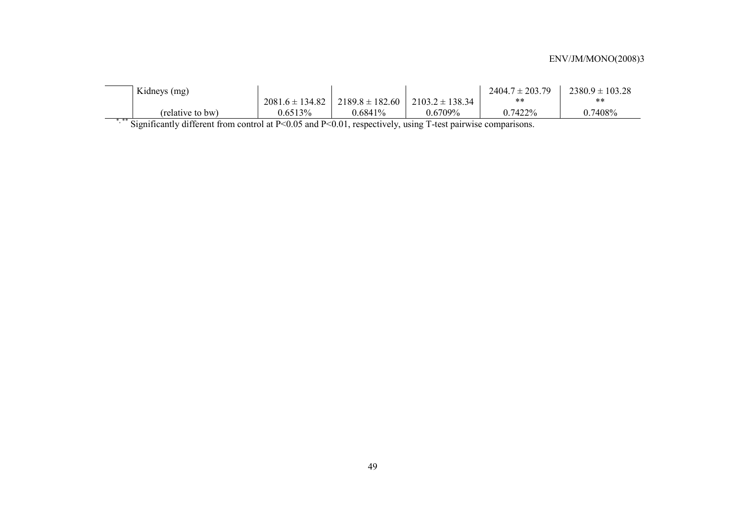| Kidneys (mg)     |                     |            |                                           | $2404.7 \pm 203.79$ | $2380.9 \pm 103.28$ |
|------------------|---------------------|------------|-------------------------------------------|---------------------|---------------------|
|                  | $2081.6 \pm 134.82$ |            | $2189.8 \pm 182.60$   $2103.2 \pm 138.34$ | $***$               | $***$               |
| (relative to bw) | 0.6513%             | $0.6841\%$ | $0.6709\%$                                | 0.7422%             | 0.7408%             |

\*\*\*\* Significantly different from control at P<0.05 and P<0.01, respectively, using T-test pairwise comparisons.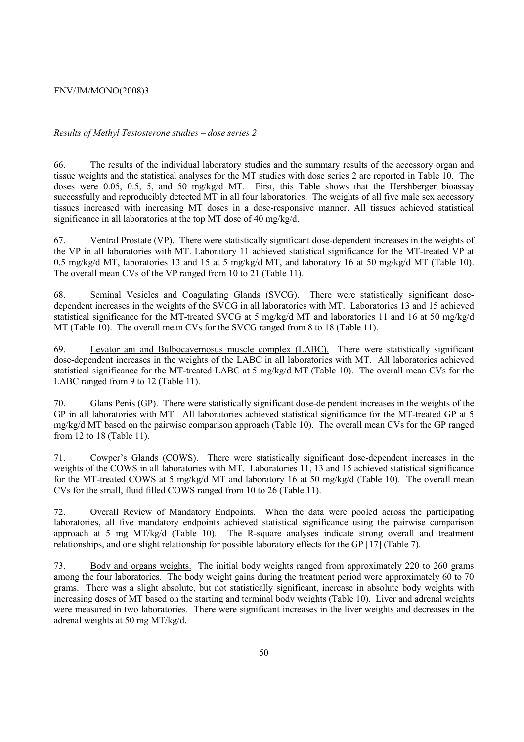### *Results of Methyl Testosterone studies – dose series 2*

66. The results of the individual laboratory studies and the summary results of the accessory organ and tissue weights and the statistical analyses for the MT studies with dose series 2 are reported in Table 10. The doses were 0.05, 0.5, 5, and 50 mg/kg/d MT. First, this Table shows that the Hershberger bioassay successfully and reproducibly detected MT in all four laboratories. The weights of all five male sex accessory tissues increased with increasing MT doses in a dose-responsive manner. All tissues achieved statistical significance in all laboratories at the top MT dose of 40 mg/kg/d.

67. Ventral Prostate (VP). There were statistically significant dose-dependent increases in the weights of the VP in all laboratories with MT. Laboratory 11 achieved statistical significance for the MT-treated VP at 0.5 mg/kg/d MT, laboratories 13 and 15 at 5 mg/kg/d MT, and laboratory 16 at 50 mg/kg/d MT (Table 10). The overall mean CVs of the VP ranged from 10 to 21 (Table 11).

68. Seminal Vesicles and Coagulating Glands (SVCG). There were statistically significant dosedependent increases in the weights of the SVCG in all laboratories with MT. Laboratories 13 and 15 achieved statistical significance for the MT-treated SVCG at 5 mg/kg/d MT and laboratories 11 and 16 at 50 mg/kg/d MT (Table 10). The overall mean CVs for the SVCG ranged from 8 to 18 (Table 11).

69. Levator ani and Bulbocavernosus muscle complex (LABC). There were statistically significant dose-dependent increases in the weights of the LABC in all laboratories with MT. All laboratories achieved statistical significance for the MT-treated LABC at 5 mg/kg/d MT (Table 10). The overall mean CVs for the LABC ranged from 9 to 12 (Table 11).

70. Glans Penis (GP). There were statistically significant dose-de pendent increases in the weights of the GP in all laboratories with MT. All laboratories achieved statistical significance for the MT-treated GP at 5 mg/kg/d MT based on the pairwise comparison approach (Table 10). The overall mean CVs for the GP ranged from 12 to 18 (Table 11).

71. Cowper's Glands (COWS). There were statistically significant dose-dependent increases in the weights of the COWS in all laboratories with MT. Laboratories 11, 13 and 15 achieved statistical significance for the MT-treated COWS at 5 mg/kg/d MT and laboratory 16 at 50 mg/kg/d (Table 10). The overall mean CVs for the small, fluid filled COWS ranged from 10 to 26 (Table 11).

72. Overall Review of Mandatory Endpoints. When the data were pooled across the participating laboratories, all five mandatory endpoints achieved statistical significance using the pairwise comparison approach at 5 mg MT/kg/d (Table 10). The R-square analyses indicate strong overall and treatment relationships, and one slight relationship for possible laboratory effects for the GP [17] (Table 7).

73. Body and organs weights. The initial body weights ranged from approximately 220 to 260 grams among the four laboratories. The body weight gains during the treatment period were approximately 60 to 70 grams. There was a slight absolute, but not statistically significant, increase in absolute body weights with increasing doses of MT based on the starting and terminal body weights (Table 10). Liver and adrenal weights were measured in two laboratories. There were significant increases in the liver weights and decreases in the adrenal weights at 50 mg MT/kg/d.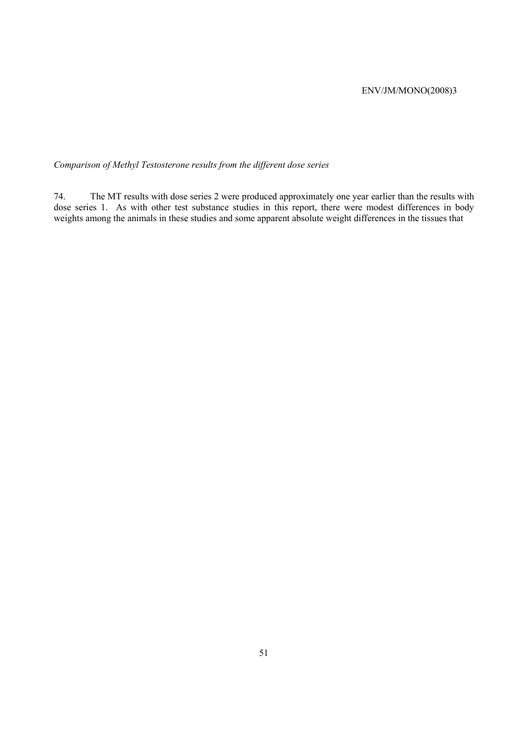*Comparison of Methyl Testosterone results from the different dose series* 

74. The MT results with dose series 2 were produced approximately one year earlier than the results with dose series 1. As with other test substance studies in this report, there were modest differences in body weights among the animals in these studies and some apparent absolute weight differences in the tissues that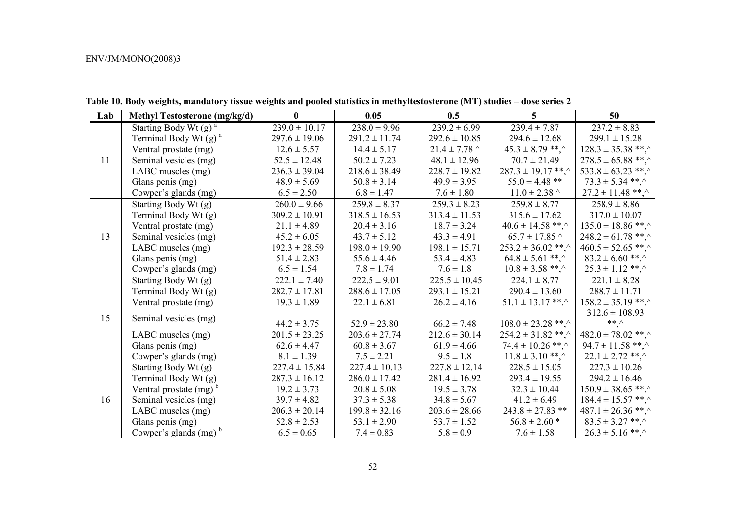| Lab | <b>Methyl Testosterone (mg/kg/d)</b> | $\bf{0}$          | 0.05              | 0.5               | 5 <sup>5</sup>        | 50                     |
|-----|--------------------------------------|-------------------|-------------------|-------------------|-----------------------|------------------------|
|     | Starting Body Wt $(g)$ <sup>a</sup>  | $239.0 \pm 10.17$ | $238.0 \pm 9.96$  | $239.2 \pm 6.99$  | $239.4 \pm 7.87$      | $237.2 \pm 8.83$       |
|     | Terminal Body Wt $(g)$ <sup>a</sup>  | $297.6 \pm 19.06$ | $291.2 \pm 11.74$ | $292.6 \pm 10.85$ | $294.6 \pm 12.68$     | $299.1 \pm 15.28$      |
|     | Ventral prostate (mg)                | $12.6 \pm 5.57$   | $14.4 \pm 5.17$   | $21.4 \pm 7.78$ ^ | $45.3 \pm 8.79$ **.   | $128.3 \pm 35.38$ **,^ |
| 11  | Seminal vesicles (mg)                | $52.5 \pm 12.48$  | $50.2 \pm 7.23$   | $48.1 \pm 12.96$  | $70.7 \pm 21.49$      | $278.5 \pm 65.88$ **,^ |
|     | LABC muscles (mg)                    | $236.3 \pm 39.04$ | $218.6 \pm 38.49$ | $228.7 \pm 19.82$ | $287.3 \pm 19.17$ **. | $533.8 \pm 63.23$ **,^ |
|     | Glans penis (mg)                     | $48.9 \pm 5.69$   | $50.8 \pm 3.14$   | $49.9 \pm 3.95$   | $55.0 \pm 4.48$ **    | $73.3 \pm 5.34$ **.    |
|     | Cowper's glands (mg)                 | $6.5 \pm 2.50$    | $6.8 \pm 1.47$    | $7.6 \pm 1.80$    | $11.0 \pm 2.38$ ^     | $27.2 \pm 11.48$ **,^  |
|     | Starting Body Wt (g)                 | $260.0 \pm 9.66$  | $259.8 \pm 8.37$  | $259.3 \pm 8.23$  | $259.8 \pm 8.77$      | $258.9 \pm 8.86$       |
|     | Terminal Body Wt (g)                 | $309.2 \pm 10.91$ | $318.5 \pm 16.53$ | $313.4 \pm 11.53$ | $315.6 \pm 17.62$     | $317.0 \pm 10.07$      |
|     | Ventral prostate (mg)                | $21.1 \pm 4.89$   | $20.4 \pm 3.16$   | $18.7 \pm 3.24$   | $40.6 \pm 14.58$ **,^ | $135.0 \pm 18.86$ **,  |
| 13  | Seminal vesicles (mg)                | $45.2 \pm 6.05$   | $43.7 \pm 5.12$   | $43.3 \pm 4.91$   | $65.7 \pm 17.85$ ^    | $248.2 \pm 61.78$ **.  |
|     | LABC muscles (mg)                    | $192.3 \pm 28.59$ | $198.0 \pm 19.90$ | $198.1 \pm 15.71$ | $253.2 \pm 36.02$ **. | $460.5 \pm 52.65$ **,^ |
|     | Glans penis (mg)                     | $51.4 \pm 2.83$   | $55.6 \pm 4.46$   | $53.4 \pm 4.83$   | $64.8 \pm 5.61$ **,^  | $83.2 \pm 6.60$ **.    |
|     | Cowper's glands (mg)                 | $6.5 \pm 1.54$    | $7.8 \pm 1.74$    | $7.6 \pm 1.8$     | $10.8 \pm 3.58$ **,   | $25.3 \pm 1.12$ **,    |
|     | Starting Body Wt (g)                 | $222.1 \pm 7.40$  | $222.5 \pm 9.01$  | $225.5 \pm 10.45$ | $224.1 \pm 8.77$      | $221.1 \pm 8.28$       |
|     | Terminal Body Wt (g)                 | $282.7 \pm 17.81$ | $288.6 \pm 17.05$ | $293.1 \pm 15.21$ | $290.4 \pm 13.60$     | $288.7 \pm 11.71$      |
|     | Ventral prostate (mg)                | $19.3 \pm 1.89$   | $22.1 \pm 6.81$   | $26.2 \pm 4.16$   | $51.1 \pm 13.17$ **.  | $158.2 \pm 35.19$ **.  |
| 15  |                                      |                   |                   |                   |                       | $312.6 \pm 108.93$     |
|     | Seminal vesicles (mg)                | $44.2 \pm 3.75$   | $52.9 \pm 23.80$  | $66.2 \pm 7.48$   | $108.0 \pm 23.28$ **. | $*** \wedge$           |
|     | LABC muscles (mg)                    | $201.5 \pm 23.25$ | $203.6 \pm 27.74$ | $212.6 \pm 30.14$ | $254.2 \pm 31.82$ **. | $482.0 \pm 78.02$ **,^ |
|     | Glans penis (mg)                     | $62.6 \pm 4.47$   | $60.8 \pm 3.67$   | $61.9 \pm 4.66$   | $74.4 \pm 10.26$ **.  | $94.7 \pm 11.58$ **.   |
|     | Cowper's glands (mg)                 | $8.1 \pm 1.39$    | $7.5 \pm 2.21$    | $9.5 \pm 1.8$     | $11.8 \pm 3.10$ **.   | $22.1 \pm 2.72$ **.    |
|     | Starting Body Wt (g)                 | $227.4 \pm 15.84$ | $227.4 \pm 10.13$ | $227.8 \pm 12.14$ | $228.5 \pm 15.05$     | $227.3 \pm 10.26$      |
|     | Terminal Body Wt (g)                 | $287.3 \pm 16.12$ | $286.0 \pm 17.42$ | $281.4 \pm 16.92$ | $293.4 \pm 19.55$     | $294.2 \pm 16.46$      |
|     | Ventral prostate $(mg)^b$            | $19.2 \pm 3.73$   | $20.8 \pm 5.08$   | $19.5 \pm 3.78$   | $32.3 \pm 10.44$      | $150.9 \pm 38.65$ **.  |
| 16  | Seminal vesicles (mg)                | $39.7 \pm 4.82$   | $37.3 \pm 5.38$   | $34.8 \pm 5.67$   | $41.2 \pm 6.49$       | $184.4 \pm 15.57$ **,  |
|     | LABC muscles (mg)                    | $206.3 \pm 20.14$ | $199.8 \pm 32.16$ | $203.6 \pm 28.66$ | $243.8 \pm 27.83$ **  | $487.1 \pm 26.36$ **,  |
|     | Glans penis (mg)                     | $52.8 \pm 2.53$   | $53.1 \pm 2.90$   | $53.7 \pm 1.52$   | $56.8 \pm 2.60$ *     | $83.5 \pm 3.27$ **,    |
|     | Cowper's glands $(mg)^b$             | $6.5 \pm 0.65$    | $7.4 \pm 0.83$    | $5.8 \pm 0.9$     | $7.6 \pm 1.58$        | $26.3 \pm 5.16$ **.    |

**Table 10. Body weights, mandatory tissue weights and pooled statistics in methyltestosterone (MT) studies – dose series 2**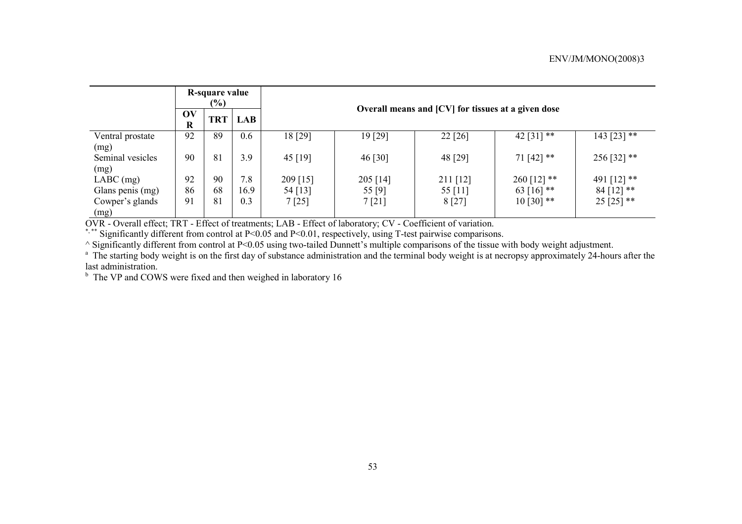|                          | R-square value<br>$(\%)$            |            |            |                                                            | Overall means and [CV] for tissues at a given dose |          |             |             |  |  |  |  |
|--------------------------|-------------------------------------|------------|------------|------------------------------------------------------------|----------------------------------------------------|----------|-------------|-------------|--|--|--|--|
|                          | $\mathbf{O}(\mathbf{V})$<br>$\bf R$ | <b>TRT</b> | <b>LAB</b> |                                                            |                                                    |          |             |             |  |  |  |  |
| Ventral prostate<br>(mg) | 92                                  | 89         | 0.6        | 18 [29]                                                    | 19 [29]                                            | 22 [26]  | 42 [31] **  | 143 [23] ** |  |  |  |  |
| Seminal vesicles<br>(mg) | 90                                  | 81         | 3.9        | 45 [19]                                                    | 46 [30]                                            | 48 [29]  | $71[42]$ ** | 256 [32] ** |  |  |  |  |
| $LABC$ (mg)              | 92                                  | 90         | 7.8        | 209 [15]                                                   | 205 [14]                                           | 211 [12] | 260 [12] ** | 491 [12] ** |  |  |  |  |
| Glans penis (mg)         | 86                                  | 68         | 16.9       | 63 [16] **<br>$84$ [12] **<br>54 [13]<br>55 [9]<br>55 [11] |                                                    |          |             |             |  |  |  |  |
| Cowper's glands<br>(mg)  | 91                                  | 81         | 0.3        | $10$ [30] **<br>$25$ [25] **<br>8[27]<br>7[21]<br>7[25]    |                                                    |          |             |             |  |  |  |  |

OVR - Overall effect; TRT - Effect of treatments; LAB - Effect of laboratory; CV - Coefficient of variation.

\*,\*\* Significantly different from control at P<0.05 and P<0.01, respectively, using T-test pairwise comparisons.

^ Significantly different from control at P<0.05 using two-tailed Dunnett's multiple comparisons of the tissue with body weight adjustment.

<sup>a</sup> The starting body weight is on the first day of substance administration and the terminal body weight is at necropsy approximately 24-hours after the last administration.

<sup>b</sup> The VP and COWS were fixed and then weighed in laboratory 16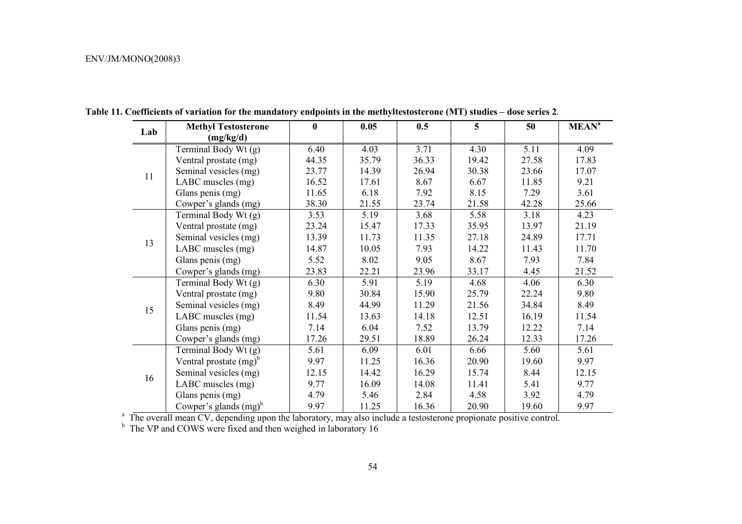| Lab | <b>Methyl Testosterone</b> | $\bf{0}$ | 0.05  | 0.5   | $5\overline{)}$ | 50    | MEAN <sup>a</sup> |
|-----|----------------------------|----------|-------|-------|-----------------|-------|-------------------|
|     | (mg/kg/d)                  |          |       |       |                 |       |                   |
|     | Terminal Body Wt (g)       | 6.40     | 4.03  | 3.71  | 4.30            | 5.11  | 4.09              |
|     | Ventral prostate (mg)      | 44.35    | 35.79 | 36.33 | 19.42           | 27.58 | 17.83             |
| 11  | Seminal vesicles (mg)      | 23.77    | 14.39 | 26.94 | 30.38           | 23.66 | 17.07             |
|     | LABC muscles (mg)          | 16.52    | 17.61 | 8.67  | 6.67            | 11.85 | 9.21              |
|     | Glans penis (mg)           | 11.65    | 6.18  | 7.92  | 8.15            | 7.29  | 3.61              |
|     | Cowper's glands (mg)       | 38.30    | 21.55 | 23.74 | 21.58           | 42.28 | 25.66             |
|     | Terminal Body Wt (g)       | 3.53     | 5.19  | 3.68  | 5.58            | 3.18  | 4.23              |
|     | Ventral prostate (mg)      | 23.24    | 15.47 | 17.33 | 35.95           | 13.97 | 21.19             |
| 13  | Seminal vesicles (mg)      | 13.39    | 11.73 | 11.35 | 27.18           | 24.89 | 17.71             |
|     | LABC muscles (mg)          | 14.87    | 10.05 | 7.93  | 14.22           | 11.43 | 11.70             |
|     | Glans penis (mg)           | 5.52     | 8.02  | 9.05  | 8.67            | 7.93  | 7.84              |
|     | Cowper's glands (mg)       | 23.83    | 22.21 | 23.96 | 33.17           | 4.45  | 21.52             |
|     | Terminal Body Wt (g)       | 6.30     | 5.91  | 5.19  | 4.68            | 4.06  | 6.30              |
|     | Ventral prostate (mg)      | 9.80     | 30.84 | 15.90 | 25.79           | 22.24 | 9.80              |
| 15  | Seminal vesicles (mg)      | 8.49     | 44.99 | 11.29 | 21.56           | 34.84 | 8.49              |
|     | LABC muscles (mg)          | 11.54    | 13.63 | 14.18 | 12.51           | 16.19 | 11.54             |
|     | Glans penis (mg)           | 7.14     | 6.04  | 7.52  | 13.79           | 12.22 | 7.14              |
|     | Cowper's glands (mg)       | 17.26    | 29.51 | 18.89 | 26.24           | 12.33 | 17.26             |
|     | Terminal Body Wt (g)       | 5.61     | 6.09  | 6.01  | 6.66            | 5.60  | 5.61              |
|     | Ventral prostate $(mg)^b$  | 9.97     | 11.25 | 16.36 | 20.90           | 19.60 | 9.97              |
| 16  | Seminal vesicles (mg)      | 12.15    | 14.42 | 16.29 | 15.74           | 8.44  | 12.15             |
|     | LABC muscles (mg)          | 9.77     | 16.09 | 14.08 | 11.41           | 5.41  | 9.77              |
|     | Glans penis (mg)           | 4.79     | 5.46  | 2.84  | 4.58            | 3.92  | 4.79              |
|     | Cowper's glands $(mg)^b$   | 9.97     | 11.25 | 16.36 | 20.90           | 19.60 | 9.97              |

**Table 11. Coefficients of variation for the mandatory endpoints in the methyltestosterone (MT) studies – dose series 2***.* 

<sup>a</sup> The overall mean CV, depending upon the laboratory, may also include a testosterone propionate positive control.

 $b$  The VP and COWS were fixed and then weighed in laboratory 16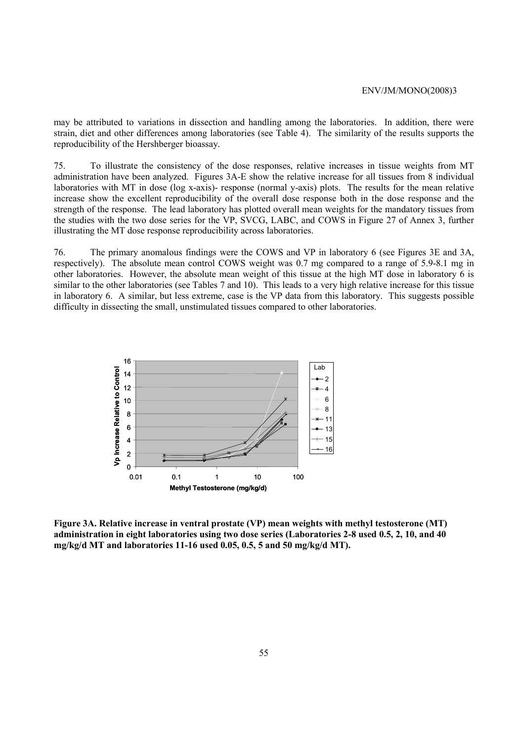may be attributed to variations in dissection and handling among the laboratories. In addition, there were strain, diet and other differences among laboratories (see Table 4). The similarity of the results supports the reproducibility of the Hershberger bioassay.

75. To illustrate the consistency of the dose responses, relative increases in tissue weights from MT administration have been analyzed. Figures 3A-E show the relative increase for all tissues from 8 individual laboratories with MT in dose (log x-axis)- response (normal y-axis) plots. The results for the mean relative increase show the excellent reproducibility of the overall dose response both in the dose response and the strength of the response. The lead laboratory has plotted overall mean weights for the mandatory tissues from the studies with the two dose series for the VP, SVCG, LABC, and COWS in Figure 27 of Annex 3, further illustrating the MT dose response reproducibility across laboratories.

76. The primary anomalous findings were the COWS and VP in laboratory 6 (see Figures 3E and 3A, respectively). The absolute mean control COWS weight was 0.7 mg compared to a range of 5.9-8.1 mg in other laboratories. However, the absolute mean weight of this tissue at the high MT dose in laboratory 6 is similar to the other laboratories (see Tables 7 and 10). This leads to a very high relative increase for this tissue in laboratory 6. A similar, but less extreme, case is the VP data from this laboratory. This suggests possible difficulty in dissecting the small, unstimulated tissues compared to other laboratories.



**Figure 3A. Relative increase in ventral prostate (VP) mean weights with methyl testosterone (MT) administration in eight laboratories using two dose series (Laboratories 2-8 used 0.5, 2, 10, and 40 mg/kg/d MT and laboratories 11-16 used 0.05, 0.5, 5 and 50 mg/kg/d MT).**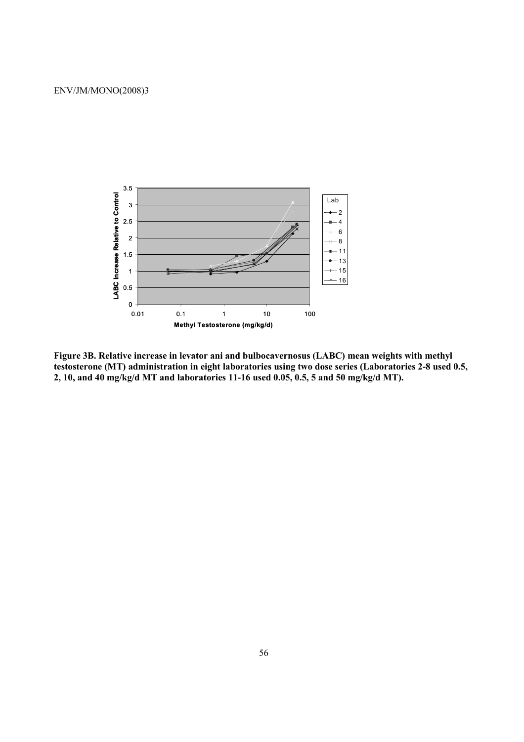

**Figure 3B. Relative increase in levator ani and bulbocavernosus (LABC) mean weights with methyl testosterone (MT) administration in eight laboratories using two dose series (Laboratories 2-8 used 0.5, 2, 10, and 40 mg/kg/d MT and laboratories 11-16 used 0.05, 0.5, 5 and 50 mg/kg/d MT).**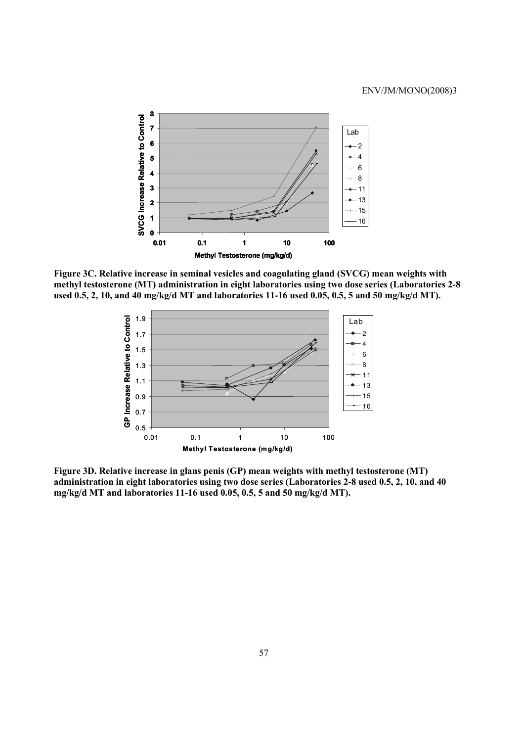

**Figure 3C. Relative increase in seminal vesicles and coagulating gland (SVCG) mean weights with methyl testosterone (MT) administration in eight laboratories using two dose series (Laboratories 2-8**  used 0.5, 2, 10, and 40 mg/kg/d MT and laboratories 11-16 used 0.05, 0.5, 5 and 50 mg/kg/d MT).



**Figure 3D. Relative increase in glans penis (GP) mean weights with methyl testosterone (MT) administration in eight laboratories using two dose series (Laboratories 2-8 used 0.5, 2, 10, and 40 mg/kg/d MT and laboratories 11-16 used 0.05, 0.5, 5 and 50 mg/kg/d MT).**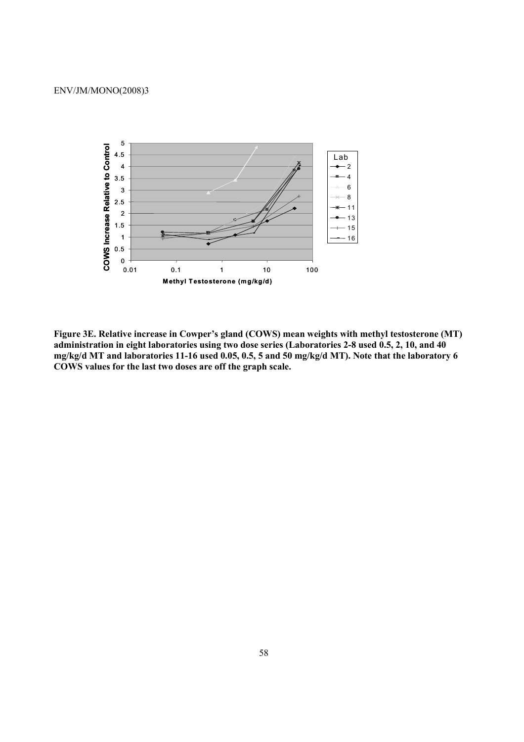

**Figure 3E. Relative increase in Cowper's gland (COWS) mean weights with methyl testosterone (MT) administration in eight laboratories using two dose series (Laboratories 2-8 used 0.5, 2, 10, and 40 mg/kg/d MT and laboratories 11-16 used 0.05, 0.5, 5 and 50 mg/kg/d MT). Note that the laboratory 6 COWS values for the last two doses are off the graph scale.**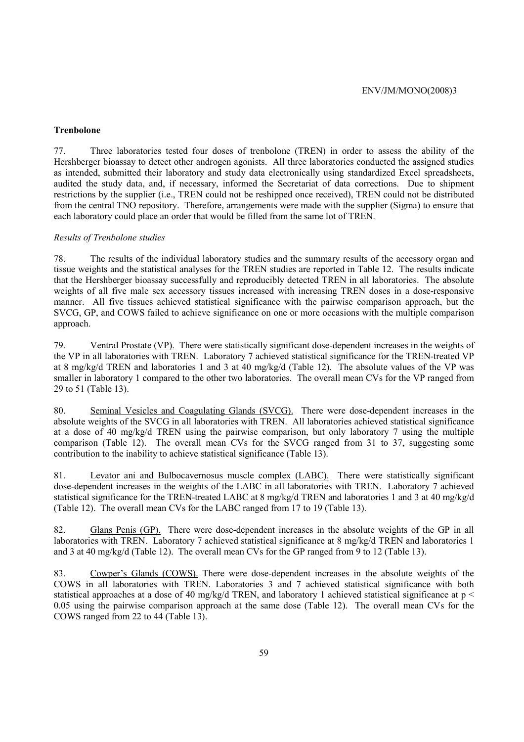### **Trenbolone**

77. Three laboratories tested four doses of trenbolone (TREN) in order to assess the ability of the Hershberger bioassay to detect other androgen agonists. All three laboratories conducted the assigned studies as intended, submitted their laboratory and study data electronically using standardized Excel spreadsheets, audited the study data, and, if necessary, informed the Secretariat of data corrections. Due to shipment restrictions by the supplier (i.e., TREN could not be reshipped once received), TREN could not be distributed from the central TNO repository. Therefore, arrangements were made with the supplier (Sigma) to ensure that each laboratory could place an order that would be filled from the same lot of TREN.

### *Results of Trenbolone studies*

78. The results of the individual laboratory studies and the summary results of the accessory organ and tissue weights and the statistical analyses for the TREN studies are reported in Table 12. The results indicate that the Hershberger bioassay successfully and reproducibly detected TREN in all laboratories. The absolute weights of all five male sex accessory tissues increased with increasing TREN doses in a dose-responsive manner. All five tissues achieved statistical significance with the pairwise comparison approach, but the SVCG, GP, and COWS failed to achieve significance on one or more occasions with the multiple comparison approach.

79. Ventral Prostate (VP). There were statistically significant dose-dependent increases in the weights of the VP in all laboratories with TREN. Laboratory 7 achieved statistical significance for the TREN-treated VP at 8 mg/kg/d TREN and laboratories 1 and 3 at 40 mg/kg/d (Table 12). The absolute values of the VP was smaller in laboratory 1 compared to the other two laboratories. The overall mean CVs for the VP ranged from 29 to 51 (Table 13).

80. Seminal Vesicles and Coagulating Glands (SVCG). There were dose-dependent increases in the absolute weights of the SVCG in all laboratories with TREN. All laboratories achieved statistical significance at a dose of 40 mg/kg/d TREN using the pairwise comparison, but only laboratory 7 using the multiple comparison (Table 12). The overall mean CVs for the SVCG ranged from 31 to 37, suggesting some contribution to the inability to achieve statistical significance (Table 13).

81. Levator ani and Bulbocavernosus muscle complex (LABC). There were statistically significant dose-dependent increases in the weights of the LABC in all laboratories with TREN. Laboratory 7 achieved statistical significance for the TREN-treated LABC at 8 mg/kg/d TREN and laboratories 1 and 3 at 40 mg/kg/d (Table 12). The overall mean CVs for the LABC ranged from 17 to 19 (Table 13).

82. Glans Penis (GP). There were dose-dependent increases in the absolute weights of the GP in all laboratories with TREN. Laboratory 7 achieved statistical significance at 8 mg/kg/d TREN and laboratories 1 and 3 at 40 mg/kg/d (Table 12). The overall mean CVs for the GP ranged from 9 to 12 (Table 13).

83. Cowper's Glands (COWS). There were dose-dependent increases in the absolute weights of the COWS in all laboratories with TREN. Laboratories 3 and 7 achieved statistical significance with both statistical approaches at a dose of 40 mg/kg/d TREN, and laboratory 1 achieved statistical significance at p < 0.05 using the pairwise comparison approach at the same dose (Table 12). The overall mean CVs for the COWS ranged from 22 to 44 (Table 13).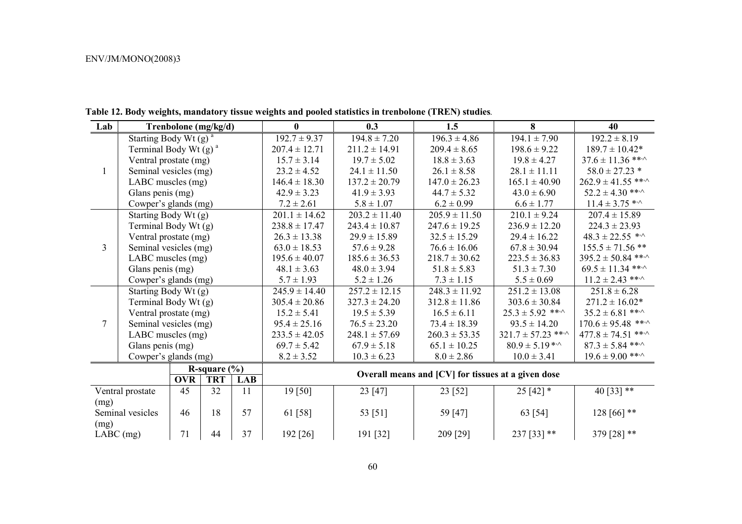| Lab            |                                     | Trenbolone (mg/kg/d) |                 |            | $\bf{0}$          | 0.3               | 1.5                                                | 8                            | 40                              |
|----------------|-------------------------------------|----------------------|-----------------|------------|-------------------|-------------------|----------------------------------------------------|------------------------------|---------------------------------|
|                | Starting Body Wt $(g)$ <sup>a</sup> |                      |                 |            | $192.7 \pm 9.37$  | $194.8 \pm 7.20$  | $196.3 \pm 4.86$                                   | $194.1 \pm 7.90$             | $192.2 \pm 8.19$                |
|                | Terminal Body Wt $(g)$ <sup>a</sup> |                      |                 |            | $207.4 \pm 12.71$ | $211.2 \pm 14.91$ | $209.4 \pm 8.65$                                   | $198.6 \pm 9.22$             | $189.7 \pm 10.42*$              |
|                | Ventral prostate (mg)               |                      |                 |            | $15.7 \pm 3.14$   | $19.7 \pm 5.02$   | $18.8 \pm 3.63$                                    | $19.8 \pm 4.27$              | $37.6 \pm 11.36$ ** $\cdot$     |
| $\mathbf{1}$   | Seminal vesicles (mg)               |                      |                 |            | $23.2 \pm 4.52$   | $24.1 \pm 11.50$  | $26.1 \pm 8.58$                                    | $28.1 \pm 11.11$             | $58.0 \pm 27.23$ *              |
|                | LABC muscles (mg)                   |                      |                 |            | $146.4 \pm 18.30$ | $137.2 \pm 20.79$ | $147.0 \pm 26.23$                                  | $165.1 \pm 40.90$            | $262.9 \pm 41.55$ ** $\cdot$    |
|                | Glans penis (mg)                    |                      |                 |            | $42.9 \pm 3.23$   | $41.9 \pm 3.93$   | $44.7 \pm 5.32$                                    | $43.0 \pm 6.90$              | $52.2 \pm 4.30$ ** $\cdot$      |
|                | Cowper's glands (mg)                |                      |                 |            | $7.2 \pm 2.61$    | $5.8 \pm 1.07$    | $6.2 \pm 0.99$                                     | $6.6 \pm 1.77$               | $11.4 \pm 3.75$ * <sup>3</sup>  |
|                |                                     | Starting Body Wt (g) |                 |            | $201.1 \pm 14.62$ | $203.2 \pm 11.40$ | $205.9 \pm 11.50$                                  | $210.1 \pm 9.24$             | $207.4 \pm 15.89$               |
|                | Terminal Body Wt (g)                |                      |                 |            | $238.8 \pm 17.47$ | $243.4 \pm 10.87$ | $247.6 \pm 19.25$                                  | $236.9 \pm 12.20$            | $224.3 \pm 23.93$               |
|                | Ventral prostate (mg)               |                      |                 |            | $26.3 \pm 13.38$  | $29.9 \pm 15.89$  | $32.5 \pm 15.29$                                   | $29.4 \pm 16.22$             | $48.3 \pm 22.55$ * <sup>^</sup> |
| $\overline{3}$ | Seminal vesicles (mg)               |                      |                 |            | $63.0 \pm 18.53$  | $57.6 \pm 9.28$   | $76.6 \pm 16.06$                                   | $67.8 \pm 30.94$             | $155.5 \pm 71.56$ **            |
|                | LABC muscles (mg)                   |                      |                 |            | $195.6 \pm 40.07$ | $185.6 \pm 36.53$ | $218.7 \pm 30.62$                                  | $223.5 \pm 36.83$            | $395.2 \pm 50.84$ ** $\cdot$    |
|                | Glans penis (mg)                    |                      |                 |            | $48.1 \pm 3.63$   | $48.0 \pm 3.94$   | $51.8 \pm 5.83$                                    | $51.3 \pm 7.30$              | $69.5 \pm 11.34$ ** $\cdot$     |
|                |                                     | Cowper's glands (mg) |                 |            | $5.7 \pm 1.93$    | $5.2 \pm 1.26$    | $7.3 \pm 1.15$                                     | $5.5 \pm 0.69$               | $11.2 \pm 2.43$ ***             |
|                |                                     | Starting Body Wt (g) |                 |            | $245.9 \pm 14.40$ | $257.2 \pm 12.15$ | $248.3 \pm 11.92$                                  | $251.2 \pm 13.08$            | $251.8 \pm 6.28$                |
|                |                                     | Terminal Body Wt (g) |                 |            | $305.4 \pm 20.86$ | $327.3 \pm 24.20$ | $312.8 \pm 11.86$                                  | $303.6 \pm 30.84$            | $271.2 \pm 16.02*$              |
|                | Ventral prostate (mg)               |                      |                 |            | $15.2 \pm 5.41$   | $19.5 \pm 5.39$   | $16.5 \pm 6.11$                                    | $25.3 \pm 5.92$ ** $\cdot$   | $35.2 \pm 6.81$ ** $\cdot$      |
| $\overline{7}$ | Seminal vesicles (mg)               |                      |                 |            | $95.4 \pm 25.16$  | $76.5 \pm 23.20$  | $73.4 \pm 18.39$                                   | $93.5 \pm 14.20$             | $170.6 \pm 95.48$ ***           |
|                | LABC muscles (mg)                   |                      |                 |            | $233.5 \pm 42.05$ | $248.1 \pm 57.69$ | $260.3 \pm 53.35$                                  | $321.7 \pm 57.23$ ** $\cdot$ | $477.8 \pm 74.51$ ** $\cdot$    |
|                | Glans penis (mg)                    |                      |                 |            | $69.7 \pm 5.42$   | $67.9 \pm 5.18$   | $65.1 \pm 10.25$                                   | $80.9 \pm 5.19$ **           | $87.3 \pm 5.84$ ***             |
|                | Cowper's glands (mg)                |                      |                 |            | $8.2 \pm 3.52$    | $10.3 \pm 6.23$   | $8.0 \pm 2.86$                                     | $10.0 \pm 3.41$              | $19.6 \pm 9.00$ ***             |
|                |                                     |                      | R-square $(\%)$ |            |                   |                   |                                                    |                              |                                 |
|                |                                     | <b>OVR</b>           | <b>TRT</b>      | <b>LAB</b> |                   |                   | Overall means and [CV] for tissues at a given dose |                              |                                 |
|                | Ventral prostate                    | 45                   | 32              | 11         | 19[50]            | 23 [47]           | 23 [52]                                            | $25[42]*$                    | 40 [33] **                      |
| (mg)           |                                     |                      |                 |            |                   |                   |                                                    |                              |                                 |
|                | Seminal vesicles                    | 46                   | 18              | 57         | 61 [58]           | 53 [51]           | 59 [47]                                            | 63 [54]                      | $128[66]$ **                    |
| (mg)           |                                     |                      |                 |            |                   |                   |                                                    |                              |                                 |
| $LABC$ (mg)    |                                     | 71                   | 44              | 37         | 192 [26]          | 191 [32]          | 209 [29]                                           | $237$ [33] **                | 379 [28] **                     |

**Table 12. Body weights, mandatory tissue weights and pooled statistics in trenbolone (TREN) studies***.*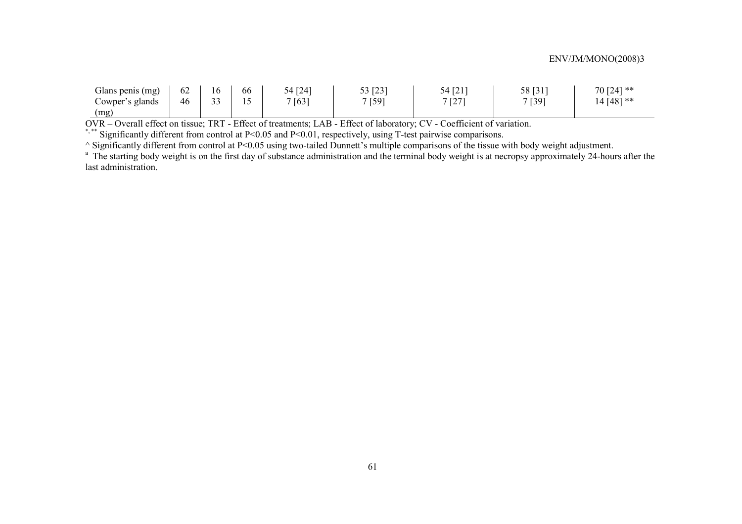| Glans penis (mg)                  | $\overline{\phantom{a}}$<br>62 | 10           | 00 | $\lceil 24 \rceil$<br>54 | 53 [23]<br>ل ∠ا<br>- - | $CA$ $TA$ 1<br>27121              | 58 [31] | $70$ [24] ** |
|-----------------------------------|--------------------------------|--------------|----|--------------------------|------------------------|-----------------------------------|---------|--------------|
| $\sim$ owper's $\prime$<br>glands | 46                             | $\sim$<br>-- | -  | 7[63]                    | 7[59]                  | 7.527<br>$\overline{\phantom{0}}$ | 7[39]   | 14 [48] **   |
| (mg)                              |                                |              |    |                          |                        |                                   |         |              |

OVR – Overall effect on tissue; TRT - Effect of treatments; LAB - Effect of laboratory; CV - Coefficient of variation.

\*,\*\* Significantly different from control at P<0.05 and P<0.01, respectively, using T-test pairwise comparisons.

^ Significantly different from control at P<0.05 using two-tailed Dunnett's multiple comparisons of the tissue with body weight adjustment.

<sup>a</sup> The starting body weight is on the first day of substance administration and the terminal body weight is at necropsy approximately 24-hours after the last administration.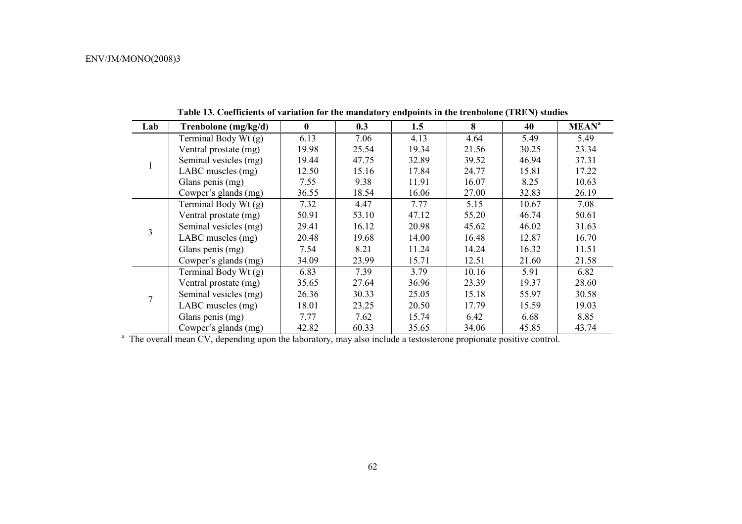| Lab | Trenbolone (mg/kg/d)   | $\bf{0}$ | 0.3   | 1.5   | 8     | 40    | <b>MEAN<sup>a</sup></b> |
|-----|------------------------|----------|-------|-------|-------|-------|-------------------------|
|     | Terminal Body Wt $(g)$ | 6.13     | 7.06  | 4.13  | 4.64  | 5.49  | 5.49                    |
|     | Ventral prostate (mg)  | 19.98    | 25.54 | 19.34 | 21.56 | 30.25 | 23.34                   |
|     | Seminal vesicles (mg)  | 19.44    | 47.75 | 32.89 | 39.52 | 46.94 | 37.31                   |
|     | LABC muscles (mg)      | 12.50    | 15.16 | 17.84 | 24.77 | 15.81 | 17.22                   |
|     | Glans penis (mg)       | 7.55     | 9.38  | 11.91 | 16.07 | 8.25  | 10.63                   |
|     | Cowper's glands (mg)   | 36.55    | 18.54 | 16.06 | 27.00 | 32.83 | 26.19                   |
|     | Terminal Body Wt (g)   | 7.32     | 4.47  | 7.77  | 5.15  | 10.67 | 7.08                    |
|     | Ventral prostate (mg)  | 50.91    | 53.10 | 47.12 | 55.20 | 46.74 | 50.61                   |
| 3   | Seminal vesicles (mg)  | 29.41    | 16.12 | 20.98 | 45.62 | 46.02 | 31.63                   |
|     | LABC muscles (mg)      | 20.48    | 19.68 | 14.00 | 16.48 | 12.87 | 16.70                   |
|     | Glans penis (mg)       | 7.54     | 8.21  | 11.24 | 14.24 | 16.32 | 11.51                   |
|     | Cowper's glands (mg)   | 34.09    | 23.99 | 15.71 | 12.51 | 21.60 | 21.58                   |
|     | Terminal Body Wt (g)   | 6.83     | 7.39  | 3.79  | 10.16 | 5.91  | 6.82                    |
|     | Ventral prostate (mg)  | 35.65    | 27.64 | 36.96 | 23.39 | 19.37 | 28.60                   |
|     | Seminal vesicles (mg)  | 26.36    | 30.33 | 25.05 | 15.18 | 55.97 | 30.58                   |
|     | LABC muscles (mg)      | 18.01    | 23.25 | 20.50 | 17.79 | 15.59 | 19.03                   |
|     | Glans penis (mg)       | 7.77     | 7.62  | 15.74 | 6.42  | 6.68  | 8.85                    |
|     | Cowper's glands (mg)   | 42.82    | 60.33 | 35.65 | 34.06 | 45.85 | 43.74                   |

**Table 13. Coefficients of variation for the mandatory endpoints in the trenbolone (TREN) studies** 

<sup>a</sup> The overall mean CV, depending upon the laboratory, may also include a testosterone propionate positive control.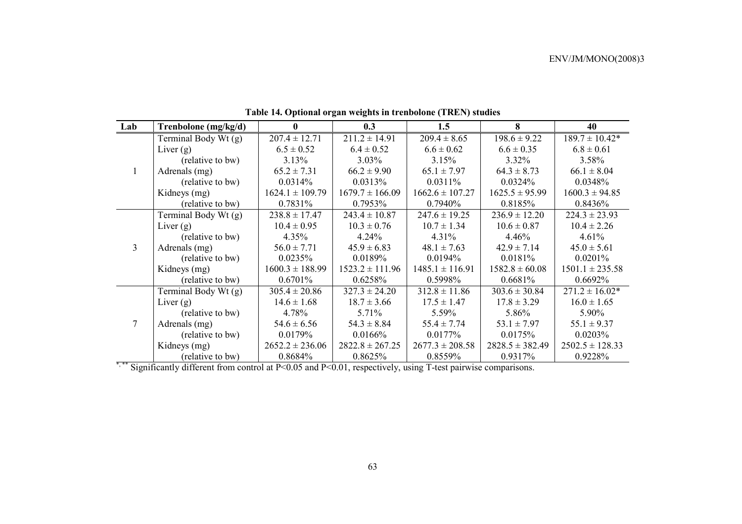| Lab            | Trenbolone (mg/kg/d) | 0                   | 0.3                 | 1.5                 | 8                   | 40                  |
|----------------|----------------------|---------------------|---------------------|---------------------|---------------------|---------------------|
|                | Terminal Body Wt (g) | $207.4 \pm 12.71$   | $211.2 \pm 14.91$   | $209.4 \pm 8.65$    | $198.6 \pm 9.22$    | $189.7 \pm 10.42*$  |
|                | Liver $(g)$          | $6.5 \pm 0.52$      | $6.4 \pm 0.52$      | $6.6 \pm 0.62$      | $6.6 \pm 0.35$      | $6.8 \pm 0.61$      |
|                | (relative to bw)     | 3.13%               | $3.03\%$            | 3.15%               | $3.32\%$            | 3.58%               |
| $\mathbf{1}$   | Adrenals (mg)        | $65.2 \pm 7.31$     | $66.2 \pm 9.90$     | $65.1 \pm 7.97$     | $64.3 \pm 8.73$     | $66.1 \pm 8.04$     |
|                | (relative to bw)     | 0.0314%             | 0.0313%             | 0.0311%             | 0.0324%             | 0.0348%             |
|                | Kidneys (mg)         | $1624.1 \pm 109.79$ | $1679.7 \pm 166.09$ | $1662.6 \pm 107.27$ | $1625.5 \pm 95.99$  | $1600.3 \pm 94.85$  |
|                | (relative to bw)     | 0.7831%             | 0.7953%             | 0.7940%             | 0.8185%             | 0.8436%             |
|                | Terminal Body Wt (g) | $238.8 \pm 17.47$   | $243.4 \pm 10.87$   | $247.6 \pm 19.25$   | $236.9 \pm 12.20$   | $224.3 \pm 23.93$   |
|                | Liver $(g)$          | $10.4 \pm 0.95$     | $10.3 \pm 0.76$     | $10.7 \pm 1.34$     | $10.6 \pm 0.87$     | $10.4 \pm 2.26$     |
|                | (relative to bw)     | $4.35\%$            | 4.24%               | 4.31%               | 4.46%               | 4.61%               |
| $\overline{3}$ | Adrenals (mg)        | $56.0 \pm 7.71$     | $45.9 \pm 6.83$     | $48.1 \pm 7.63$     | $42.9 \pm 7.14$     | $45.0 \pm 5.61$     |
|                | (relative to bw)     | 0.0235%             | 0.0189%             | 0.0194%             | 0.0181%             | 0.0201%             |
|                | Kidneys (mg)         | $1600.3 \pm 188.99$ | $1523.2 \pm 111.96$ | $1485.1 \pm 116.91$ | $1582.8 \pm 60.08$  | $1501.1 \pm 235.58$ |
|                | (relative to bw)     | 0.6701%             | 0.6258%             | 0.5998%             | 0.6681%             | $0.6692\%$          |
|                | Terminal Body Wt (g) | $305.4 \pm 20.86$   | $327.3 \pm 24.20$   | $312.8 \pm 11.86$   | $303.6 \pm 30.84$   | $271.2 \pm 16.02*$  |
|                | Liver $(g)$          | $14.6 \pm 1.68$     | $18.7 \pm 3.66$     | $17.5 \pm 1.47$     | $17.8 \pm 3.29$     | $16.0 \pm 1.65$     |
|                | (relative to bw)     | 4.78%               | $5.71\%$            | 5.59%               | 5.86%               | 5.90%               |
|                | Adrenals (mg)        | $54.6 \pm 6.56$     | $54.3 \pm 8.84$     | $55.4 \pm 7.74$     | $53.1 \pm 7.97$     | $55.1 \pm 9.37$     |
|                | (relative to bw)     | 0.0179%             | 0.0166%             | $0.0177\%$          | 0.0175%             | 0.0203%             |
|                | Kidneys (mg)         | $2652.2 \pm 236.06$ | $2822.8 \pm 267.25$ | $2677.3 \pm 208.58$ | $2828.5 \pm 382.49$ | $2502.5 \pm 128.33$ |
|                | (relative to bw)     | 0.8684%             | 0.8625%             | 0.8559%             | 0.9317%             | 0.9228%             |

# **Table 14. Optional organ weights in trenbolone (TREN) studies**

\*,\*\* Significantly different from control at P<0.05 and P<0.01, respectively, using T-test pairwise comparisons.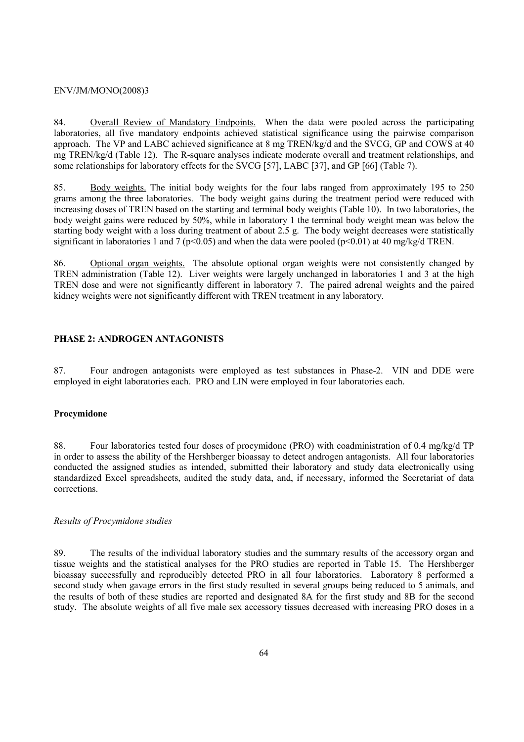84. Overall Review of Mandatory Endpoints. When the data were pooled across the participating laboratories, all five mandatory endpoints achieved statistical significance using the pairwise comparison approach. The VP and LABC achieved significance at 8 mg TREN/kg/d and the SVCG, GP and COWS at 40 mg TREN/kg/d (Table 12). The R-square analyses indicate moderate overall and treatment relationships, and some relationships for laboratory effects for the SVCG [57], LABC [37], and GP [66] (Table 7).

85. Body weights. The initial body weights for the four labs ranged from approximately 195 to 250 grams among the three laboratories. The body weight gains during the treatment period were reduced with increasing doses of TREN based on the starting and terminal body weights (Table 10). In two laboratories, the body weight gains were reduced by 50%, while in laboratory 1 the terminal body weight mean was below the starting body weight with a loss during treatment of about 2.5 g. The body weight decreases were statistically significant in laboratories 1 and 7 ( $p<0.05$ ) and when the data were pooled ( $p<0.01$ ) at 40 mg/kg/d TREN.

86. Optional organ weights. The absolute optional organ weights were not consistently changed by TREN administration (Table 12). Liver weights were largely unchanged in laboratories 1 and 3 at the high TREN dose and were not significantly different in laboratory 7. The paired adrenal weights and the paired kidney weights were not significantly different with TREN treatment in any laboratory.

### **PHASE 2: ANDROGEN ANTAGONISTS**

87. Four androgen antagonists were employed as test substances in Phase-2. VIN and DDE were employed in eight laboratories each. PRO and LIN were employed in four laboratories each.

### **Procymidone**

88. Four laboratories tested four doses of procymidone (PRO) with coadministration of 0.4 mg/kg/d TP in order to assess the ability of the Hershberger bioassay to detect androgen antagonists. All four laboratories conducted the assigned studies as intended, submitted their laboratory and study data electronically using standardized Excel spreadsheets, audited the study data, and, if necessary, informed the Secretariat of data corrections.

### *Results of Procymidone studies*

89. The results of the individual laboratory studies and the summary results of the accessory organ and tissue weights and the statistical analyses for the PRO studies are reported in Table 15. The Hershberger bioassay successfully and reproducibly detected PRO in all four laboratories. Laboratory 8 performed a second study when gavage errors in the first study resulted in several groups being reduced to 5 animals, and the results of both of these studies are reported and designated 8A for the first study and 8B for the second study. The absolute weights of all five male sex accessory tissues decreased with increasing PRO doses in a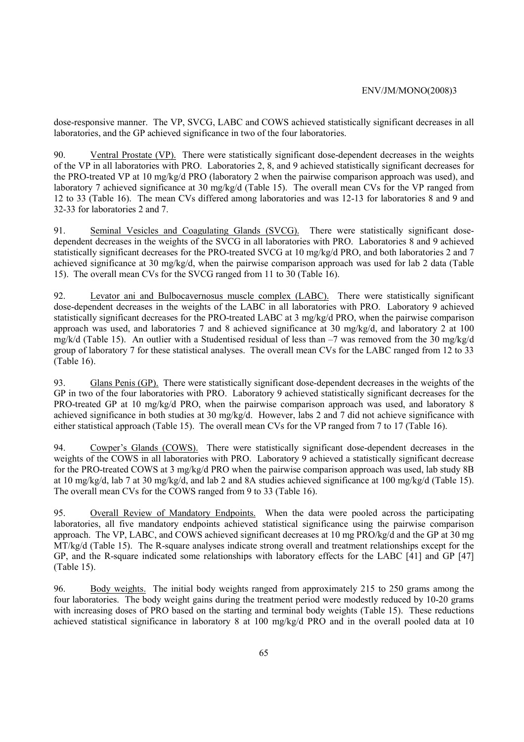dose-responsive manner. The VP, SVCG, LABC and COWS achieved statistically significant decreases in all laboratories, and the GP achieved significance in two of the four laboratories.

90. Ventral Prostate (VP). There were statistically significant dose-dependent decreases in the weights of the VP in all laboratories with PRO. Laboratories 2, 8, and 9 achieved statistically significant decreases for the PRO-treated VP at 10 mg/kg/d PRO (laboratory 2 when the pairwise comparison approach was used), and laboratory 7 achieved significance at 30 mg/kg/d (Table 15). The overall mean CVs for the VP ranged from 12 to 33 (Table 16). The mean CVs differed among laboratories and was 12-13 for laboratories 8 and 9 and 32-33 for laboratories 2 and 7.

91. Seminal Vesicles and Coagulating Glands (SVCG). There were statistically significant dosedependent decreases in the weights of the SVCG in all laboratories with PRO. Laboratories 8 and 9 achieved statistically significant decreases for the PRO-treated SVCG at 10 mg/kg/d PRO, and both laboratories 2 and 7 achieved significance at 30 mg/kg/d, when the pairwise comparison approach was used for lab 2 data (Table 15). The overall mean CVs for the SVCG ranged from 11 to 30 (Table 16).

92. Levator ani and Bulbocavernosus muscle complex (LABC). There were statistically significant dose-dependent decreases in the weights of the LABC in all laboratories with PRO. Laboratory 9 achieved statistically significant decreases for the PRO-treated LABC at 3 mg/kg/d PRO, when the pairwise comparison approach was used, and laboratories 7 and 8 achieved significance at 30 mg/kg/d, and laboratory 2 at 100 mg/k/d (Table 15). An outlier with a Studentised residual of less than –7 was removed from the 30 mg/kg/d group of laboratory 7 for these statistical analyses. The overall mean CVs for the LABC ranged from 12 to 33 (Table 16).

93. Glans Penis (GP). There were statistically significant dose-dependent decreases in the weights of the GP in two of the four laboratories with PRO. Laboratory 9 achieved statistically significant decreases for the PRO-treated GP at 10 mg/kg/d PRO, when the pairwise comparison approach was used, and laboratory 8 achieved significance in both studies at 30 mg/kg/d. However, labs 2 and 7 did not achieve significance with either statistical approach (Table 15). The overall mean CVs for the VP ranged from 7 to 17 (Table 16).

94. Cowper's Glands (COWS). There were statistically significant dose-dependent decreases in the weights of the COWS in all laboratories with PRO. Laboratory 9 achieved a statistically significant decrease for the PRO-treated COWS at 3 mg/kg/d PRO when the pairwise comparison approach was used, lab study 8B at 10 mg/kg/d, lab 7 at 30 mg/kg/d, and lab 2 and 8A studies achieved significance at 100 mg/kg/d (Table 15). The overall mean CVs for the COWS ranged from 9 to 33 (Table 16).

95. Overall Review of Mandatory Endpoints. When the data were pooled across the participating laboratories, all five mandatory endpoints achieved statistical significance using the pairwise comparison approach. The VP, LABC, and COWS achieved significant decreases at 10 mg PRO/kg/d and the GP at 30 mg  $\overline{M}T/kg/d$  (Table 15). The R-square analyses indicate strong overall and treatment relationships except for the GP, and the R-square indicated some relationships with laboratory effects for the LABC [41] and GP [47] (Table 15).

96. Body weights. The initial body weights ranged from approximately 215 to 250 grams among the four laboratories. The body weight gains during the treatment period were modestly reduced by 10-20 grams with increasing doses of PRO based on the starting and terminal body weights (Table 15). These reductions achieved statistical significance in laboratory 8 at 100 mg/kg/d PRO and in the overall pooled data at 10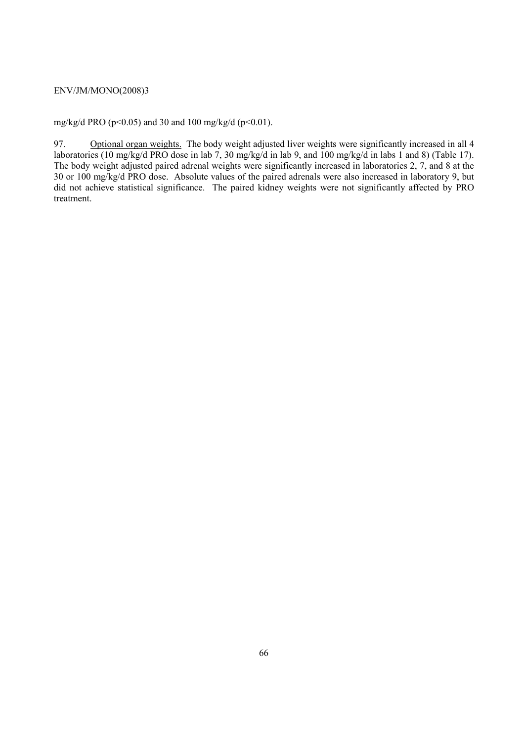mg/kg/d PRO ( $p$ <0.05) and 30 and 100 mg/kg/d ( $p$ <0.01).

97. Optional organ weights. The body weight adjusted liver weights were significantly increased in all 4 laboratories (10 mg/kg/d PRO dose in lab 7, 30 mg/kg/d in lab 9, and 100 mg/kg/d in labs 1 and 8) (Table 17). The body weight adjusted paired adrenal weights were significantly increased in laboratories 2, 7, and 8 at the 30 or 100 mg/kg/d PRO dose. Absolute values of the paired adrenals were also increased in laboratory 9, but did not achieve statistical significance. The paired kidney weights were not significantly affected by PRO treatment.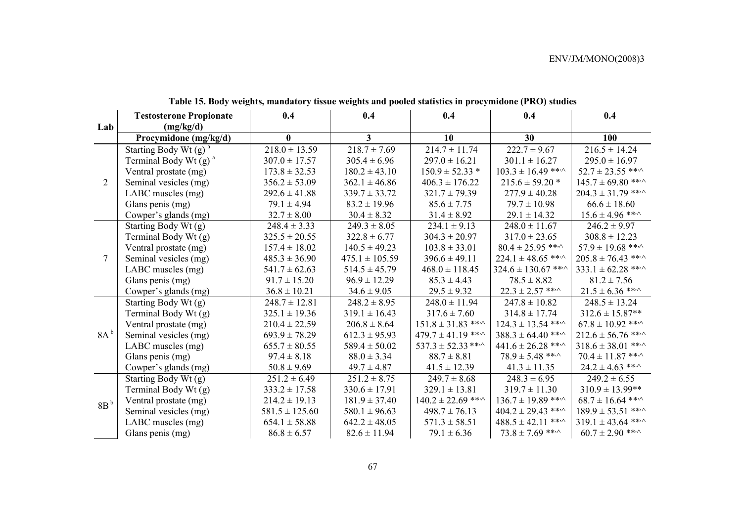|                 | <b>Testosterone Propionate</b>      | 0.4                | 0.4                | 0.4                          | 0.4                           | 0.4                          |
|-----------------|-------------------------------------|--------------------|--------------------|------------------------------|-------------------------------|------------------------------|
| Lab             | (mg/kg/d)                           |                    |                    |                              |                               |                              |
|                 | Procymidone (mg/kg/d)               | $\bf{0}$           | 3 <sup>1</sup>     | 10                           | 30                            | 100                          |
|                 | Starting Body Wt $(g)$ <sup>a</sup> | $218.0 \pm 13.59$  | $218.7 \pm 7.69$   | $214.7 \pm 11.74$            | $222.7 \pm 9.67$              | $216.5 \pm 14.24$            |
|                 | Terminal Body Wt $(g)$ <sup>a</sup> | $307.0 \pm 17.57$  | $305.4 \pm 6.96$   | $297.0 \pm 16.21$            | $301.1 \pm 16.27$             | $295.0 \pm 16.97$            |
|                 | Ventral prostate (mg)               | $173.8 \pm 32.53$  | $180.2 \pm 43.10$  | $150.9 \pm 52.33$ *          | $103.3 \pm 16.49$ ** $\cdot$  | $52.7 \pm 23.55$ ** $\cdot$  |
| $\overline{2}$  | Seminal vesicles (mg)               | $356.2 \pm 53.09$  | $362.1 \pm 46.86$  | $406.3 \pm 176.22$           | $215.6 \pm 59.20$ *           | $145.7 \pm 69.80$ ***        |
|                 | LABC muscles (mg)                   | $292.6 \pm 41.88$  | $339.7 \pm 33.72$  | $321.7 \pm 79.39$            | $277.9 \pm 40.28$             | $204.3 \pm 31.79$ ***        |
|                 | Glans penis (mg)                    | $79.1 \pm 4.94$    | $83.2 \pm 19.96$   | $85.6 \pm 7.75$              | $79.7 \pm 10.98$              | $66.6 \pm 18.60$             |
|                 | Cowper's glands (mg)                | $32.7 \pm 8.00$    | $30.4 \pm 8.32$    | $31.4 \pm 8.92$              | $29.1 \pm 14.32$              | $15.6 \pm 4.96$ ***          |
|                 | Starting Body Wt (g)                | $248.4 \pm 3.33$   | $249.3 \pm 8.05$   | $234.1 \pm 9.13$             | $248.0 \pm 11.67$             | $246.2 \pm 9.97$             |
| $\tau$          | Terminal Body Wt (g)                | $325.5 \pm 20.55$  | $322.8 \pm 6.77$   | $304.3 \pm 20.97$            | $317.0 \pm 23.65$             | $308.8 \pm 12.23$            |
|                 | Ventral prostate (mg)               | $157.4 \pm 18.02$  | $140.5 \pm 49.23$  | $103.8 \pm 33.01$            | $80.4 \pm 25.95$ ** $\cdot$   | $57.9 \pm 19.68$ ** $\cdot$  |
|                 | Seminal vesicles (mg)               | $485.3 \pm 36.90$  | $475.1 \pm 105.59$ | $396.6 \pm 49.11$            | $224.1 \pm 48.65$ ** $\cdot$  | $205.8 \pm 76.43$ ** $\cdot$ |
|                 | LABC muscles (mg)                   | $541.7 \pm 62.63$  | $514.5 \pm 45.79$  | $468.0 \pm 118.45$           | $324.6 \pm 130.67$ ** $\cdot$ | $333.1 \pm 62.28$ ** $\cdot$ |
|                 | Glans penis (mg)                    | $91.7 \pm 15.20$   | $96.9 \pm 12.29$   | $85.3 \pm 4.43$              | $78.5 \pm 8.82$               | $81.2 \pm 7.56$              |
|                 | Cowper's glands (mg)                | $36.8 \pm 10.21$   | $34.6 \pm 9.05$    | $29.5 \pm 9.32$              | $22.3 \pm 2.57$ ** $\cdot$    | $21.5 \pm 6.36$ ** $\cdot$   |
|                 | Starting Body Wt (g)                | $248.7 \pm 12.81$  | $248.2 \pm 8.95$   | $248.0 \pm 11.94$            | $247.8 \pm 10.82$             | $248.5 \pm 13.24$            |
|                 | Terminal Body Wt (g)                | $325.1 \pm 19.36$  | $319.1 \pm 16.43$  | $317.6 \pm 7.60$             | $314.8 \pm 17.74$             | $312.6 \pm 15.87**$          |
|                 | Ventral prostate (mg)               | $210.4 \pm 22.59$  | $206.8 \pm 8.64$   | $151.8 \pm 31.83$ ***        | $124.3 \pm 13.54$ ***         | $67.8 \pm 10.92$ ** $\cdot$  |
| 8A <sup>b</sup> | Seminal vesicles (mg)               | $693.9 \pm 78.29$  | $612.3 \pm 95.93$  | $479.7 \pm 41.19$ **^        | $388.3 \pm 64.40$ ** $\cdot$  | $212.6 \pm 56.76$ ** $\cdot$ |
|                 | LABC muscles (mg)                   | $655.7 \pm 80.55$  | $589.4 \pm 50.02$  | $537.3 \pm 52.33$ ** $\cdot$ | $441.6 \pm 26.28$ **          | $318.6 \pm 38.01$ ***        |
|                 | Glans penis (mg)                    | $97.4 \pm 8.18$    | $88.0 \pm 3.34$    | $88.7 \pm 8.81$              | $78.9 \pm 5.48$ ** $\cdot$    | $70.4 \pm 11.87$ ** $\cdot$  |
|                 | Cowper's glands (mg)                | $50.8 \pm 9.69$    | $49.7 \pm 4.87$    | $41.5 \pm 12.39$             | $41.3 \pm 11.35$              | $24.2 \pm 4.63$ **           |
|                 | Starting Body Wt (g)                | $251.2 \pm 6.49$   | $251.2 \pm 8.75$   | $249.7 \pm 8.68$             | $248.3 \pm 6.95$              | $249.2 \pm 6.55$             |
|                 | Terminal Body Wt (g)                | $333.2 \pm 17.58$  | $330.6 \pm 17.91$  | $329.1 \pm 13.81$            | $319.7 \pm 11.30$             | $310.9 \pm 13.99$ **         |
| 8B <sup>b</sup> | Ventral prostate (mg)               | $214.2 \pm 19.13$  | $181.9 \pm 37.40$  | $140.2 \pm 22.69$ ***        | $136.7 \pm 19.89$ ***         | $68.7 \pm 16.64$ ** $\cdot$  |
|                 | Seminal vesicles (mg)               | $581.5 \pm 125.60$ | $580.1 \pm 96.63$  | $498.7 \pm 76.13$            | $404.2 \pm 29.43$ ***         | $189.9 \pm 53.51$ ** $\cdot$ |
|                 | LABC muscles (mg)                   | $654.1 \pm 58.88$  | $642.2 \pm 48.05$  | $571.3 \pm 58.51$            | $488.5 \pm 42.11$ ***         | $319.1 \pm 43.64$ ** $\cdot$ |
|                 | Glans penis (mg)                    | $86.8 \pm 6.57$    | $82.6 \pm 11.94$   | $79.1 \pm 6.36$              | $73.8 \pm 7.69$ ** $\cdot$    | $60.7 \pm 2.90$ ** $\cdot$   |

**Table 15. Body weights, mandatory tissue weights and pooled statistics in procymidone (PRO) studies**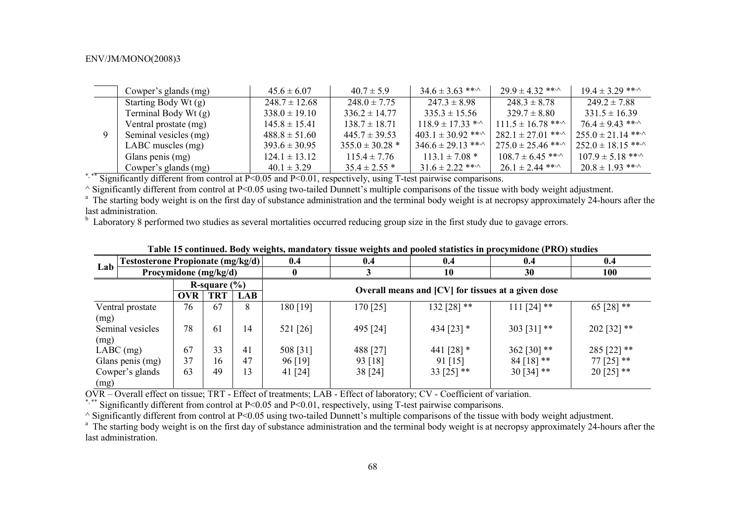|  | Cowper's glands (mg)  | $45.6 \pm 6.07$   | $40.7 \pm 5.9$      | $34.6 \pm 3.63$ ***         | $29.9 \pm 4.32$ **           | $19.4 \pm 3.29$ **         |
|--|-----------------------|-------------------|---------------------|-----------------------------|------------------------------|----------------------------|
|  | Starting Body Wt (g)  | $248.7 \pm 12.68$ | $248.0 \pm 7.75$    | $247.3 \pm 8.98$            | $248.3 \pm 8.78$             | $249.2 \pm 7.88$           |
|  | Terminal Body Wt (g)  | $338.0 \pm 19.10$ | $336.2 \pm 14.77$   | $335.3 \pm 15.56$           | $329.7 \pm 8.80$             | $331.5 \pm 16.39$          |
|  | Ventral prostate (mg) | $145.8 \pm 15.41$ | $138.7 \pm 18.71$   | $118.9 \pm 17.33$ * $\sim$  | $111.5 \pm 16.78$ **         | $76.4 \pm 9.43$ **         |
|  | Seminal vesicles (mg) | $488.8 \pm 51.60$ | $445.7 \pm 39.53$   | $403.1 \pm 30.92$ ** $\sim$ | $282.1 \pm 27.01$ **         | $255.0 \pm 21.14$ **       |
|  | LABC muscles (mg)     | $393.6 \pm 30.95$ | $355.0 \pm 30.28$ * | $346.6 \pm 29.13$ **        | $275.0 \pm 25.46$ ** $\cdot$ | $252.0 \pm 18.15$ **       |
|  | Glans penis (mg)      | $124.1 \pm 13.12$ | $115.4 \pm 7.76$    | $113.1 \pm 7.08$ *          | $108.7 \pm 6.45$ ***         | $107.9 \pm 5.18$ **        |
|  | Cowper's glands (mg)  | $40.1 \pm 3.29$   | $35.4 \pm 2.55$ *   | 31 $6 \pm 2.22$ ***         | $26.1 \pm 2.44$ ** $\cdot$   | $20.8 \pm 1.93$ ** $\cdot$ |

\*, \*\* Significantly different from control at P<0.05 and P<0.01, respectively, using T-test pairwise comparisons.

 $\land$  Significantly different from control at P<0.05 using two-tailed Dunnett's multiple comparisons of the tissue with body weight adjustment.

<sup>a</sup> The starting body weight is on the first day of substance administration and the terminal body weight is at necropsy approximately 24-hours after the last administration.

 $<sup>b</sup>$  Laboratory 8 performed two studies as several mortalities occurred reducing group size in the first study due to gavage errors.</sup>

|                  | <b>Testosterone Propionate (mg/kg/d)</b><br>Procymidone (mg/kg/d) |            |     | 0.4      | 0.4                                                | 0.4          | 0.4           | 0.4            |  |  |  |
|------------------|-------------------------------------------------------------------|------------|-----|----------|----------------------------------------------------|--------------|---------------|----------------|--|--|--|
| Lab              |                                                                   |            |     |          |                                                    | 10           | 30            | 100            |  |  |  |
|                  | R-square $(\% )$                                                  |            |     |          |                                                    |              |               |                |  |  |  |
|                  | OVR                                                               | <b>TRT</b> | LAB |          | Overall means and [CV] for tissues at a given dose |              |               |                |  |  |  |
| Ventral prostate | 76                                                                | 67         | 8   | 180 [19] | 170 [25]                                           | 132 [28] **  | $111$ [24] ** | 65 [28] $**$   |  |  |  |
| (mg)             |                                                                   |            |     |          |                                                    |              |               |                |  |  |  |
| Seminal vesicles | 78                                                                | 61         | 14  | 521 [26] | 495 [24]                                           | 434 $[23]$ * | 303 [31] **   | 202 [32] **    |  |  |  |
| (mg)             |                                                                   |            |     |          |                                                    |              |               |                |  |  |  |
| $LABC$ (mg)      | 67                                                                | 33         | 41  | 508 [31] | 488 [27]                                           | 441 $[28]$ * | 362 [30] $**$ | 285 [22] $**$  |  |  |  |
| Glans penis (mg) | 37                                                                | 16         | 47  | 96 [19]  | 93 [18]                                            | 91 [15]      | $84$ [18] **  | $77$ [25] $**$ |  |  |  |
| Cowper's glands  | 63                                                                | 49         | 13  | 41 [24]  | 38 [24]                                            | 33 [25] $**$ | $30[34]$ **   | $20$ [25] **   |  |  |  |
| (mg)             |                                                                   |            |     |          |                                                    |              |               |                |  |  |  |

## **Table 15 continued. Body weights, mandatory tissue weights and pooled statistics in procymidone (PRO) studies**

OVR – Overall effect on tissue; TRT - Effect of treatments; LAB - Effect of laboratory; CV - Coefficient of variation.

\*,\*\*\* Significantly different from control at P<0.05 and P<0.01, respectively, using T-test pairwise comparisons.

 $\land$  Significantly different from control at P<0.05 using two-tailed Dunnett's multiple comparisons of the tissue with body weight adjustment.

<sup>a</sup> The starting body weight is on the first day of substance administration and the terminal body weight is at necropsy approximately 24-hours after the last administration.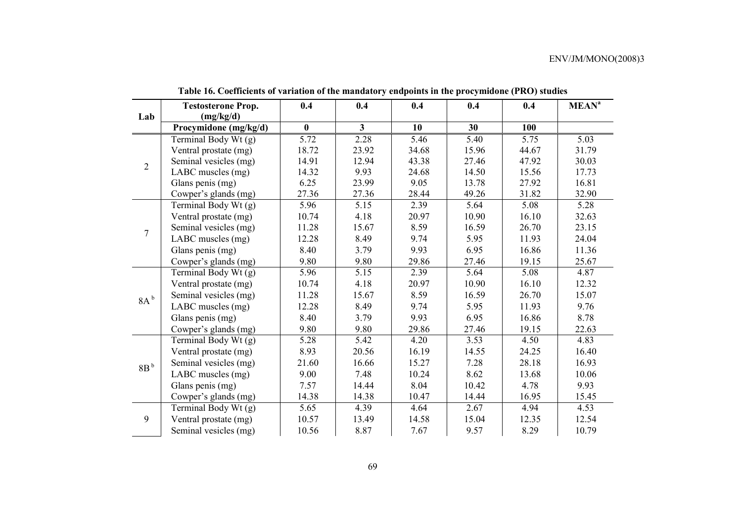|                  | <b>Testosterone Prop.</b> | 0.4      | 0.4          | 0.4   | 0.4   | 0.4   | <b>MEAN<sup>a</sup></b> |
|------------------|---------------------------|----------|--------------|-------|-------|-------|-------------------------|
| Lab              | (mg/kg/d)                 |          |              |       |       |       |                         |
|                  | Procymidone (mg/kg/d)     | $\bf{0}$ | $\mathbf{3}$ | 10    | 30    | 100   |                         |
|                  | Terminal Body Wt (g)      | 5.72     | 2.28         | 5.46  | 5.40  | 5.75  | 5.03                    |
| $\overline{2}$   | Ventral prostate (mg)     | 18.72    | 23.92        | 34.68 | 15.96 | 44.67 | 31.79                   |
|                  | Seminal vesicles (mg)     | 14.91    | 12.94        | 43.38 | 27.46 | 47.92 | 30.03                   |
|                  | LABC muscles (mg)         | 14.32    | 9.93         | 24.68 | 14.50 | 15.56 | 17.73                   |
|                  | Glans penis (mg)          | 6.25     | 23.99        | 9.05  | 13.78 | 27.92 | 16.81                   |
|                  | Cowper's glands (mg)      | 27.36    | 27.36        | 28.44 | 49.26 | 31.82 | 32.90                   |
|                  | Terminal Body Wt (g)      | 5.96     | 5.15         | 2.39  | 5.64  | 5.08  | 5.28                    |
|                  | Ventral prostate (mg)     | 10.74    | 4.18         | 20.97 | 10.90 | 16.10 | 32.63                   |
| $\boldsymbol{7}$ | Seminal vesicles (mg)     | 11.28    | 15.67        | 8.59  | 16.59 | 26.70 | 23.15                   |
|                  | LABC muscles (mg)         | 12.28    | 8.49         | 9.74  | 5.95  | 11.93 | 24.04                   |
|                  | Glans penis (mg)          | 8.40     | 3.79         | 9.93  | 6.95  | 16.86 | 11.36                   |
|                  | Cowper's glands (mg)      | 9.80     | 9.80         | 29.86 | 27.46 | 19.15 | 25.67                   |
|                  | Terminal Body Wt (g)      | 5.96     | 5.15         | 2.39  | 5.64  | 5.08  | 4.87                    |
|                  | Ventral prostate (mg)     | 10.74    | 4.18         | 20.97 | 10.90 | 16.10 | 12.32                   |
| 8A <sup>b</sup>  | Seminal vesicles (mg)     | 11.28    | 15.67        | 8.59  | 16.59 | 26.70 | 15.07                   |
|                  | LABC muscles (mg)         | 12.28    | 8.49         | 9.74  | 5.95  | 11.93 | 9.76                    |
|                  | Glans penis (mg)          | 8.40     | 3.79         | 9.93  | 6.95  | 16.86 | 8.78                    |
|                  | Cowper's glands (mg)      | 9.80     | 9.80         | 29.86 | 27.46 | 19.15 | 22.63                   |
|                  | Terminal Body Wt (g)      | 5.28     | 5.42         | 4.20  | 3.53  | 4.50  | 4.83                    |
|                  | Ventral prostate (mg)     | 8.93     | 20.56        | 16.19 | 14.55 | 24.25 | 16.40                   |
| 8B <sup>b</sup>  | Seminal vesicles (mg)     | 21.60    | 16.66        | 15.27 | 7.28  | 28.18 | 16.93                   |
|                  | LABC muscles (mg)         | 9.00     | 7.48         | 10.24 | 8.62  | 13.68 | 10.06                   |
|                  | Glans penis (mg)          | 7.57     | 14.44        | 8.04  | 10.42 | 4.78  | 9.93                    |
|                  | Cowper's glands (mg)      | 14.38    | 14.38        | 10.47 | 14.44 | 16.95 | 15.45                   |
|                  | Terminal Body Wt (g)      | 5.65     | 4.39         | 4.64  | 2.67  | 4.94  | 4.53                    |
| 9                | Ventral prostate (mg)     | 10.57    | 13.49        | 14.58 | 15.04 | 12.35 | 12.54                   |
|                  | Seminal vesicles (mg)     | 10.56    | 8.87         | 7.67  | 9.57  | 8.29  | 10.79                   |

**Table 16. Coefficients of variation of the mandatory endpoints in the procymidone (PRO) studies**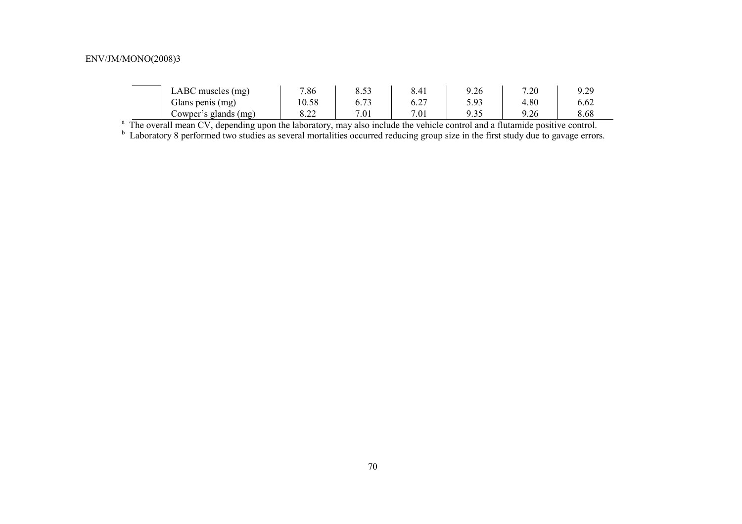| LABC muscles (mg)          | 7.86       | 50 <sup>2</sup><br>در.ه | 8.41 | 9.26 | 7.20 | 9.29 |
|----------------------------|------------|-------------------------|------|------|------|------|
| Glans penis (mg)           | 10.58      | $\sim$ 70.<br>0.73      | 6.2  | 5.93 | 4.80 | 6.62 |
| Cowper's<br>'s glands (mg) | റാ<br>0.ZZ | 7.01                    | 7.01 | 9.35 | 9.26 | 8.68 |

<sup>a</sup> The overall mean CV, depending upon the laboratory, may also include the vehicle control and a flutamide positive control.

<sup>b</sup> Laboratory 8 performed two studies as several mortalities occurred reducing group size in the first study due to gavage errors.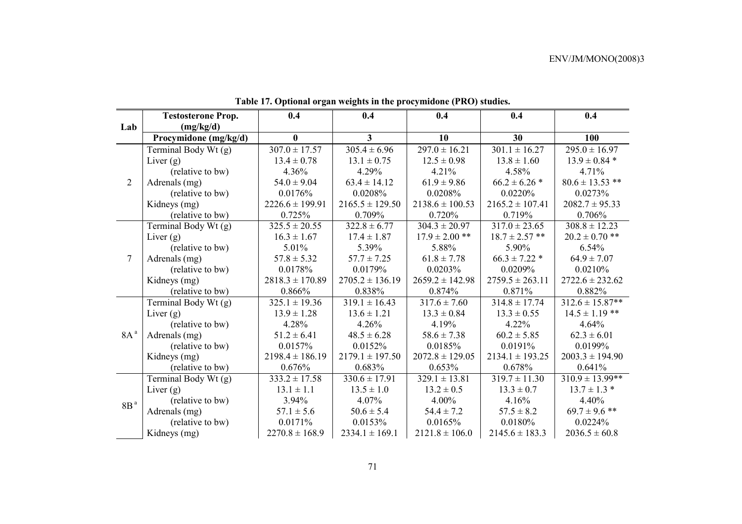|                 | <b>Testosterone Prop.</b> | 0.4                 | 0.4                 | 0.4                 | 0.4                 | 0.4                  |
|-----------------|---------------------------|---------------------|---------------------|---------------------|---------------------|----------------------|
| Lab             | (mg/kg/d)                 |                     |                     |                     |                     |                      |
|                 | Procymidone (mg/kg/d)     | $\bf{0}$            | 3 <sup>1</sup>      | 10                  | 30                  | 100                  |
|                 | Terminal Body Wt (g)      | $307.0 \pm 17.57$   | $305.4 \pm 6.96$    | $297.0 \pm 16.21$   | $301.1 \pm 16.27$   | $295.0 \pm 16.97$    |
|                 | Liver $(g)$               | $13.4 \pm 0.78$     | $13.1 \pm 0.75$     | $12.5 \pm 0.98$     | $13.8 \pm 1.60$     | $13.9 \pm 0.84$ *    |
|                 | (relative to bw)          | 4.36%               | 4.29%               | 4.21%               | 4.58%               | 4.71%                |
| $\overline{2}$  | Adrenals (mg)             | $54.0 \pm 9.04$     | $63.4 \pm 14.12$    | $61.9 \pm 9.86$     | $66.2 \pm 6.26$ *   | $80.6 \pm 13.53$ **  |
|                 | (relative to bw)          | 0.0176%             | 0.0208%             | 0.0208%             | 0.0220%             | 0.0273%              |
|                 | Kidneys (mg)              | $2226.6 \pm 199.91$ | $2165.5 \pm 129.50$ | $2138.6 \pm 100.53$ | $2165.2 \pm 107.41$ | $2082.7 \pm 95.33$   |
|                 | (relative to bw)          | 0.725%              | 0.709%              | 0.720%              | 0.719%              | 0.706%               |
|                 | Terminal Body Wt (g)      | $325.5 \pm 20.55$   | $322.8 \pm 6.77$    | $304.3 \pm 20.97$   | $317.0 \pm 23.65$   | $308.8 \pm 12.23$    |
|                 | Liver $(g)$               | $16.3 \pm 1.67$     | $17.4 \pm 1.87$     | $17.9 \pm 2.00$ **  | $18.7 \pm 2.57$ **  | $20.2 \pm 0.70$ **   |
| $\overline{7}$  | (relative to bw)          | 5.01%               | 5.39%               | 5.88%               | 5.90%               | 6.54%                |
|                 | Adrenals (mg)             | $57.8 \pm 5.32$     | $57.7 \pm 7.25$     | $61.8 \pm 7.78$     | $66.3 \pm 7.22$ *   | $64.9 \pm 7.07$      |
|                 | (relative to bw)          | 0.0178%             | 0.0179%             | 0.0203%             | 0.0209%             | 0.0210%              |
|                 | Kidneys (mg)              | $2818.3 \pm 170.89$ | $2705.2 \pm 136.19$ | $2659.2 \pm 142.98$ | $2759.5 \pm 263.11$ | $2722.6 \pm 232.62$  |
|                 | (relative to bw)          | 0.866%              | 0.838%              | 0.874%              | 0.871%              | 0.882%               |
|                 | Terminal Body Wt (g)      | $325.1 \pm 19.36$   | $319.1 \pm 16.43$   | $317.6 \pm 7.60$    | $314.8 \pm 17.74$   | $312.6 \pm 15.87**$  |
|                 | Liver $(g)$               | $13.9 \pm 1.28$     | $13.6 \pm 1.21$     | $13.3 \pm 0.84$     | $13.3 \pm 0.55$     | $14.5 \pm 1.19$ **   |
|                 | (relative to bw)          | 4.28%               | 4.26%               | 4.19%               | $4.22\%$            | 4.64%                |
| 8A <sup>a</sup> | Adrenals (mg)             | $51.2 \pm 6.41$     | $48.5 \pm 6.28$     | $58.6 \pm 7.38$     | $60.2 \pm 5.85$     | $62.3 \pm 6.01$      |
|                 | (relative to bw)          | 0.0157%             | 0.0152%             | 0.0185%             | 0.0191%             | 0.0199%              |
|                 | Kidneys (mg)              | $2198.4 \pm 186.19$ | $2179.1 \pm 197.50$ | $2072.8 \pm 129.05$ | $2134.1 \pm 193.25$ | $2003.3 \pm 194.90$  |
|                 | (relative to bw)          | 0.676%              | 0.683%              | 0.653%              | 0.678%              | 0.641%               |
|                 | Terminal Body Wt (g)      | $333.2 \pm 17.58$   | $330.6 \pm 17.91$   | $329.1 \pm 13.81$   | $319.7 \pm 11.30$   | $310.9 \pm 13.99$ ** |
|                 | Liver $(g)$               | $13.1 \pm 1.1$      | $13.5 \pm 1.0$      | $13.2 \pm 0.5$      | $13.3 \pm 0.7$      | $13.7 \pm 1.3$ *     |
| $8Ba$           | (relative to bw)          | 3.94%               | 4.07%               | 4.00%               | 4.16%               | 4.40%                |
|                 | Adrenals (mg)             | $57.1 \pm 5.6$      | $50.6 \pm 5.4$      | $54.4 \pm 7.2$      | $57.5 \pm 8.2$      | $69.7 \pm 9.6$ **    |
|                 | (relative to bw)          | 0.0171%             | 0.0153%             | 0.0165%             | 0.0180%             | 0.0224%              |
|                 | Kidneys (mg)              | $2270.8 \pm 168.9$  | $2334.1 \pm 169.1$  | $2121.8 \pm 106.0$  | $2145.6 \pm 183.3$  | $2036.5 \pm 60.8$    |

**Table 17. Optional organ weights in the procymidone (PRO) studies.**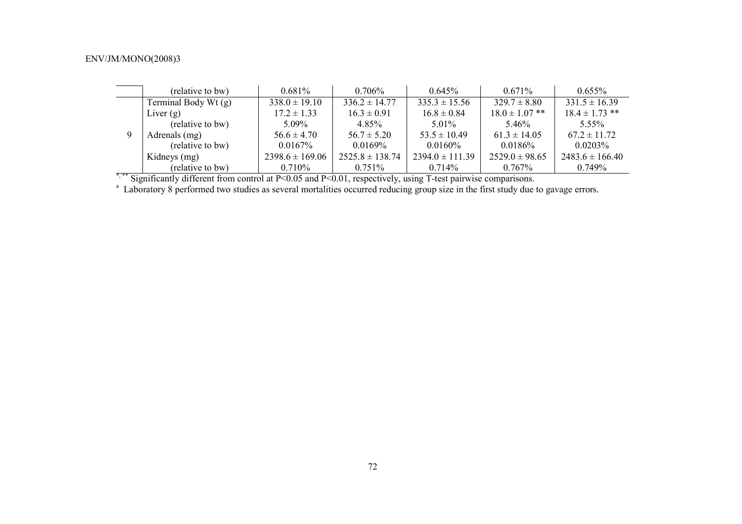|          | (relative to bw)     | 0.681%              | $0.706\%$           | $0.645\%$           | $0.671\%$          | $0.655\%$           |
|----------|----------------------|---------------------|---------------------|---------------------|--------------------|---------------------|
| $\Omega$ | Terminal Body Wt (g) | $338.0 \pm 19.10$   | $336.2 \pm 14.77$   | $335.3 \pm 15.56$   | $329.7 \pm 8.80$   | $331.5 \pm 16.39$   |
|          | Liver $(g)$          | $17.2 \pm 1.33$     | $16.3 \pm 0.91$     | $16.8 \pm 0.84$     | $18.0 \pm 1.07$ ** | $18.4 \pm 1.73$ **  |
|          | (relative to bw)     | $5.09\%$            | 4 8 5 %             | $5.01\%$            | 5.46%              | 5.55%               |
|          | Adrenals (mg)        | $56.6 \pm 4.70$     | $56.7 \pm 5.20$     | $53.5 \pm 10.49$    | $61.3 \pm 14.05$   | $67.2 \pm 11.72$    |
|          | (relative to bw)     | $0.0167\%$          | $0.0169\%$          | $0.0160\%$          | 0.0186%            | $0.0203\%$          |
|          | Kidneys (mg)         | $2398.6 \pm 169.06$ | $2525.8 \pm 138.74$ | $2394.0 \pm 111.39$ | $2529.0 \pm 98.65$ | $2483.6 \pm 166.40$ |
|          | (relative to bw)     | $0.710\%$           | $0.751\%$           | $0.714\%$           | $0.767\%$          | 0.749%              |

\*,\*\* Significantly different from control at P<0.05 and P<0.01, respectively, using T-test pairwise comparisons.

<sup>a</sup> Laboratory 8 performed two studies as several mortalities occurred reducing group size in the first study due to gavage errors.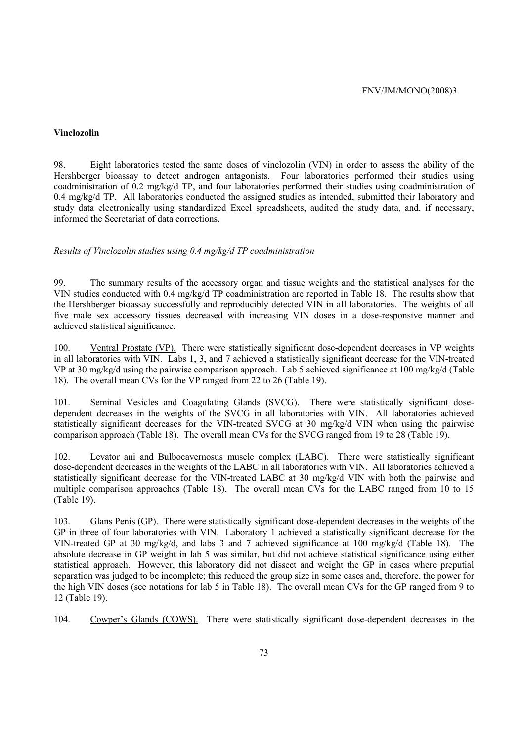### **Vinclozolin**

98. Eight laboratories tested the same doses of vinclozolin (VIN) in order to assess the ability of the Hershberger bioassay to detect androgen antagonists. Four laboratories performed their studies using coadministration of 0.2 mg/kg/d TP, and four laboratories performed their studies using coadministration of 0.4 mg/kg/d TP. All laboratories conducted the assigned studies as intended, submitted their laboratory and study data electronically using standardized Excel spreadsheets, audited the study data, and, if necessary, informed the Secretariat of data corrections.

### *Results of Vinclozolin studies using 0.4 mg/kg/d TP coadministration*

99. The summary results of the accessory organ and tissue weights and the statistical analyses for the VIN studies conducted with 0.4 mg/kg/d TP coadministration are reported in Table 18. The results show that the Hershberger bioassay successfully and reproducibly detected VIN in all laboratories. The weights of all five male sex accessory tissues decreased with increasing VIN doses in a dose-responsive manner and achieved statistical significance.

100. Ventral Prostate (VP). There were statistically significant dose-dependent decreases in VP weights in all laboratories with VIN. Labs 1, 3, and 7 achieved a statistically significant decrease for the VIN-treated VP at 30 mg/kg/d using the pairwise comparison approach. Lab 5 achieved significance at 100 mg/kg/d (Table 18). The overall mean CVs for the VP ranged from 22 to 26 (Table 19).

101. Seminal Vesicles and Coagulating Glands (SVCG). There were statistically significant dosedependent decreases in the weights of the SVCG in all laboratories with VIN. All laboratories achieved statistically significant decreases for the VIN-treated SVCG at 30 mg/kg/d VIN when using the pairwise comparison approach (Table 18). The overall mean CVs for the SVCG ranged from 19 to 28 (Table 19).

102. Levator ani and Bulbocavernosus muscle complex (LABC). There were statistically significant dose-dependent decreases in the weights of the LABC in all laboratories with VIN. All laboratories achieved a statistically significant decrease for the VIN-treated LABC at 30 mg/kg/d VIN with both the pairwise and multiple comparison approaches (Table 18). The overall mean CVs for the LABC ranged from 10 to 15 (Table 19).

103. Glans Penis (GP). There were statistically significant dose-dependent decreases in the weights of the GP in three of four laboratories with VIN. Laboratory 1 achieved a statistically significant decrease for the VIN-treated GP at 30 mg/kg/d, and labs 3 and 7 achieved significance at 100 mg/kg/d (Table 18). The absolute decrease in GP weight in lab 5 was similar, but did not achieve statistical significance using either statistical approach. However, this laboratory did not dissect and weight the GP in cases where preputial separation was judged to be incomplete; this reduced the group size in some cases and, therefore, the power for the high VIN doses (see notations for lab 5 in Table 18). The overall mean CVs for the GP ranged from 9 to 12 (Table 19).

104. Cowper's Glands (COWS). There were statistically significant dose-dependent decreases in the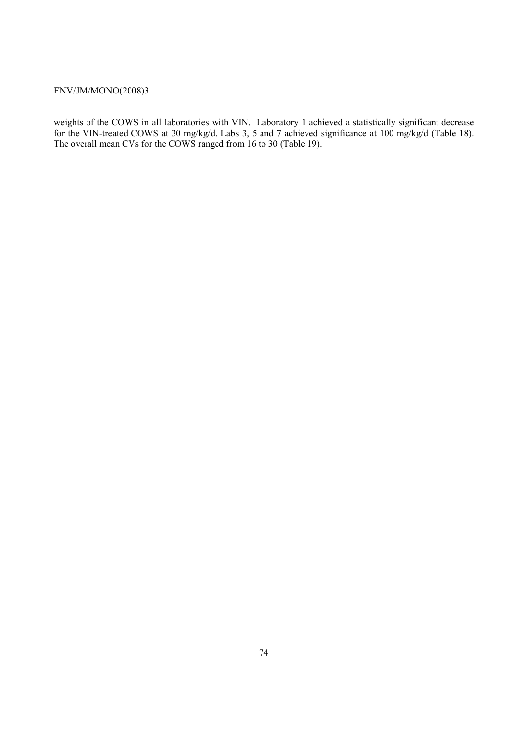weights of the COWS in all laboratories with VIN. Laboratory 1 achieved a statistically significant decrease for the VIN-treated COWS at 30 mg/kg/d. Labs 3, 5 and 7 achieved significance at 100 mg/kg/d (Table 18). The overall mean CVs for the COWS ranged from 16 to 30 (Table 19).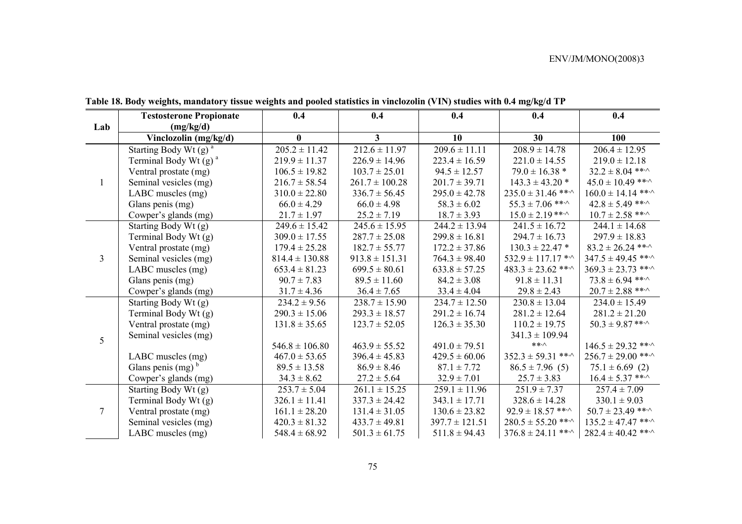|                | <b>Testosterone Propionate</b>      | 0.4                         | 0.4                | 0.4                | 0.4                               | 0.4                          |
|----------------|-------------------------------------|-----------------------------|--------------------|--------------------|-----------------------------------|------------------------------|
| Lab            | (mg/kg/d)                           |                             |                    |                    |                                   |                              |
|                | Vinclozolin (mg/kg/d)               | $\mathbf{0}$                | 3 <sup>1</sup>     | 10                 | 30                                | 100                          |
|                | Starting Body Wt $(g)$ <sup>a</sup> | $205.2 \pm 11.42$           | $212.6 \pm 11.97$  | $209.6 \pm 11.11$  | $208.9 \pm 14.78$                 | $206.4 \pm 12.95$            |
|                | Terminal Body Wt $(g)$ <sup>a</sup> | $219.9 \pm 11.37$           | $226.9 \pm 14.96$  | $223.4 \pm 16.59$  | $221.0 \pm 14.55$                 | $219.0 \pm 12.18$            |
|                | Ventral prostate (mg)               | $106.5 \pm 19.82$           | $103.7 \pm 25.01$  | $94.5 \pm 12.57$   | $79.0 \pm 16.38$ *                | $32.2 \pm 8.04$ ***          |
|                | Seminal vesicles (mg)               | $216.7 \pm 58.54$           | $261.7 \pm 100.28$ | $201.7 \pm 39.71$  | $143.3 \pm 43.20$ *               | $45.0 \pm 10.49$ ***         |
|                | LABC muscles (mg)                   | $310.0 \pm 22.80$           | $336.7 \pm 56.45$  | $295.0 \pm 42.78$  | $235.0 \pm 31.46$ ** $\cdot$      | $160.0 \pm 14.14$ ***        |
|                | Glans penis (mg)                    | $66.0 \pm 4.29$             | $66.0 \pm 4.98$    | $58.3 \pm 6.02$    | $55.3 \pm 7.06$ ***               | $42.8 \pm 5.49$ ** $\cdot$   |
|                | Cowper's glands (mg)                | $21.7 \pm 1.97$             | $25.2 \pm 7.19$    | $18.7 \pm 3.93$    | $15.0 \pm 2.19$ ** $\cdot$        | $10.7 \pm 2.58$ ** $\cdot$   |
|                | Starting Body Wt (g)                | $249.6 \pm 15.42$           | $245.6 \pm 15.95$  | $244.2 \pm 13.94$  | $241.5 \pm 16.72$                 | $244.1 \pm 14.68$            |
|                | Terminal Body Wt (g)                | $309.0 \pm 17.55$           | $287.7 \pm 25.08$  | $299.8 \pm 16.81$  | $294.7 \pm 16.73$                 | $297.9 \pm 18.83$            |
|                | Ventral prostate (mg)               | $179.4 \pm 25.28$           | $182.7 \pm 55.77$  | $172.2 \pm 37.86$  | $130.3 \pm 22.47$ *               | $83.2 \pm 26.24$ ***         |
| $\overline{3}$ | Seminal vesicles (mg)               | $814.4 \pm 130.88$          | $913.8 \pm 151.31$ | $764.3 \pm 98.40$  | $532.9 \pm 117.17$ * <sup>^</sup> | $347.5 \pm 49.45$ ** $\cdot$ |
|                | LABC muscles (mg)                   | $653.4 \pm 81.23$           | $699.5 \pm 80.61$  | $633.8 \pm 57.25$  | $483.3 \pm 23.62$ ** $\cdot$      | $369.3 \pm 23.73$ ** $\cdot$ |
|                | Glans penis (mg)                    | $90.7 \pm 7.83$             | $89.5 \pm 11.60$   | $84.2 \pm 3.08$    | $91.8 \pm 11.31$                  | $73.8 \pm 6.94$ ** $\cdot$   |
|                | Cowper's glands (mg)                | $31.7 \pm 4.36$             | $36.4 \pm 7.65$    | $33.4 \pm 4.04$    | $29.8 \pm 2.43$                   | $20.7 \pm 2.88$ ** $\cdot$   |
|                | Starting Body Wt (g)                | $\overline{234.2} \pm 9.56$ | $238.7 \pm 15.90$  | $234.7 \pm 12.50$  | $230.8 \pm 13.04$                 | $234.0 \pm 15.49$            |
|                | Terminal Body Wt (g)                | $290.3 \pm 15.06$           | $293.3 \pm 18.57$  | $291.2 \pm 16.74$  | $281.2 \pm 12.64$                 | $281.2 \pm 21.20$            |
|                | Ventral prostate (mg)               | $131.8 \pm 35.65$           | $123.7 \pm 52.05$  | $126.3 \pm 35.30$  | $110.2 \pm 19.75$                 | $50.3 \pm 9.87$ ** $\cdot$   |
| 5              | Seminal vesicles (mg)               |                             |                    |                    | $341.3 \pm 109.94$                |                              |
|                |                                     | $546.8 \pm 106.80$          | $463.9 \pm 55.52$  | $491.0 \pm 79.51$  | $***\wedge$                       | $146.5 \pm 29.32$ ***        |
|                | LABC muscles (mg)                   | $467.0 \pm 53.65$           | $396.4 \pm 45.83$  | $429.5 \pm 60.06$  | $352.3 \pm 59.31$ ** $\cdot$      | $256.7 \pm 29.00$ ** $\cdot$ |
|                | Glans penis $(mg)^b$                | $89.5 \pm 13.58$            | $86.9 \pm 8.46$    | $87.1 \pm 7.72$    | $86.5 \pm 7.96$ (5)               | $75.1 \pm 6.69$ (2)          |
|                | Cowper's glands (mg)                | $34.3 \pm 8.62$             | $27.2 \pm 5.64$    | $32.9 \pm 7.01$    | $25.7 \pm 3.83$                   | $16.4 \pm 5.37$ ** $\cdot$   |
|                | Starting Body Wt (g)                | $253.7 \pm 5.04$            | $261.1 \pm 15.25$  | $259.1 \pm 11.96$  | $251.9 \pm 7.37$                  | $257.4 \pm 7.09$             |
|                | Terminal Body Wt (g)                | $326.1 \pm 11.41$           | $337.3 \pm 24.42$  | $343.1 \pm 17.71$  | $328.6 \pm 14.28$                 | $330.1 \pm 9.03$             |
| 7              | Ventral prostate (mg)               | $161.1 \pm 28.20$           | $131.4 \pm 31.05$  | $130.6 \pm 23.82$  | $92.9 \pm 18.57$ ** $\cdot$       | $50.7 \pm 23.49$ ** $\cdot$  |
|                | Seminal vesicles (mg)               | $420.3 \pm 81.32$           | $433.7 \pm 49.81$  | $397.7 \pm 121.51$ | $280.5 \pm 55.20$ ***             | $135.2 \pm 47.47$ ***        |
|                | LABC muscles (mg)                   | $548.4 \pm 68.92$           | $501.3 \pm 61.75$  | $511.8 \pm 94.43$  | $376.8 \pm 24.11$ ***             | $282.4 \pm 40.42$ ** $\cdot$ |

**Table 18. Body weights, mandatory tissue weights and pooled statistics in vinclozolin (VIN) studies with 0.4 mg/kg/d TP**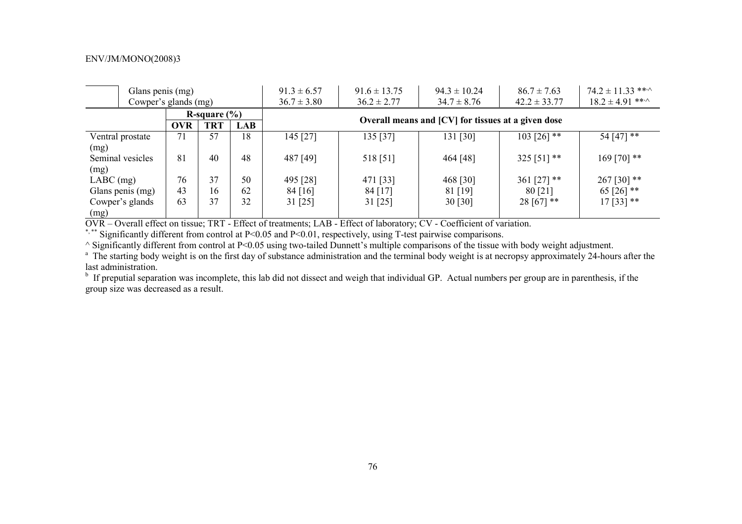|                                                            | Glans penis (mg)                    |                  |            | $91.3 \pm 6.57$ | $91.6 \pm 13.75$                                   | $94.3 \pm 10.24$ | $86.7 \pm 7.63$  | $74.2 \pm 11.33$ ** $\cdot$ |  |  |  |
|------------------------------------------------------------|-------------------------------------|------------------|------------|-----------------|----------------------------------------------------|------------------|------------------|-----------------------------|--|--|--|
|                                                            | Cowper's glands (mg)                |                  |            | $36.7 \pm 3.80$ | $36.2 \pm 2.77$                                    | $34.7 \pm 8.76$  | $42.2 \pm 33.77$ | $18.2 \pm 4.91$ ***         |  |  |  |
|                                                            |                                     | R-square $(\% )$ |            |                 |                                                    |                  |                  |                             |  |  |  |
|                                                            | <b>OVR</b>                          | <b>TRT</b>       | <b>LAB</b> |                 | Overall means and [CV] for tissues at a given dose |                  |                  |                             |  |  |  |
| 18<br>71<br>57<br>135 [37]<br>145 [27]<br>Ventral prostate |                                     |                  |            | 131 [30]        | $103$ [26] **                                      | 54 [47] **       |                  |                             |  |  |  |
| (mg)                                                       |                                     |                  |            |                 |                                                    |                  |                  |                             |  |  |  |
| Seminal vesicles                                           | 81                                  | 40               | 48         | 487 [49]        | 518 [51]                                           | 464 [48]         | 325 [51] **      | $169$ [70] **               |  |  |  |
| (mg)                                                       |                                     |                  |            |                 |                                                    |                  |                  |                             |  |  |  |
| $LABC$ (mg)                                                | 76                                  | 37               | 50         | 495 [28]        | 471 [33]                                           | 468 [30]         | 361 $[27]$ **    | 267 [30] **                 |  |  |  |
| Glans penis (mg)                                           | 43                                  | 16               | 62         | 84 [16]         | 84 [17]                                            | 81 [19]          | 80 [21]          | 65 [26] $**$                |  |  |  |
| Cowper's glands                                            | 37<br>32<br>63<br>31 [25]<br>31[25] |                  | 30 [30]    | 28 [67] **      | $17[33]$ **                                        |                  |                  |                             |  |  |  |
| (mg)                                                       |                                     |                  |            |                 |                                                    |                  |                  |                             |  |  |  |

OVR – Overall effect on tissue; TRT - Effect of treatments; LAB - Effect of laboratory; CV - Coefficient of variation.

\*,\*\* Significantly different from control at P<0.05 and P<0.01, respectively, using T-test pairwise comparisons.

^ Significantly different from control at P<0.05 using two-tailed Dunnett's multiple comparisons of the tissue with body weight adjustment.

<sup>a</sup> The starting body weight is on the first day of substance administration and the terminal body weight is at necropsy approximately 24-hours after the last administration.

<sup>b</sup> If preputial separation was incomplete, this lab did not dissect and weigh that individual GP. Actual numbers per group are in parenthesis, if the group size was decreased as a result.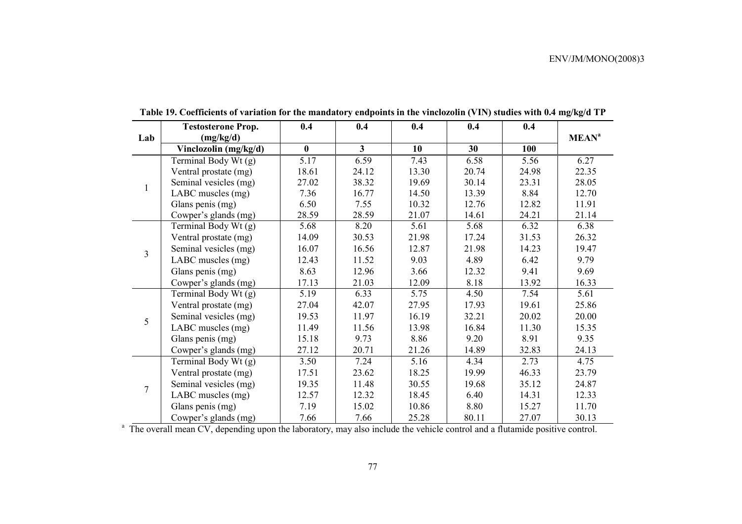|              | <b>Testosterone Prop.</b> | 0.4      | 0.4            | 0.4   | 0.4   | 0.4   |                         |
|--------------|---------------------------|----------|----------------|-------|-------|-------|-------------------------|
| Lab          | (mg/kg/d)                 |          |                |       |       |       | <b>MEAN<sup>a</sup></b> |
|              | Vinclozolin (mg/kg/d)     | $\bf{0}$ | 3 <sup>1</sup> | 10    | 30    | 100   |                         |
|              | Terminal Body Wt (g)      | 5.17     | 6.59           | 7.43  | 6.58  | 5.56  | 6.27                    |
|              | Ventral prostate (mg)     | 18.61    | 24.12          | 13.30 | 20.74 | 24.98 | 22.35                   |
| $\mathbf{1}$ | Seminal vesicles (mg)     | 27.02    | 38.32          | 19.69 | 30.14 | 23.31 | 28.05                   |
|              | LABC muscles (mg)         | 7.36     | 16.77          | 14.50 | 13.39 | 8.84  | 12.70                   |
|              | Glans penis (mg)          | 6.50     | 7.55           | 10.32 | 12.76 | 12.82 | 11.91                   |
|              | Cowper's glands (mg)      | 28.59    | 28.59          | 21.07 | 14.61 | 24.21 | 21.14                   |
|              | Terminal Body Wt (g)      | 5.68     | 8.20           | 5.61  | 5.68  | 6.32  | 6.38                    |
|              | Ventral prostate (mg)     | 14.09    | 30.53          | 21.98 | 17.24 | 31.53 | 26.32                   |
| 3            | Seminal vesicles (mg)     | 16.07    | 16.56          | 12.87 | 21.98 | 14.23 | 19.47                   |
|              | LABC muscles (mg)         | 12.43    | 11.52          | 9.03  | 4.89  | 6.42  | 9.79                    |
|              | Glans penis (mg)          | 8.63     | 12.96          | 3.66  | 12.32 | 9.41  | 9.69                    |
|              | Cowper's glands (mg)      | 17.13    | 21.03          | 12.09 | 8.18  | 13.92 | 16.33                   |
|              | Terminal Body Wt (g)      | 5.19     | 6.33           | 5.75  | 4.50  | 7.54  | 5.61                    |
|              | Ventral prostate (mg)     | 27.04    | 42.07          | 27.95 | 17.93 | 19.61 | 25.86                   |
| 5            | Seminal vesicles (mg)     | 19.53    | 11.97          | 16.19 | 32.21 | 20.02 | 20.00                   |
|              | LABC muscles (mg)         | 11.49    | 11.56          | 13.98 | 16.84 | 11.30 | 15.35                   |
|              | Glans penis (mg)          | 15.18    | 9.73           | 8.86  | 9.20  | 8.91  | 9.35                    |
|              | Cowper's glands (mg)      | 27.12    | 20.71          | 21.26 | 14.89 | 32.83 | 24.13                   |
|              | Terminal Body Wt (g)      | 3.50     | 7.24           | 5.16  | 4.34  | 2.73  | 4.75                    |
|              | Ventral prostate (mg)     | 17.51    | 23.62          | 18.25 | 19.99 | 46.33 | 23.79                   |
|              | Seminal vesicles (mg)     | 19.35    | 11.48          | 30.55 | 19.68 | 35.12 | 24.87                   |
| 7            | LABC muscles (mg)         | 12.57    | 12.32          | 18.45 | 6.40  | 14.31 | 12.33                   |
|              | Glans penis (mg)          | 7.19     | 15.02          | 10.86 | 8.80  | 15.27 | 11.70                   |
|              | Cowper's glands (mg)      | 7.66     | 7.66           | 25.28 | 80.11 | 27.07 | 30.13                   |

**Table 19. Coefficients of variation for the mandatory endpoints in the vinclozolin (VIN) studies with 0.4 mg/kg/d TP** 

<sup>a</sup> The overall mean CV, depending upon the laboratory, may also include the vehicle control and a flutamide positive control.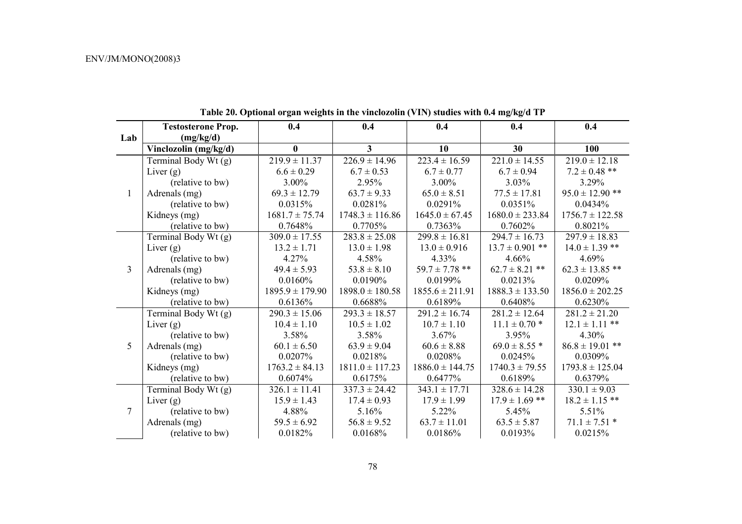|                | <b>Testosterone Prop.</b> | 0.4                 | 0.4                 | 0.4                 | 0.4                 | 0.4                 |
|----------------|---------------------------|---------------------|---------------------|---------------------|---------------------|---------------------|
| Lab            | (mg/kg/d)                 |                     |                     |                     |                     |                     |
|                | Vinclozolin (mg/kg/d)     | $\bf{0}$            | 3                   | 10                  | 30                  | 100                 |
|                | Terminal Body Wt (g)      | $219.9 \pm 11.37$   | $226.9 \pm 14.96$   | $223.4 \pm 16.59$   | $221.0 \pm 14.55$   | $219.0 \pm 12.18$   |
|                | Liver $(g)$               | $6.6 \pm 0.29$      | $6.7 \pm 0.53$      | $6.7 \pm 0.77$      | $6.7 \pm 0.94$      | $7.2 \pm 0.48$ **   |
|                | (relative to bw)          | 3.00%               | 2.95%               | 3.00%               | $3.03\%$            | 3.29%               |
| $\mathbf{1}$   | Adrenals (mg)             | $69.3 \pm 12.79$    | $63.7 \pm 9.33$     | $65.0 \pm 8.51$     | $77.5 \pm 17.81$    | $95.0 \pm 12.90$ ** |
|                | (relative to bw)          | 0.0315%             | 0.0281%             | 0.0291%             | 0.0351%             | 0.0434%             |
|                | Kidneys (mg)              | $1681.7 \pm 75.74$  | $1748.3 \pm 116.86$ | $1645.0 \pm 67.45$  | $1680.0 \pm 233.84$ | $1756.7 \pm 122.58$ |
|                | (relative to bw)          | 0.7648%             | 0.7705%             | 0.7363%             | 0.7602%             | 0.8021%             |
|                | Terminal Body Wt (g)      | $309.0 \pm 17.55$   | $283.8 \pm 25.08$   | $299.8 \pm 16.81$   | $294.7 \pm 16.73$   | $297.9 \pm 18.83$   |
|                | Liver $(g)$               | $13.2 \pm 1.71$     | $13.0 \pm 1.98$     | $13.0 \pm 0.916$    | $13.7 \pm 0.901$ ** | $14.0 \pm 1.39$ **  |
|                | (relative to bw)          | 4.27%               | 4.58%               | 4.33%               | 4.66%               | 4.69%               |
| $\overline{3}$ | Adrenals (mg)             | $49.4 \pm 5.93$     | $53.8 \pm 8.10$     | $59.7 \pm 7.78$ **  | $62.7 \pm 8.21$ **  | $62.3 \pm 13.85$ ** |
|                | (relative to bw)          | 0.0160%             | $0.0190\%$          | 0.0199%             | 0.0213%             | 0.0209%             |
|                | Kidneys (mg)              | $1895.9 \pm 179.90$ | $1898.0 \pm 180.58$ | $1855.6 \pm 211.91$ | $1888.3 \pm 133.50$ | $1856.0 \pm 202.25$ |
|                | (relative to bw)          | 0.6136%             | 0.6688%             | 0.6189%             | 0.6408%             | 0.6230%             |
|                | Terminal Body Wt (g)      | $290.3 \pm 15.06$   | $293.3 \pm 18.57$   | $291.2 \pm 16.74$   | $281.2 \pm 12.64$   | $281.2 \pm 21.20$   |
|                | Liver $(g)$               | $10.4 \pm 1.10$     | $10.5 \pm 1.02$     | $10.7 \pm 1.10$     | $11.1 \pm 0.70$ *   | $12.1 \pm 1.11$ **  |
|                | (relative to bw)          | 3.58%               | 3.58%               | 3.67%               | 3.95%               | 4.30%               |
| 5              | Adrenals (mg)             | $60.1 \pm 6.50$     | $63.9 \pm 9.04$     | $60.6 \pm 8.88$     | $69.0 \pm 8.55$ *   | $86.8 \pm 19.01$ ** |
|                | (relative to bw)          | 0.0207%             | 0.0218%             | 0.0208%             | 0.0245%             | 0.0309%             |
|                | Kidneys (mg)              | $1763.2 \pm 84.13$  | $1811.0 \pm 117.23$ | $1886.0 \pm 144.75$ | $1740.3 \pm 79.55$  | $1793.8 \pm 125.04$ |
|                | (relative to bw)          | 0.6074%             | 0.6175%             | 0.6477%             | 0.6189%             | 0.6379%             |
|                | Terminal Body Wt (g)      | $326.1 \pm 11.41$   | $337.3 \pm 24.42$   | $343.1 \pm 17.71$   | $328.6 \pm 14.28$   | $330.1 \pm 9.03$    |
|                | Liver $(g)$               | $15.9 \pm 1.43$     | $17.4 \pm 0.93$     | $17.9 \pm 1.99$     | $17.9 \pm 1.69$ **  | $18.2 \pm 1.15$ **  |
| $\overline{7}$ | (relative to bw)          | 4.88%               | 5.16%               | 5.22%               | 5.45%               | 5.51%               |
|                | Adrenals (mg)             | $59.5 \pm 6.92$     | $56.8 \pm 9.52$     | $63.7 \pm 11.01$    | $63.5 \pm 5.87$     | $71.1 \pm 7.51$ *   |
|                | (relative to bw)          | 0.0182%             | 0.0168%             | 0.0186%             | 0.0193%             | 0.0215%             |

**Table 20. Optional organ weights in the vinclozolin (VIN) studies with 0.4 mg/kg/d TP**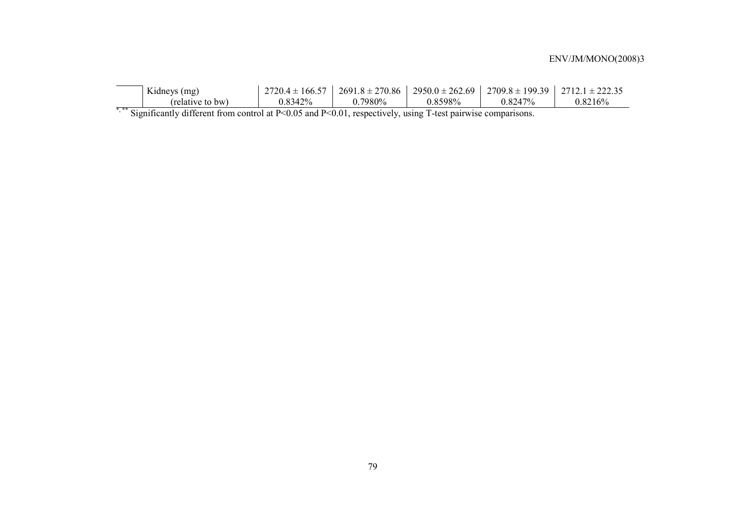| Kidneys (mg)     | $27204 \pm 1$<br>$166.57$ | $2691.8 \pm 270.86$       |         | $2950.0 \pm 262.69$   2709.8 $\pm$ 199.39   2712.1 $\pm$ 222.35 |         |
|------------------|---------------------------|---------------------------|---------|-----------------------------------------------------------------|---------|
| (relative to bw) | 0.8342%                   | $\degree$ 7980% $\degree$ | 0.8598% | 0.8247%                                                         | 0.8216% |

\*,\*\* Significantly different from control at P<0.05 and P<0.01, respectively, using T-test pairwise comparisons.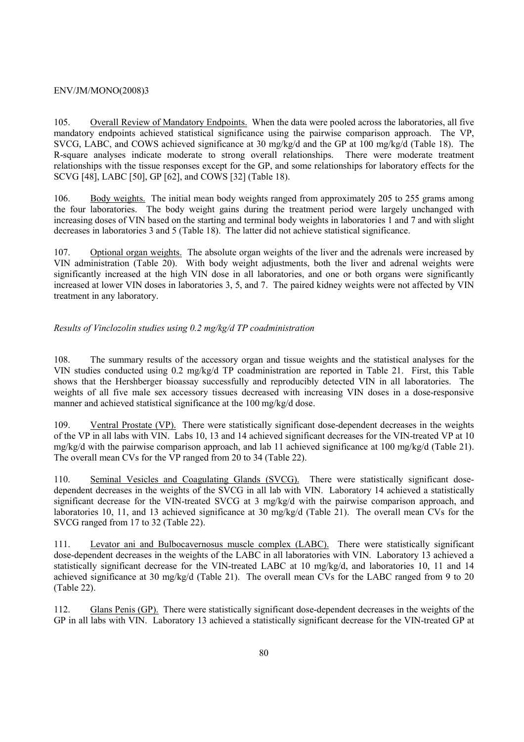105. Overall Review of Mandatory Endpoints. When the data were pooled across the laboratories, all five mandatory endpoints achieved statistical significance using the pairwise comparison approach. The VP, SVCG, LABC, and COWS achieved significance at 30 mg/kg/d and the GP at 100 mg/kg/d (Table 18). The R-square analyses indicate moderate to strong overall relationships. There were moderate treatment relationships with the tissue responses except for the GP, and some relationships for laboratory effects for the SCVG [48], LABC [50], GP [62], and COWS [32] (Table 18).

106. Body weights. The initial mean body weights ranged from approximately 205 to 255 grams among the four laboratories. The body weight gains during the treatment period were largely unchanged with increasing doses of VIN based on the starting and terminal body weights in laboratories 1 and 7 and with slight decreases in laboratories 3 and 5 (Table 18). The latter did not achieve statistical significance.

107. Optional organ weights. The absolute organ weights of the liver and the adrenals were increased by VIN administration (Table 20). With body weight adjustments, both the liver and adrenal weights were significantly increased at the high VIN dose in all laboratories, and one or both organs were significantly increased at lower VIN doses in laboratories 3, 5, and 7. The paired kidney weights were not affected by VIN treatment in any laboratory.

## *Results of Vinclozolin studies using 0.2 mg/kg/d TP coadministration*

108. The summary results of the accessory organ and tissue weights and the statistical analyses for the VIN studies conducted using 0.2 mg/kg/d TP coadministration are reported in Table 21. First, this Table shows that the Hershberger bioassay successfully and reproducibly detected VIN in all laboratories. The weights of all five male sex accessory tissues decreased with increasing VIN doses in a dose-responsive manner and achieved statistical significance at the 100 mg/kg/d dose.

109. Ventral Prostate (VP). There were statistically significant dose-dependent decreases in the weights of the VP in all labs with VIN. Labs 10, 13 and 14 achieved significant decreases for the VIN-treated VP at 10 mg/kg/d with the pairwise comparison approach, and lab 11 achieved significance at 100 mg/kg/d (Table 21). The overall mean CVs for the VP ranged from 20 to 34 (Table 22).

110. Seminal Vesicles and Coagulating Glands (SVCG). There were statistically significant dosedependent decreases in the weights of the SVCG in all lab with VIN. Laboratory 14 achieved a statistically significant decrease for the VIN-treated SVCG at 3 mg/kg/d with the pairwise comparison approach, and laboratories 10, 11, and 13 achieved significance at 30 mg/kg/d (Table 21). The overall mean CVs for the SVCG ranged from 17 to 32 (Table 22).

111. Levator ani and Bulbocavernosus muscle complex (LABC). There were statistically significant dose-dependent decreases in the weights of the LABC in all laboratories with VIN. Laboratory 13 achieved a statistically significant decrease for the VIN-treated LABC at 10 mg/kg/d, and laboratories 10, 11 and 14 achieved significance at 30 mg/kg/d (Table 21). The overall mean CVs for the LABC ranged from 9 to 20 (Table 22).

112. Glans Penis (GP). There were statistically significant dose-dependent decreases in the weights of the GP in all labs with VIN. Laboratory 13 achieved a statistically significant decrease for the VIN-treated GP at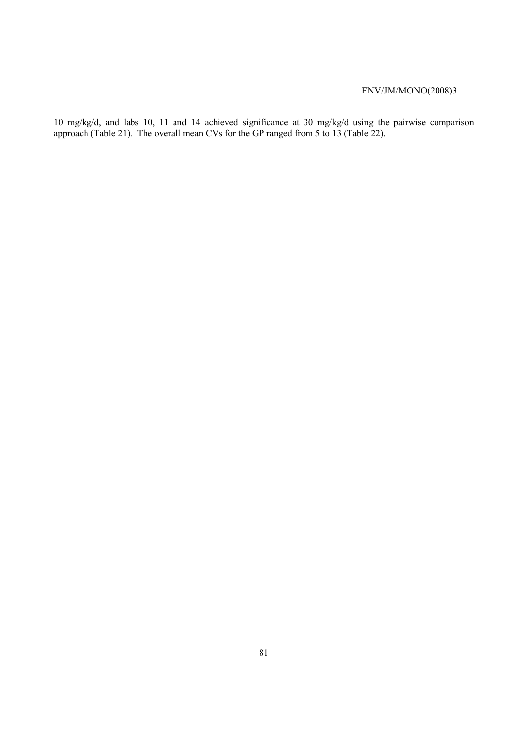10 mg/kg/d, and labs 10, 11 and 14 achieved significance at 30 mg/kg/d using the pairwise comparison approach (Table 21). The overall mean CVs for the GP ranged from 5 to 13 (Table 22).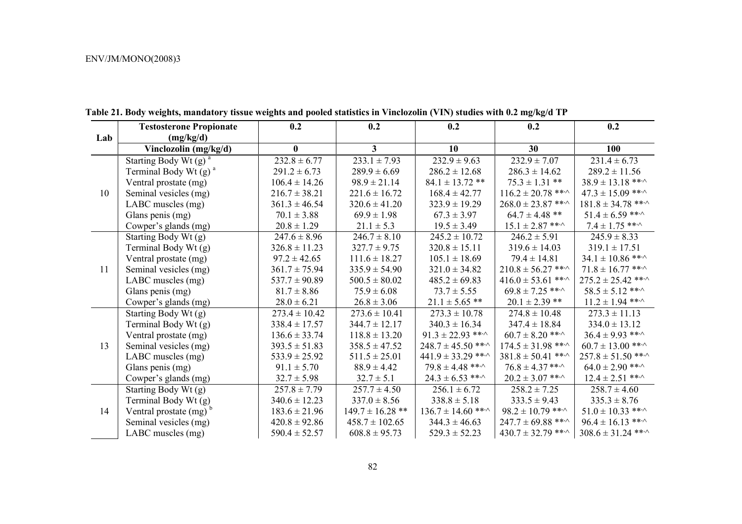|     | <b>Testosterone Propionate</b>      | 0.2               | 0.2                     | 0.2                          | 0.2                          | 0.2                          |
|-----|-------------------------------------|-------------------|-------------------------|------------------------------|------------------------------|------------------------------|
| Lab | (mg/kg/d)                           |                   |                         |                              |                              |                              |
|     | Vinclozolin (mg/kg/d)               | $\bf{0}$          | $\overline{\mathbf{3}}$ | 10                           | 30                           | 100                          |
|     | Starting Body Wt (g) <sup>a</sup>   | $232.8 \pm 6.77$  | $233.1 \pm 7.93$        | $232.9 \pm 9.63$             | $232.9 \pm 7.07$             | $231.4 \pm 6.73$             |
|     | Terminal Body Wt $(g)$ <sup>a</sup> | $291.2 \pm 6.73$  | $289.9 \pm 6.69$        | $286.2 \pm 12.68$            | $286.3 \pm 14.62$            | $289.2 \pm 11.56$            |
|     | Ventral prostate (mg)               | $106.4 \pm 14.26$ | $98.9 \pm 21.14$        | $84.1 \pm 13.72$ **          | $75.3 \pm 1.31$ **           | $38.9 \pm 13.18$ ** $\cdot$  |
| 10  | Seminal vesicles (mg)               | $216.7 \pm 38.21$ | $221.6 \pm 16.72$       | $168.4 \pm 42.77$            | $116.2 \pm 20.78$ ** $\cdot$ | $47.3 \pm 15.09$ ***         |
|     | LABC muscles (mg)                   | $361.3 \pm 46.54$ | $320.6 \pm 41.20$       | $323.9 \pm 19.29$            | $268.0 \pm 23.87$ ** $\cdot$ | $181.8 \pm 34.78$ ** $\cdot$ |
|     | Glans penis (mg)                    | $70.1 \pm 3.88$   | $69.9 \pm 1.98$         | $67.3 \pm 3.97$              | $64.7 \pm 4.48$ **           | $51.4 \pm 6.59$ ***          |
|     | Cowper's glands (mg)                | $20.8 \pm 1.29$   | $21.1 \pm 5.3$          | $19.5 \pm 3.49$              | $15.1 \pm 2.87$ ***          | $7.4 \pm 1.75$ ** $\cdot$    |
|     | Starting Body Wt (g)                | $247.6 \pm 8.96$  | $246.7 \pm 8.10$        | $245.2 \pm 10.72$            | $246.2 \pm 5.91$             | $245.9 \pm 8.33$             |
|     | Terminal Body Wt (g)                | $326.8 \pm 11.23$ | $327.7 \pm 9.75$        | $320.8 \pm 15.11$            | $319.6 \pm 14.03$            | $319.1 \pm 17.51$            |
|     | Ventral prostate (mg)               | $97.2 \pm 42.65$  | $111.6 \pm 18.27$       | $105.1 \pm 18.69$            | $79.4 \pm 14.81$             | $34.1 \pm 10.86$ ***         |
| 11  | Seminal vesicles (mg)               | $361.7 \pm 75.94$ | $335.9 \pm 54.90$       | $321.0 \pm 34.82$            | $210.8 \pm 56.27$ ** $\cdot$ | $71.8 \pm 16.77$ ***         |
|     | LABC muscles (mg)                   | $537.7 \pm 90.89$ | $500.5 \pm 80.02$       | $485.2 \pm 69.83$            | $416.0 \pm 53.61$ ***        | $275.2 \pm 25.42$ ** $\cdot$ |
|     | Glans penis (mg)                    | $81.7 \pm 8.86$   | $75.9 \pm 6.08$         | $73.7 \pm 5.55$              | $69.8 \pm 7.25$ ** $\cdot$   | $58.5 \pm 5.12$ ** $\cdot$   |
|     | Cowper's glands (mg)                | $28.0 \pm 6.21$   | $26.8 \pm 3.06$         | $21.1 \pm 5.65$ **           | $20.1 \pm 2.39$ **           | $11.2 \pm 1.94$ ***          |
|     | Starting Body Wt (g)                | $273.4 \pm 10.42$ | $273.6 \pm 10.41$       | $273.3 \pm 10.78$            | $274.8 \pm 10.48$            | $273.3 \pm 11.13$            |
|     | Terminal Body Wt (g)                | $338.4 \pm 17.57$ | $344.7 \pm 12.17$       | $340.3 \pm 16.34$            | $347.4 \pm 18.84$            | $334.0 \pm 13.12$            |
|     | Ventral prostate (mg)               | $136.6 \pm 33.74$ | $118.8 \pm 13.20$       | $91.3 \pm 22.93$ ***         | $60.7 \pm 8.20$ ***          | $36.4 \pm 9.93$ ***          |
| 13  | Seminal vesicles (mg)               | $393.5 \pm 51.83$ | $358.5 \pm 47.52$       | $248.7 \pm 45.50$ ** $\sim$  | $174.5 \pm 31.98$ ***        | $60.7 \pm 13.00$ ***         |
|     | LABC muscles (mg)                   | $533.9 \pm 25.92$ | $511.5 \pm 25.01$       | $441.9 \pm 33.29$ ***        | $381.8 \pm 50.41$ ** $\cdot$ | $257.8 \pm 51.50$ ** $\cdot$ |
|     | Glans penis (mg)                    | $91.1 \pm 5.70$   | $88.9 \pm 4.42$         | $79.8 \pm 4.48$ ** $\cdot$   | $76.8 \pm 4.37$ ** $\cdot$   | $64.0 \pm 2.90$ ***          |
|     | Cowper's glands (mg)                | $32.7 \pm 5.98$   | $32.7 \pm 5.1$          | $24.3 \pm 6.53$ ***          | $20.2 \pm 3.07$ ** $\cdot$   | $12.4 \pm 2.51$ ***          |
|     | Starting Body Wt (g)                | $257.8 \pm 7.79$  | $257.7 \pm 4.50$        | $256.1 \pm 6.72$             | $258.2 \pm 7.25$             | $258.7 \pm 4.60$             |
|     | Terminal Body Wt (g)                | $340.6 \pm 12.23$ | $337.0 \pm 8.56$        | $338.8 \pm 5.18$             | $333.5 \pm 9.43$             | $335.3 \pm 8.76$             |
| 14  | Ventral prostate $(mg)^b$           | $183.6 \pm 21.96$ | $149.7 \pm 16.28$ **    | $136.7 \pm 14.60$ ** $\cdot$ | $98.2 \pm 10.79$ ***         | $51.0 \pm 10.33$ ***         |
|     | Seminal vesicles (mg)               | $420.8 \pm 92.86$ | $458.7 \pm 102.65$      | $344.3 \pm 46.63$            | $247.7 \pm 69.88$ ** $\cdot$ | $96.4 \pm 16.13$ ***         |
|     | LABC muscles (mg)                   | $590.4 \pm 52.57$ | $608.8 \pm 95.73$       | $529.3 \pm 52.23$            | $430.7 \pm 32.79$ ** $\cdot$ | $308.6 \pm 31.24$ ***        |

**Table 21. Body weights, mandatory tissue weights and pooled statistics in Vinclozolin (VIN) studies with 0.2 mg/kg/d TP**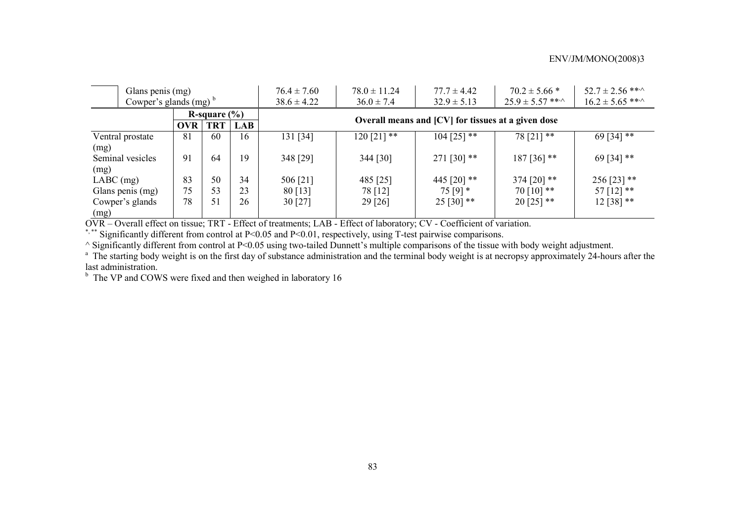| Glans penis (mg)                               |                          |            |            | $76.4 \pm 7.60$                                    | $78.0 \pm 11.24$ | $77.7 \pm 4.42$ | $70.2 \pm 5.66$ *          | $52.7 \pm 2.56$ ** $\cdot$ |  |  |
|------------------------------------------------|--------------------------|------------|------------|----------------------------------------------------|------------------|-----------------|----------------------------|----------------------------|--|--|
|                                                | Cowper's glands $(mg)^b$ |            |            |                                                    | $36.0 \pm 7.4$   | $32.9 \pm 5.13$ | $25.9 \pm 5.57$ ** $\cdot$ | $16.2 \pm 5.65$ ***        |  |  |
| R-square $(\% )$                               |                          |            |            | Overall means and [CV] for tissues at a given dose |                  |                 |                            |                            |  |  |
|                                                | OVR                      | <b>TRT</b> | <b>LAB</b> |                                                    |                  |                 |                            |                            |  |  |
| 131 [34]<br>81<br>60<br>16<br>Ventral prostate |                          |            |            |                                                    | $120$ [21] **    | $104$ [25] **   | $78[21]$ **                | 69 [34] **                 |  |  |
| (mg)                                           |                          |            |            |                                                    |                  |                 |                            |                            |  |  |
| Seminal vesicles                               | 91                       | 64         | 19         | 348 [29]                                           | 344 [30]         | 271 [30] $**$   | $187$ [36] **              | 69 [34] **                 |  |  |
| (mg)                                           |                          |            |            |                                                    |                  |                 |                            |                            |  |  |
| $LABC$ (mg)                                    | 83                       | 50         | 34         | 506 [21]                                           | 485 [25]         | 445 [20] $**$   | 374 [20] $**$              | $256$ [23] **              |  |  |
| Glans penis (mg)                               | 75                       | 53         | 23         | 80 [13]                                            | 78 [12]          | $75[9]*$        | $70$ [10] **               | 57 [12] **                 |  |  |
| Cowper's glands                                | 78                       | 51         | 26         | 30 [27]                                            | 29 [26]          | $25 [30]$ **    | $20$ [25] **               | $12 [38]$ **               |  |  |
| (mg)                                           |                          |            |            |                                                    |                  |                 |                            |                            |  |  |

OVR – Overall effect on tissue; TRT - Effect of treatments; LAB - Effect of laboratory; CV - Coefficient of variation.

\*,\*\* Significantly different from control at P<0.05 and P<0.01, respectively, using T-test pairwise comparisons.

^ Significantly different from control at P<0.05 using two-tailed Dunnett's multiple comparisons of the tissue with body weight adjustment.

<sup>a</sup> The starting body weight is on the first day of substance administration and the terminal body weight is at necropsy approximately 24-hours after the last administration.

 $<sup>b</sup>$  The VP and COWS were fixed and then weighed in laboratory 16</sup>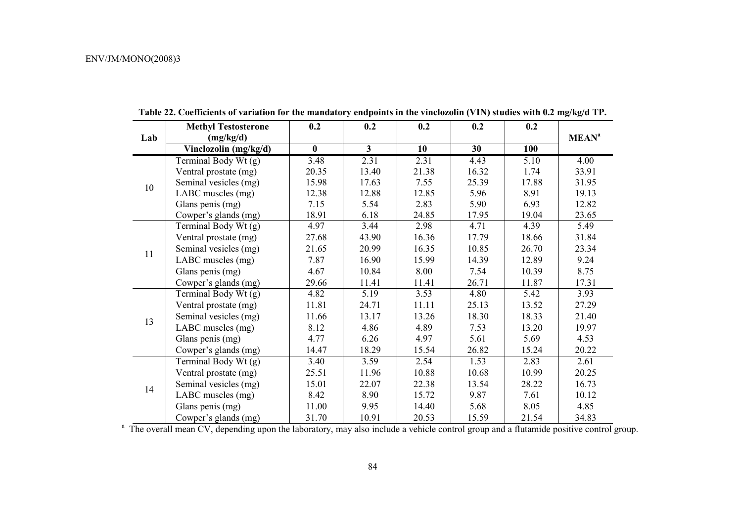|     | <b>Methyl Testosterone</b> | 0.2      | 0.2            | 0.2   | 0.2   | 0.2   |                         |
|-----|----------------------------|----------|----------------|-------|-------|-------|-------------------------|
| Lab | (mg/kg/d)                  |          |                |       |       |       | <b>MEAN<sup>a</sup></b> |
|     | Vinclozolin (mg/kg/d)      | $\bf{0}$ | 3 <sup>1</sup> | 10    | 30    | 100   |                         |
|     | Terminal Body Wt (g)       | 3.48     | 2.31           | 2.31  | 4.43  | 5.10  | 4.00                    |
|     | Ventral prostate (mg)      | 20.35    | 13.40          | 21.38 | 16.32 | 1.74  | 33.91                   |
| 10  | Seminal vesicles (mg)      | 15.98    | 17.63          | 7.55  | 25.39 | 17.88 | 31.95                   |
|     | LABC muscles (mg)          | 12.38    | 12.88          | 12.85 | 5.96  | 8.91  | 19.13                   |
|     | Glans penis (mg)           | 7.15     | 5.54           | 2.83  | 5.90  | 6.93  | 12.82                   |
|     | Cowper's glands (mg)       | 18.91    | 6.18           | 24.85 | 17.95 | 19.04 | 23.65                   |
|     | Terminal Body Wt (g)       | 4.97     | 3.44           | 2.98  | 4.71  | 4.39  | 5.49                    |
|     | Ventral prostate (mg)      | 27.68    | 43.90          | 16.36 | 17.79 | 18.66 | 31.84                   |
| 11  | Seminal vesicles (mg)      | 21.65    | 20.99          | 16.35 | 10.85 | 26.70 | 23.34                   |
|     | LABC muscles (mg)          | 7.87     | 16.90          | 15.99 | 14.39 | 12.89 | 9.24                    |
|     | Glans penis (mg)           | 4.67     | 10.84          | 8.00  | 7.54  | 10.39 | 8.75                    |
|     | Cowper's glands (mg)       | 29.66    | 11.41          | 11.41 | 26.71 | 11.87 | 17.31                   |
|     | Terminal Body Wt (g)       | 4.82     | 5.19           | 3.53  | 4.80  | 5.42  | 3.93                    |
|     | Ventral prostate (mg)      | 11.81    | 24.71          | 11.11 | 25.13 | 13.52 | 27.29                   |
| 13  | Seminal vesicles (mg)      | 11.66    | 13.17          | 13.26 | 18.30 | 18.33 | 21.40                   |
|     | LABC muscles (mg)          | 8.12     | 4.86           | 4.89  | 7.53  | 13.20 | 19.97                   |
|     | Glans penis (mg)           | 4.77     | 6.26           | 4.97  | 5.61  | 5.69  | 4.53                    |
|     | Cowper's glands (mg)       | 14.47    | 18.29          | 15.54 | 26.82 | 15.24 | 20.22                   |
|     | Terminal Body Wt (g)       | 3.40     | 3.59           | 2.54  | 1.53  | 2.83  | 2.61                    |
|     | Ventral prostate (mg)      | 25.51    | 11.96          | 10.88 | 10.68 | 10.99 | 20.25                   |
|     | Seminal vesicles (mg)      | 15.01    | 22.07          | 22.38 | 13.54 | 28.22 | 16.73                   |
| 14  | LABC muscles (mg)          | 8.42     | 8.90           | 15.72 | 9.87  | 7.61  | 10.12                   |
|     | Glans penis (mg)           | 11.00    | 9.95           | 14.40 | 5.68  | 8.05  | 4.85                    |
|     | Cowper's glands (mg)       | 31.70    | 10.91          | 20.53 | 15.59 | 21.54 | 34.83                   |

**Table 22. Coefficients of variation for the mandatory endpoints in the vinclozolin (VIN) studies with 0.2 mg/kg/d TP.** 

<sup>a</sup> The overall mean CV, depending upon the laboratory, may also include a vehicle control group and a flutamide positive control group.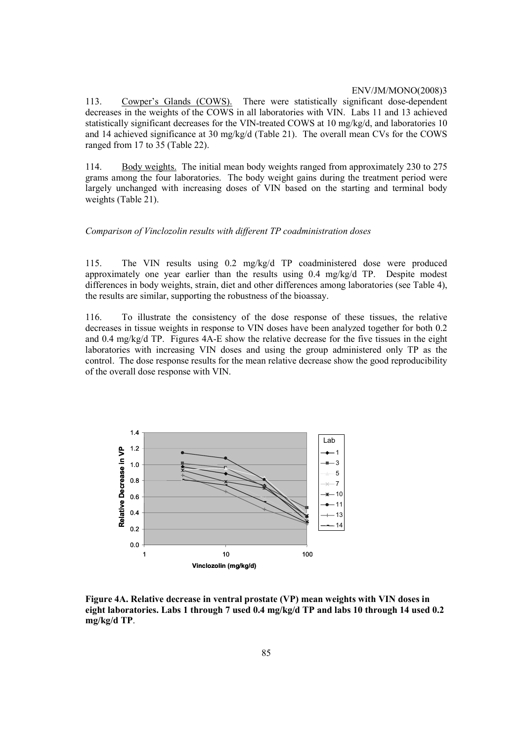113. Cowper's Glands (COWS). There were statistically significant dose-dependent decreases in the weights of the COWS in all laboratories with VIN. Labs 11 and 13 achieved statistically significant decreases for the VIN-treated COWS at 10 mg/kg/d, and laboratories 10 and 14 achieved significance at 30 mg/kg/d (Table 21). The overall mean CVs for the COWS ranged from 17 to 35 (Table 22).

114. Body weights. The initial mean body weights ranged from approximately 230 to 275 grams among the four laboratories. The body weight gains during the treatment period were largely unchanged with increasing doses of VIN based on the starting and terminal body weights (Table 21).

### *Comparison of Vinclozolin results with different TP coadministration doses*

115. The VIN results using 0.2 mg/kg/d TP coadministered dose were produced approximately one year earlier than the results using 0.4 mg/kg/d TP. Despite modest differences in body weights, strain, diet and other differences among laboratories (see Table 4), the results are similar, supporting the robustness of the bioassay.

116. To illustrate the consistency of the dose response of these tissues, the relative decreases in tissue weights in response to VIN doses have been analyzed together for both 0.2 and 0.4 mg/kg/d TP. Figures 4A-E show the relative decrease for the five tissues in the eight laboratories with increasing VIN doses and using the group administered only TP as the control. The dose response results for the mean relative decrease show the good reproducibility of the overall dose response with VIN.



**Figure 4A. Relative decrease in ventral prostate (VP) mean weights with VIN doses in eight laboratories. Labs 1 through 7 used 0.4 mg/kg/d TP and labs 10 through 14 used 0.2 mg/kg/d TP**.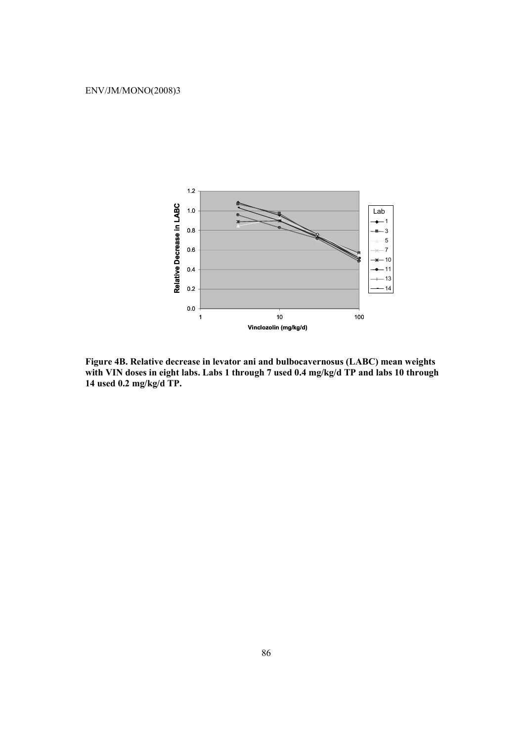

**Figure 4B. Relative decrease in levator ani and bulbocavernosus (LABC) mean weights with VIN doses in eight labs. Labs 1 through 7 used 0.4 mg/kg/d TP and labs 10 through 14 used 0.2 mg/kg/d TP.**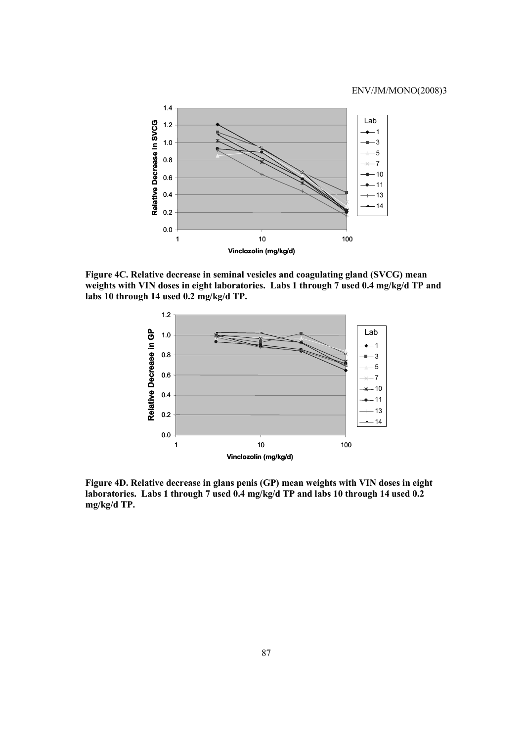

**Figure 4C. Relative decrease in seminal vesicles and coagulating gland (SVCG) mean weights with VIN doses in eight laboratories. Labs 1 through 7 used 0.4 mg/kg/d TP and labs 10 through 14 used 0.2 mg/kg/d TP.** 



**Figure 4D. Relative decrease in glans penis (GP) mean weights with VIN doses in eight laboratories. Labs 1 through 7 used 0.4 mg/kg/d TP and labs 10 through 14 used 0.2 mg/kg/d TP.**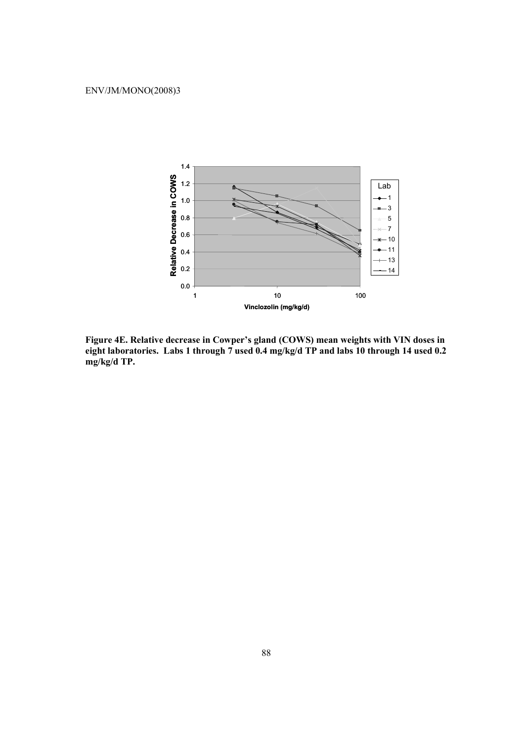

**Figure 4E. Relative decrease in Cowper's gland (COWS) mean weights with VIN doses in eight laboratories. Labs 1 through 7 used 0.4 mg/kg/d TP and labs 10 through 14 used 0.2 mg/kg/d TP.**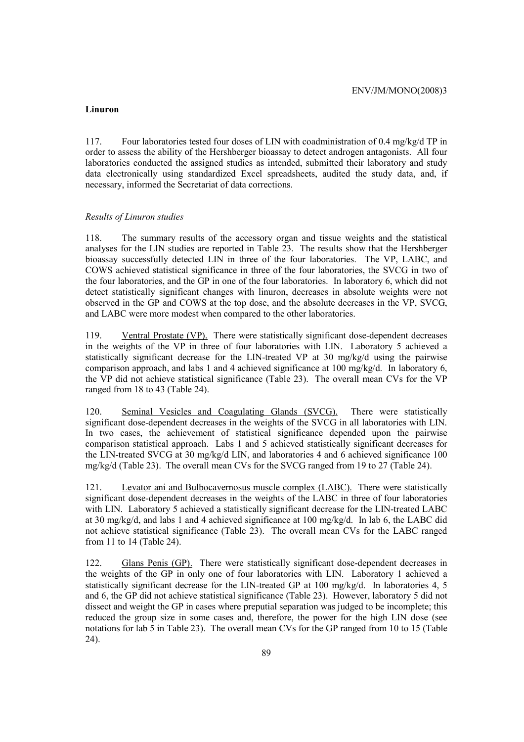#### **Linuron**

117. Four laboratories tested four doses of LIN with coadministration of 0.4 mg/kg/d TP in order to assess the ability of the Hershberger bioassay to detect androgen antagonists. All four laboratories conducted the assigned studies as intended, submitted their laboratory and study data electronically using standardized Excel spreadsheets, audited the study data, and, if necessary, informed the Secretariat of data corrections.

#### *Results of Linuron studies*

118. The summary results of the accessory organ and tissue weights and the statistical analyses for the LIN studies are reported in Table 23. The results show that the Hershberger bioassay successfully detected LIN in three of the four laboratories. The VP, LABC, and COWS achieved statistical significance in three of the four laboratories, the SVCG in two of the four laboratories, and the GP in one of the four laboratories. In laboratory 6, which did not detect statistically significant changes with linuron, decreases in absolute weights were not observed in the GP and COWS at the top dose, and the absolute decreases in the VP, SVCG, and LABC were more modest when compared to the other laboratories.

119. Ventral Prostate (VP). There were statistically significant dose-dependent decreases in the weights of the VP in three of four laboratories with LIN. Laboratory 5 achieved a statistically significant decrease for the LIN-treated VP at 30 mg/kg/d using the pairwise comparison approach, and labs 1 and 4 achieved significance at 100 mg/kg/d. In laboratory 6, the VP did not achieve statistical significance (Table 23). The overall mean CVs for the VP ranged from 18 to 43 (Table 24).

120. Seminal Vesicles and Coagulating Glands (SVCG). There were statistically significant dose-dependent decreases in the weights of the SVCG in all laboratories with LIN. In two cases, the achievement of statistical significance depended upon the pairwise comparison statistical approach. Labs 1 and 5 achieved statistically significant decreases for the LIN-treated SVCG at 30 mg/kg/d LIN, and laboratories 4 and 6 achieved significance 100 mg/kg/d (Table 23). The overall mean CVs for the SVCG ranged from 19 to 27 (Table 24).

121. Levator ani and Bulbocavernosus muscle complex (LABC). There were statistically significant dose-dependent decreases in the weights of the LABC in three of four laboratories with LIN. Laboratory 5 achieved a statistically significant decrease for the LIN-treated LABC at 30 mg/kg/d, and labs 1 and 4 achieved significance at 100 mg/kg/d. In lab 6, the LABC did not achieve statistical significance (Table 23). The overall mean CVs for the LABC ranged from 11 to 14 (Table 24).

122. Glans Penis (GP). There were statistically significant dose-dependent decreases in the weights of the GP in only one of four laboratories with LIN. Laboratory 1 achieved a statistically significant decrease for the LIN-treated GP at 100 mg/kg/d. In laboratories 4, 5 and 6, the GP did not achieve statistical significance (Table 23). However, laboratory 5 did not dissect and weight the GP in cases where preputial separation was judged to be incomplete; this reduced the group size in some cases and, therefore, the power for the high LIN dose (see notations for lab 5 in Table 23). The overall mean CVs for the GP ranged from 10 to 15 (Table 24).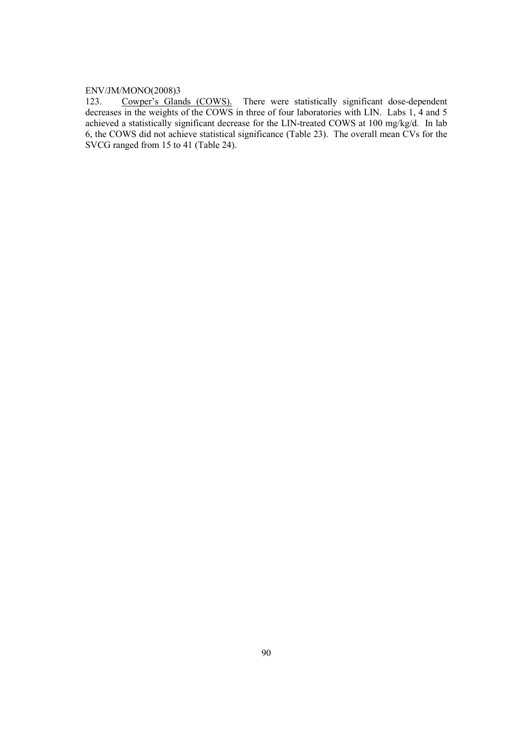123. Cowper's Glands (COWS). There were statistically significant dose-dependent decreases in the weights of the COWS in three of four laboratories with LIN. Labs 1, 4 and 5 achieved a statistically significant decrease for the LIN-treated COWS at 100 mg/kg/d. In lab 6, the COWS did not achieve statistical significance (Table 23). The overall mean CVs for the SVCG ranged from 15 to 41 (Table 24).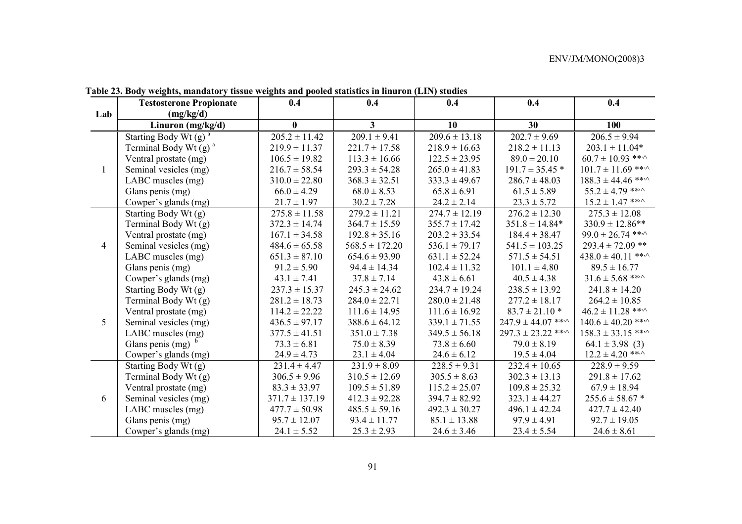|                | <b>Testosterone Propionate</b>      | 0.4                | 0.4                | 0.4               | 0.4                          | 0.4                          |
|----------------|-------------------------------------|--------------------|--------------------|-------------------|------------------------------|------------------------------|
| Lab            | (mg/kg/d)                           |                    |                    |                   |                              |                              |
|                | Linuron (mg/kg/d)                   | $\bf{0}$           | 3                  | 10                | 30                           | 100                          |
|                | Starting Body Wt $(g)^a$            | $205.2 \pm 11.42$  | $209.1 \pm 9.41$   | $209.6 \pm 13.18$ | $202.7 \pm 9.69$             | $206.5 \pm 9.94$             |
|                | Terminal Body Wt $(g)$ <sup>a</sup> | $219.9 \pm 11.37$  | $221.7 \pm 17.58$  | $218.9 \pm 16.63$ | $218.2 \pm 11.13$            | $203.1 \pm 11.04*$           |
|                | Ventral prostate (mg)               | $106.5 \pm 19.82$  | $113.3 \pm 16.66$  | $122.5 \pm 23.95$ | $89.0 \pm 20.10$             | $60.7 \pm 10.93$ ***         |
| $\mathbf{1}$   | Seminal vesicles (mg)               | $216.7 \pm 58.54$  | $293.3 \pm 54.28$  | $265.0 \pm 41.83$ | $191.7 \pm 35.45$ *          | $101.7 \pm 11.69$ ***        |
|                | LABC muscles (mg)                   | $310.0 \pm 22.80$  | $368.3 \pm 32.51$  | $333.3 \pm 49.67$ | $286.7 \pm 48.03$            | $188.3 \pm 44.46$ ** $\cdot$ |
|                | Glans penis (mg)                    | $66.0 \pm 4.29$    | $68.0 \pm 8.53$    | $65.8 \pm 6.91$   | $61.5 \pm 5.89$              | $55.2 \pm 4.79$ ***          |
|                | Cowper's glands (mg)                | $21.7 \pm 1.97$    | $30.2 \pm 7.28$    | $24.2 \pm 2.14$   | $23.3 \pm 5.72$              | $15.2 \pm 1.47$ ** $\cdot$   |
|                | Starting Body Wt (g)                | $275.8 \pm 11.58$  | $279.2 \pm 11.21$  | $274.7 \pm 12.19$ | $276.2 \pm 12.30$            | $275.3 \pm 12.08$            |
|                | Terminal Body Wt (g)                | $372.3 \pm 14.74$  | $364.7 \pm 15.59$  | $355.7 \pm 17.42$ | $351.8 \pm 14.84*$           | $330.9 \pm 12.86**$          |
|                | Ventral prostate (mg)               | $167.1 \pm 34.58$  | $192.8 \pm 35.16$  | $203.2 \pm 33.54$ | $184.4 \pm 38.47$            | $99.0 \pm 26.74$ ** $\cdot$  |
| $\overline{4}$ | Seminal vesicles (mg)               | $484.6 \pm 65.58$  | $568.5 \pm 172.20$ | $536.1 \pm 79.17$ | $541.5 \pm 103.25$           | $293.4 \pm 72.09$ **         |
|                | LABC muscles (mg)                   | $651.3 \pm 87.10$  | $654.6 \pm 93.90$  | $631.1 \pm 52.24$ | $571.5 \pm 54.51$            | $438.0 \pm 40.11$ ***        |
|                | Glans penis (mg)                    | $91.2 \pm 5.90$    | $94.4 \pm 14.34$   | $102.4 \pm 11.32$ | $101.1 \pm 4.80$             | $89.5 \pm 16.77$             |
|                | Cowper's glands (mg)                | $43.1 \pm 7.41$    | $37.8 \pm 7.14$    | $43.8 \pm 6.61$   | $40.5 \pm 4.38$              | $31.6 \pm 5.68$ ** $\cdot$   |
|                | Starting Body Wt (g)                | $237.3 \pm 15.37$  | $245.3 \pm 24.62$  | $234.7 \pm 19.24$ | $238.5 \pm 13.92$            | $241.8 \pm 14.20$            |
|                | Terminal Body Wt (g)                | $281.2 \pm 18.73$  | $284.0 \pm 22.71$  | $280.0 \pm 21.48$ | $277.2 \pm 18.17$            | $264.2 \pm 10.85$            |
|                | Ventral prostate (mg)               | $114.2 \pm 22.22$  | $111.6 \pm 14.95$  | $111.6 \pm 16.92$ | $83.7 \pm 21.10$ *           | $46.2 \pm 11.28$ **^         |
| 5              | Seminal vesicles (mg)               | $436.5 \pm 97.17$  | $388.6 \pm 64.12$  | $339.1 \pm 71.55$ | $247.9 \pm 44.07$ ** $\cdot$ | $140.6 \pm 40.20$ ***        |
|                | LABC muscles (mg)                   | $377.5 \pm 41.51$  | $351.0 \pm 7.38$   | $349.5 \pm 56.18$ | $297.3 \pm 23.22$ ** $\sim$  | $158.3 \pm 33.15$ ***        |
|                | Glans penis (mg) $b$                | $73.3 \pm 6.81$    | $75.0 \pm 8.39$    | $73.8 \pm 6.60$   | $79.0 \pm 8.19$              | $64.1 \pm 3.98$ (3)          |
|                | Cowper's glands (mg)                | $24.9 \pm 4.73$    | $23.1 \pm 4.04$    | $24.6 \pm 6.12$   | $19.5 \pm 4.04$              | $12.2 \pm 4.20$ ** $\cdot$   |
|                | Starting Body Wt (g)                | $231.4 \pm 4.47$   | $231.9 \pm 8.09$   | $228.5 \pm 9.31$  | $232.4 \pm 10.65$            | $228.9 \pm 9.59$             |
|                | Terminal Body Wt (g)                | $306.5 \pm 9.96$   | $310.5 \pm 12.69$  | $305.5 \pm 8.63$  | $302.3 \pm 13.13$            | $291.8 \pm 17.62$            |
|                | Ventral prostate (mg)               | $83.3 \pm 33.97$   | $109.5 \pm 51.89$  | $115.2 \pm 25.07$ | $109.8 \pm 25.32$            | $67.9 \pm 18.94$             |
| 6              | Seminal vesicles (mg)               | $371.7 \pm 137.19$ | $412.3 \pm 92.28$  | $394.7 \pm 82.92$ | $323.1 \pm 44.27$            | $255.6 \pm 58.67$ *          |
|                | LABC muscles (mg)                   | $477.7 \pm 50.98$  | $485.5 \pm 59.16$  | $492.3 \pm 30.27$ | $496.1 \pm 42.24$            | $427.7 \pm 42.40$            |
|                | Glans penis (mg)                    | $95.7 \pm 12.07$   | $93.4 \pm 11.77$   | $85.1 \pm 13.88$  | $97.9 \pm 4.91$              | $92.7 \pm 19.05$             |
|                | Cowper's glands (mg)                | $24.1 \pm 5.52$    | $25.3 \pm 2.93$    | $24.6 \pm 3.46$   | $23.4 \pm 5.54$              | $24.6 \pm 8.61$              |

**Table 23. Body weights, mandatory tissue weights and pooled statistics in linuron (LIN) studies**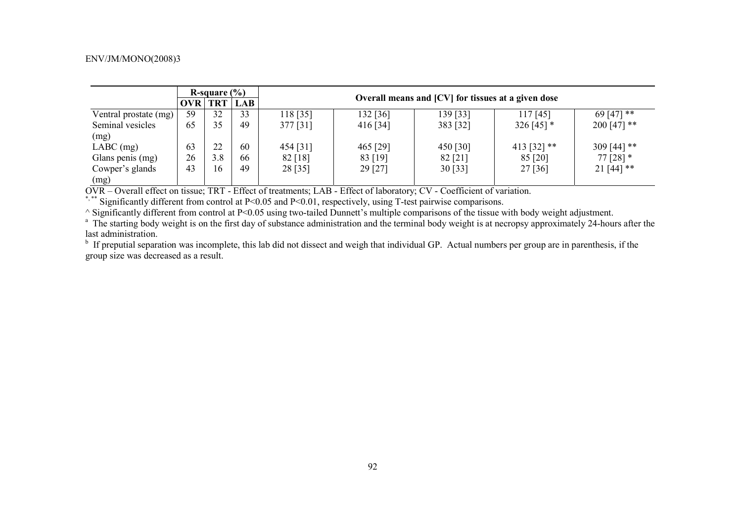|                       |            | R-square $(\% )$ |            |          |                                                    |          |               |               |  |  |  |
|-----------------------|------------|------------------|------------|----------|----------------------------------------------------|----------|---------------|---------------|--|--|--|
|                       | <b>OVR</b> | <b>TRT</b>       | <b>LAB</b> |          | Overall means and [CV] for tissues at a given dose |          |               |               |  |  |  |
| Ventral prostate (mg) | 59         | 32               | 33         | 118 [35] | 132 [36]                                           | 139 [33] | 117[45]       | 69 [47] **    |  |  |  |
| Seminal vesicles      | 65         | 35               | 49         | 377 [31] | $416$ [34]                                         | 383 [32] | 326 [45] $*$  | $200$ [47] ** |  |  |  |
| (mg)                  |            |                  |            |          |                                                    |          |               |               |  |  |  |
| $LABC$ (mg)           | 63         | 22               | 60         | 454 [31] | 465 [29]                                           | 450 [30] | 413 [32] $**$ | 309 [44] **   |  |  |  |
| Glans penis (mg)      | 26         | 3.8              | 66         | 82 [18]  | 83 [19]                                            | 82 [21]  | 85 [20]       | $77$ [28] $*$ |  |  |  |
| Cowper's glands       | 43         | 16               | 49         | 28 [35]  | 29 [27]                                            | 30 [33]  | 27 [36]       | $21[44]$ **   |  |  |  |
| (mg)                  |            |                  |            |          |                                                    |          |               |               |  |  |  |

OVR – Overall effect on tissue; TRT - Effect of treatments; LAB - Effect of laboratory; CV - Coefficient of variation.

\*, \*\* Significantly different from control at P<0.05 and P<0.01, respectively, using T-test pairwise comparisons.

^ Significantly different from control at P<0.05 using two-tailed Dunnett's multiple comparisons of the tissue with body weight adjustment.

<sup>a</sup> The starting body weight is on the first day of substance administration and the terminal body weight is at necropsy approximately 24-hours after the last administration.

 $<sup>b</sup>$  If preputial separation was incomplete, this lab did not dissect and weigh that individual GP. Actual numbers per group are in parenthesis, if the</sup> group size was decreased as a result.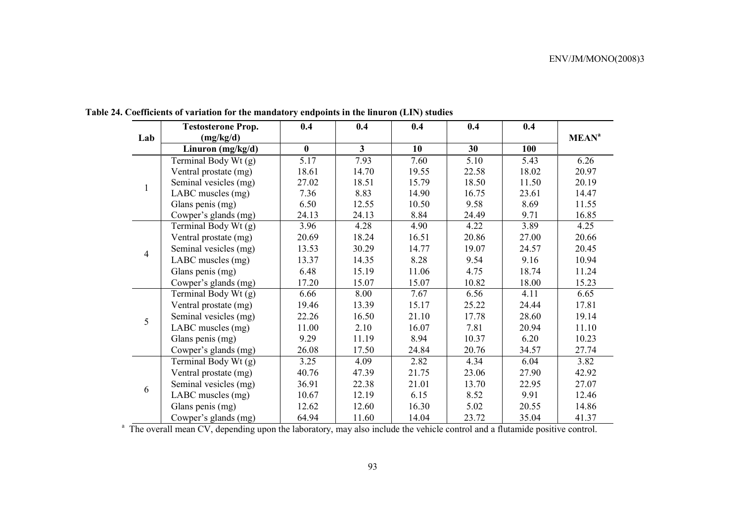|                | <b>Testosterone Prop.</b> | 0.4      | 0.4          | 0.4   | 0.4   | 0.4   |                         |
|----------------|---------------------------|----------|--------------|-------|-------|-------|-------------------------|
| Lab            | (mg/kg/d)                 |          |              |       |       |       | <b>MEAN<sup>a</sup></b> |
|                | Linuron $(mg/kg/d)$       | $\bf{0}$ | $\mathbf{3}$ | 10    | 30    | 100   |                         |
|                | Terminal Body Wt (g)      | 5.17     | 7.93         | 7.60  | 5.10  | 5.43  | 6.26                    |
|                | Ventral prostate (mg)     | 18.61    | 14.70        | 19.55 | 22.58 | 18.02 | 20.97                   |
| $\mathbf{1}$   | Seminal vesicles (mg)     | 27.02    | 18.51        | 15.79 | 18.50 | 11.50 | 20.19                   |
|                | LABC muscles (mg)         | 7.36     | 8.83         | 14.90 | 16.75 | 23.61 | 14.47                   |
|                | Glans penis (mg)          | 6.50     | 12.55        | 10.50 | 9.58  | 8.69  | 11.55                   |
|                | Cowper's glands (mg)      | 24.13    | 24.13        | 8.84  | 24.49 | 9.71  | 16.85                   |
|                | Terminal Body Wt (g)      | 3.96     | 4.28         | 4.90  | 4.22  | 3.89  | 4.25                    |
|                | Ventral prostate (mg)     | 20.69    | 18.24        | 16.51 | 20.86 | 27.00 | 20.66                   |
| $\overline{4}$ | Seminal vesicles (mg)     | 13.53    | 30.29        | 14.77 | 19.07 | 24.57 | 20.45                   |
|                | LABC muscles (mg)         | 13.37    | 14.35        | 8.28  | 9.54  | 9.16  | 10.94                   |
|                | Glans penis (mg)          | 6.48     | 15.19        | 11.06 | 4.75  | 18.74 | 11.24                   |
|                | Cowper's glands (mg)      | 17.20    | 15.07        | 15.07 | 10.82 | 18.00 | 15.23                   |
|                | Terminal Body Wt (g)      | 6.66     | 8.00         | 7.67  | 6.56  | 4.11  | 6.65                    |
|                | Ventral prostate (mg)     | 19.46    | 13.39        | 15.17 | 25.22 | 24.44 | 17.81                   |
| 5              | Seminal vesicles (mg)     | 22.26    | 16.50        | 21.10 | 17.78 | 28.60 | 19.14                   |
|                | LABC muscles (mg)         | 11.00    | 2.10         | 16.07 | 7.81  | 20.94 | 11.10                   |
|                | Glans penis (mg)          | 9.29     | 11.19        | 8.94  | 10.37 | 6.20  | 10.23                   |
|                | Cowper's glands (mg)      | 26.08    | 17.50        | 24.84 | 20.76 | 34.57 | 27.74                   |
|                | Terminal Body Wt (g)      | 3.25     | 4.09         | 2.82  | 4.34  | 6.04  | 3.82                    |
|                | Ventral prostate (mg)     | 40.76    | 47.39        | 21.75 | 23.06 | 27.90 | 42.92                   |
| 6              | Seminal vesicles (mg)     | 36.91    | 22.38        | 21.01 | 13.70 | 22.95 | 27.07                   |
|                | LABC muscles (mg)         | 10.67    | 12.19        | 6.15  | 8.52  | 9.91  | 12.46                   |
|                | Glans penis (mg)          | 12.62    | 12.60        | 16.30 | 5.02  | 20.55 | 14.86                   |
|                | Cowper's glands (mg)      | 64.94    | 11.60        | 14.04 | 23.72 | 35.04 | 41.37                   |

**Table 24. Coefficients of variation for the mandatory endpoints in the linuron (LIN) studies** 

<sup>a</sup> The overall mean CV, depending upon the laboratory, may also include the vehicle control and a flutamide positive control.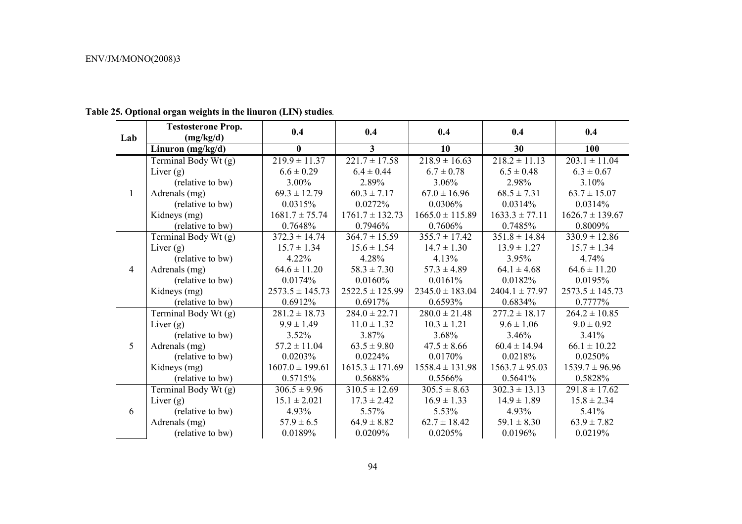| Lab          | <b>Testosterone Prop.</b><br>(mg/kg/d) | 0.4<br>0.4          |                     | 0.4                 | 0.4                | 0.4                 |
|--------------|----------------------------------------|---------------------|---------------------|---------------------|--------------------|---------------------|
|              | Linuron $(mg/kg/d)$                    | $\bf{0}$            | 3 <sup>1</sup>      | 10                  | 30                 | 100                 |
|              | Terminal Body Wt (g)                   | $219.9 \pm 11.37$   | $221.7 \pm 17.58$   | $218.9 \pm 16.63$   | $218.2 \pm 11.13$  | $203.1 \pm 11.04$   |
|              | Liver $(g)$                            | $6.6 \pm 0.29$      | $6.4 \pm 0.44$      | $6.7 \pm 0.78$      | $6.5 \pm 0.48$     | $6.3 \pm 0.67$      |
|              | (relative to bw)                       | 3.00%               | 2.89%               | 3.06%               | 2.98%              | 3.10%               |
| $\mathbf{1}$ | Adrenals (mg)                          | $69.3 \pm 12.79$    | $60.3 \pm 7.17$     | $67.0 \pm 16.96$    | $68.5 \pm 7.31$    | $63.7 \pm 15.07$    |
|              | (relative to bw)                       | 0.0315%             | 0.0272%             | 0.0306%             | 0.0314%            | 0.0314%             |
|              | Kidneys (mg)                           | $1681.7 \pm 75.74$  | $1761.7 \pm 132.73$ | $1665.0 \pm 115.89$ | $1633.3 \pm 77.11$ | $1626.7 \pm 139.67$ |
|              | (relative to bw)                       | 0.7648%             | 0.7946%             | 0.7606%             | 0.7485%            | 0.8009%             |
|              | Terminal Body Wt (g)                   | $372.3 \pm 14.74$   | $364.7 \pm 15.59$   | $355.7 \pm 17.42$   | $351.8 \pm 14.84$  | $330.9 \pm 12.86$   |
|              | Liver $(g)$                            | $15.7 \pm 1.34$     | $15.6 \pm 1.54$     | $14.7 \pm 1.30$     | $13.9 \pm 1.27$    | $15.7 \pm 1.34$     |
|              | (relative to bw)                       | 4.22%               | 4.28%               | 4.13%               | 3.95%              | 4.74%               |
| 4            | Adrenals (mg)                          | $64.6 \pm 11.20$    | $58.3 \pm 7.30$     | $57.3 \pm 4.89$     | $64.1 \pm 4.68$    | $64.6 \pm 11.20$    |
|              | (relative to bw)                       | 0.0174%             | 0.0160%             | 0.0161%             | 0.0182%            | 0.0195%             |
|              | Kidneys (mg)                           | $2573.5 \pm 145.73$ | $2522.5 \pm 125.99$ | $2345.0 \pm 183.04$ | $2404.1 \pm 77.97$ | $2573.5 \pm 145.73$ |
|              | (relative to bw)                       | 0.6912%             | 0.6917%             | 0.6593%             | 0.6834%            | 0.7777%             |
|              | Terminal Body Wt (g)                   | $281.2 \pm 18.73$   | $284.0 \pm 22.71$   | $280.0 \pm 21.48$   | $277.2 \pm 18.17$  | $264.2 \pm 10.85$   |
|              | Liver $(g)$                            | $9.9 \pm 1.49$      | $11.0 \pm 1.32$     | $10.3 \pm 1.21$     | $9.6 \pm 1.06$     | $9.0 \pm 0.92$      |
|              | (relative to bw)                       | 3.52%               | 3.87%               | 3.68%               | 3.46%              | 3.41%               |
| 5            | Adrenals (mg)                          | $57.2 \pm 11.04$    | $63.5 \pm 9.80$     | $47.5 \pm 8.66$     | $60.4 \pm 14.94$   | $66.1 \pm 10.22$    |
|              | (relative to bw)                       | 0.0203%             | 0.0224%             | 0.0170%             | 0.0218%            | 0.0250%             |
|              | Kidneys (mg)                           | $1607.0 \pm 199.61$ | $1615.3 \pm 171.69$ | $1558.4 \pm 131.98$ | $1563.7 \pm 95.03$ | $1539.7 \pm 96.96$  |
|              | (relative to bw)                       | 0.5715%             | 0.5688%             | 0.5566%             | 0.5641%            | 0.5828%             |
|              | Terminal Body Wt (g)                   | $306.5 \pm 9.96$    | $310.5 \pm 12.69$   | $305.5 \pm 8.63$    | $302.3 \pm 13.13$  | $291.8 \pm 17.62$   |
|              | Liver $(g)$                            | $15.1 \pm 2.021$    | $17.3 \pm 2.42$     | $16.9 \pm 1.33$     | $14.9 \pm 1.89$    | $15.8 \pm 2.34$     |
| 6            | (relative to bw)                       | 4.93%               | 5.57%               | 5.53%               | 4.93%              | 5.41%               |
|              | Adrenals (mg)                          | $57.9 \pm 6.5$      | $64.9 \pm 8.82$     | $62.7 \pm 18.42$    | $59.1 \pm 8.30$    | $63.9 \pm 7.82$     |
|              | (relative to bw)                       | 0.0189%             | 0.0209%             | 0.0205%             | 0.0196%            | 0.0219%             |

## **Table 25. Optional organ weights in the linuron (LIN) studies***.*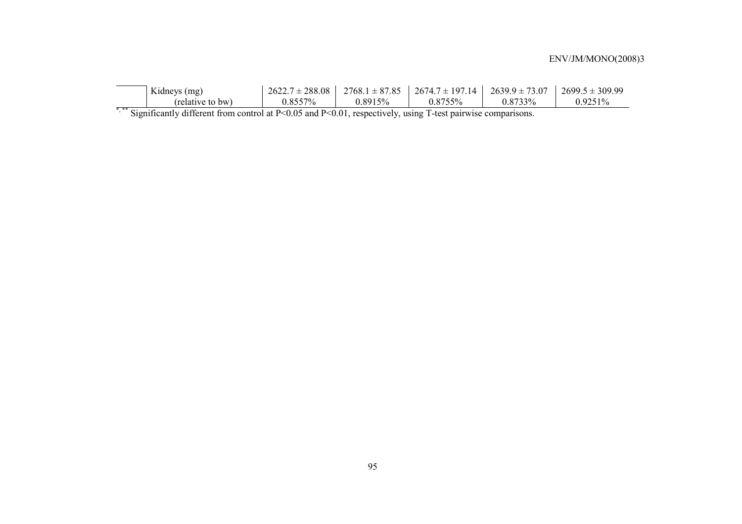| Kidneys (mg)     | $2622.7 \pm 288.08$ | $2768.1 \pm 87.85$ | $12674.7 \pm 197.14$ $2639.9 \pm 73.07$ |         | $2699.5 \pm 309.99$ |
|------------------|---------------------|--------------------|-----------------------------------------|---------|---------------------|
| (relative to bw) | 0.8557%             | 0.8915%            | 0.8755%                                 | 0.8733% | $0.9251\%$          |

\*,\*\* Significantly different from control at P<0.05 and P<0.01, respectively, using T-test pairwise comparisons.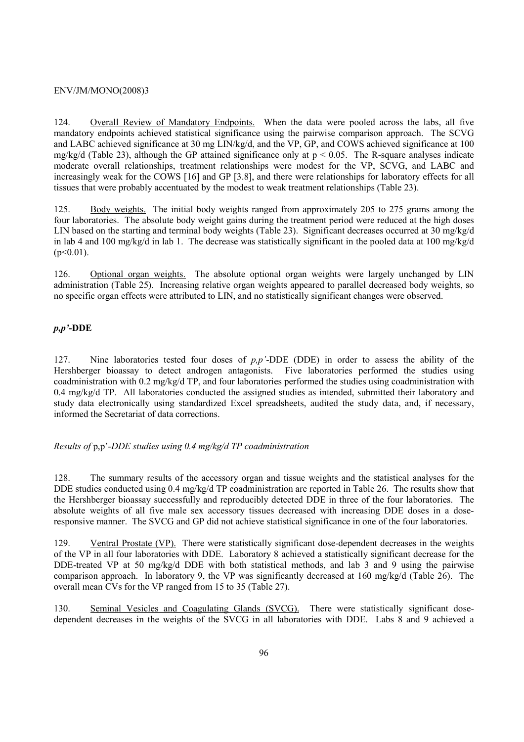124. Overall Review of Mandatory Endpoints. When the data were pooled across the labs, all five mandatory endpoints achieved statistical significance using the pairwise comparison approach. The SCVG and LABC achieved significance at 30 mg LIN/kg/d, and the VP, GP, and COWS achieved significance at 100 mg/kg/d (Table 23), although the GP attained significance only at  $p < 0.05$ . The R-square analyses indicate moderate overall relationships, treatment relationships were modest for the VP, SCVG, and LABC and increasingly weak for the COWS [16] and GP [3.8], and there were relationships for laboratory effects for all tissues that were probably accentuated by the modest to weak treatment relationships (Table 23).

125. Body weights. The initial body weights ranged from approximately 205 to 275 grams among the four laboratories. The absolute body weight gains during the treatment period were reduced at the high doses LIN based on the starting and terminal body weights (Table 23). Significant decreases occurred at 30 mg/kg/d in lab 4 and 100 mg/kg/d in lab 1. The decrease was statistically significant in the pooled data at 100 mg/kg/d  $(p<0.01)$ .

126. Optional organ weights. The absolute optional organ weights were largely unchanged by LIN administration (Table 25). Increasing relative organ weights appeared to parallel decreased body weights, so no specific organ effects were attributed to LIN, and no statistically significant changes were observed.

### *p,p'***-DDE**

127. Nine laboratories tested four doses of *p,p'*-DDE (DDE) in order to assess the ability of the Hershberger bioassay to detect androgen antagonists. Five laboratories performed the studies using coadministration with 0.2 mg/kg/d TP, and four laboratories performed the studies using coadministration with  $0.4 \text{ mg/kg/d}$  TP. All laboratories conducted the assigned studies as intended, submitted their laboratory and study data electronically using standardized Excel spreadsheets, audited the study data, and, if necessary, informed the Secretariat of data corrections.

### *Results of* p,p'*-DDE studies using 0.4 mg/kg/d TP coadministration*

128. The summary results of the accessory organ and tissue weights and the statistical analyses for the DDE studies conducted using 0.4 mg/kg/d TP coadministration are reported in Table 26. The results show that the Hershberger bioassay successfully and reproducibly detected DDE in three of the four laboratories. The absolute weights of all five male sex accessory tissues decreased with increasing DDE doses in a doseresponsive manner. The SVCG and GP did not achieve statistical significance in one of the four laboratories.

129. Ventral Prostate (VP). There were statistically significant dose-dependent decreases in the weights of the VP in all four laboratories with DDE. Laboratory 8 achieved a statistically significant decrease for the DDE-treated VP at 50 mg/kg/d DDE with both statistical methods, and lab 3 and 9 using the pairwise comparison approach. In laboratory 9, the VP was significantly decreased at 160 mg/kg/d (Table 26). The overall mean CVs for the VP ranged from 15 to 35 (Table 27).

130. Seminal Vesicles and Coagulating Glands (SVCG). There were statistically significant dosedependent decreases in the weights of the SVCG in all laboratories with DDE. Labs 8 and 9 achieved a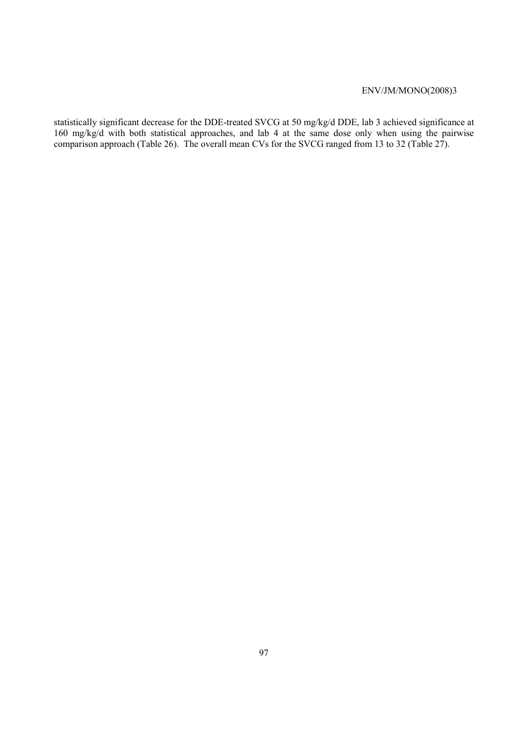statistically significant decrease for the DDE-treated SVCG at 50 mg/kg/d DDE, lab 3 achieved significance at 160 mg/kg/d with both statistical approaches, and lab 4 at the same dose only when using the pairwise comparison approach (Table 26). The overall mean CVs for the SVCG ranged from 13 to 32 (Table 27).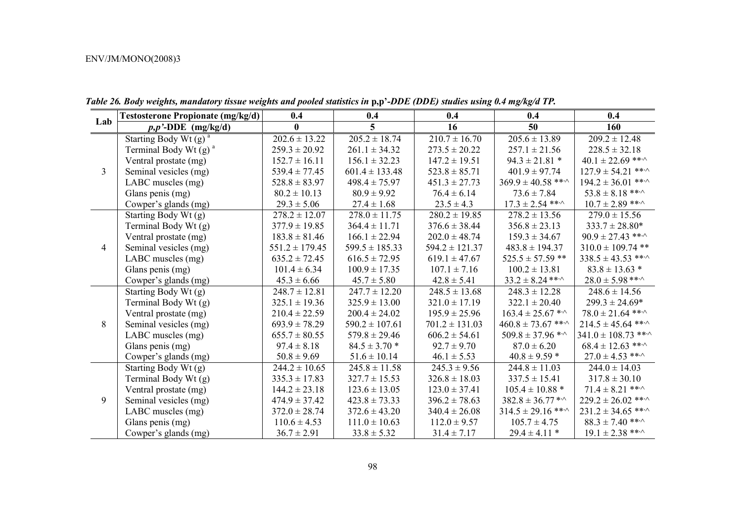|                | <b>Testosterone Propionate (mg/kg/d)</b> | 0.4                | 0.4                | 0.4                | 0.4                          | 0.4                          |
|----------------|------------------------------------------|--------------------|--------------------|--------------------|------------------------------|------------------------------|
| Lab            | $p, p'$ -DDE (mg/kg/d)                   | $\mathbf{0}$       | 5                  | 16                 | 50                           | 160                          |
|                | Starting Body Wt $(g)$ <sup>a</sup>      | $202.6 \pm 13.22$  | $205.2 \pm 18.74$  | $210.7 \pm 16.70$  | $205.6 \pm 13.89$            | $209.2 \pm 12.48$            |
|                | Terminal Body Wt $(g)$ <sup>a</sup>      | $259.3 \pm 20.92$  | $261.1 \pm 34.32$  | $273.5 \pm 20.22$  | $257.1 \pm 21.56$            | $228.5 \pm 32.18$            |
|                | Ventral prostate (mg)                    | $152.7 \pm 16.11$  | $156.1 \pm 32.23$  | $147.2 \pm 19.51$  | $94.3 \pm 21.81$ *           | $40.1 \pm 22.69$ ***         |
| $\overline{3}$ | Seminal vesicles (mg)                    | $539.4 \pm 77.45$  | $601.4 \pm 133.48$ | $523.8 \pm 85.71$  | $401.9 \pm 97.74$            | $127.9 \pm 54.21$ ***        |
|                | LABC muscles (mg)                        | $528.8 \pm 83.97$  | $498.4 \pm 75.97$  | $451.3 \pm 27.73$  | $369.9 \pm 40.58$ ** $\cdot$ | $194.2 \pm 36.01$ ** $\cdot$ |
|                | Glans penis (mg)                         | $80.2 \pm 10.13$   | $80.9 \pm 9.92$    | $76.4 \pm 6.14$    | $73.6 \pm 7.84$              | $53.8 \pm 8.18$ ** $\cdot$   |
|                | Cowper's glands (mg)                     | $29.3 \pm 5.06$    | $27.4 \pm 1.68$    | $23.5 \pm 4.3$     | $17.3 \pm 2.54$ ** $\cdot$   | $10.7 \pm 2.89$ ** $\cdot$   |
|                | Starting Body Wt (g)                     | $278.2 \pm 12.07$  | $278.0 \pm 11.75$  | $280.2 \pm 19.85$  | $278.2 \pm 13.56$            | $279.0 \pm 15.56$            |
|                | Terminal Body Wt (g)                     | $377.9 \pm 19.85$  | $364.4 \pm 11.71$  | $376.6 \pm 38.44$  | $356.8 \pm 23.13$            | $333.7 \pm 28.80*$           |
|                | Ventral prostate (mg)                    | $183.8 \pm 81.46$  | $166.1 \pm 22.94$  | $202.0 \pm 48.74$  | $159.3 \pm 34.67$            | $90.9 \pm 27.43$ **          |
| $\overline{4}$ | Seminal vesicles (mg)                    | $551.2 \pm 179.45$ | $599.5 \pm 185.33$ | $594.2 \pm 121.37$ | $483.8 \pm 194.37$           | $310.0 \pm 109.74$ **        |
|                | LABC muscles (mg)                        | $635.2 \pm 72.45$  | $616.5 \pm 72.95$  | $619.1 \pm 47.67$  | $525.5 \pm 57.59$ **         | $338.5 \pm 43.53$ ** $\cdot$ |
|                | Glans penis (mg)                         | $101.4 \pm 6.34$   | $100.9 \pm 17.35$  | $107.1 \pm 7.16$   | $100.2 \pm 13.81$            | $83.8 \pm 13.63$ *           |
|                | Cowper's glands (mg)                     | $45.3 \pm 6.66$    | $45.7 \pm 5.80$    | $42.8 \pm 5.41$    | $33.2 \pm 8.24$ ** $\cdot$   | $28.0 \pm 5.98$ ** $\cdot$   |
|                | Starting Body Wt (g)                     | $248.7 \pm 12.81$  | $247.7 \pm 12.20$  | $248.5 \pm 13.68$  | $248.3 \pm 12.28$            | $248.6 \pm 14.56$            |
|                | Terminal Body Wt (g)                     | $325.1 \pm 19.36$  | $325.9 \pm 13.00$  | $321.0 \pm 17.19$  | $322.1 \pm 20.40$            | $299.3 \pm 24.69*$           |
|                | Ventral prostate (mg)                    | $210.4 \pm 22.59$  | $200.4 \pm 24.02$  | $195.9 \pm 25.96$  | $163.4 \pm 25.67$ **         | $78.0 \pm 21.64$ ***         |
| 8              | Seminal vesicles (mg)                    | $693.9 \pm 78.29$  | $590.2 \pm 107.61$ | $701.2 \pm 131.03$ | $460.8 \pm 73.67$ ***        | $214.5 \pm 45.64$ ***        |
|                | LABC muscles (mg)                        | $655.7 \pm 80.55$  | $579.8 \pm 29.46$  | $606.2 \pm 54.61$  | $509.8 \pm 37.96$ *^         | $341.0 \pm 108.73$ ***^      |
|                | Glans penis (mg)                         | $97.4 \pm 8.18$    | $84.5 \pm 3.70$ *  | $92.7 \pm 9.70$    | $87.0 \pm 6.20$              | $68.4 \pm 12.63$ ***         |
|                | Cowper's glands (mg)                     | $50.8 \pm 9.69$    | $51.6 \pm 10.14$   | $46.1 \pm 5.53$    | $40.8 \pm 9.59$ *            | $27.0 \pm 4.53$ ** $\cdot$   |
|                | Starting Body Wt (g)                     | $244.2 \pm 10.65$  | $245.8 \pm 11.58$  | $245.3 \pm 9.56$   | $244.8 \pm 11.03$            | $244.0 \pm 14.03$            |
|                | Terminal Body Wt (g)                     | $335.3 \pm 17.83$  | $327.7 \pm 15.53$  | $326.8 \pm 18.03$  | $337.5 \pm 15.41$            | $317.8 \pm 30.10$            |
|                | Ventral prostate (mg)                    | $144.2 \pm 23.18$  | $123.6 \pm 13.05$  | $123.0 \pm 37.41$  | $105.4 \pm 10.88$ *          | $71.4 \pm 8.21$ ***          |
| 9              | Seminal vesicles (mg)                    | $474.9 \pm 37.42$  | $423.8 \pm 73.33$  | $396.2 \pm 78.63$  | $382.8 \pm 36.77$ **         | $229.2 \pm 26.02$ ** $\cdot$ |
|                | LABC muscles (mg)                        | $372.0 \pm 28.74$  | $372.6 \pm 43.20$  | $340.4 \pm 26.08$  | $314.5 \pm 29.16$ ***        | $231.2 \pm 34.65$ ***        |
|                | Glans penis (mg)                         | $110.6 \pm 4.53$   | $111.0 \pm 10.63$  | $112.0 \pm 9.57$   | $105.7 \pm 4.75$             | $88.3 \pm 7.40$ ** $\cdot$   |
|                | Cowper's glands (mg)                     | $36.7 \pm 2.91$    | $33.8 \pm 5.32$    | $31.4 \pm 7.17$    | $29.4 \pm 4.11$ *            | $19.1 \pm 2.38$ **           |

*Table 26. Body weights, mandatory tissue weights and pooled statistics in* **p,p'***-DDE (DDE) studies using 0.4 mg/kg/d TP.*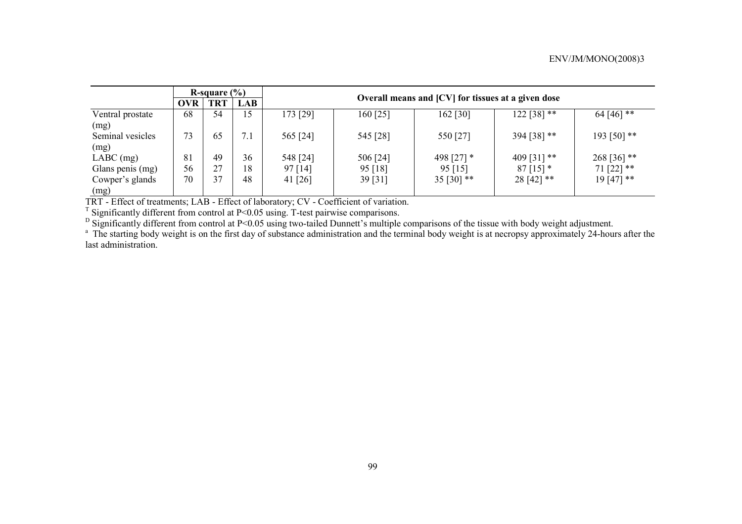|                  | R-square $(\% )$ |            |            |           |                                                    |              |               |              |  |  |  |  |
|------------------|------------------|------------|------------|-----------|----------------------------------------------------|--------------|---------------|--------------|--|--|--|--|
|                  | <b>OVR</b>       | <b>TRT</b> | <b>LAB</b> |           | Overall means and [CV] for tissues at a given dose |              |               |              |  |  |  |  |
| Ventral prostate | 68               | 54         | 15         | 173 [29]  | $160$ [25]                                         | 162 [30]     | $122 [38]$ ** | 64 [46] **   |  |  |  |  |
| (mg)             |                  |            |            |           |                                                    |              |               |              |  |  |  |  |
| Seminal vesicles | 73               | 65         | 7.1        | 565 [24]  | 545 [28]                                           | 550 [27]     | 394 [38] **   | 193 [50] **  |  |  |  |  |
| (mg)             |                  |            |            |           |                                                    |              |               |              |  |  |  |  |
| $LABC$ (mg)      | 81               | 49         | 36         | 548 [24]  | 506 [24]                                           | 498 [27] *   | 409 [31] **   | 268 [36] **  |  |  |  |  |
| Glans penis (mg) | 56               | 27         | 18         | 97 [14]   | 95 [18]                                            | $95$ [15]    | $87$ [15] $*$ | $71$ [22] ** |  |  |  |  |
| Cowper's glands  | 70               | 37         | 48         | 41 $[26]$ | 39 [31]                                            | 35 [30] $**$ | $28[42]$ **   | $19[47]$ **  |  |  |  |  |
| (mg)             |                  |            |            |           |                                                    |              |               |              |  |  |  |  |

TRT - Effect of treatments; LAB - Effect of laboratory; CV - Coefficient of variation.

<sup>T</sup> Significantly different from control at  $P<0.05$  using. T-test pairwise comparisons.

 $<sup>D</sup>$  Significantly different from control at P<0.05 using two-tailed Dunnett's multiple comparisons of the tissue with body weight adjustment.</sup>

<sup>a</sup> The starting body weight is on the first day of substance administration and the terminal body weight is at necropsy approximately 24-hours after the last administration.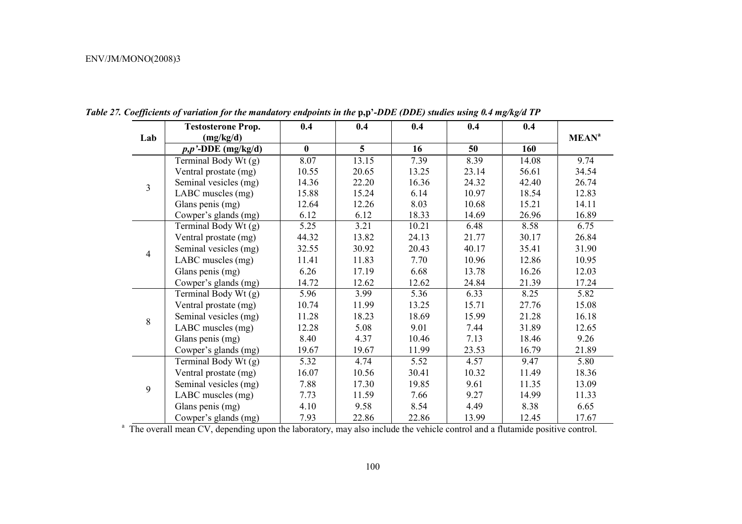|                | <b>Testosterone Prop.</b> | 0.4          | 0.4             | 0.4   | 0.4   | 0.4   |                         |
|----------------|---------------------------|--------------|-----------------|-------|-------|-------|-------------------------|
| Lab            | (mg/kg/d)                 |              |                 |       |       |       | <b>MEAN<sup>a</sup></b> |
|                | $p, p'$ -DDE (mg/kg/d)    | $\mathbf{0}$ | $5\overline{)}$ | 16    | 50    | 160   |                         |
|                | Terminal Body Wt (g)      | 8.07         | 13.15           | 7.39  | 8.39  | 14.08 | 9.74                    |
|                | Ventral prostate (mg)     | 10.55        | 20.65           | 13.25 | 23.14 | 56.61 | 34.54                   |
| $\overline{3}$ | Seminal vesicles (mg)     | 14.36        | 22.20           | 16.36 | 24.32 | 42.40 | 26.74                   |
|                | LABC muscles (mg)         | 15.88        | 15.24           | 6.14  | 10.97 | 18.54 | 12.83                   |
|                | Glans penis (mg)          | 12.64        | 12.26           | 8.03  | 10.68 | 15.21 | 14.11                   |
|                | Cowper's glands (mg)      | 6.12         | 6.12            | 18.33 | 14.69 | 26.96 | 16.89                   |
|                | Terminal Body Wt (g)      | 5.25         | 3.21            | 10.21 | 6.48  | 8.58  | 6.75                    |
|                | Ventral prostate (mg)     | 44.32        | 13.82           | 24.13 | 21.77 | 30.17 | 26.84                   |
| $\overline{4}$ | Seminal vesicles (mg)     | 32.55        | 30.92           | 20.43 | 40.17 | 35.41 | 31.90                   |
|                | LABC muscles (mg)         | 11.41        | 11.83           | 7.70  | 10.96 | 12.86 | 10.95                   |
|                | Glans penis (mg)          | 6.26         | 17.19           | 6.68  | 13.78 | 16.26 | 12.03                   |
|                | Cowper's glands (mg)      | 14.72        | 12.62           | 12.62 | 24.84 | 21.39 | 17.24                   |
|                | Terminal Body Wt (g)      | 5.96         | 3.99            | 5.36  | 6.33  | 8.25  | 5.82                    |
|                | Ventral prostate (mg)     | 10.74        | 11.99           | 13.25 | 15.71 | 27.76 | 15.08                   |
| 8              | Seminal vesicles (mg)     | 11.28        | 18.23           | 18.69 | 15.99 | 21.28 | 16.18                   |
|                | LABC muscles (mg)         | 12.28        | 5.08            | 9.01  | 7.44  | 31.89 | 12.65                   |
|                | Glans penis (mg)          | 8.40         | 4.37            | 10.46 | 7.13  | 18.46 | 9.26                    |
|                | Cowper's glands (mg)      | 19.67        | 19.67           | 11.99 | 23.53 | 16.79 | 21.89                   |
|                | Terminal Body Wt (g)      | 5.32         | 4.74            | 5.52  | 4.57  | 9.47  | 5.80                    |
|                | Ventral prostate (mg)     | 16.07        | 10.56           | 30.41 | 10.32 | 11.49 | 18.36                   |
| 9              | Seminal vesicles (mg)     | 7.88         | 17.30           | 19.85 | 9.61  | 11.35 | 13.09                   |
|                | LABC muscles (mg)         | 7.73         | 11.59           | 7.66  | 9.27  | 14.99 | 11.33                   |
|                | Glans penis (mg)          | 4.10         | 9.58            | 8.54  | 4.49  | 8.38  | 6.65                    |
|                | Cowper's glands (mg)      | 7.93         | 22.86           | 22.86 | 13.99 | 12.45 | 17.67                   |

*Table 27. Coefficients of variation for the mandatory endpoints in the* **p,p'***-DDE (DDE) studies using 0.4 mg/kg/d TP* 

<sup>a</sup> The overall mean CV, depending upon the laboratory, may also include the vehicle control and a flutamide positive control.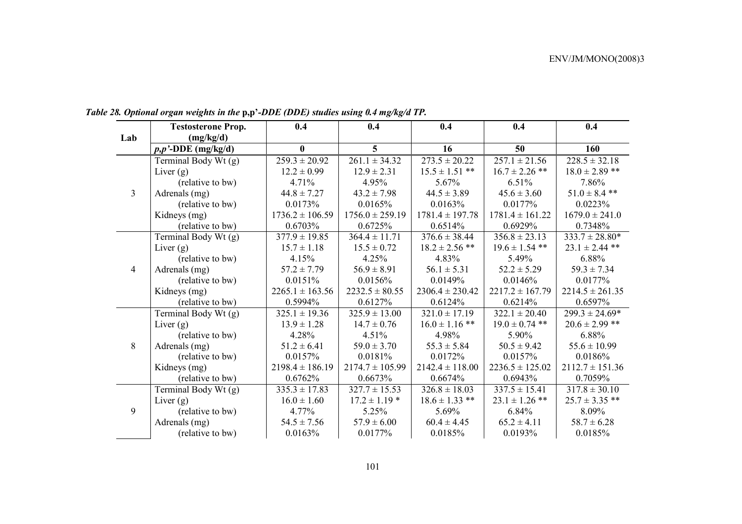|                | <b>Testosterone Prop.</b> | 0.4                 | 0.4                 | 0.4                 | 0.4                 | 0.4                 |
|----------------|---------------------------|---------------------|---------------------|---------------------|---------------------|---------------------|
| Lab            | (mg/kg/d)                 |                     |                     |                     |                     |                     |
|                | $p, p'$ -DDE (mg/kg/d)    | $\bf{0}$            | 5                   | 16                  | 50                  | 160                 |
|                | Terminal Body Wt (g)      | $259.3 \pm 20.92$   | $261.1 \pm 34.32$   | $273.5 \pm 20.22$   | $257.1 \pm 21.56$   | $228.5 \pm 32.18$   |
|                | Liver $(g)$               | $12.2 \pm 0.99$     | $12.9 \pm 2.31$     | $15.5 \pm 1.51$ **  | $16.7 \pm 2.26$ **  | $18.0 \pm 2.89$ **  |
|                | (relative to bw)          | 4.71%               | 4.95%               | 5.67%               | 6.51%               | 7.86%               |
| $\overline{3}$ | Adrenals (mg)             | $44.8 \pm 7.27$     | $43.2 \pm 7.98$     | $44.5 \pm 3.89$     | $45.6 \pm 3.60$     | $51.0 \pm 8.4$ **   |
|                | (relative to bw)          | 0.0173%             | 0.0165%             | 0.0163%             | 0.0177%             | 0.0223%             |
|                | Kidneys (mg)              | $1736.2 \pm 106.59$ | $1756.0 \pm 259.19$ | $1781.4 \pm 197.78$ | $1781.4 \pm 161.22$ | $1679.0 \pm 241.0$  |
|                | (relative to bw)          | 0.6703%             | 0.6725%             | 0.6514%             | 0.6929%             | 0.7348%             |
|                | Terminal Body Wt (g)      | $377.9 \pm 19.85$   | $364.4 \pm 11.71$   | $376.6 \pm 38.44$   | $356.8 \pm 23.13$   | $333.7 \pm 28.80*$  |
|                | Liver $(g)$               | $15.7 \pm 1.18$     | $15.5 \pm 0.72$     | $18.2 \pm 2.56$ **  | $19.6 \pm 1.54$ **  | $23.1 \pm 2.44$ **  |
|                | (relative to bw)          | 4.15%               | 4.25%               | 4.83%               | 5.49%               | 6.88%               |
| $\overline{4}$ | Adrenals (mg)             | $57.2 \pm 7.79$     | $56.9 \pm 8.91$     | $56.1 \pm 5.31$     | $52.2 \pm 5.29$     | $59.3 \pm 7.34$     |
|                | (relative to bw)          | 0.0151%             | 0.0156%             | 0.0149%             | 0.0146%             | 0.0177%             |
|                | Kidneys (mg)              | $2265.1 \pm 163.56$ | $2232.5 \pm 80.55$  | $2306.4 \pm 230.42$ | $2217.2 \pm 167.79$ | $2214.5 \pm 261.35$ |
|                | (relative to bw)          | 0.5994%             | 0.6127%             | 0.6124%             | 0.6214%             | 0.6597%             |
|                | Terminal Body Wt (g)      | $325.1 \pm 19.36$   | $325.9 \pm 13.00$   | $321.0 \pm 17.19$   | $322.1 \pm 20.40$   | $299.3 \pm 24.69*$  |
|                | Liver $(g)$               | $13.9 \pm 1.28$     | $14.7 \pm 0.76$     | $16.0 \pm 1.16$ **  | $19.0 \pm 0.74$ **  | $20.6 \pm 2.99$ **  |
|                | (relative to bw)          | 4.28%               | 4.51%               | 4.98%               | 5.90%               | 6.88%               |
| 8              | Adrenals (mg)             | $51.2 \pm 6.41$     | $59.0 \pm 3.70$     | $55.3 \pm 5.84$     | $50.5 \pm 9.42$     | $55.6 \pm 10.99$    |
|                | (relative to bw)          | 0.0157%             | 0.0181%             | 0.0172%             | 0.0157%             | 0.0186%             |
|                | Kidneys (mg)              | $2198.4 \pm 186.19$ | $2174.7 \pm 105.99$ | $2142.4 \pm 118.00$ | $2236.5 \pm 125.02$ | $2112.7 \pm 151.36$ |
|                | (relative to bw)          | 0.6762%             | 0.6673%             | 0.6674%             | 0.6943%             | 0.7059%             |
|                | Terminal Body Wt (g)      | $335.3 \pm 17.83$   | $327.7 \pm 15.53$   | $326.8 \pm 18.03$   | $337.5 \pm 15.41$   | $317.8 \pm 30.10$   |
|                | Liver $(g)$               | $16.0 \pm 1.60$     | $17.2 \pm 1.19$ *   | $18.6 \pm 1.33$ **  | $23.1 \pm 1.26$ **  | $25.7 \pm 3.35$ **  |
| 9              | (relative to bw)          | 4.77%               | 5.25%               | 5.69%               | 6.84%               | 8.09%               |
|                | Adrenals (mg)             | $54.5 \pm 7.56$     | $57.9 \pm 6.00$     | $60.4 \pm 4.45$     | $65.2 \pm 4.11$     | $58.7 \pm 6.28$     |
|                | (relative to bw)          | 0.0163%             | 0.0177%             | 0.0185%             | 0.0193%             | 0.0185%             |

*Table 28. Optional organ weights in the* **p,p'***-DDE (DDE) studies using 0.4 mg/kg/d TP.*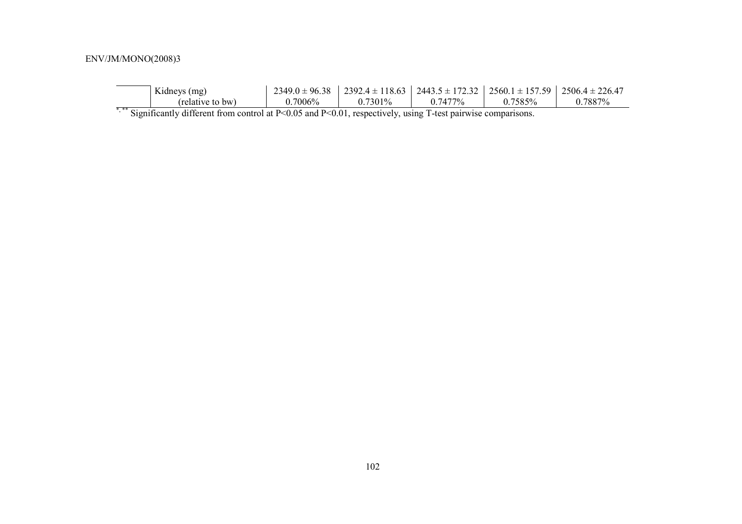| Kidneys (mg)     | $2349.0 \pm 96.38$ |            | $2392.4 \pm 118.63$   2443.5 $\pm$ 172.32   2560.1 $\pm$ 157.59 |         | $2506.4 \pm 226.47$ |
|------------------|--------------------|------------|-----------------------------------------------------------------|---------|---------------------|
| (relative to bw) | $0.7006\%$         | $0.7301\%$ | $0.7477\%$                                                      | 0.7585% | 0.7887%             |

\*,\*\* Significantly different from control at P<0.05 and P<0.01, respectively, using T-test pairwise comparisons.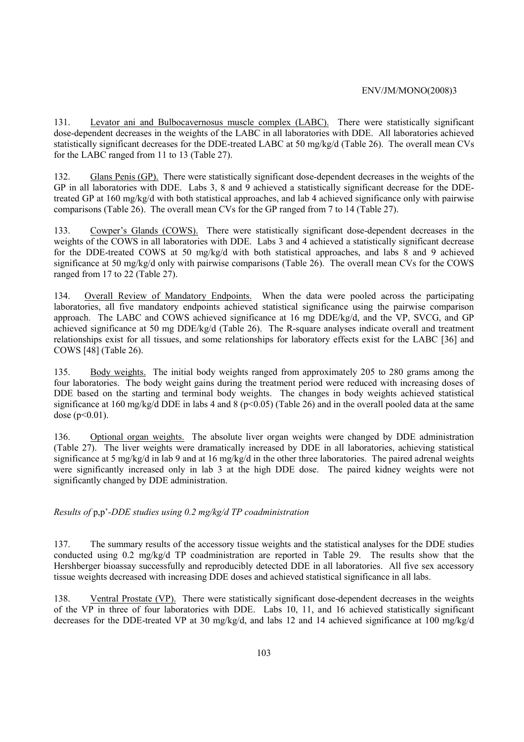131. Levator ani and Bulbocavernosus muscle complex (LABC). There were statistically significant dose-dependent decreases in the weights of the LABC in all laboratories with DDE. All laboratories achieved statistically significant decreases for the DDE-treated LABC at 50 mg/kg/d (Table 26). The overall mean CVs for the LABC ranged from 11 to 13 (Table 27).

132. Glans Penis (GP). There were statistically significant dose-dependent decreases in the weights of the GP in all laboratories with DDE. Labs 3, 8 and 9 achieved a statistically significant decrease for the DDEtreated GP at 160 mg/kg/d with both statistical approaches, and lab 4 achieved significance only with pairwise comparisons (Table 26). The overall mean CVs for the GP ranged from 7 to 14 (Table 27).

133. Cowper's Glands (COWS). There were statistically significant dose-dependent decreases in the weights of the COWS in all laboratories with DDE. Labs 3 and 4 achieved a statistically significant decrease for the DDE-treated COWS at 50 mg/kg/d with both statistical approaches, and labs 8 and 9 achieved significance at 50 mg/kg/d only with pairwise comparisons (Table 26). The overall mean CVs for the COWS ranged from 17 to 22 (Table 27).

134. Overall Review of Mandatory Endpoints. When the data were pooled across the participating laboratories, all five mandatory endpoints achieved statistical significance using the pairwise comparison approach. The LABC and COWS achieved significance at 16 mg DDE/kg/d, and the VP, SVCG, and GP achieved significance at 50 mg DDE/kg/d (Table 26). The R-square analyses indicate overall and treatment relationships exist for all tissues, and some relationships for laboratory effects exist for the LABC [36] and COWS [48] (Table 26).

135. Body weights. The initial body weights ranged from approximately 205 to 280 grams among the four laboratories. The body weight gains during the treatment period were reduced with increasing doses of DDE based on the starting and terminal body weights. The changes in body weights achieved statistical significance at 160 mg/kg/d DDE in labs 4 and 8 ( $p<0.05$ ) (Table 26) and in the overall pooled data at the same dose ( $p<0.01$ ).

136. Optional organ weights. The absolute liver organ weights were changed by DDE administration (Table 27). The liver weights were dramatically increased by DDE in all laboratories, achieving statistical significance at 5 mg/kg/d in lab 9 and at 16 mg/kg/d in the other three laboratories. The paired adrenal weights were significantly increased only in lab 3 at the high DDE dose. The paired kidney weights were not significantly changed by DDE administration.

*Results of* p,p'*-DDE studies using 0.2 mg/kg/d TP coadministration* 

137. The summary results of the accessory tissue weights and the statistical analyses for the DDE studies conducted using 0.2 mg/kg/d TP coadministration are reported in Table 29. The results show that the Hershberger bioassay successfully and reproducibly detected DDE in all laboratories. All five sex accessory tissue weights decreased with increasing DDE doses and achieved statistical significance in all labs.

138. Ventral Prostate (VP). There were statistically significant dose-dependent decreases in the weights of the VP in three of four laboratories with DDE. Labs 10, 11, and 16 achieved statistically significant decreases for the DDE-treated VP at 30 mg/kg/d, and labs 12 and 14 achieved significance at 100 mg/kg/d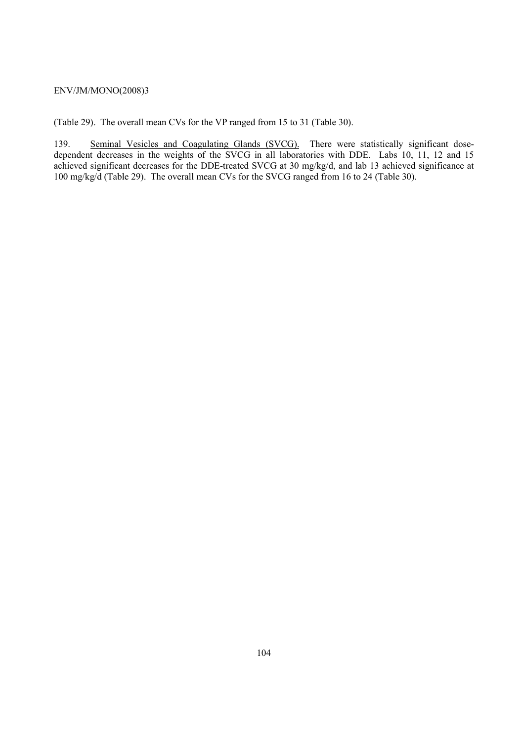(Table 29). The overall mean CVs for the VP ranged from 15 to 31 (Table 30).

139. Seminal Vesicles and Coagulating Glands (SVCG). There were statistically significant dosedependent decreases in the weights of the SVCG in all laboratories with DDE. Labs 10, 11, 12 and 15 achieved significant decreases for the DDE-treated SVCG at 30 mg/kg/d, and lab 13 achieved significance at 100 mg/kg/d (Table 29). The overall mean CVs for the SVCG ranged from 16 to 24 (Table 30).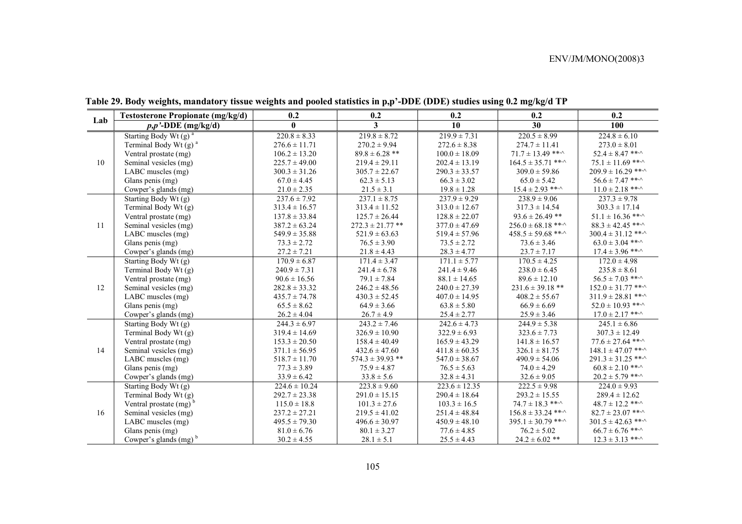|     | <b>Testosterone Propionate (mg/kg/d)</b> | 0.2               | 0.2                               | 0.2               | 0.2                          | 0.2                          |
|-----|------------------------------------------|-------------------|-----------------------------------|-------------------|------------------------------|------------------------------|
| Lab | $p, p'$ -DDE (mg/kg/d)                   | $\mathbf{0}$      | $\mathbf{3}$                      | 10                | 30                           | 100                          |
|     | Starting Body Wt $(g)$ <sup>a</sup>      | $220.8 \pm 8.33$  | $219.8 \pm 8.72$                  | $219.9 \pm 7.31$  | $220.5 \pm 8.99$             | $224.8 \pm 6.10$             |
|     | Terminal Body Wt (g) <sup>a</sup>        | $276.6 \pm 11.71$ | $270.2 \pm 9.94$                  | $272.6 \pm 8.38$  | $274.7 \pm 11.41$            | $273.0 \pm 8.01$             |
|     | Ventral prostate (mg)                    | $106.2 \pm 13.20$ | $89.8 \pm 6.28$ **                | $100.0 \pm 18.09$ | $71.7 \pm 13.49$ ** $\cdot$  | $52.4 \pm 8.47$ ** $\cdot$   |
| 10  | Seminal vesicles (mg)                    | $225.7 \pm 49.00$ | $219.4 \pm 29.11$                 | $202.4 \pm 13.19$ | $164.5 \pm 35.71$ ** $\cdot$ | $75.1 \pm 11.69$ ***         |
|     | LABC muscles (mg)                        | $300.3 \pm 31.26$ | $305.7 \pm 22.67$                 | $290.3 \pm 33.57$ | $309.0 \pm 59.86$            | $209.9 \pm 16.29$ ***        |
|     | Glans penis (mg)                         | $67.0 \pm 4.45$   | $62.3 \pm 5.13$                   | $66.3 \pm 3.02$   | $65.0 \pm 5.42$              | $56.6 \pm 7.47$ ***          |
|     | Cowper's glands (mg)                     | $21.0 \pm 2.35$   | $21.5 \pm 3.1$                    | $19.8 \pm 1.28$   | $15.4 \pm 2.93$ ** $\cdot$   | $11.0 \pm 2.18$ ***          |
|     | Starting Body Wt (g)                     | $237.6 \pm 7.92$  | $237.1 \pm 8.75$                  | $237.9 \pm 9.29$  | $238.9 \pm 9.06$             | $237.3 \pm 9.78$             |
|     | Terminal Body Wt (g)                     | $313.4 \pm 16.57$ | $313.4 \pm 11.52$                 | $313.0 \pm 12.67$ | $317.3 \pm 14.54$            | $303.3 \pm 17.14$            |
|     | Ventral prostate (mg)                    | $137.8 \pm 33.84$ | $125.7 \pm 26.44$                 | $128.8 \pm 22.07$ | $93.6 \pm 26.49$ **          | $51.1 \pm 16.36$ ***         |
| 11  | Seminal vesicles (mg)                    | $387.2 \pm 63.24$ | $272.3 \pm 21.77$ **              | $377.0 \pm 47.69$ | $256.0 \pm 68.18$ ** $\cdot$ | $88.3 \pm 42.45$ ** $\cdot$  |
|     | LABC muscles (mg)                        | $549.9 \pm 35.88$ | $521.9 \pm 63.63$                 | $519.4 \pm 57.96$ | $458.5 \pm 59.68$ ** $\cdot$ | $300.4 \pm 31.12$ ***        |
|     | Glans penis (mg)                         | $73.3 \pm 2.72$   | $76.5 \pm 3.90$                   | $73.5 \pm 2.72$   | $73.6 \pm 3.46$              | $63.0 \pm 3.04$ ** $\cdot$   |
|     | Cowper's glands (mg)                     | $27.2 \pm 7.21$   | $21.8 \pm 4.43$                   | $28.3 \pm 4.77$   | $23.7 \pm 7.17$              | $17.4 \pm 3.96$ ** $\cdot$   |
|     | Starting Body Wt (g)                     | $170.9 \pm 6.87$  | $171.4 \pm 3.47$                  | $171.1 \pm 5.77$  | $170.5 \pm 4.25$             | $172.0 \pm 4.98$             |
|     | Terminal Body Wt (g)                     | $240.9 \pm 7.31$  | $241.4 \pm 6.78$                  | $241.4 \pm 9.46$  | $238.0 \pm 6.45$             | $235.8 \pm 8.61$             |
|     | Ventral prostate (mg)                    | $90.6 \pm 16.56$  | $79.1 \pm 7.84$                   | $88.1 \pm 14.65$  | $89.6 \pm 12.10$             | $56.5 \pm 7.03$ ** $\cdot$   |
| 12  | Seminal vesicles (mg)                    | $282.8 \pm 33.32$ | $246.2 \pm 48.56$                 | $240.0 \pm 27.39$ | $231.6 \pm 39.18$ **         | $152.0 \pm 31.77$ ***        |
|     | LABC muscles (mg)                        | $435.7 \pm 74.78$ | $430.3 \pm 52.45$                 | $407.0 \pm 14.95$ | $408.2 \pm 55.67$            | $311.9 \pm 28.81$ **         |
|     | Glans penis (mg)                         | $65.5 \pm 8.62$   | $64.9 \pm 3.66$                   | $63.8 \pm 5.80$   | $66.9 \pm 6.69$              | $52.0 \pm 10.93$ ** $\cdot$  |
|     | Cowper's glands (mg)                     | $26.2 \pm 4.04$   | $26.7 \pm 4.9$<br>$25.4 \pm 2.77$ |                   | $25.9 \pm 3.46$              | $17.0 \pm 2.17$ ** $\sim$    |
|     | Starting Body Wt (g)                     | $244.3 \pm 6.97$  | $243.2 \pm 7.46$                  | $242.6 \pm 4.73$  | $244.9 \pm 5.38$             | $245.1 \pm 6.86$             |
|     | Terminal Body Wt (g)                     | $319.4 \pm 14.69$ | $326.9 \pm 10.90$                 | $322.9 \pm 6.93$  | $323.6 \pm 7.73$             | $307.3 \pm 12.49$            |
|     | Ventral prostate (mg)                    | $153.3 \pm 20.50$ | $158.4 \pm 40.49$                 | $165.9 \pm 43.29$ | $141.8 \pm 16.57$            | $77.6 \pm 27.64$ ** $\cdot$  |
| 14  | Seminal vesicles (mg)                    | $371.1 \pm 56.95$ | $432.6 \pm 47.60$                 | $411.8 \pm 60.35$ | $326.1 \pm 81.75$            | $148.1 \pm 47.07$ ***        |
|     | LABC muscles (mg)                        | $518.7 \pm 11.70$ | $574.3 \pm 39.93$ **              | $547.0 \pm 38.67$ | $490.9 \pm 54.06$            | $291.3 \pm 31.25$ ***        |
|     | Glans penis (mg)                         | $77.3 \pm 3.89$   | $75.9 \pm 4.87$                   | $76.5 \pm 5.63$   | $74.0 \pm 4.29$              | $60.8 \pm 2.10$ ** $\cdot$   |
|     | Cowper's glands (mg)                     | $33.9 \pm 6.42$   | $33.8 \pm 5.6$                    | $32.8 \pm 4.31$   | $32.6 \pm 9.05$              | $20.2 \pm 5.79$ ** $\sim$    |
|     | Starting Body Wt (g)                     | $224.6 \pm 10.24$ | $223.8 \pm 9.60$                  | $223.6 \pm 12.35$ | $222.5 \pm 9.98$             | $224.0 \pm 9.93$             |
|     | Terminal Body Wt (g)                     | $292.7 \pm 23.38$ | $291.0 \pm 15.15$                 | $290.4 \pm 18.64$ | $293.2 \pm 15.55$            | $289.4 \pm 12.62$            |
|     | Ventral prostate $(mg)^b$                | $115.0 \pm 18.8$  | $101.3 \pm 27.6$                  | $103.3 \pm 16.5$  | $74.7 \pm 18.3$ ** $\cdot$   | $48.7 \pm 12.2$ ** $\cdot$   |
| 16  | Seminal vesicles (mg)                    | $237.2 \pm 27.21$ | $219.5 \pm 41.02$                 | $251.4 \pm 48.84$ | $156.8 \pm 33.24$ ***        | $82.7 \pm 23.07$ ** $\cdot$  |
|     | LABC muscles (mg)                        | $495.5 \pm 79.30$ | $496.6 \pm 30.97$                 | $450.9 \pm 48.10$ | $395.1 \pm 30.79$ ** $\sim$  | $301.5 \pm 42.63$ ** $\cdot$ |
|     | Glans penis (mg)                         | $81.0 \pm 6.76$   | $80.1 \pm 3.27$                   | $77.6 \pm 4.85$   | $76.2 \pm 5.02$              | $66.7 \pm 6.76$ ** $\cdot$   |
|     | Cowper's glands $(mg)^b$                 | $30.2 \pm 4.55$   | $28.1 \pm 5.1$                    | $25.5 \pm 4.43$   | $24.2 \pm 6.02$ **           | $12.3 \pm 3.13$ ** $\cdot$   |

**Table 29. Body weights, mandatory tissue weights and pooled statistics in p,p'-DDE (DDE) studies using 0.2 mg/kg/d TP**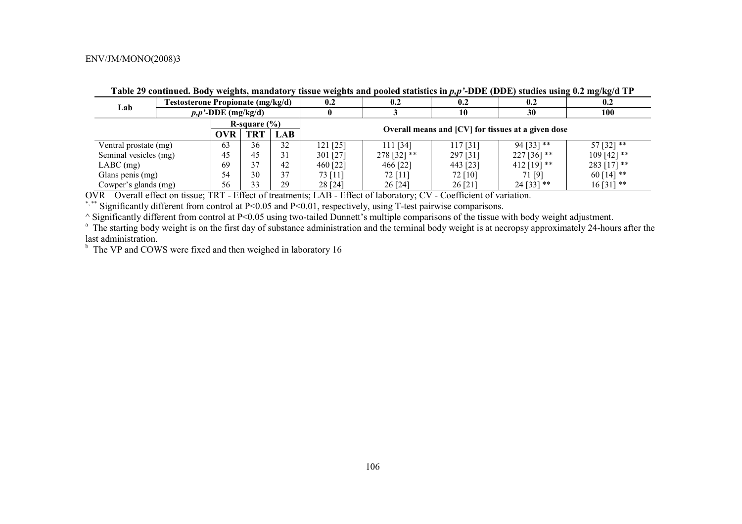| Lab                   | <b>Testosterone Propionate (mg/kg/d)</b> |                        |            | 0.2                                                | 0.2                                                           | 0.2           | 0.2      | 0.2           |               |  |  |
|-----------------------|------------------------------------------|------------------------|------------|----------------------------------------------------|---------------------------------------------------------------|---------------|----------|---------------|---------------|--|--|
|                       |                                          | $p, p'$ -DDE (mg/kg/d) |            |                                                    |                                                               |               | 10       | 30            | 100           |  |  |
| R-square $(\% )$      |                                          |                        |            |                                                    |                                                               |               |          |               |               |  |  |
|                       | <b>OVR</b>                               | TRT                    | <b>LAB</b> | Overall means and [CV] for tissues at a given dose |                                                               |               |          |               |               |  |  |
| Ventral prostate (mg) |                                          | 63                     | 36         | 32                                                 | 57 [32] **<br>$94$ [33] **<br>121 [25]<br>111 [34]<br>117[31] |               |          |               |               |  |  |
|                       | Seminal vesicles (mg)<br>45              |                        | 45         | 31                                                 | 301 [27]                                                      | $278$ [32] ** | 297 [31] | $227[36]$ **  | $109$ [42] ** |  |  |
| $LABC$ (mg)           |                                          | 69                     | 37         | 42                                                 | 460 [22]                                                      | 466 [22]      | 443 [23] | $412$ [19] ** | $283$ [17] ** |  |  |
| Glans penis (mg)      |                                          | 54                     | 30         | 37                                                 | 73 [11]                                                       | 72 [11]       | 72 [10]  | 71 [9]        | $60$ [14] **  |  |  |
| Cowper's glands (mg)  |                                          | 56                     | 33         | 29                                                 | 28 [24]                                                       | 26 [24]       | 26[21]   | $24$ [33] **  | $16[31]$ **   |  |  |

Table 29 continued. Body weights, mandatory tissue weights and pooled statistics in  $p, p$ <sup>2</sup>-DDE (DDE) studies using 0.2 mg/kg/d TP

OVR – Overall effect on tissue; TRT - Effect of treatments; LAB - Effect of laboratory; CV - Coefficient of variation.

\*, \*\* Significantly different from control at P<0.05 and P<0.01, respectively, using T-test pairwise comparisons.

^ Significantly different from control at P<0.05 using two-tailed Dunnett's multiple comparisons of the tissue with body weight adjustment.

<sup>a</sup> The starting body weight is on the first day of substance administration and the terminal body weight is at necropsy approximately 24-hours after the last administration.

 $b$  The VP and COWS were fixed and then weighed in laboratory 16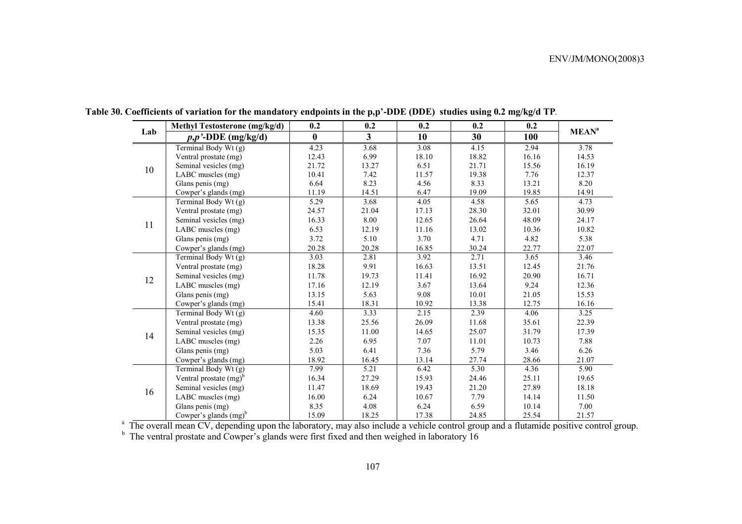|     | <b>Methyl Testosterone (mg/kg/d)</b> | 0.2      | 0.2                     | 0.2               | 0.2   | 0.2   |                         |
|-----|--------------------------------------|----------|-------------------------|-------------------|-------|-------|-------------------------|
| Lab | $\overline{p,p'}$ -DDE (mg/kg/d)     | $\bf{0}$ | $\overline{\mathbf{3}}$ | 10                | 30    | 100   | <b>MEAN<sup>a</sup></b> |
|     | Terminal Body Wt (g)                 | 4.23     | 3.68                    | $\overline{3.08}$ | 4.15  | 2.94  | 3.78                    |
|     | Ventral prostate (mg)                | 12.43    | 6.99                    | 18.10             | 18.82 | 16.16 | 14.53                   |
| 10  | Seminal vesicles (mg)                | 21.72    | 13.27                   | 6.51              | 21.71 | 15.56 | 16.19                   |
|     | LABC muscles (mg)                    | 10.41    | 7.42                    | 11.57             | 19.38 | 7.76  | 12.37                   |
|     | Glans penis (mg)                     | 6.64     | 8.23                    | 4.56              | 8.33  | 13.21 | 8.20                    |
|     | Cowper's glands (mg)                 | 11.19    | 14.51                   | 6.47              | 19.09 | 19.85 | 14.91                   |
|     | Terminal Body Wt (g)                 | 5.29     | 3.68                    | 4.05              | 4.58  | 5.65  | 4.73                    |
|     | Ventral prostate (mg)                | 24.57    | 21.04                   | 17.13             | 28.30 | 32.01 | 30.99                   |
| 11  | Seminal vesicles (mg)                | 16.33    | 8.00                    | 12.65             | 26.64 | 48.09 | 24.17                   |
|     | LABC muscles (mg)                    | 6.53     | 12.19                   | 11.16             | 13.02 | 10.36 | 10.82                   |
|     | Glans penis (mg)                     | 3.72     | 5.10                    | 3.70              | 4.71  | 4.82  | 5.38                    |
|     | Cowper's glands (mg)                 | 20.28    | 20.28                   | 16.85             | 30.24 | 22.77 | 22.07                   |
|     | Terminal Body Wt (g)                 | 3.03     | 2.81                    | 3.92              | 2.71  | 3.65  | 3.46                    |
|     | Ventral prostate (mg)                | 18.28    | 9.91                    | 16.63             | 13.51 | 12.45 | 21.76                   |
| 12  | Seminal vesicles (mg)                | 11.78    | 19.73                   | 11.41             | 16.92 | 20.90 | 16.71                   |
|     | LABC muscles (mg)                    | 17.16    | 12.19                   | 3.67              | 13.64 | 9.24  | 12.36                   |
|     | Glans penis (mg)                     | 13.15    | 5.63                    | 9.08              | 10.01 | 21.05 | 15.53                   |
|     | Cowper's glands (mg)                 | 15.41    | 18.31                   | 10.92             | 13.38 | 12.75 | 16.16                   |
|     | Terminal Body Wt $(g)$               | 4.60     | 3.33                    | 2.15              | 2.39  | 4.06  | 3.25                    |
|     | Ventral prostate (mg)                | 13.38    | 25.56                   | 26.09             | 11.68 | 35.61 | 22.39                   |
| 14  | Seminal vesicles (mg)                | 15.35    | 11.00                   | 14.65             | 25.07 | 31.79 | 17.39                   |
|     | LABC muscles (mg)                    | 2.26     | 6.95                    | 7.07              | 11.01 | 10.73 | 7.88                    |
|     | Glans penis (mg)                     | 5.03     | 6.41                    | 7.36              | 5.79  | 3.46  | 6.26                    |
|     | Cowper's glands (mg)                 | 18.92    | 16.45                   | 13.14             | 27.74 | 28.66 | 21.07                   |
|     | Terminal Body Wt (g)                 | 7.99     | 5.21                    | 6.42              | 5.30  | 4.36  | 5.90                    |
|     | Ventral prostate $(mg)^b$            | 16.34    | 27.29                   | 15.93             | 24.46 | 25.11 | 19.65                   |
|     | Seminal vesicles (mg)                | 11.47    | 18.69                   | 19.43             | 21.20 | 27.89 | 18.18                   |
| 16  | LABC muscles (mg)                    | 16.00    | 6.24                    | 10.67             | 7.79  | 14.14 | 11.50                   |
|     | Glans penis (mg)                     | 8.35     | 4.08                    | 6.24              | 6.59  | 10.14 | 7.00                    |
|     | Cowper's glands $(mg)^b$             | 15.09    | 18.25                   | 17.38             | 24.85 | 25.54 | 21.57                   |

**Table 30. Coefficients of variation for the mandatory endpoints in the p,p'-DDE (DDE) studies using 0.2 mg/kg/d TP***.* 

<sup>a</sup> The overall mean CV, depending upon the laboratory, may also include a vehicle control group and a flutamide positive control group.

 $b<sup>b</sup>$  The ventral prostate and Cowper's glands were first fixed and then weighed in laboratory 16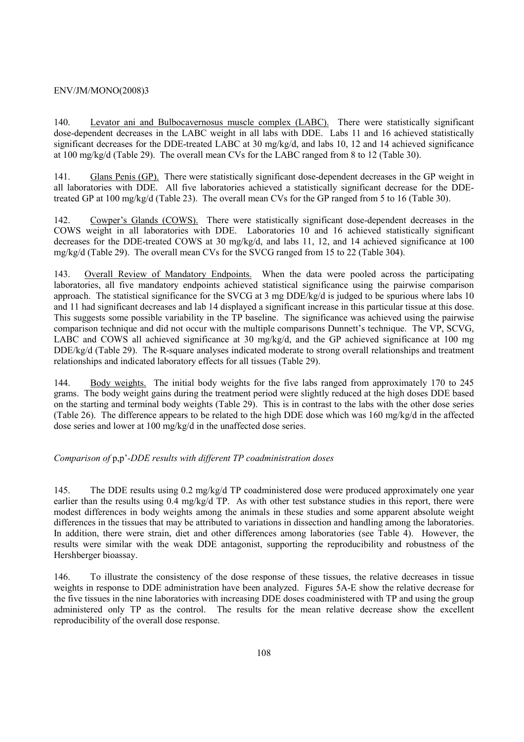140. Levator ani and Bulbocavernosus muscle complex (LABC). There were statistically significant dose-dependent decreases in the LABC weight in all labs with DDE. Labs 11 and 16 achieved statistically significant decreases for the DDE-treated LABC at 30 mg/kg/d, and labs 10, 12 and 14 achieved significance at 100 mg/kg/d (Table 29). The overall mean CVs for the LABC ranged from 8 to 12 (Table 30).

141. Glans Penis (GP). There were statistically significant dose-dependent decreases in the GP weight in all laboratories with DDE. All five laboratories achieved a statistically significant decrease for the DDEtreated GP at 100 mg/kg/d (Table 23). The overall mean CVs for the GP ranged from 5 to 16 (Table 30).

142. Cowper's Glands (COWS). There were statistically significant dose-dependent decreases in the COWS weight in all laboratories with DDE. Laboratories 10 and 16 achieved statistically significant decreases for the DDE-treated COWS at 30 mg/kg/d, and labs 11, 12, and 14 achieved significance at 100 mg/kg/d (Table 29). The overall mean CVs for the SVCG ranged from 15 to 22 (Table 304).

143. Overall Review of Mandatory Endpoints. When the data were pooled across the participating laboratories, all five mandatory endpoints achieved statistical significance using the pairwise comparison approach. The statistical significance for the SVCG at 3 mg DDE/kg/d is judged to be spurious where labs 10 and 11 had significant decreases and lab 14 displayed a significant increase in this particular tissue at this dose. This suggests some possible variability in the TP baseline. The significance was achieved using the pairwise comparison technique and did not occur with the multiple comparisons Dunnett's technique. The VP, SCVG, LABC and COWS all achieved significance at 30 mg/kg/d, and the GP achieved significance at 100 mg DDE/kg/d (Table 29). The R-square analyses indicated moderate to strong overall relationships and treatment relationships and indicated laboratory effects for all tissues (Table 29).

144. Body weights. The initial body weights for the five labs ranged from approximately 170 to 245 grams. The body weight gains during the treatment period were slightly reduced at the high doses DDE based on the starting and terminal body weights (Table 29). This is in contrast to the labs with the other dose series (Table 26). The difference appears to be related to the high DDE dose which was 160 mg/kg/d in the affected dose series and lower at 100 mg/kg/d in the unaffected dose series.

### *Comparison of* p,p'*-DDE results with different TP coadministration doses*

145. The DDE results using 0.2 mg/kg/d TP coadministered dose were produced approximately one year earlier than the results using 0.4 mg/kg/d TP. As with other test substance studies in this report, there were modest differences in body weights among the animals in these studies and some apparent absolute weight differences in the tissues that may be attributed to variations in dissection and handling among the laboratories. In addition, there were strain, diet and other differences among laboratories (see Table 4). However, the results were similar with the weak DDE antagonist, supporting the reproducibility and robustness of the Hershberger bioassay.

146. To illustrate the consistency of the dose response of these tissues, the relative decreases in tissue weights in response to DDE administration have been analyzed. Figures 5A-E show the relative decrease for the five tissues in the nine laboratories with increasing DDE doses coadministered with TP and using the group administered only TP as the control. The results for the mean relative decrease show the excellent reproducibility of the overall dose response.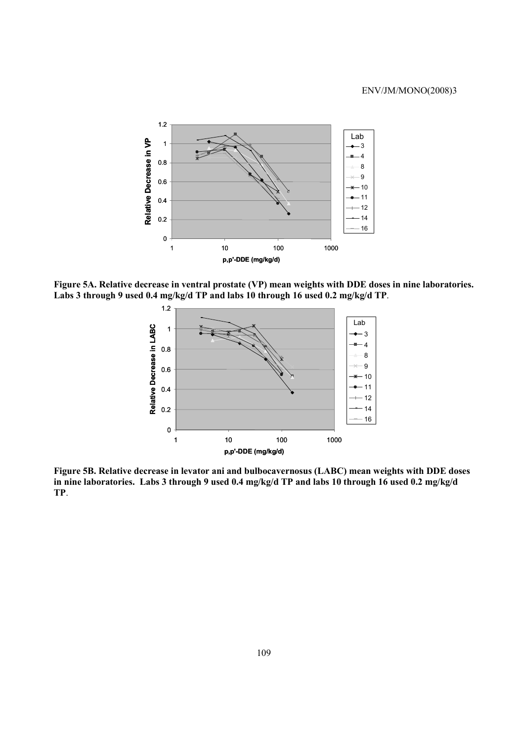

**Figure 5A. Relative decrease in ventral prostate (VP) mean weights with DDE doses in nine laboratories. Labs 3 through 9 used 0.4 mg/kg/d TP and labs 10 through 16 used 0.2 mg/kg/d TP**.



**Figure 5B. Relative decrease in levator ani and bulbocavernosus (LABC) mean weights with DDE doses in nine laboratories. Labs 3 through 9 used 0.4 mg/kg/d TP and labs 10 through 16 used 0.2 mg/kg/d TP**.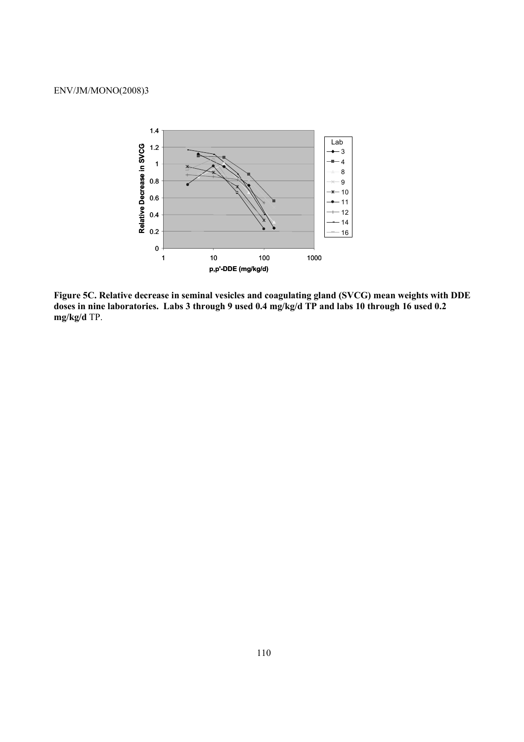

**Figure 5C. Relative decrease in seminal vesicles and coagulating gland (SVCG) mean weights with DDE doses in nine laboratories. Labs 3 through 9 used 0.4 mg/kg/d TP and labs 10 through 16 used 0.2 mg/kg/d** TP.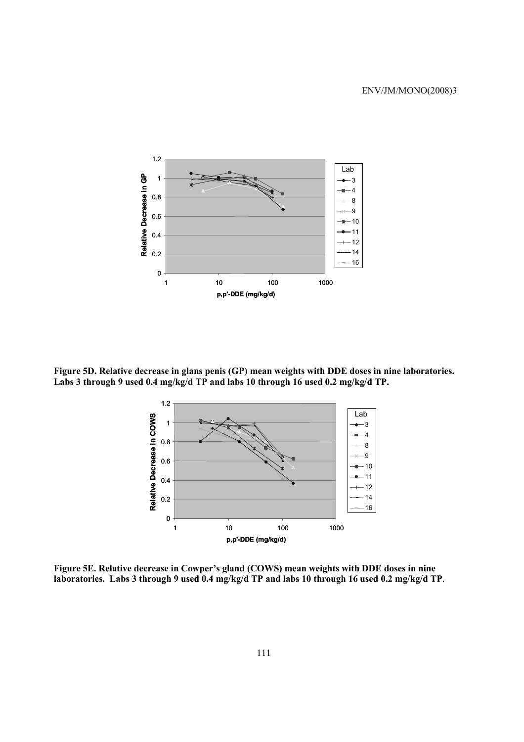

**Figure 5D. Relative decrease in glans penis (GP) mean weights with DDE doses in nine laboratories. Labs 3 through 9 used 0.4 mg/kg/d TP and labs 10 through 16 used 0.2 mg/kg/d TP.** 



**Figure 5E. Relative decrease in Cowper's gland (COWS) mean weights with DDE doses in nine laboratories. Labs 3 through 9 used 0.4 mg/kg/d TP and labs 10 through 16 used 0.2 mg/kg/d TP**.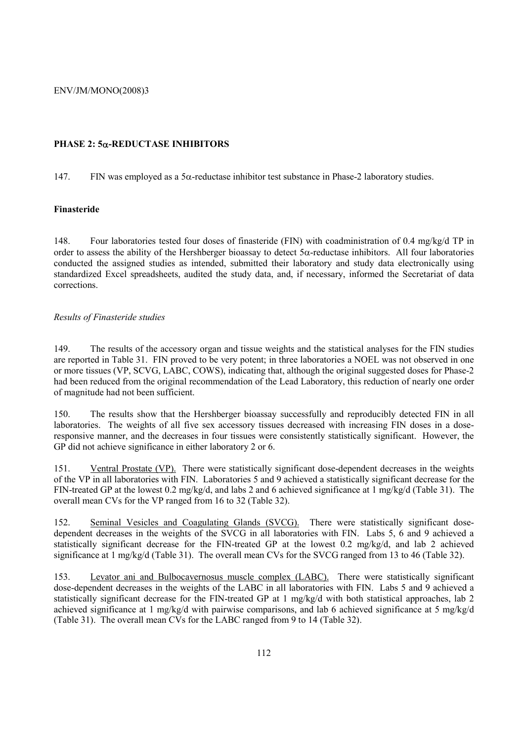# **PHASE 2: 5**α**-REDUCTASE INHIBITORS**

147. FIN was employed as a  $5\alpha$ -reductase inhibitor test substance in Phase-2 laboratory studies.

### **Finasteride**

148. Four laboratories tested four doses of finasteride (FIN) with coadministration of 0.4 mg/kg/d TP in order to assess the ability of the Hershberger bioassay to detect  $5\alpha$ -reductase inhibitors. All four laboratories conducted the assigned studies as intended, submitted their laboratory and study data electronically using standardized Excel spreadsheets, audited the study data, and, if necessary, informed the Secretariat of data corrections.

### *Results of Finasteride studies*

149. The results of the accessory organ and tissue weights and the statistical analyses for the FIN studies are reported in Table 31. FIN proved to be very potent; in three laboratories a NOEL was not observed in one or more tissues (VP, SCVG, LABC, COWS), indicating that, although the original suggested doses for Phase-2 had been reduced from the original recommendation of the Lead Laboratory, this reduction of nearly one order of magnitude had not been sufficient.

150. The results show that the Hershberger bioassay successfully and reproducibly detected FIN in all laboratories. The weights of all five sex accessory tissues decreased with increasing FIN doses in a doseresponsive manner, and the decreases in four tissues were consistently statistically significant. However, the GP did not achieve significance in either laboratory 2 or 6.

151. Ventral Prostate (VP). There were statistically significant dose-dependent decreases in the weights of the VP in all laboratories with FIN. Laboratories 5 and 9 achieved a statistically significant decrease for the FIN-treated GP at the lowest 0.2 mg/kg/d, and labs 2 and 6 achieved significance at 1 mg/kg/d (Table 31). The overall mean CVs for the VP ranged from 16 to 32 (Table 32).

152. Seminal Vesicles and Coagulating Glands (SVCG). There were statistically significant dosedependent decreases in the weights of the SVCG in all laboratories with FIN. Labs 5, 6 and 9 achieved a statistically significant decrease for the FIN-treated GP at the lowest 0.2 mg/kg/d, and lab 2 achieved significance at 1 mg/kg/d (Table 31). The overall mean CVs for the SVCG ranged from 13 to 46 (Table 32).

153. Levator ani and Bulbocavernosus muscle complex (LABC). There were statistically significant dose-dependent decreases in the weights of the LABC in all laboratories with FIN. Labs 5 and 9 achieved a statistically significant decrease for the FIN-treated GP at 1 mg/kg/d with both statistical approaches, lab 2 achieved significance at 1 mg/kg/d with pairwise comparisons, and lab 6 achieved significance at 5 mg/kg/d (Table 31). The overall mean CVs for the LABC ranged from 9 to 14 (Table 32).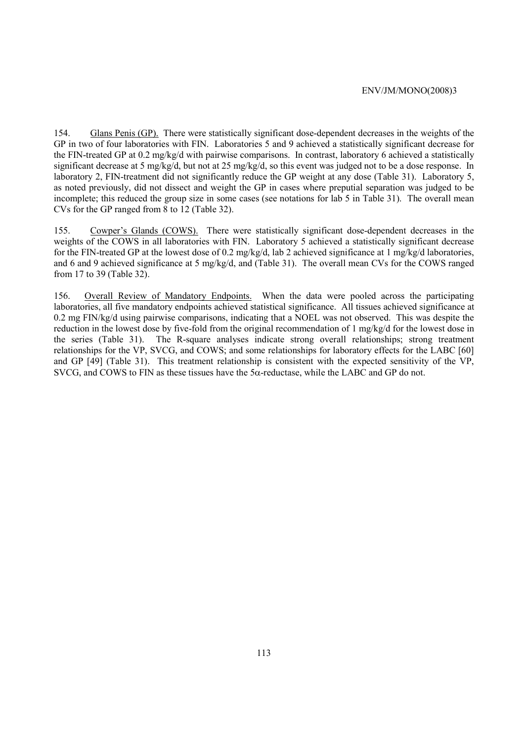154. Glans Penis (GP). There were statistically significant dose-dependent decreases in the weights of the GP in two of four laboratories with FIN. Laboratories 5 and 9 achieved a statistically significant decrease for the FIN-treated GP at 0.2 mg/kg/d with pairwise comparisons. In contrast, laboratory 6 achieved a statistically significant decrease at 5 mg/kg/d, but not at 25 mg/kg/d, so this event was judged not to be a dose response. In laboratory 2, FIN-treatment did not significantly reduce the GP weight at any dose (Table 31). Laboratory 5, as noted previously, did not dissect and weight the GP in cases where preputial separation was judged to be incomplete; this reduced the group size in some cases (see notations for lab 5 in Table 31). The overall mean CVs for the GP ranged from 8 to 12 (Table 32).

155. Cowper's Glands (COWS). There were statistically significant dose-dependent decreases in the weights of the COWS in all laboratories with FIN. Laboratory 5 achieved a statistically significant decrease for the FIN-treated GP at the lowest dose of 0.2 mg/kg/d, lab 2 achieved significance at 1 mg/kg/d laboratories, and 6 and 9 achieved significance at 5 mg/kg/d, and (Table 31). The overall mean CVs for the COWS ranged from 17 to 39 (Table 32).

156. Overall Review of Mandatory Endpoints. When the data were pooled across the participating laboratories, all five mandatory endpoints achieved statistical significance. All tissues achieved significance at 0.2 mg FIN/kg/d using pairwise comparisons, indicating that a NOEL was not observed. This was despite the reduction in the lowest dose by five-fold from the original recommendation of 1 mg/kg/d for the lowest dose in the series (Table 31). The R-square analyses indicate strong overall relationships; strong treatment relationships for the VP, SVCG, and COWS; and some relationships for laboratory effects for the LABC [60] and GP [49] (Table 31). This treatment relationship is consistent with the expected sensitivity of the VP, SVCG, and COWS to FIN as these tissues have the 5α-reductase, while the LABC and GP do not.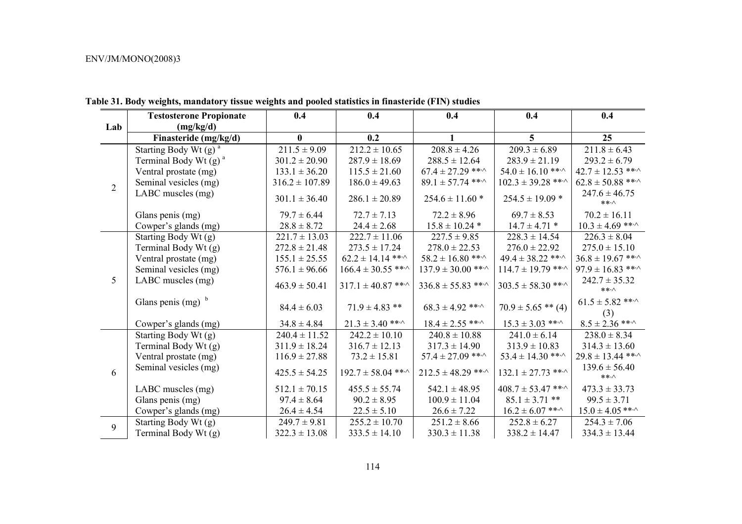|                | <b>Testosterone Propionate</b>      | 0.4                | 0.4                          | 0.4                          | 0.4                          | 0.4                               |
|----------------|-------------------------------------|--------------------|------------------------------|------------------------------|------------------------------|-----------------------------------|
| Lab            | (mg/kg/d)                           |                    |                              |                              |                              |                                   |
|                | Finasteride (mg/kg/d)               | $\bf{0}$           | 0.2                          | 1                            | $5\overline{)}$              | 25                                |
|                | Starting Body Wt $(g)$ <sup>a</sup> | $211.5 \pm 9.09$   | $212.2 \pm 10.65$            | $208.8 \pm 4.26$             | $209.3 \pm 6.89$             | $211.8 \pm 6.43$                  |
|                | Terminal Body Wt $(g)$ <sup>a</sup> | $301.2 \pm 20.90$  | $287.9 \pm 18.69$            | $288.5 \pm 12.64$            | $283.9 \pm 21.19$            | $293.2 \pm 6.79$                  |
|                | Ventral prostate (mg)               | $133.1 \pm 36.20$  | $115.5 \pm 21.60$            | $67.4 \pm 27.29$ ** $\cdot$  | $54.0 \pm 16.10$ ***         | $42.7 \pm 12.53$ ** $\cdot$       |
| $\overline{2}$ | Seminal vesicles (mg)               | $316.2 \pm 107.89$ | $186.0 \pm 49.63$            | $89.1 \pm 57.74$ ** $\cdot$  | $102.3 \pm 39.28$ ** $\cdot$ | $62.8 \pm 50.88$ ** $\cdot$       |
|                | LABC muscles (mg)                   | $301.1 \pm 36.40$  | $286.1 \pm 20.89$            | $254.6 \pm 11.60$ *          | $254.5 \pm 19.09$ *          | $247.6 \pm 46.75$<br>$***\wedge$  |
|                | Glans penis (mg)                    | $79.7 \pm 6.44$    | $72.7 \pm 7.13$              | $72.2 \pm 8.96$              | $69.7 \pm 8.53$              | $70.2 \pm 16.11$                  |
|                | Cowper's glands (mg)                | $28.8 \pm 8.72$    | $24.4 \pm 2.68$              | $15.8 \pm 10.24$ *           | $14.7 \pm 4.71$ *            | $10.3 \pm 4.69$ ***               |
|                | Starting Body Wt (g)                | $221.7 \pm 13.03$  | $222.7 \pm 11.06$            | $227.5 \pm 9.85$             | $228.3 \pm 14.54$            | $226.3 \pm 8.04$                  |
|                | Terminal Body Wt (g)                | $272.8 \pm 21.48$  | $273.5 \pm 17.24$            | $278.0 \pm 22.53$            | $276.0 \pm 22.92$            | $275.0 \pm 15.10$                 |
|                | Ventral prostate (mg)               | $155.1 \pm 25.55$  | $62.2 \pm 14.14$ ***         | $58.2 \pm 16.80$ ** $\cdot$  | $49.4 \pm 38.22$ ** $\cdot$  | $36.8 \pm 19.67$ ** $\cdot$       |
|                | Seminal vesicles (mg)               | $576.1 \pm 96.66$  | $166.4 \pm 30.55$ ** $\cdot$ | $137.9 \pm 30.00$ ** $\cdot$ | $114.7 \pm 19.79$ ** $\cdot$ | $97.9 \pm 16.83$ ** $\cdot$       |
| 5 <sup>5</sup> | LABC muscles (mg)                   | $463.9 \pm 50.41$  | $317.1 \pm 40.87$ ** $\cdot$ | $336.8 \pm 55.83$ ***        | $303.5 \pm 58.30$ ** $\cdot$ | $242.7 \pm 35.32$<br>$***\wedge$  |
|                | Glans penis $(mg)^b$                | $84.4 \pm 6.03$    | $71.9 \pm 4.83$ **           | $68.3 \pm 4.92$ ** $\cdot$   | $70.9 \pm 5.65$ ** (4)       | $61.5 \pm 5.82$ ** $\cdot$<br>(3) |
|                | Cowper's glands (mg)                | $34.8 \pm 4.84$    | $21.3 \pm 3.40$ ** $\cdot$   | $18.4 \pm 2.55$ ** $\cdot$   | $15.3 \pm 3.03$ ** $\cdot$   | $8.5 \pm 2.36$ ** $\cdot$         |
|                | Starting Body Wt (g)                | $240.4 \pm 11.52$  | $242.2 \pm 10.10$            | $240.8 \pm 10.88$            | $241.0 \pm 6.14$             | $238.0 \pm 8.34$                  |
|                | Terminal Body Wt (g)                | $311.9 \pm 18.24$  | $316.7 \pm 12.13$            | $317.3 \pm 14.90$            | $313.9 \pm 10.83$            | $314.3 \pm 13.60$                 |
|                | Ventral prostate (mg)               | $116.9 \pm 27.88$  | $73.2 \pm 15.81$             | $57.4 \pm 27.09$ ** $\cdot$  | $53.4 \pm 14.30$ ** $\cdot$  | $29.8 \pm 13.44$ ** $\cdot$       |
| 6              | Seminal vesicles (mg)               | $425.5 \pm 54.25$  | $192.7 \pm 58.04$ ** $\cdot$ | $212.5 \pm 48.29$ ***        | $132.1 \pm 27.73$ ** $\cdot$ | $139.6 \pm 56.40$<br>$***\wedge$  |
|                | LABC muscles (mg)                   | $512.1 \pm 70.15$  | $455.5 \pm 55.74$            | $542.1 \pm 48.95$            | $408.7 \pm 53.47$ ** $\cdot$ | $473.3 \pm 33.73$                 |
|                | Glans penis (mg)                    | $97.4 \pm 8.64$    | $90.2 \pm 8.95$              | $100.9 \pm 11.04$            | $85.1 \pm 3.71$ **           | $99.5 \pm 3.71$                   |
|                | Cowper's glands (mg)                | $26.4 \pm 4.54$    | $22.5 \pm 5.10$              | $26.6 \pm 7.22$              | $16.2 \pm 6.07$ ** $\cdot$   | $15.0 \pm 4.05$ ** $\cdot$        |
| 9              | Starting Body Wt (g)                | $249.7 \pm 9.81$   | $255.2 \pm 10.70$            | $251.2 \pm 8.66$             | $252.8 \pm 6.27$             | $254.3 \pm 7.06$                  |
|                | Terminal Body Wt (g)                | $322.3 \pm 13.08$  | $333.5 \pm 14.10$            | $330.3 \pm 11.38$            | $338.2 \pm 14.47$            | $334.3 \pm 13.44$                 |

**Table 31. Body weights, mandatory tissue weights and pooled statistics in finasteride (FIN) studies**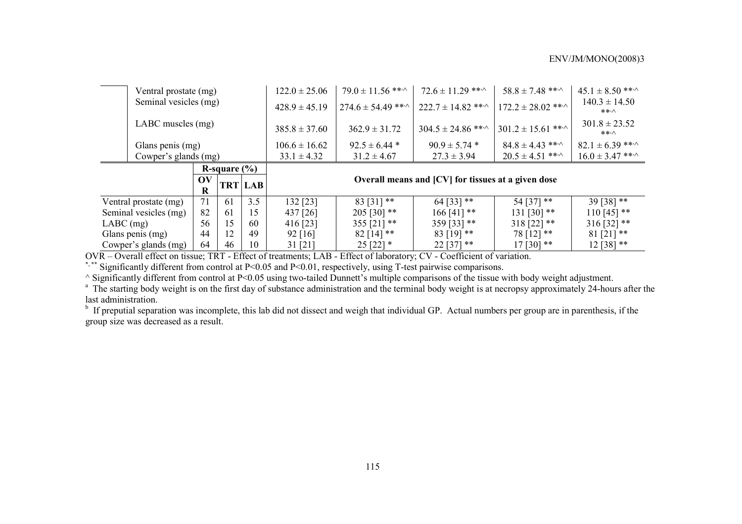| Ventral prostate (mg) |                       | $122.0 \pm 25.06$ | $79.0 \pm 11.56$ *** | $72.6 \pm 11.29$ ** $\cdot$                                                  | $58.8 \pm 7.48$ ** $\cdot$   | $45.1 \pm 8.50$ ** $\cdot$                         |                                  |                            |
|-----------------------|-----------------------|-------------------|----------------------|------------------------------------------------------------------------------|------------------------------|----------------------------------------------------|----------------------------------|----------------------------|
|                       | Seminal vesicles (mg) |                   | $428.9 \pm 45.19$    | $274.6 \pm 54.49$ ** $\sim$                                                  | $222.7 \pm 14.82$ **         | $172.2 \pm 28.02$ ** $\cdot$                       | $140.3 \pm 14.50$<br>$***\wedge$ |                            |
| LABC muscles (mg)     |                       |                   | $385.8 \pm 37.60$    | $362.9 \pm 31.72$                                                            | $304.5 \pm 24.86$ ** $\cdot$ | $301.2 \pm 15.61$ ***                              | $301.8 \pm 23.52$<br>$***\wedge$ |                            |
| Glans penis (mg)      |                       |                   | $106.6 \pm 16.62$    | $92.5 \pm 6.44$ *                                                            | $90.9 \pm 5.74$ *            | $84.8 \pm 4.43$ ** $\cdot$                         | $82.1 \pm 6.39$ ***              |                            |
| Cowper's glands (mg)  |                       |                   |                      | $33.1 \pm 4.32$                                                              | $31.2 \pm 4.67$              | $27.3 \pm 3.94$                                    | $20.5 \pm 4.51$ **               | $16.0 \pm 3.47$ ** $\cdot$ |
| R-square $(\% )$      |                       |                   |                      |                                                                              |                              |                                                    |                                  |                            |
|                       | OV                    |                   | <b>TRT LAB</b>       |                                                                              |                              | Overall means and [CV] for tissues at a given dose |                                  |                            |
|                       | R                     |                   |                      |                                                                              |                              |                                                    |                                  |                            |
| Ventral prostate (mg) | 71                    | 61                | 3.5                  | 132 [23]                                                                     | $83$ [31] **                 | 64 [33] **                                         | 54 [37] **                       | $39[38]$ **                |
| Seminal vesicles (mg) | 82                    | 61                | 15                   | 437 [26]                                                                     | $205$ [30] **                | $166$ [41] **                                      | $131 [30]$ **                    | $110$ [45] **              |
| $LABC$ (mg)           | 56                    | 15                | 60                   | $318 [22]$ **<br>$316$ [32] **<br>355 [21] $**$<br>$359$ [33] **<br>416 [23] |                              |                                                    |                                  |                            |
| Glans penis (mg)      | 44                    | 12                | 49                   | $82$ [14] **<br>$78$ [12] **<br>$81$ [21] **<br>$83$ [19] **<br>$92$ [16]    |                              |                                                    |                                  |                            |
| Cowper's glands (mg)  | 64                    | 46                | 10                   | 31 [21]                                                                      | $25 [22]$ *                  | $22$ [37] **                                       | $17$ [30] **                     | $12 [38]$ **               |

OVR – Overall effect on tissue; TRT - Effect of treatments; LAB - Effect of laboratory; CV - Coefficient of variation.

\*,\*\* Significantly different from control at P<0.05 and P<0.01, respectively, using T-test pairwise comparisons.

^ Significantly different from control at P<0.05 using two-tailed Dunnett's multiple comparisons of the tissue with body weight adjustment.

<sup>a</sup> The starting body weight is on the first day of substance administration and the terminal body weight is at necropsy approximately 24-hours after the last administration.

 $<sup>b</sup>$  If preputial separation was incomplete, this lab did not dissect and weigh that individual GP. Actual numbers per group are in parenthesis, if the</sup> group size was decreased as a result.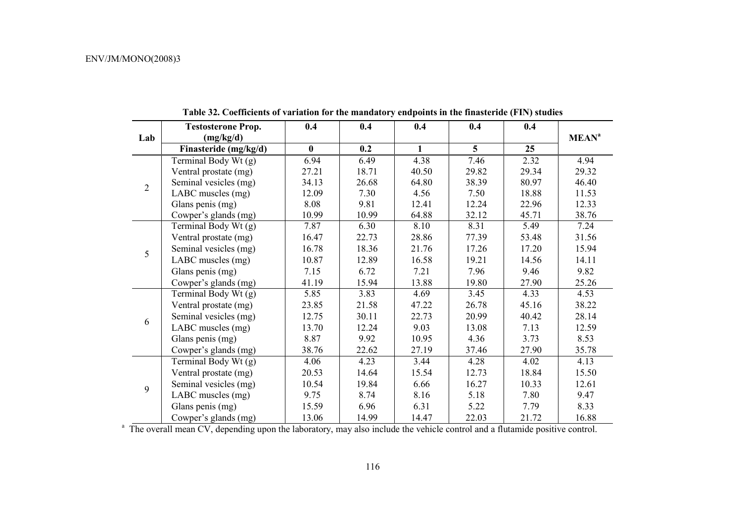|                | <b>Testosterone Prop.</b> | 0.4      | 0.4   | 0.4          | 0.4   | 0.4   |                         |
|----------------|---------------------------|----------|-------|--------------|-------|-------|-------------------------|
| Lab            | (mg/kg/d)                 |          |       |              |       |       | <b>MEAN<sup>a</sup></b> |
|                | Finasteride (mg/kg/d)     | $\bf{0}$ | 0.2   | $\mathbf{1}$ | 5     | 25    |                         |
|                | Terminal Body Wt (g)      | 6.94     | 6.49  | 4.38         | 7.46  | 2.32  | 4.94                    |
|                | Ventral prostate (mg)     | 27.21    | 18.71 | 40.50        | 29.82 | 29.34 | 29.32                   |
| $\overline{2}$ | Seminal vesicles (mg)     | 34.13    | 26.68 | 64.80        | 38.39 | 80.97 | 46.40                   |
|                | LABC muscles (mg)         | 12.09    | 7.30  | 4.56         | 7.50  | 18.88 | 11.53                   |
|                | Glans penis (mg)          | 8.08     | 9.81  | 12.41        | 12.24 | 22.96 | 12.33                   |
|                | Cowper's glands (mg)      | 10.99    | 10.99 | 64.88        | 32.12 | 45.71 | 38.76                   |
| 5              | Terminal Body Wt (g)      | 7.87     | 6.30  | 8.10         | 8.31  | 5.49  | 7.24                    |
|                | Ventral prostate (mg)     | 16.47    | 22.73 | 28.86        | 77.39 | 53.48 | 31.56                   |
|                | Seminal vesicles (mg)     | 16.78    | 18.36 | 21.76        | 17.26 | 17.20 | 15.94                   |
|                | LABC muscles (mg)         | 10.87    | 12.89 | 16.58        | 19.21 | 14.56 | 14.11                   |
|                | Glans penis (mg)          | 7.15     | 6.72  | 7.21         | 7.96  | 9.46  | 9.82                    |
|                | Cowper's glands (mg)      | 41.19    | 15.94 | 13.88        | 19.80 | 27.90 | 25.26                   |
|                | Terminal Body Wt (g)      | 5.85     | 3.83  | 4.69         | 3.45  | 4.33  | 4.53                    |
|                | Ventral prostate (mg)     | 23.85    | 21.58 | 47.22        | 26.78 | 45.16 | 38.22                   |
| 6              | Seminal vesicles (mg)     | 12.75    | 30.11 | 22.73        | 20.99 | 40.42 | 28.14                   |
|                | LABC muscles (mg)         | 13.70    | 12.24 | 9.03         | 13.08 | 7.13  | 12.59                   |
|                | Glans penis (mg)          | 8.87     | 9.92  | 10.95        | 4.36  | 3.73  | 8.53                    |
|                | Cowper's glands (mg)      | 38.76    | 22.62 | 27.19        | 37.46 | 27.90 | 35.78                   |
|                | Terminal Body Wt (g)      | 4.06     | 4.23  | 3.44         | 4.28  | 4.02  | 4.13                    |
|                | Ventral prostate (mg)     | 20.53    | 14.64 | 15.54        | 12.73 | 18.84 | 15.50                   |
| 9              | Seminal vesicles (mg)     | 10.54    | 19.84 | 6.66         | 16.27 | 10.33 | 12.61                   |
|                | LABC muscles (mg)         | 9.75     | 8.74  | 8.16         | 5.18  | 7.80  | 9.47                    |
|                | Glans penis (mg)          | 15.59    | 6.96  | 6.31         | 5.22  | 7.79  | 8.33                    |
|                | Cowper's glands (mg)      | 13.06    | 14.99 | 14.47        | 22.03 | 21.72 | 16.88                   |

**Table 32. Coefficients of variation for the mandatory endpoints in the finasteride (FIN) studies** 

<sup>a</sup> The overall mean CV, depending upon the laboratory, may also include the vehicle control and a flutamide positive control.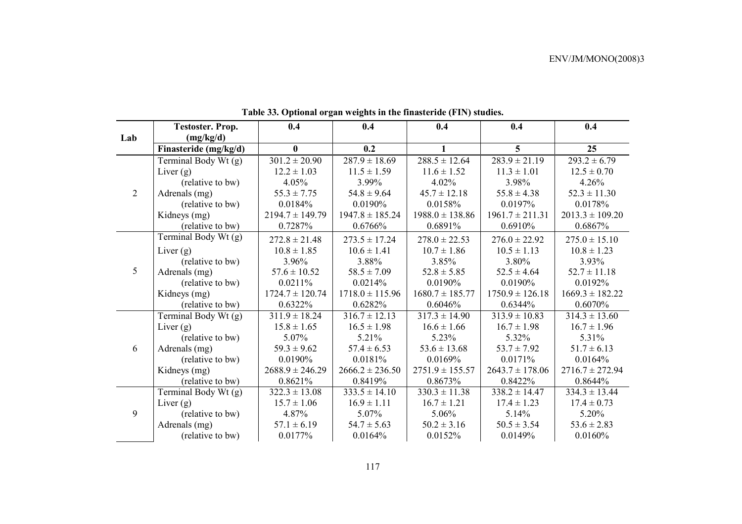|                | <b>Testoster. Prop.</b> | 0.4                 | 0.4                 | 0.4                 | 0.4                 | 0.4                 |
|----------------|-------------------------|---------------------|---------------------|---------------------|---------------------|---------------------|
| Lab            | (mg/kg/d)               |                     |                     |                     |                     |                     |
|                | Finasteride (mg/kg/d)   | $\mathbf{0}$        | 0.2                 | 1                   | $\overline{5}$      | 25                  |
|                | Terminal Body Wt (g)    | $301.2 \pm 20.90$   | $287.9 \pm 18.69$   | $288.5 \pm 12.64$   | $283.9 \pm 21.19$   | $293.2 \pm 6.79$    |
|                | Liver $(g)$             | $12.2 \pm 1.03$     | $11.5 \pm 1.59$     | $11.6 \pm 1.52$     | $11.3 \pm 1.01$     | $12.5 \pm 0.70$     |
|                | (relative to bw)        | 4.05%               | 3.99%               | 4.02%               | 3.98%               | 4.26%               |
| $\overline{2}$ | Adrenals (mg)           | $55.3 \pm 7.75$     | $54.8 \pm 9.64$     | $45.7 \pm 12.18$    | $55.8 \pm 4.38$     | $52.3 \pm 11.30$    |
|                | (relative to bw)        | 0.0184%             | 0.0190%             | 0.0158%             | 0.0197%             | 0.0178%             |
|                | Kidneys (mg)            | $2194.7 \pm 149.79$ | $1947.8 \pm 185.24$ | $1988.0 \pm 138.86$ | $1961.7 \pm 211.31$ | $2013.3 \pm 109.20$ |
|                | (relative to bw)        | 0.7287%             | 0.6766%             | 0.6891%             | 0.6910%             | 0.6867%             |
|                | Terminal Body Wt (g)    | $272.8 \pm 21.48$   | $273.5 \pm 17.24$   | $278.0 \pm 22.53$   | $276.0 \pm 22.92$   | $275.0 \pm 15.10$   |
|                | Liver $(g)$             | $10.8 \pm 1.85$     | $10.6 \pm 1.41$     | $10.7 \pm 1.86$     | $10.5 \pm 1.13$     | $10.8 \pm 1.23$     |
|                | (relative to bw)        | 3.96%               | 3.88%               | 3.85%               | 3.80%               | 3.93%               |
| 5              | Adrenals (mg)           | $57.6 \pm 10.52$    | $58.5 \pm 7.09$     | $52.8 \pm 5.85$     | $52.5 \pm 4.64$     | $52.7 \pm 11.18$    |
|                | (relative to bw)        | 0.0211%             | 0.0214%             | 0.0190%             | 0.0190%             | 0.0192%             |
|                | Kidneys (mg)            | $1724.7 \pm 120.74$ | $1718.0 \pm 115.96$ | $1680.7 \pm 185.77$ | $1750.9 \pm 126.18$ | $1669.3 \pm 182.22$ |
|                | (relative to bw)        | 0.6322%             | 0.6282%             | 0.6046%             | 0.6344%             | 0.6070%             |
|                | Terminal Body Wt (g)    | $311.9 \pm 18.24$   | $316.7 \pm 12.13$   | $317.3 \pm 14.90$   | $313.9 \pm 10.83$   | $314.3 \pm 13.60$   |
|                | Liver $(g)$             | $15.8 \pm 1.65$     | $16.5 \pm 1.98$     | $16.6 \pm 1.66$     | $16.7 \pm 1.98$     | $16.7 \pm 1.96$     |
|                | (relative to bw)        | 5.07%               | 5.21%               | 5.23%               | 5.32%               | 5.31%               |
| 6              | Adrenals (mg)           | $59.3 \pm 9.62$     | $57.4 \pm 6.53$     | $53.6 \pm 13.68$    | $53.7 \pm 7.92$     | $51.7 \pm 6.13$     |
|                | (relative to bw)        | 0.0190%             | 0.0181%             | 0.0169%             | 0.0171%             | 0.0164%             |
|                | Kidneys (mg)            | $2688.9 \pm 246.29$ | $2666.2 \pm 236.50$ | $2751.9 \pm 155.57$ | $2643.7 \pm 178.06$ | $2716.7 \pm 272.94$ |
|                | (relative to bw)        | 0.8621%             | 0.8419%             | 0.8673%             | 0.8422%             | 0.8644%             |
|                | Terminal Body Wt (g)    | $322.3 \pm 13.08$   | $333.5 \pm 14.10$   | $330.3 \pm 11.38$   | $338.2 \pm 14.47$   | $334.3 \pm 13.44$   |
|                | Liver $(g)$             | $15.7 \pm 1.06$     | $16.9 \pm 1.11$     | $16.7 \pm 1.21$     | $17.4 \pm 1.23$     | $17.4 \pm 0.73$     |
| 9              | (relative to bw)        | 4.87%               | 5.07%               | 5.06%               | 5.14%               | 5.20%               |
|                | Adrenals (mg)           | $57.1 \pm 6.19$     | $54.7 \pm 5.63$     | $50.2 \pm 3.16$     | $50.5 \pm 3.54$     | $53.6 \pm 2.83$     |
|                | (relative to bw)        | 0.0177%             | 0.0164%             | 0.0152%             | 0.0149%             | 0.0160%             |

**Table 33. Optional organ weights in the finasteride (FIN) studies.**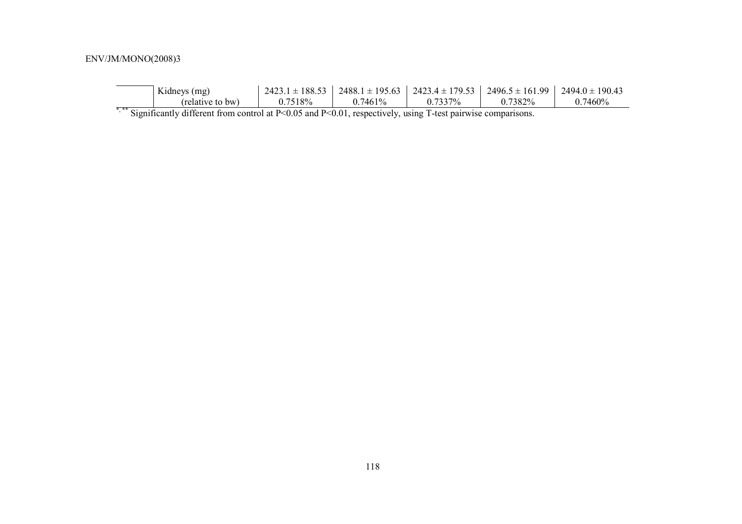|                             | $2423.1 \pm 188.53$ |            |         | $2488.1 \pm 195.63$   $2423.4 \pm 179.53$   $2496.5 \pm 161.99$   $2494.0 \pm 190.43$ |
|-----------------------------|---------------------|------------|---------|---------------------------------------------------------------------------------------|
| 0.7518%<br>(relative to bw) | $0.7461\%$          | $0.7337\%$ | 0.7382% | 0.7460%                                                                               |

\*,\*\* Significantly different from control at P<0.05 and P<0.01, respectively, using T-test pairwise comparisons.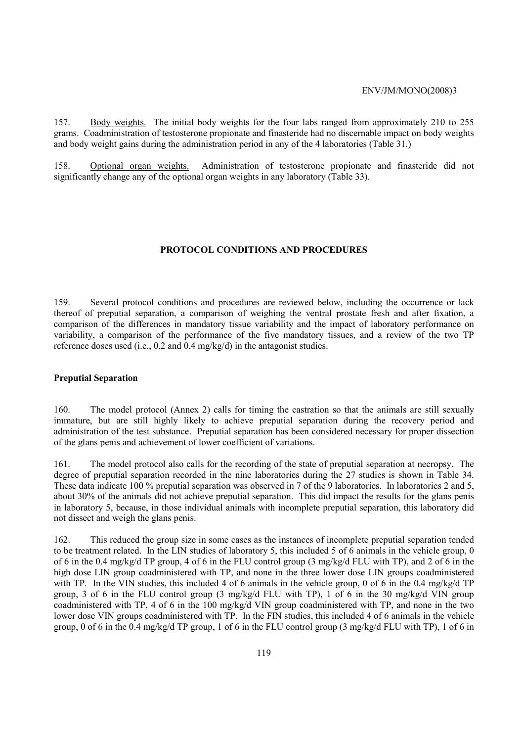157. Body weights. The initial body weights for the four labs ranged from approximately 210 to 255 grams. Coadministration of testosterone propionate and finasteride had no discernable impact on body weights and body weight gains during the administration period in any of the 4 laboratories (Table 31.)

158. Optional organ weights. Administration of testosterone propionate and finasteride did not significantly change any of the optional organ weights in any laboratory (Table 33).

### **PROTOCOL CONDITIONS AND PROCEDURES**

159. Several protocol conditions and procedures are reviewed below, including the occurrence or lack thereof of preputial separation, a comparison of weighing the ventral prostate fresh and after fixation, a comparison of the differences in mandatory tissue variability and the impact of laboratory performance on variability, a comparison of the performance of the five mandatory tissues, and a review of the two TP reference doses used (i.e., 0.2 and 0.4 mg/kg/d) in the antagonist studies.

### **Preputial Separation**

160. The model protocol (Annex 2) calls for timing the castration so that the animals are still sexually immature, but are still highly likely to achieve preputial separation during the recovery period and administration of the test substance. Preputial separation has been considered necessary for proper dissection of the glans penis and achievement of lower coefficient of variations.

161. The model protocol also calls for the recording of the state of preputial separation at necropsy. The degree of preputial separation recorded in the nine laboratories during the 27 studies is shown in Table 34. These data indicate 100 % preputial separation was observed in 7 of the 9 laboratories. In laboratories 2 and 5, about 30% of the animals did not achieve preputial separation. This did impact the results for the glans penis in laboratory 5, because, in those individual animals with incomplete preputial separation, this laboratory did not dissect and weigh the glans penis.

162. This reduced the group size in some cases as the instances of incomplete preputial separation tended to be treatment related. In the LIN studies of laboratory 5, this included 5 of  $\overline{6}$  animals in the vehicle group, 0 of 6 in the 0.4 mg/kg/d TP group, 4 of 6 in the FLU control group (3 mg/kg/d FLU with TP), and 2 of 6 in the high dose LIN group coadministered with TP, and none in the three lower dose LIN groups coadministered with TP. In the VIN studies, this included 4 of 6 animals in the vehicle group, 0 of 6 in the 0.4 mg/kg/d TP group, 3 of 6 in the FLU control group (3 mg/kg/d FLU with TP), 1 of 6 in the 30 mg/kg/d VIN group coadministered with TP, 4 of 6 in the 100 mg/kg/d VIN group coadministered with TP, and none in the two lower dose VIN groups coadministered with TP. In the FIN studies, this included 4 of 6 animals in the vehicle group, 0 of 6 in the 0.4 mg/kg/d TP group, 1 of 6 in the FLU control group (3 mg/kg/d FLU with TP), 1 of 6 in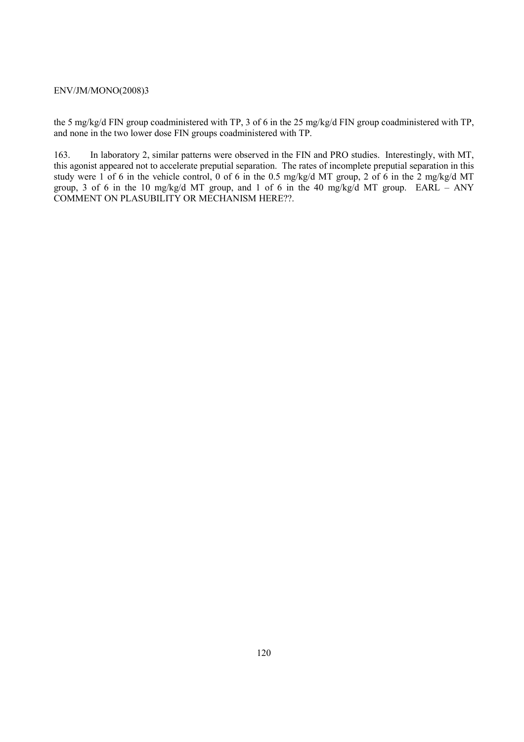the 5 mg/kg/d FIN group coadministered with TP, 3 of 6 in the 25 mg/kg/d FIN group coadministered with TP, and none in the two lower dose FIN groups coadministered with TP.

163. In laboratory 2, similar patterns were observed in the FIN and PRO studies. Interestingly, with MT, this agonist appeared not to accelerate preputial separation. The rates of incomplete preputial separation in this study were 1 of 6 in the vehicle control, 0 of 6 in the 0.5 mg/kg/d MT group, 2 of 6 in the 2 mg/kg/d MT group, 3 of 6 in the 10 mg/kg/d MT group, and 1 of 6 in the 40 mg/kg/d MT group. EARL – ANY COMMENT ON PLASUBILITY OR MECHANISM HERE??.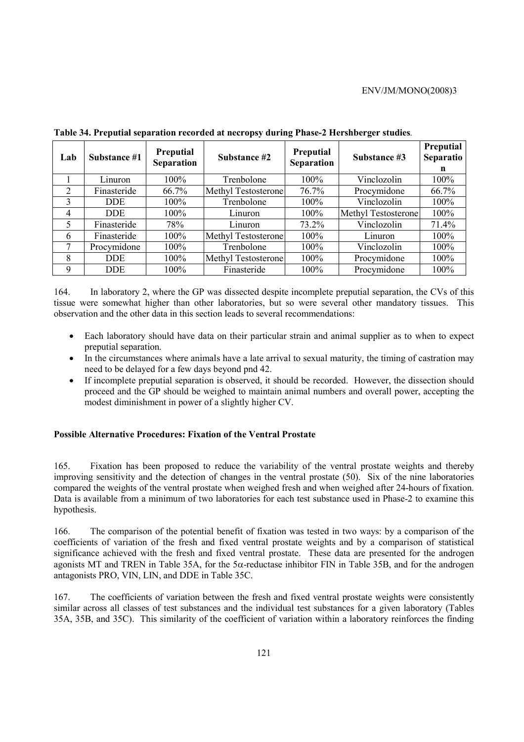| Lab            | Substance #1 | <b>Preputial</b><br>Separation | Substance #2        | Preputial<br><b>Separation</b> | Substance #3               | <b>Preputial</b><br>Separatio<br>n |
|----------------|--------------|--------------------------------|---------------------|--------------------------------|----------------------------|------------------------------------|
|                | Linuron      | 100%                           | Trenbolone          | 100%                           | Vinclozolin                | 100%                               |
| $\overline{2}$ | Finasteride  | 66.7%                          | Methyl Testosterone | 76.7%                          | Procymidone                | 66.7%                              |
| 3              | DDE.         | 100%                           | Trenbolone          | 100%                           | Vinclozolin                | 100%                               |
| 4              | DDE.         | $100\%$                        | Linuron             | 100%                           | <b>Methyl Testosterone</b> | 100%                               |
| 5              | Finasteride  | 78%                            | Linuron             | 73.2%                          | Vinclozolin                | 71.4%                              |
| 6              | Finasteride  | $100\%$                        | Methyl Testosterone | 100%                           | Linuron                    | $100\%$                            |
|                | Procymidone  | $100\%$                        | Trenbolone          | 100%                           | Vinclozolin                | 100%                               |
| 8              | DDE.         | $100\%$                        | Methyl Testosterone | 100%                           | Procymidone                | 100%                               |
| 9              | DDE.         | 100%                           | Finasteride         | 100%                           | Procymidone                | 100%                               |

**Table 34. Preputial separation recorded at necropsy during Phase-2 Hershberger studies***.* 

164. In laboratory 2, where the GP was dissected despite incomplete preputial separation, the CVs of this tissue were somewhat higher than other laboratories, but so were several other mandatory tissues. This observation and the other data in this section leads to several recommendations:

- Each laboratory should have data on their particular strain and animal supplier as to when to expect preputial separation.
- In the circumstances where animals have a late arrival to sexual maturity, the timing of castration may need to be delayed for a few days beyond pnd 42.
- If incomplete preputial separation is observed, it should be recorded. However, the dissection should proceed and the GP should be weighed to maintain animal numbers and overall power, accepting the modest diminishment in power of a slightly higher CV.

# **Possible Alternative Procedures: Fixation of the Ventral Prostate**

165. Fixation has been proposed to reduce the variability of the ventral prostate weights and thereby improving sensitivity and the detection of changes in the ventral prostate (50). Six of the nine laboratories compared the weights of the ventral prostate when weighed fresh and when weighed after 24-hours of fixation. Data is available from a minimum of two laboratories for each test substance used in Phase-2 to examine this hypothesis.

166. The comparison of the potential benefit of fixation was tested in two ways: by a comparison of the coefficients of variation of the fresh and fixed ventral prostate weights and by a comparison of statistical significance achieved with the fresh and fixed ventral prostate. These data are presented for the androgen agonists MT and TREN in Table 35A, for the 5 $\alpha$ -reductase inhibitor FIN in Table 35B, and for the androgen antagonists PRO, VIN, LIN, and DDE in Table 35C.

167. The coefficients of variation between the fresh and fixed ventral prostate weights were consistently similar across all classes of test substances and the individual test substances for a given laboratory (Tables 35A, 35B, and 35C). This similarity of the coefficient of variation within a laboratory reinforces the finding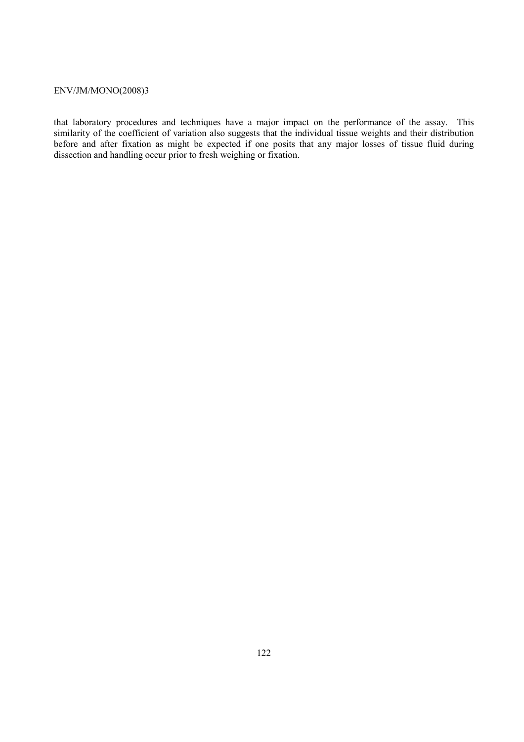that laboratory procedures and techniques have a major impact on the performance of the assay. This similarity of the coefficient of variation also suggests that the individual tissue weights and their distribution before and after fixation as might be expected if one posits that any major losses of tissue fluid during dissection and handling occur prior to fresh weighing or fixation.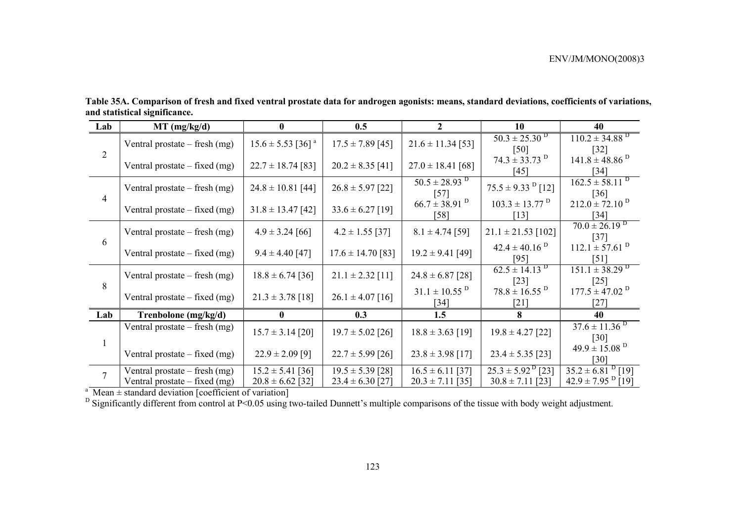| Lab            | MT (mg/kg/d)                                                       | $\bf{0}$                                     | 0.5                                          | $\mathcal{L}$                                | <b>10</b>                                                          | 40                                                            |
|----------------|--------------------------------------------------------------------|----------------------------------------------|----------------------------------------------|----------------------------------------------|--------------------------------------------------------------------|---------------------------------------------------------------|
|                | Ventral prostate – fresh (mg)                                      | $15.6 \pm 5.53$ [36] <sup>a</sup>            | $17.5 \pm 7.89$ [45]                         | $21.6 \pm 11.34$ [53]                        | $50.3 \pm 25.30^{\mathrm{D}}$<br>[50]                              | $110.2 \pm 34.88$ <sup>D</sup><br>$[32]$                      |
| $\overline{2}$ | Ventral prostate $-$ fixed (mg)                                    | $22.7 \pm 18.74$ [83]                        | $20.2 \pm 8.35$ [41]                         | $27.0 \pm 18.41$ [68]                        | $74.3 \pm 33.73$ <sup>D</sup><br>[45]                              | $141.8 \pm 48.86$ <sup>D</sup><br>$[34]$                      |
|                | Ventral prostate $-$ fresh (mg)                                    | $24.8 \pm 10.81$ [44]                        | $26.8 \pm 5.97$ [22]                         | $50.5 \pm 28.93$ <sup>D</sup><br>$[57]$      | $75.5 \pm 9.33$ <sup>D</sup> [12]                                  | $162.5 \pm 58.11^{D}$<br>$\lceil 36 \rceil$                   |
| $\overline{4}$ | Ventral prostate $-$ fixed (mg)                                    | $31.8 \pm 13.47$ [42]                        | $33.6 \pm 6.27$ [19]                         | $66.7 \pm 38.91$ <sup>D</sup><br>[58]        | $103.3 \pm 13.77$ <sup>D</sup><br>[13]                             | $212.0 \pm 72.10^{D}$<br>$[34]$                               |
|                | Ventral prostate $-$ fresh (mg)                                    | $4.9 \pm 3.24$ [66]                          | $4.2 \pm 1.55$ [37]                          | $8.1 \pm 4.74$ [59]                          | $21.1 \pm 21.53$ [102]                                             | $70.0 \pm 26.19^{D}$<br>$[37]$                                |
| 6              | Ventral prostate $-$ fixed (mg)                                    | $9.4 \pm 4.40$ [47]                          | $17.6 \pm 14.70$ [83]                        | $19.2 \pm 9.41$ [49]                         | $42.4 \pm 40.16^{\text{D}}$<br>[95]                                | $112.1 \pm 57.61$ <sup>D</sup><br>$\lceil 51 \rceil$          |
|                | Ventral prostate $-$ fresh (mg)                                    | $18.8 \pm 6.74$ [36]                         | $21.1 \pm 2.32$ [11]                         | $24.8 \pm 6.87$ [28]                         | $62.5 \pm 14.13^{D}$<br>$[23]$                                     | $151.1 \pm 38.29$ <sup>D</sup><br>$[25]$                      |
| 8              | Ventral prostate $-$ fixed (mg)                                    | $21.3 \pm 3.78$ [18]                         | $26.1 \pm 4.07$ [16]                         | $31.1 \pm 10.55$ <sup>D</sup><br>$[34]$      | $78.8 \pm 16.55$ <sup>D</sup><br>$\lceil 21 \rceil$                | $177.5 \pm 47.02$ <sup>D</sup><br>$[27]$                      |
| Lab            | Trenbolone (mg/kg/d)                                               | $\mathbf{0}$                                 | 0.3                                          | 1.5                                          | 8                                                                  | 40                                                            |
|                | Ventral prostate $-$ fresh (mg)                                    | $15.7 \pm 3.14$ [20]                         | $19.7 \pm 5.02$ [26]                         | $18.8 \pm 3.63$ [19]                         | $19.8 \pm 4.27$ [22]                                               | $37.6 \pm 11.36$ <sup>D</sup><br>$\lceil 30 \rceil$           |
|                | Ventral prostate $-$ fixed (mg)                                    | $22.9 \pm 2.09$ [9]                          | $22.7 \pm 5.99$ [26]                         | $23.8 \pm 3.98$ [17]                         | $23.4 \pm 5.35$ [23]                                               | $49.9 \pm 15.08$ <sup>D</sup><br>[30]                         |
| $\overline{7}$ | Ventral prostate – fresh $(mg)$<br>Ventral prostate $-$ fixed (mg) | $15.2 \pm 5.41$ [36]<br>$20.8 \pm 6.62$ [32] | $19.5 \pm 5.39$ [28]<br>$23.4 \pm 6.30$ [27] | $16.5 \pm 6.11$ [37]<br>$20.3 \pm 7.11$ [35] | $\overline{25.3 \pm 5.92^{\text{D}}}$ [23]<br>$30.8 \pm 7.11$ [23] | $35.2 \pm 6.81^{D}$ [19]<br>$42.9 \pm 7.95$ <sup>D</sup> [19] |

**Table 35A. Comparison of fresh and fixed ventral prostate data for androgen agonists: means, standard deviations, coefficients of variations, and statistical significance.** 

<sup>a</sup> Mean  $\pm$  standard deviation [coefficient of variation]

<sup>D</sup> Significantly different from control at P<0.05 using two-tailed Dunnett's multiple comparisons of the tissue with body weight adjustment.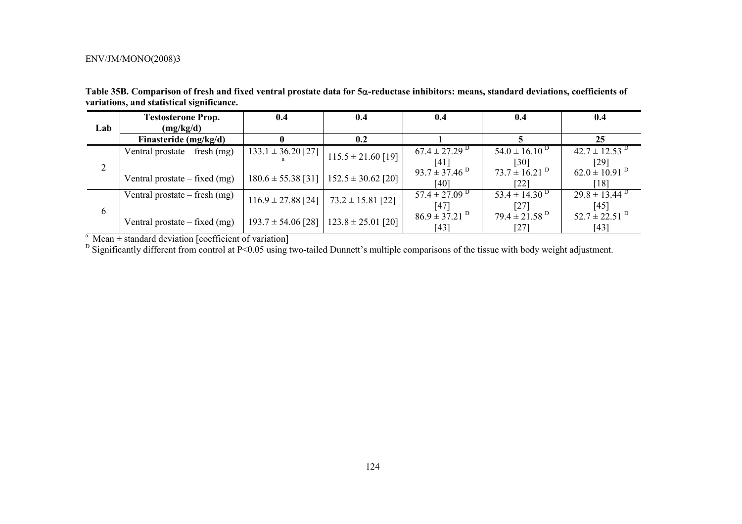| Table 35B. Comparison of fresh and fixed ventral prostate data for 5 $\alpha$ -reductase inhibitors: means, standard deviations, coefficients of |  |  |  |
|--------------------------------------------------------------------------------------------------------------------------------------------------|--|--|--|
| variations, and statistical significance.                                                                                                        |  |  |  |
|                                                                                                                                                  |  |  |  |

|     | <b>Testosterone Prop.</b>       | 0.4                    | 0.4                    | 0.4                           | 0.4                           | 0.4                           |
|-----|---------------------------------|------------------------|------------------------|-------------------------------|-------------------------------|-------------------------------|
| Lab | (mg/kg/d)                       |                        |                        |                               |                               |                               |
|     | Finasteride (mg/kg/d)           |                        | 0.2                    |                               |                               | 25                            |
|     | Ventral prostate $-$ fresh (mg) | $133.1 \pm 36.20$ [27] | $115.5 \pm 21.60$ [19] | $67.4 \pm 27.29$ <sup>D</sup> | $54.0 \pm 16.10^{D}$          | $42.7 \pm 12.53$ <sup>D</sup> |
|     |                                 |                        |                        | [41]                          | $[30]$                        | [29]                          |
|     | Ventral prostate $-$ fixed (mg) | $180.6 \pm 55.38$ [31] | $152.5 \pm 30.62$ [20] | $93.7 \pm 37.46^{\text{D}}$   | $73.7 \pm 16.21$ <sup>D</sup> | $62.0 \pm 10.91$ <sup>D</sup> |
|     |                                 |                        |                        | [40]                          | [22]                          | [18]                          |
|     | Ventral prostate – fresh $(mg)$ | $116.9 \pm 27.88$ [24] | $73.2 \pm 15.81$ [22]  | $57.4 \pm 27.09$ <sup>D</sup> | $53.4 \pm 14.30^{\mathrm{D}}$ | $29.8 \pm 13.44$ <sup>D</sup> |
| 6   |                                 |                        |                        | [47]                          | [27]                          | $[45]$                        |
|     | Ventral prostate $-$ fixed (mg) | $193.7 \pm 54.06$ [28] | $123.8 \pm 25.01$ [20] | $86.9 \pm 37.21$ <sup>D</sup> | $79.4 \pm 21.58$ <sup>D</sup> | $52.7 \pm 22.51$ <sup>D</sup> |
|     |                                 |                        |                        | [43]                          | $\lceil 27 \rceil$            | $[43]$                        |

<sup>a</sup> Mean  $\pm$  standard deviation [coefficient of variation]

<sup>D</sup> Significantly different from control at P<0.05 using two-tailed Dunnett's multiple comparisons of the tissue with body weight adjustment.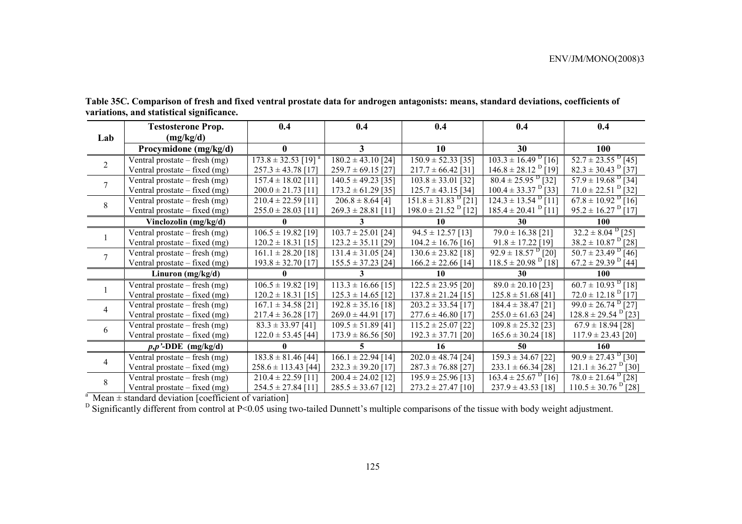|                | <b>Testosterone Prop.</b>       | 0.4                                 | 0.4                    | 0.4                                 | 0.4                                              | 0.4                                 |
|----------------|---------------------------------|-------------------------------------|------------------------|-------------------------------------|--------------------------------------------------|-------------------------------------|
| Lab            | (mg/kg/d)                       |                                     |                        |                                     |                                                  |                                     |
|                | Procymidone (mg/kg/d)           | $\mathbf{0}$                        | 3                      | 10                                  | 30                                               | <b>100</b>                          |
| $\overline{2}$ | Ventral prostate – fresh $(mg)$ | $173.8 \pm 32.53$ [19] <sup>a</sup> | $180.2 \pm 43.10$ [24] | $150.9 \pm 52.33$ [35]              | $103.3 \pm 16.49$ <sup>D</sup> [16]              | $\overline{52.7 \pm 23.55^{D}$ [45] |
|                | Ventral prostate - fixed (mg)   | $257.3 \pm 43.78$ [17]              | $259.7 \pm 69.15$ [27] | $217.7 \pm 66.42$ [31]              | $146.8 \pm 28.12$ <sup>D</sup> $\overline{19}$ ] | $82.3 \pm 30.43$ <sup>D</sup> [37]  |
| $\tau$         | Ventral prostate – fresh (mg)   | $157.4 \pm 18.02$ [11]              | $140.5 \pm 49.23$ [35] | $103.8 \pm 33.01$ [32]              | $\frac{80.4 \pm 25.95}{9}$ [32]                  | $57.9 \pm 19.68$ <sup>D</sup> [34]  |
|                | Ventral prostate $-$ fixed (mg) | $200.0 \pm 21.73$ [11]              | $173.2 \pm 61.29$ [35] | $125.7 \pm 43.15$ [34]              | $100.4 \pm 33.37$ <sup>D</sup> [33]              | $71.0 \pm 22.51$ <sup>D</sup> [32]  |
| 8              | Ventral prostate – fresh (mg)   | $210.4 \pm 22.59$ [11]              | $206.8 \pm 8.64$ [4]   | $151.8 \pm 31.83$ <sup>D</sup> [21] | $124.3 \pm 13.54$ <sup>D</sup> [11]              | $67.8 \pm 10.92$ <sup>D</sup> [16]  |
|                | Ventral prostate $-$ fixed (mg) | $255.0 \pm 28.03$ [11]              | $269.3 \pm 28.81$ [11] | $198.0 \pm 21.52$ <sup>D</sup> [12] | $185.4 \pm 20.41$ <sup>D</sup> [11]              | $95.2 \pm 16.27$ [17]               |
|                | Vinclozolin (mg/kg/d)           |                                     |                        | 10                                  | 30                                               | 100                                 |
|                | Ventral prostate – fresh $(mg)$ | $106.5 \pm 19.82$ [19]              | $103.7 \pm 25.01$ [24] | $94.5 \pm 12.57$ [13]               | $79.0 \pm 16.38$ [21]                            | $32.2 \pm 8.04$ <sup>D</sup> [25]   |
|                | Ventral prostate $-$ fixed (mg) | $120.2 \pm 18.31$ [15]              | $123.2 \pm 35.11$ [29] | $104.2 \pm 16.76$ [16]              | $91.8 \pm 17.22$ [19]                            | $38.2 \pm 10.87$ <sup>D</sup> [28]  |
| $\tau$         | Ventral prostate – fresh (mg)   | $161.1 \pm 28.20$ [18]              | $131.4 \pm 31.05$ [24] | $130.6 \pm 23.82$ [18]              | $92.9 \pm 18.57$ <sup>D</sup> [20]               | $50.7 \pm 23.49$ $[46]$             |
|                | Ventral prostate $-$ fixed (mg) | $193.8 \pm 32.70$ [17]              | $155.5 \pm 37.23$ [24] | $166.2 \pm 22.66$ [14]              | $118.5 \pm 20.98$ <sup>D</sup> [18]              | $67.2 \pm 29.39$ <sup>D</sup> [44]  |
|                | Linuron $(mg/kg/d)$             | $\mathbf{0}$                        | 3                      | 10                                  | 30                                               | <b>100</b>                          |
|                | Ventral prostate $-$ fresh (mg) | $106.5 \pm 19.82$ [19]              | $113.3 \pm 16.66$ [15] | $122.5 \pm 23.95$ [20]              | $89.0 \pm 20.10$ [23]                            | $60.7 \pm 10.93$ <sup>D</sup> [18]  |
|                | Ventral prostate $-$ fixed (mg) | $120.2 \pm 18.31$ [15]              | $125.3 \pm 14.65$ [12] | $137.8 \pm 21.24$ [15]              | $125.8 \pm 51.68$ [41]                           | $72.0 \pm 12.18$ <sup>D</sup> [17]  |
| $\overline{4}$ | Ventral prostate $-$ fresh (mg) | $167.1 \pm 34.58$ [21]              | $192.8 \pm 35.16$ [18] | $203.2 \pm 33.54$ [17]              | $184.4 \pm 38.47$ [21]                           | $99.0 \pm 26.74$ <sup>D</sup> [27]  |
|                | Ventral prostate - fixed (mg)   | $217.4 \pm 36.28$ [17]              | $269.0 \pm 44.91$ [17] | $277.6 \pm 46.80$ [17]              | $255.0 \pm 61.63$ [24]                           | $128.8 \pm 29.54$ <sup>D</sup> [23] |
| 6              | Ventral prostate $-$ fresh (mg) | $83.3 \pm 33.97$ [41]               | $109.5 \pm 51.89$ [41] | $115.2 \pm 25.07$ [22]              | $109.8 \pm 25.32$ [23]                           | $67.9 \pm 18.94$ [28]               |
|                | Ventral prostate $-$ fixed (mg) | $122.0 \pm 53.45$ [44]              | $173.9 \pm 86.56$ [50] | $192.3 \pm 37.71$ [20]              | $165.6 \pm 30.24$ [18]                           | $117.9 \pm 23.43$ [20]              |
|                | $p, p'$ -DDE (mg/kg/d)          |                                     |                        | 16                                  | 50                                               | 160                                 |
| $\overline{4}$ | Ventral prostate $-$ fresh (mg) | $183.8 \pm 81.46$ [44]              | $166.1 \pm 22.94$ [14] | $202.0 \pm 48.74$ [24]              | $159.3 \pm 34.67$ [22]                           | $90.9 \pm 27.43$ <sup>D</sup> [30]  |
|                | Ventral prostate $-$ fixed (mg) | $258.6 \pm 113.43$ [44]             | $232.3 \pm 39.20$ [17] | $287.3 \pm 76.88$ [27]              | $233.1 \pm 66.34$ [28]                           | $121.1 \pm 36.27$ <sup>D</sup> [30] |
| 8              | Ventral prostate – fresh $(mg)$ | $210.4 \pm 22.59$ [11]              | $200.4 \pm 24.02$ [12] | $195.9 \pm 25.96$ [13]              | $163.4 \pm 25.67$ <sup>D</sup> [16]              | $78.0 \pm 21.64$ <sup>D</sup> [28]  |
|                | Ventral prostate – fixed (mg)   | $254.5 \pm 27.84$ [11]              | $285.5 \pm 33.67$ [12] | $273.2 \pm 27.47$ [10]              | $237.9 \pm 43.53$ [18]                           | $110.5 \pm 30.76$ <sup>D</sup> [28] |

**Table 35C. Comparison of fresh and fixed ventral prostate data for androgen antagonists: means, standard deviations, coefficients of variations, and statistical significance.** 

<sup>a</sup> Mean  $\pm$  standard deviation [coefficient of variation]

<sup>D</sup> Significantly different from control at P<0.05 using two-tailed Dunnett's multiple comparisons of the tissue with body weight adjustment.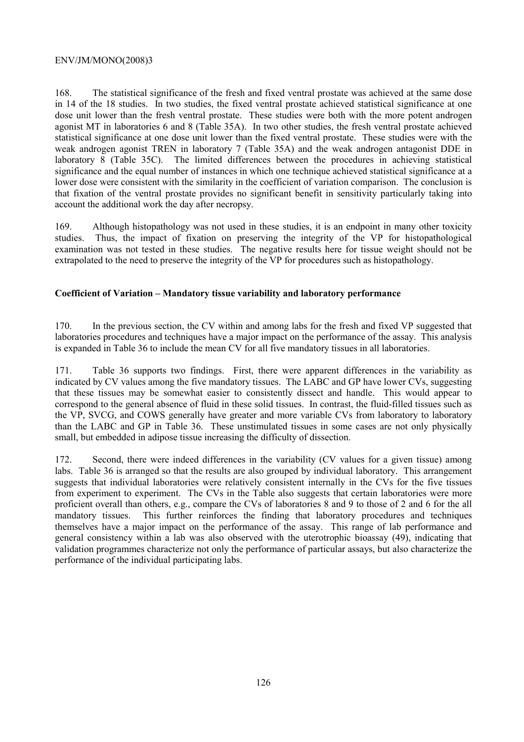168. The statistical significance of the fresh and fixed ventral prostate was achieved at the same dose in 14 of the 18 studies. In two studies, the fixed ventral prostate achieved statistical significance at one dose unit lower than the fresh ventral prostate. These studies were both with the more potent androgen agonist MT in laboratories 6 and 8 (Table 35A). In two other studies, the fresh ventral prostate achieved statistical significance at one dose unit lower than the fixed ventral prostate. These studies were with the weak androgen agonist TREN in laboratory 7 (Table 35A) and the weak androgen antagonist DDE in laboratory 8 (Table 35C). The limited differences between the procedures in achieving statistical significance and the equal number of instances in which one technique achieved statistical significance at a lower dose were consistent with the similarity in the coefficient of variation comparison. The conclusion is that fixation of the ventral prostate provides no significant benefit in sensitivity particularly taking into account the additional work the day after necropsy.

169. Although histopathology was not used in these studies, it is an endpoint in many other toxicity studies. Thus, the impact of fixation on preserving the integrity of the VP for histopathological examination was not tested in these studies. The negative results here for tissue weight should not be extrapolated to the need to preserve the integrity of the VP for procedures such as histopathology.

# **Coefficient of Variation – Mandatory tissue variability and laboratory performance**

170. In the previous section, the CV within and among labs for the fresh and fixed VP suggested that laboratories procedures and techniques have a major impact on the performance of the assay. This analysis is expanded in Table 36 to include the mean CV for all five mandatory tissues in all laboratories.

171. Table 36 supports two findings. First, there were apparent differences in the variability as indicated by CV values among the five mandatory tissues. The LABC and GP have lower CVs, suggesting that these tissues may be somewhat easier to consistently dissect and handle. This would appear to correspond to the general absence of fluid in these solid tissues. In contrast, the fluid-filled tissues such as the VP, SVCG, and COWS generally have greater and more variable CVs from laboratory to laboratory than the LABC and GP in Table 36. These unstimulated tissues in some cases are not only physically small, but embedded in adipose tissue increasing the difficulty of dissection.

172. Second, there were indeed differences in the variability (CV values for a given tissue) among labs. Table 36 is arranged so that the results are also grouped by individual laboratory. This arrangement suggests that individual laboratories were relatively consistent internally in the CVs for the five tissues from experiment to experiment. The CVs in the Table also suggests that certain laboratories were more proficient overall than others, e.g., compare the CVs of laboratories 8 and 9 to those of 2 and 6 for the all mandatory tissues. This further reinforces the finding that laboratory procedures and techniques themselves have a major impact on the performance of the assay. This range of lab performance and general consistency within a lab was also observed with the uterotrophic bioassay (49), indicating that validation programmes characterize not only the performance of particular assays, but also characterize the performance of the individual participating labs.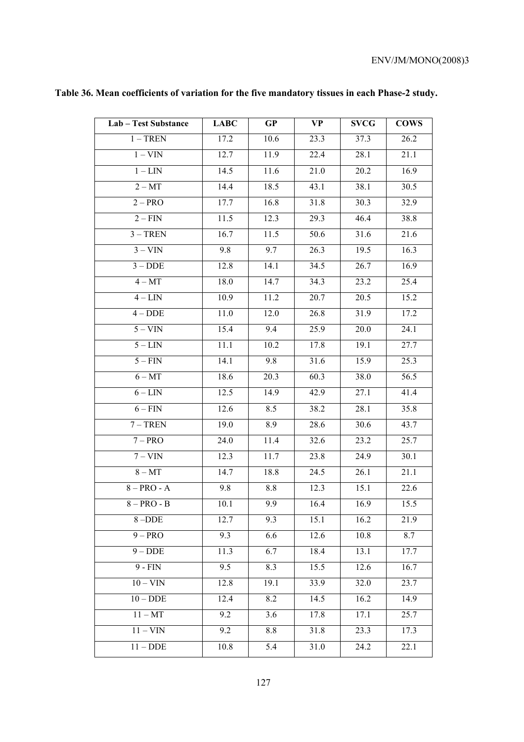| Lab - Test Substance | <b>LABC</b> | GP   | <b>VP</b>         | <b>SVCG</b>       | <b>COWS</b> |
|----------------------|-------------|------|-------------------|-------------------|-------------|
| $1 - TREN$           | 17.2        | 10.6 | 23.3              | 37.3              | 26.2        |
| $1 - VIN$            | 12.7        | 11.9 | 22.4              | 28.1              | 21.1        |
| $1 - LIN$            | 14.5        | 11.6 | 21.0              | 20.2              | 16.9        |
| $2 - MT$             | 14.4        | 18.5 | 43.1              | 38.1              | 30.5        |
| $2 - PRO$            | 17.7        | 16.8 | 31.8              | 30.3              | 32.9        |
| $2 - FIN$            | 11.5        | 12.3 | 29.3              | 46.4              | 38.8        |
| $3 - TREN$           | 16.7        | 11.5 | 50.6              | 31.6              | 21.6        |
| $\frac{1}{3 - V}$    | 9.8         | 9.7  | 26.3              | 19.5              | 16.3        |
| $3 - DDE$            | 12.8        | 14.1 | 34.5              | 26.7              | 16.9        |
| $4 - MT$             | 18.0        | 14.7 | 34.3              | 23.2              | 25.4        |
| $4 - LIN$            | 10.9        | 11.2 | 20.7              | 20.5              | 15.2        |
| $4 - DDE$            | 11.0        | 12.0 | 26.8              | 31.9              | 17.2        |
| $5 - VIN$            | 15.4        | 9.4  | 25.9              | 20.0              | 24.1        |
| $5 - LIN$            | 11.1        | 10.2 | 17.8              | 19.1              | 27.7        |
| $5 - FIN$            | 14.1        | 9.8  | 31.6              | 15.9              | 25.3        |
| $6 - MT$             | 18.6        | 20.3 | 60.3              | 38.0              | 56.5        |
| $6 - LIN$            | 12.5        | 14.9 | 42.9              | 27.1              | 41.4        |
| $6 - FIN$            | 12.6        | 8.5  | 38.2              | 28.1              | 35.8        |
| $7 - TREN$           | 19.0        | 8.9  | 28.6              | 30.6              | 43.7        |
| $7 - PRO$            | 24.0        | 11.4 | 32.6              | 23.2              | 25.7        |
| $7 - VIN$            | 12.3        | 11.7 | 23.8              | 24.9              | 30.1        |
| $8 - MT$             | 14.7        | 18.8 | $\overline{2}4.5$ | 26.1              | 21.1        |
| $8 - PRO - A$        | 9.8         | 8.8  | 12.3              | 15.1              | 22.6        |
| $8 - PRO - B$        | 10.1        | 9.9  | 16.4              | 16.9              | 15.5        |
| 8-DDE                | 12.7        | 9.3  | 15.1              | 16.2              | 21.9        |
| $9 - PRO$            | 9.3         | 6.6  | 12.6              | 10.8              | 8.7         |
| $9 - DDE$            | 11.3        | 6.7  | 18.4              | 13.1              | 17.7        |
| $9 - FIN$            | 9.5         | 8.3  | 15.5              | 12.6              | 16.7        |
| $10 - VIN$           | 12.8        | 19.1 | 33.9              | 32.0              | 23.7        |
| $10 - DDE$           | 12.4        | 8.2  | 14.5              | 16.2              | 14.9        |
| $11 - MT$            | 9.2         | 3.6  | 17.8              | 17.1              | 25.7        |
| $11 - VIN$           | 9.2         | 8.8  | 31.8              | 23.3              | 17.3        |
| $11 - DDE$           | 10.8        | 5.4  | 31.0              | $\overline{24.2}$ | 22.1        |
|                      |             |      |                   |                   |             |

# **Table 36. Mean coefficients of variation for the five mandatory tissues in each Phase-2 study.**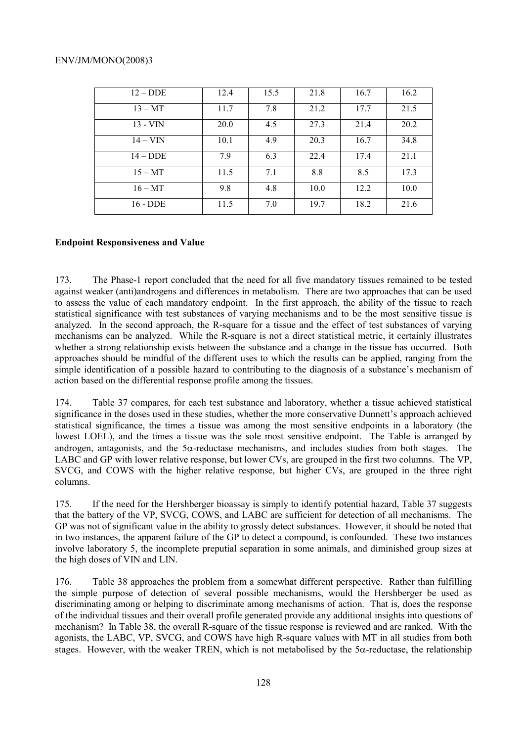| $12 - DDE$ | 12.4 | 15.5 | 21.8 | 16.7 | 16.2 |
|------------|------|------|------|------|------|
| $13 - MT$  | 11.7 | 7.8  | 21.2 | 17.7 | 21.5 |
| $13 - VIN$ | 20.0 | 4.5  | 27.3 | 21.4 | 20.2 |
| $14 - VIN$ | 10.1 | 4.9  | 20.3 | 16.7 | 34.8 |
| $14 - DDE$ | 7.9  | 6.3  | 22.4 | 17.4 | 21.1 |
| $15 - MT$  | 11.5 | 7.1  | 8.8  | 8.5  | 17.3 |
| $16 - MT$  | 9.8  | 4.8  | 10.0 | 12.2 | 10.0 |
| $16 - DDE$ | 11.5 | 7.0  | 19.7 | 18.2 | 21.6 |

# **Endpoint Responsiveness and Value**

173. The Phase-1 report concluded that the need for all five mandatory tissues remained to be tested against weaker (anti)androgens and differences in metabolism. There are two approaches that can be used to assess the value of each mandatory endpoint. In the first approach, the ability of the tissue to reach statistical significance with test substances of varying mechanisms and to be the most sensitive tissue is analyzed. In the second approach, the R-square for a tissue and the effect of test substances of varying mechanisms can be analyzed. While the R-square is not a direct statistical metric, it certainly illustrates whether a strong relationship exists between the substance and a change in the tissue has occurred. Both approaches should be mindful of the different uses to which the results can be applied, ranging from the simple identification of a possible hazard to contributing to the diagnosis of a substance's mechanism of action based on the differential response profile among the tissues.

174. Table 37 compares, for each test substance and laboratory, whether a tissue achieved statistical significance in the doses used in these studies, whether the more conservative Dunnett's approach achieved statistical significance, the times a tissue was among the most sensitive endpoints in a laboratory (the lowest LOEL), and the times a tissue was the sole most sensitive endpoint. The Table is arranged by androgen, antagonists, and the 5α-reductase mechanisms, and includes studies from both stages. The LABC and GP with lower relative response, but lower CVs, are grouped in the first two columns. The VP, SVCG, and COWS with the higher relative response, but higher CVs, are grouped in the three right columns.

175. If the need for the Hershberger bioassay is simply to identify potential hazard, Table 37 suggests that the battery of the VP, SVCG, COWS, and LABC are sufficient for detection of all mechanisms. The GP was not of significant value in the ability to grossly detect substances. However, it should be noted that in two instances, the apparent failure of the GP to detect a compound, is confounded. These two instances involve laboratory 5, the incomplete preputial separation in some animals, and diminished group sizes at the high doses of VIN and LIN.

176. Table 38 approaches the problem from a somewhat different perspective. Rather than fulfilling the simple purpose of detection of several possible mechanisms, would the Hershberger be used as discriminating among or helping to discriminate among mechanisms of action. That is, does the response of the individual tissues and their overall profile generated provide any additional insights into questions of mechanism? In Table 38, the overall R-square of the tissue response is reviewed and are ranked. With the agonists, the LABC, VP, SVCG, and COWS have high R-square values with MT in all studies from both stages. However, with the weaker TREN, which is not metabolised by the  $5\alpha$ -reductase, the relationship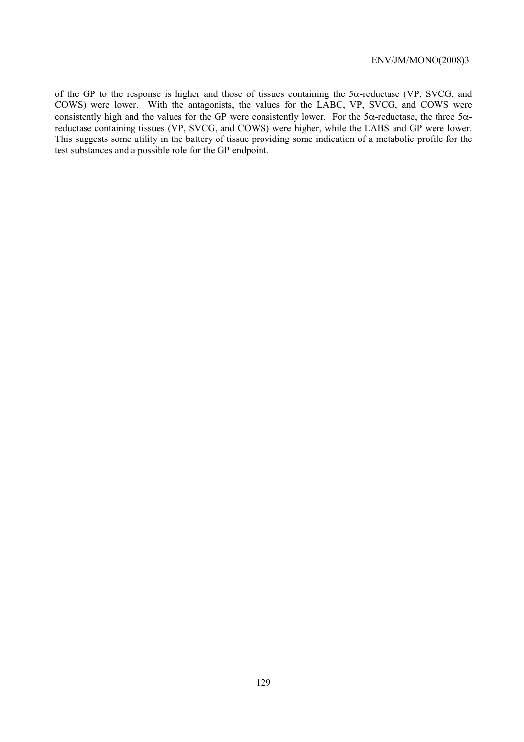of the GP to the response is higher and those of tissues containing the 5α-reductase (VP, SVCG, and COWS) were lower. With the antagonists, the values for the LABC, VP, SVCG, and COWS were consistently high and the values for the GP were consistently lower. For the 5 $\alpha$ -reductase, the three 5 $\alpha$ reductase containing tissues (VP, SVCG, and COWS) were higher, while the LABS and GP were lower. This suggests some utility in the battery of tissue providing some indication of a metabolic profile for the test substances and a possible role for the GP endpoint.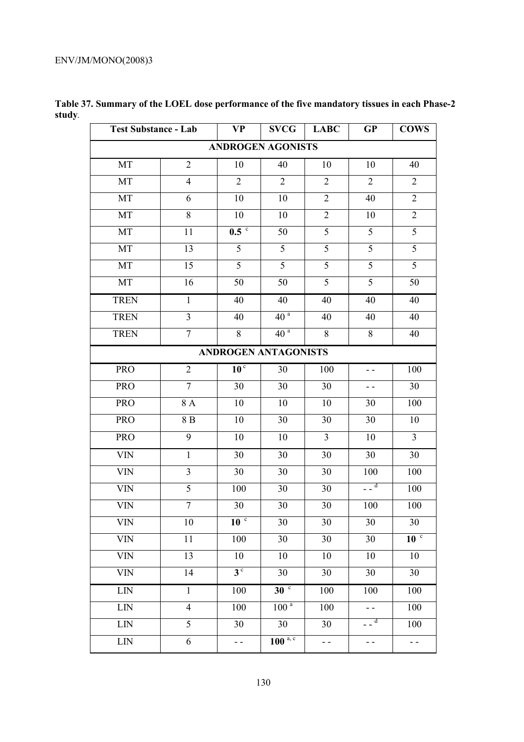| <b>Test Substance - Lab</b> |                  | <b>VP</b>        | <b>SVCG</b>              | <b>LABC</b>     | GP              | <b>COWS</b>              |
|-----------------------------|------------------|------------------|--------------------------|-----------------|-----------------|--------------------------|
|                             |                  |                  | <b>ANDROGEN AGONISTS</b> |                 |                 |                          |
| MT                          | $\overline{2}$   | 10               | 40                       | 10              | 10              | 40                       |
| $\rm{MT}$                   | $\overline{4}$   | $\overline{2}$   | $\overline{2}$           | $\overline{2}$  | $\overline{2}$  | $\overline{2}$           |
| MT                          | 6                | 10               | 10                       | $\overline{2}$  | 40              | $\overline{2}$           |
| MT                          | 8                | 10               | 10                       | $\overline{2}$  | 10              | $\mathbf{2}$             |
| MT                          | 11               | 0.5 <sup>c</sup> | 50                       | $\overline{5}$  | 5               | 5                        |
| MT                          | 13               | $\overline{5}$   | $\overline{5}$           | $\overline{5}$  | $\overline{5}$  | $\overline{5}$           |
| MT                          | 15               | 5                | 5                        | 5               | $\overline{5}$  | 5                        |
| MT                          | 16               | 50               | 50                       | $\overline{5}$  | 5               | 50                       |
| <b>TREN</b>                 | $\mathbf{1}$     | 40               | 40                       | 40              | 40              | 40                       |
| <b>TREN</b>                 | $\overline{3}$   | 40               | 40 <sup>a</sup>          | 40              | 40              | 40                       |
| <b>TREN</b>                 | $\boldsymbol{7}$ | $8\,$            | 40 <sup>a</sup>          | 8               | $8\,$           | 40                       |
|                             |                  |                  | ANDROGEN ANTAGONISTS     |                 |                 |                          |
| <b>PRO</b>                  | $\sqrt{2}$       | 10 <sup>c</sup>  | 30                       | 100             | - -             | 100                      |
| <b>PRO</b>                  | $\overline{7}$   | 30               | 30                       | 30              | - -             | 30                       |
| PRO                         | 8 A              | 10               | 10                       | 10              | 30              | 100                      |
| <b>PRO</b>                  | 8 B              | 10               | 30                       | 30              | 30              | 10                       |
| <b>PRO</b>                  | $\overline{9}$   | 10               | 10                       | $\overline{3}$  | 10              | $\overline{\mathbf{3}}$  |
| <b>VIN</b>                  | $\mathbf{1}$     | 30               | 30                       | 30              | 30              | 30                       |
| $\ensuremath{\text{VIN}}$   | $\mathfrak{Z}$   | 30               | $30\,$                   | 30              | 100             | 100                      |
| $\ensuremath{\text{VIN}}$   | $\overline{5}$   | 100              | 30                       | 30              | $\overline{a}$  | 100                      |
| <b>VIN</b>                  | $\overline{7}$   | 30               | 30                       | 30              | 100             | 100                      |
| <b>VIN</b>                  | 10               | 10 <sup>c</sup>  | 30                       | 30              | 30              | 30                       |
| VIN                         | 11               | 100              | 30                       | $\overline{30}$ | 30              | 10 <sup>c</sup>          |
| <b>VIN</b>                  | 13               | 10               | 10                       | 10              | 10              | 10                       |
| <b>VIN</b>                  | 14               | 3 <sup>c</sup>   | 30                       | 30              | 30              | 30                       |
| LIN                         | $\mathbf{1}$     | 100              | 30 <sup>c</sup>          | 100             | 100             | 100                      |
| LIN                         | $\overline{4}$   | 100              | 100 <sup>a</sup>         | 100             |                 | 100                      |
| LIN                         | 5                | 30               | 30                       | 30              | $-\overline{d}$ | 100                      |
| LIN                         | 6                | - -              | $100^{a, c}$             | - -             | - -             | $\overline{\phantom{a}}$ |

**Table 37. Summary of the LOEL dose performance of the five mandatory tissues in each Phase-2 study***.*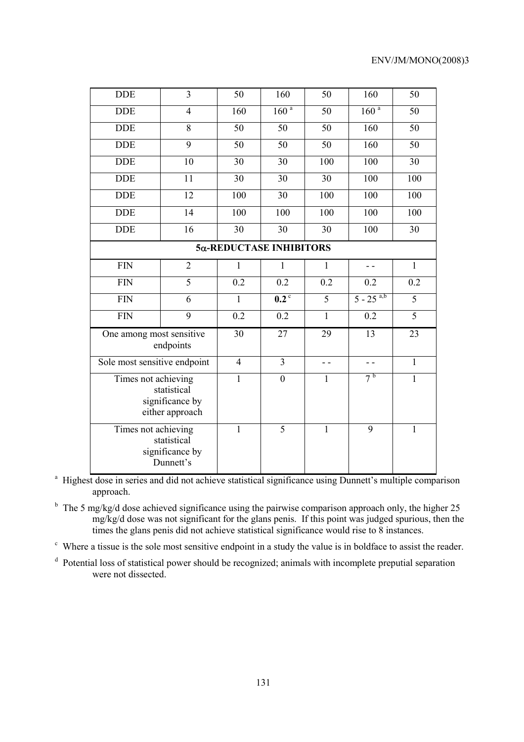| <b>DDE</b>                                                               | $\overline{3}$  | 50               | 160                           | 50            | 160                     | $\overline{50}$  |
|--------------------------------------------------------------------------|-----------------|------------------|-------------------------------|---------------|-------------------------|------------------|
| <b>DDE</b>                                                               | $\overline{4}$  | 160              | 160 <sup>a</sup>              | 50            | 160 <sup>a</sup>        | $\overline{50}$  |
| <b>DDE</b>                                                               | 8               | 50               | 50                            | 50            | 160                     | 50               |
| <b>DDE</b>                                                               | 9               | 50               | 50                            | 50            | 160                     | 50               |
| <b>DDE</b>                                                               | 10              | 30               | 30                            | 100           | 100                     | 30               |
| <b>DDE</b>                                                               | 11              | 30               | 30                            | 30            | 100                     | $\overline{100}$ |
| <b>DDE</b>                                                               | 12              | $\overline{100}$ | 30                            | 100           | 100                     | $\overline{100}$ |
| <b>DDE</b>                                                               | 14              | 100              | 100                           | 100           | 100                     | 100              |
| <b>DDE</b>                                                               | $\overline{16}$ | 30               | 30                            | 30            | 100                     | 30               |
| 5α-REDUCTASE INHIBITORS                                                  |                 |                  |                               |               |                         |                  |
| <b>FIN</b>                                                               | $\overline{2}$  | $\mathbf{1}$     | $\mathbf{1}$                  | $\mathbf{1}$  |                         | $\mathbf{1}$     |
| <b>FIN</b>                                                               | $\overline{5}$  | 0.2              | 0.2                           | 0.2           | 0.2                     | 0.2              |
| <b>FIN</b>                                                               | 6               | 1                | $\overline{0.2}$ <sup>c</sup> | 5             | $5 - 25$ <sup>a,b</sup> | 5                |
| <b>FIN</b>                                                               | 9               | 0.2              | 0.2                           | $\mathbf{1}$  | 0.2                     | 5                |
| One among most sensitive<br>endpoints                                    |                 | 30               | 27                            | 29            | 13                      | 23               |
| Sole most sensitive endpoint                                             |                 | $\overline{4}$   | $\overline{3}$                | $\sim$ $\sim$ | $ -$                    | $\mathbf{1}$     |
| Times not achieving<br>statistical<br>significance by<br>either approach |                 | $\mathbf{1}$     | $\mathbf{0}$                  | $\mathbf{1}$  | 7 <sup>b</sup>          | $\mathbf{1}$     |
| Times not achieving<br>statistical<br>significance by<br>Dunnett's       |                 | $\mathbf{1}$     | $\overline{5}$                | $\mathbf{1}$  | 9                       | $\mathbf{1}$     |

<sup>a</sup> Highest dose in series and did not achieve statistical significance using Dunnett's multiple comparison approach.

<sup>b</sup> The 5 mg/kg/d dose achieved significance using the pairwise comparison approach only, the higher 25  $mg/kg/d$  dose was not significant for the glans penis. If this point was judged spurious, then the times the glans penis did not achieve statistical significance would rise to 8 instances.

<sup>c</sup> Where a tissue is the sole most sensitive endpoint in a study the value is in boldface to assist the reader.

<sup>d</sup> Potential loss of statistical power should be recognized; animals with incomplete preputial separation were not dissected.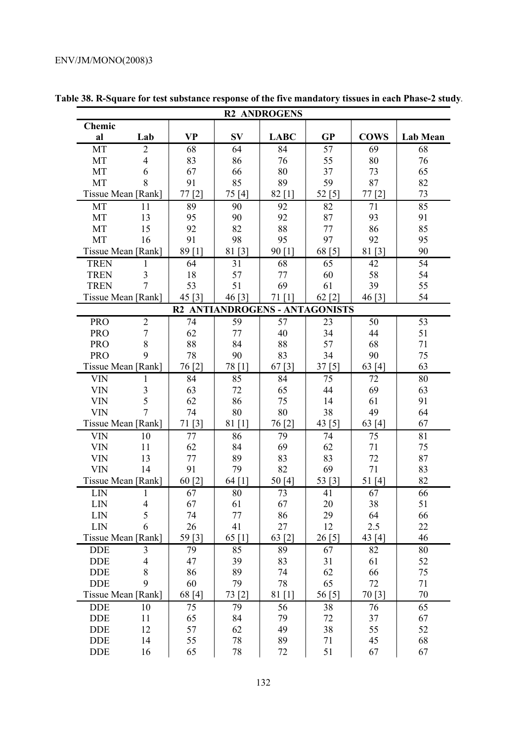| <b>R2 ANDROGENS</b>        |                                |           |                                |             |           |             |          |
|----------------------------|--------------------------------|-----------|--------------------------------|-------------|-----------|-------------|----------|
| Chemic                     |                                |           |                                |             |           |             |          |
| al                         | Lab                            | <b>VP</b> | <b>SV</b>                      | <b>LABC</b> | <b>GP</b> | <b>COWS</b> | Lab Mean |
| MT                         | $\overline{2}$                 | 68        | 64                             | 84          | 57        | 69          | 68       |
| MT                         | 4                              | 83        | 86                             | 76          | 55        | 80          | 76       |
| MT                         | 6                              | 67        | 66                             | 80          | 37        | 73          | 65       |
| MT                         | 8                              | 91        | 85                             | 89          | 59        | 87          | 82       |
| Tissue Mean [Rank]         |                                | 77 [2]    | 75[4]                          | $82$ [1]    | 52 [5]    | 77[2]       | 73       |
| MT                         | 11                             | 89        | 90                             | 92          | 82        | 71          | 85       |
| MT                         | 13                             | 95        | 90                             | 92          | 87        | 93          | 91       |
| MT<br>MT                   | 15                             | 92<br>91  | 82<br>98                       | 88<br>95    | 77<br>97  | 86<br>92    | 85<br>95 |
| Tissue Mean [Rank]         | 16                             | 89 [1]    | 81 [3]                         | 90 [1]      | 68 [5]    | 81 [3]      | 90       |
|                            |                                |           |                                |             |           |             | 54       |
| <b>TREN</b><br><b>TREN</b> | $\mathbf{1}$<br>$\mathfrak{Z}$ | 64<br>18  | 31<br>57                       | 68<br>77    | 65<br>60  | 42<br>58    | 54       |
| <b>TREN</b>                | $\overline{7}$                 | 53        | 51                             | 69          | 61        | 39          | 55       |
| Tissue Mean [Rank]         |                                | 45 $[3]$  | 46 [3]                         | 71[1]       | 62 [2]    | 46 [3]      | 54       |
|                            |                                |           | R2 ANTIANDROGENS - ANTAGONISTS |             |           |             |          |
| <b>PRO</b>                 | $\overline{2}$                 | 74        | 59                             | 57          | 23        | 50          | 53       |
| <b>PRO</b>                 | $\overline{7}$                 | 62        | 77                             | 40          | 34        | 44          | 51       |
| <b>PRO</b>                 | 8                              | 88        | 84                             | 88          | 57        | 68          | 71       |
| <b>PRO</b>                 | 9                              | 78        | 90                             | 83          | 34        | 90          | 75       |
| Tissue Mean [Rank]         |                                | 76 [2]    | 78 [1]                         | 67 $[3]$    | 37[5]     | 63 $[4]$    | 63       |
| <b>VIN</b>                 | 1                              | 84        | 85                             | 84          | 75        | 72          | 80       |
| <b>VIN</b>                 | $\mathfrak{Z}$                 | 63        | 72                             | 65          | 44        | 69          | 63       |
| <b>VIN</b>                 | 5                              | 62        | 86                             | 75          | 14        | 61          | 91       |
| <b>VIN</b>                 | $\overline{7}$                 | 74        | 80                             | 80          | 38        | 49          | 64       |
| Tissue Mean [Rank]         |                                | 71 [3]    | 81 [1]                         | 76[2]       | 43 $[5]$  | 63 [4]      | 67       |
| <b>VIN</b>                 | 10                             | 77        | 86                             | 79          | 74        | 75          | 81       |
| <b>VIN</b>                 | 11                             | 62        | 84                             | 69          | 62        | 71          | 75       |
| <b>VIN</b>                 | 13                             | 77        | 89                             | 83          | 83        | 72          | 87       |
| <b>VIN</b>                 | 14                             | 91        | 79                             | 82          | 69        | 71          | 83       |
| Tissue Mean [Rank]         |                                | 60 [2]    | $64$ [1]                       | 50[4]       | 53 [3]    | 51[4]       | 82       |
| LIN                        | $\mathbf{1}$                   | 67        | 80                             | 73          | 41        | 67          | 66       |
| LIN                        | 4                              | 67        | 61                             | 67          | 20        | 38          | 51       |
| LIN                        | 5                              | 74        | $77 \,$                        | 86          | 29        | 64          | 66       |
| LIN                        | 6                              | 26        | 41                             | 27          | 12        | 2.5         | 22       |
| Tissue Mean [Rank]         |                                | 59 [3]    | 65 $[1]$                       | 63 [2]      | 26 [5]    | 43 [4]      | 46       |
| <b>DDE</b>                 | 3                              | 79        | 85                             | 89          | 67        | 82          | 80       |
| <b>DDE</b>                 | 4                              | 47        | 39                             | 83          | 31        | 61          | 52       |
| <b>DDE</b>                 | 8                              | 86        | 89                             | 74          | 62        | 66          | 75       |
| <b>DDE</b>                 | 9                              | 60        | 79                             | 78          | 65        | 72          | 71       |
| Tissue Mean [Rank]         |                                | 68 [4]    | 73 [2]                         | 81 [1]      | 56[5]     | 70 [3]      | 70       |
| <b>DDE</b>                 | 10                             | 75        | 79                             | 56          | 38        | 76          | 65       |
| <b>DDE</b>                 | 11                             | 65        | 84                             | 79          | 72        | 37          | 67       |
| <b>DDE</b>                 | 12                             | 57        | 62                             | 49          | 38        | 55          | 52       |
| <b>DDE</b>                 | 14                             | 55        | 78                             | 89          | 71        | 45          | 68       |
| <b>DDE</b>                 | 16                             | 65        | 78                             | 72          | 51        | 67          | 67       |

**Table 38. R-Square for test substance response of the five mandatory tissues in each Phase-2 study***.*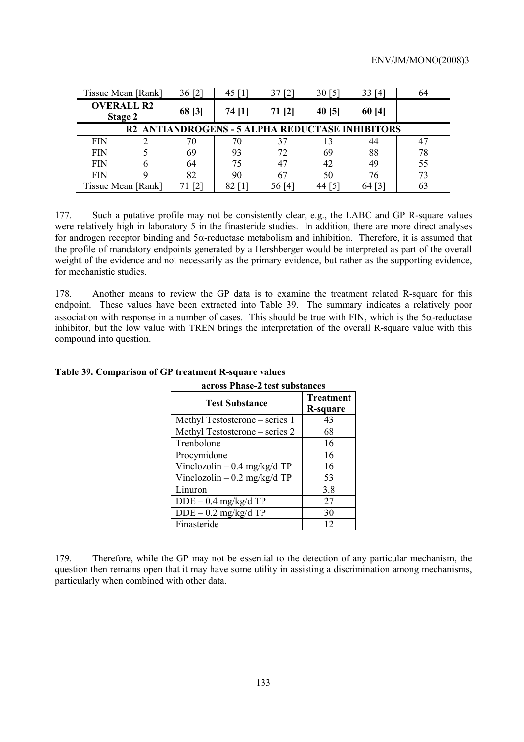| Tissue Mean [Rank]                                     | 36[2]             | 45 $[1]$ | 37[2]  | 30[5]  | 33[4]  | 64 |
|--------------------------------------------------------|-------------------|----------|--------|--------|--------|----|
| <b>OVERALL R2</b><br>Stage 2                           | 68 [3]            | 74 [1]   | 71 [2] | 40 [5] | 60[4]  |    |
| <b>R2 ANTIANDROGENS - 5 ALPHA REDUCTASE INHIBITORS</b> |                   |          |        |        |        |    |
| <b>FIN</b>                                             | 70                | 70       | 37     | 13     | 44     |    |
| FIN                                                    | 69                | 93       | 72     | 69     | 88     | 78 |
| <b>FIN</b>                                             | 64                | 75       | 47     | 42     | 49     | 55 |
| <b>FIN</b>                                             | 82                | 90       | 67     | 50     | 76     | 73 |
| Tissue Mean [Rank]                                     | $\lceil 2 \rceil$ |          | 56[4]  | 44 [5] | 64 [3] | 63 |

177. Such a putative profile may not be consistently clear, e.g., the LABC and GP R-square values were relatively high in laboratory 5 in the finasteride studies. In addition, there are more direct analyses for androgen receptor binding and 5α-reductase metabolism and inhibition. Therefore, it is assumed that the profile of mandatory endpoints generated by a Hershberger would be interpreted as part of the overall weight of the evidence and not necessarily as the primary evidence, but rather as the supporting evidence, for mechanistic studies.

178. Another means to review the GP data is to examine the treatment related R-square for this endpoint. These values have been extracted into Table 39. The summary indicates a relatively poor association with response in a number of cases. This should be true with FIN, which is the  $5\alpha$ -reductase inhibitor, but the low value with TREN brings the interpretation of the overall R-square value with this compound into question.

| across Phase-2 test substances |                              |  |  |
|--------------------------------|------------------------------|--|--|
| <b>Test Substance</b>          | <b>Treatment</b><br>R-square |  |  |
| Methyl Testosterone – series 1 | 43                           |  |  |
| Methyl Testosterone - series 2 | 68                           |  |  |
| Trenbolone                     | 16                           |  |  |
| Procymidone                    | 16                           |  |  |
| Vinclozolin $-0.4$ mg/kg/d TP  | 16                           |  |  |
| Vinclozolin $-0.2$ mg/kg/d TP  | 53                           |  |  |
| Linuron                        | 3.8                          |  |  |
| $DDE - 0.4$ mg/kg/d TP         | 27                           |  |  |
| $DDE - 0.2$ mg/kg/d TP         | 30                           |  |  |
| Finasteride                    | 12                           |  |  |

# **Table 39. Comparison of GP treatment R-square values**

179. Therefore, while the GP may not be essential to the detection of any particular mechanism, the question then remains open that it may have some utility in assisting a discrimination among mechanisms, particularly when combined with other data.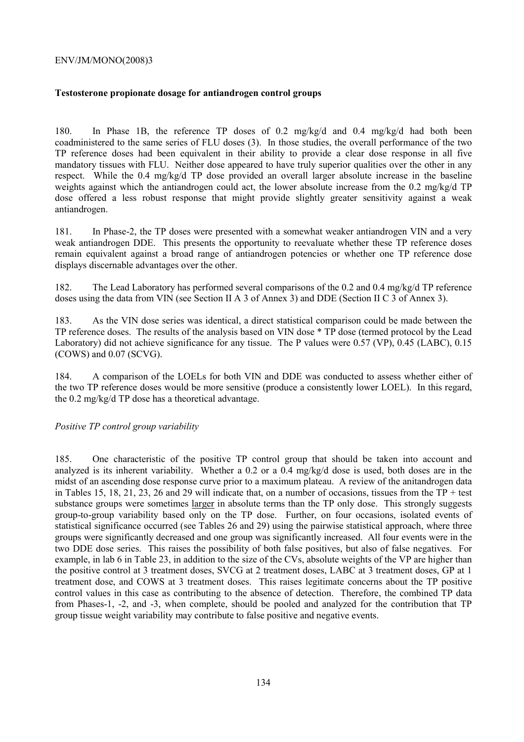## **Testosterone propionate dosage for antiandrogen control groups**

180. In Phase 1B, the reference TP doses of 0.2 mg/kg/d and 0.4 mg/kg/d had both been coadministered to the same series of FLU doses (3). In those studies, the overall performance of the two TP reference doses had been equivalent in their ability to provide a clear dose response in all five mandatory tissues with FLU. Neither dose appeared to have truly superior qualities over the other in any respect. While the 0.4 mg/kg/d TP dose provided an overall larger absolute increase in the baseline weights against which the antiandrogen could act, the lower absolute increase from the 0.2 mg/kg/d TP dose offered a less robust response that might provide slightly greater sensitivity against a weak antiandrogen.

181. In Phase-2, the TP doses were presented with a somewhat weaker antiandrogen VIN and a very weak antiandrogen DDE. This presents the opportunity to reevaluate whether these TP reference doses remain equivalent against a broad range of antiandrogen potencies or whether one TP reference dose displays discernable advantages over the other.

182. The Lead Laboratory has performed several comparisons of the 0.2 and 0.4 mg/kg/d TP reference doses using the data from VIN (see Section II A 3 of Annex 3) and DDE (Section II C 3 of Annex 3).

183. As the VIN dose series was identical, a direct statistical comparison could be made between the TP reference doses. The results of the analysis based on VIN dose \* TP dose (termed protocol by the Lead Laboratory) did not achieve significance for any tissue. The P values were 0.57 (VP), 0.45 (LABC), 0.15 (COWS) and 0.07 (SCVG).

184. A comparison of the LOELs for both VIN and DDE was conducted to assess whether either of the two TP reference doses would be more sensitive (produce a consistently lower LOEL). In this regard, the 0.2 mg/kg/d TP dose has a theoretical advantage.

### *Positive TP control group variability*

185. One characteristic of the positive TP control group that should be taken into account and analyzed is its inherent variability. Whether a 0.2 or a 0.4 mg/kg/d dose is used, both doses are in the midst of an ascending dose response curve prior to a maximum plateau. A review of the anitandrogen data in Tables 15, 18, 21, 23, 26 and 29 will indicate that, on a number of occasions, tissues from the  $TP + test$ substance groups were sometimes larger in absolute terms than the TP only dose. This strongly suggests group-to-group variability based only on the TP dose. Further, on four occasions, isolated events of statistical significance occurred (see Tables 26 and 29) using the pairwise statistical approach, where three groups were significantly decreased and one group was significantly increased. All four events were in the two DDE dose series. This raises the possibility of both false positives, but also of false negatives. For example, in lab 6 in Table 23, in addition to the size of the CVs, absolute weights of the VP are higher than the positive control at 3 treatment doses, SVCG at 2 treatment doses, LABC at 3 treatment doses, GP at 1 treatment dose, and COWS at 3 treatment doses. This raises legitimate concerns about the TP positive control values in this case as contributing to the absence of detection. Therefore, the combined TP data from Phases-1, -2, and -3, when complete, should be pooled and analyzed for the contribution that TP group tissue weight variability may contribute to false positive and negative events.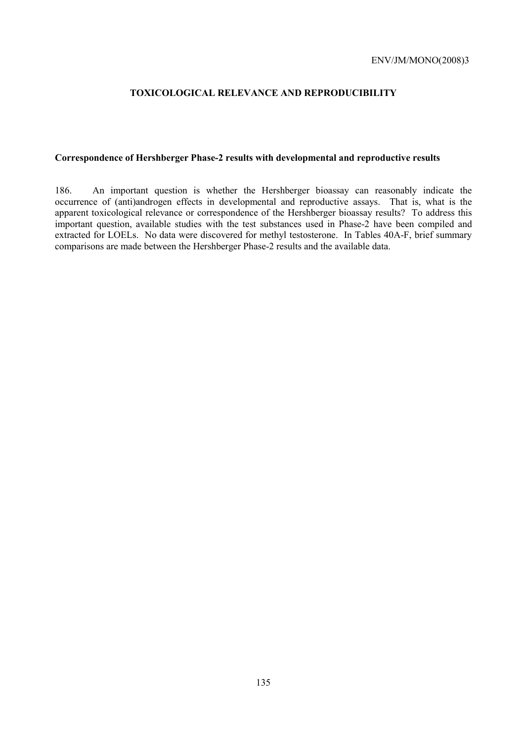# **TOXICOLOGICAL RELEVANCE AND REPRODUCIBILITY**

# **Correspondence of Hershberger Phase-2 results with developmental and reproductive results**

186. An important question is whether the Hershberger bioassay can reasonably indicate the occurrence of (anti)androgen effects in developmental and reproductive assays. That is, what is the apparent toxicological relevance or correspondence of the Hershberger bioassay results? To address this important question, available studies with the test substances used in Phase-2 have been compiled and extracted for LOELs. No data were discovered for methyl testosterone. In Tables 40A-F, brief summary comparisons are made between the Hershberger Phase-2 results and the available data.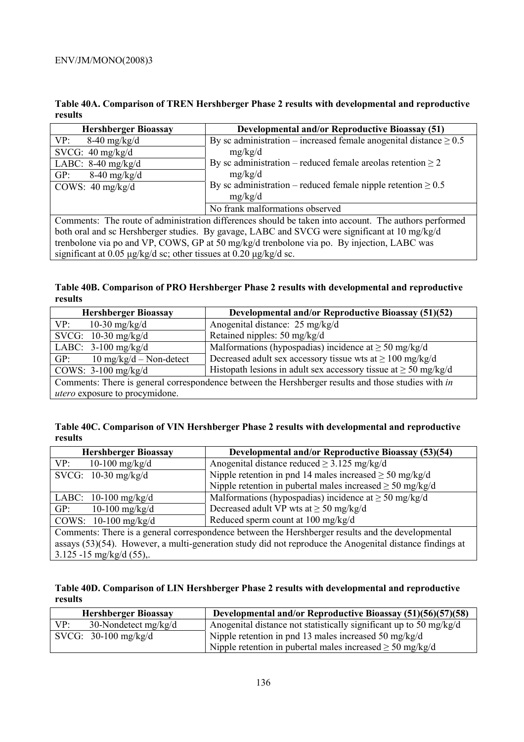**Table 40A. Comparison of TREN Hershberger Phase 2 results with developmental and reproductive results** 

| <b>Hershberger Bioassay</b>                                                                   | <b>Developmental and/or Reproductive Bioassay (51)</b>                                                           |  |
|-----------------------------------------------------------------------------------------------|------------------------------------------------------------------------------------------------------------------|--|
| VP:<br>$8-40$ mg/kg/d                                                                         | By sc administration – increased female anogenital distance $\geq 0.5$                                           |  |
| SVCG: $40 \text{ mg/kg/d}$                                                                    | mg/kg/d                                                                                                          |  |
| LABC: $8-40$ mg/kg/d                                                                          | By sc administration – reduced female arealas retention $\geq 2$                                                 |  |
| GP:<br>$8-40$ mg/kg/d                                                                         | mg/kg/d                                                                                                          |  |
| COWS: $40 \text{ mg/kg/d}$                                                                    | By sc administration – reduced female nipple retention $\geq 0.5$                                                |  |
|                                                                                               | mg/kg/d                                                                                                          |  |
|                                                                                               | No frank malformations observed                                                                                  |  |
|                                                                                               | Comments: The route of administration differences should be taken into account. The authors performed            |  |
| both oral and sc Hershberger studies. By gavage, LABC and SVCG were significant at 10 mg/kg/d |                                                                                                                  |  |
|                                                                                               | $\pm$ 11 $\pm$ 1 $\pm$ 1 $\pm$ 0 $\pm$ 0 $\pm$ 0 $\pm$ 0 $\pm$ 11 $\pm$ 11 $\pm$ 0 $\pm$ $\pm$ 11 $\pm$ 10 $\pm$ |  |

trenbolone via po and VP, COWS, GP at 50 mg/kg/d trenbolone via po. By injection, LABC was significant at 0.05 µg/kg/d sc; other tissues at 0.20 µg/kg/d sc.

**Table 40B. Comparison of PRO Hershberger Phase 2 results with developmental and reproductive results** 

| <b>Hershberger Bioassay</b>                     | <b>Developmental and/or Reproductive Bioassay (51)(52)</b>                                          |
|-------------------------------------------------|-----------------------------------------------------------------------------------------------------|
| 10-30 mg/kg/d<br>VP:                            | Anogenital distance: 25 mg/kg/d                                                                     |
| SVCG: $10-30$ mg/kg/d                           | Retained nipples: 50 mg/kg/d                                                                        |
| LABC: $3-100$ mg/kg/d                           | Malformations (hypospadias) incidence at $\geq$ 50 mg/kg/d                                          |
| $10 \text{ mg/kg/d} - \text{Non-detect}$<br>GP: | Decreased adult sex accessory tissue wts at $\geq 100$ mg/kg/d                                      |
| COWS: $3-100$ mg/kg/d                           | Histopath lesions in adult sex accessory tissue at $\geq$ 50 mg/kg/d                                |
|                                                 | Comments: There is general correspondence between the Hershberger results and those studies with in |
| utero exposure to procymidone.                  |                                                                                                     |

| Table 40C. Comparison of VIN Hershberger Phase 2 results with developmental and reproductive |
|----------------------------------------------------------------------------------------------|
| results                                                                                      |

| <b>Hershberger Bioassay</b> | <b>Developmental and/or Reproductive Bioassay (53)(54)</b>                                                  |
|-----------------------------|-------------------------------------------------------------------------------------------------------------|
| VP:<br>$10-100$ mg/kg/d     | Anogenital distance reduced $\geq$ 3.125 mg/kg/d                                                            |
| SVCG: $10-30$ mg/kg/d       | Nipple retention in pnd 14 males increased $\geq$ 50 mg/kg/d                                                |
|                             | Nipple retention in pubertal males increased $\geq$ 50 mg/kg/d                                              |
| LABC: $10-100$ mg/kg/d      | Malformations (hypospadias) incidence at $\geq$ 50 mg/kg/d                                                  |
| $10-100$ mg/kg/d<br>GP:     | Decreased adult VP wts at $\geq$ 50 mg/kg/d                                                                 |
| COWS: $10-100$ mg/kg/d      | Reduced sperm count at 100 mg/kg/d                                                                          |
|                             | Comments: There is a general correspondence between the Hershberger results and the developmental           |
|                             | assays $(53)(54)$ . However, a multi-generation study did not reproduce the Anogenital distance findings at |
| 3.125 -15 mg/kg/d $(55)$ ,. |                                                                                                             |

**Table 40D. Comparison of LIN Hershberger Phase 2 results with developmental and reproductive results** 

| <b>Hershberger Bioassay</b>   | Developmental and/or Reproductive Bioassay (51)(56)(57)(58)        |
|-------------------------------|--------------------------------------------------------------------|
| VP:<br>30-Nondetect $mg/kg/d$ | Anogenital distance not statistically significant up to 50 mg/kg/d |
| SVCG: $30-100$ mg/kg/d        | Nipple retention in pnd 13 males increased 50 mg/kg/d              |
|                               | Nipple retention in pubertal males increased $\geq$ 50 mg/kg/d     |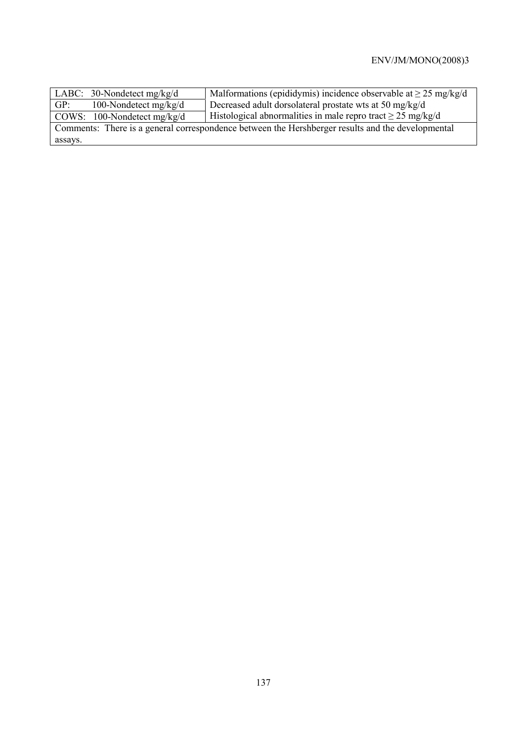| $\vert$ LABC: 30-Nondetect mg/kg/d                                                                | Malformations (epididymis) incidence observable at $\geq$ 25 mg/kg/d |  |  |
|---------------------------------------------------------------------------------------------------|----------------------------------------------------------------------|--|--|
| 100-Nondetect $mg/kg/d$<br>GP:                                                                    | Decreased adult dorsolateral prostate wts at 50 mg/kg/d              |  |  |
| $\vert$ COWS: 100-Nondetect mg/kg/d                                                               | Histological abnormalities in male repro tract $\geq$ 25 mg/kg/d     |  |  |
| Comments: There is a general correspondence between the Hershberger results and the developmental |                                                                      |  |  |
| assays.                                                                                           |                                                                      |  |  |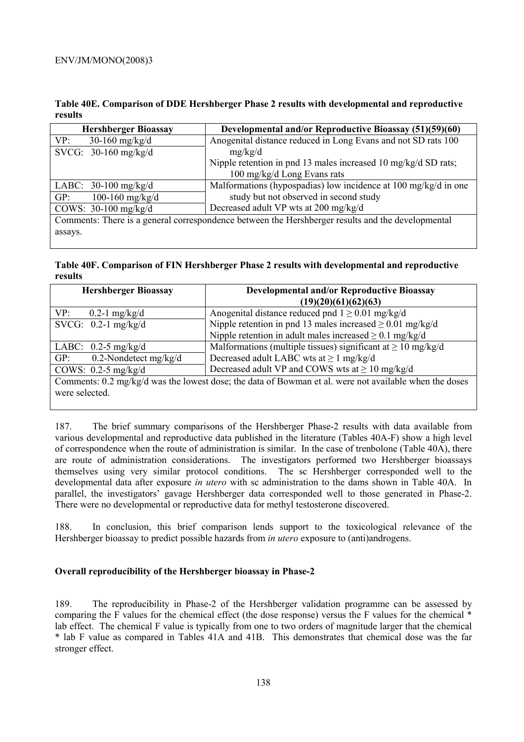**Table 40E. Comparison of DDE Hershberger Phase 2 results with developmental and reproductive results** 

| <b>Hershberger Bioassay</b> | Developmental and/or Reproductive Bioassay (51)(59)(60)                                           |
|-----------------------------|---------------------------------------------------------------------------------------------------|
| VP:<br>30-160 mg/kg/d       | Anogenital distance reduced in Long Evans and not SD rats 100                                     |
| SVCG: $30-160$ mg/kg/d      | mg/kg/d                                                                                           |
|                             | Nipple retention in pnd 13 males increased 10 mg/kg/d SD rats;                                    |
|                             | 100 mg/kg/d Long Evans rats                                                                       |
| LABC: $30-100$ mg/kg/d      | Malformations (hypospadias) low incidence at 100 mg/kg/d in one                                   |
| 100-160 $mg/kg/d$<br>GP:    | study but not observed in second study                                                            |
| COWS: $30-100$ mg/kg/d      | Decreased adult VP wts at 200 mg/kg/d                                                             |
|                             | Comments: There is a general correspondence between the Hershberger results and the developmental |

assays.

### **Table 40F. Comparison of FIN Hershberger Phase 2 results with developmental and reproductive results**

| <b>Hershberger Bioassay</b>                                                                            | <b>Developmental and/or Reproductive Bioassay</b>                 |  |  |  |
|--------------------------------------------------------------------------------------------------------|-------------------------------------------------------------------|--|--|--|
|                                                                                                        | (19)(20)(61)(62)(63)                                              |  |  |  |
| VP:<br>0.2-1 mg/kg/d                                                                                   | Anogenital distance reduced pnd $1 \ge 0.01$ mg/kg/d              |  |  |  |
| SVCG: $0.2-1$ mg/kg/d                                                                                  | Nipple retention in pnd 13 males increased $\geq 0.01$ mg/kg/d    |  |  |  |
|                                                                                                        | Nipple retention in adult males increased $\geq 0.1$ mg/kg/d      |  |  |  |
| LABC: $0.2-5$ mg/kg/d                                                                                  | Malformations (multiple tissues) significant at $\geq 10$ mg/kg/d |  |  |  |
| 0.2-Nondetect $mg/kg/d$<br>GP:                                                                         | Decreased adult LABC wts at $\geq 1$ mg/kg/d                      |  |  |  |
| COWS: $0.2-5$ mg/kg/d                                                                                  | Decreased adult VP and COWS wts at $\geq 10$ mg/kg/d              |  |  |  |
| Comments: 0.2 mg/kg/d was the lowest dose; the data of Bowman et al. were not available when the doses |                                                                   |  |  |  |

were selected.

187. The brief summary comparisons of the Hershberger Phase-2 results with data available from various developmental and reproductive data published in the literature (Tables 40A-F) show a high level of correspondence when the route of administration is similar. In the case of trenbolone (Table 40A), there are route of administration considerations. The investigators performed two Hershberger bioassays themselves using very similar protocol conditions. The sc Hershberger corresponded well to the developmental data after exposure *in utero* with sc administration to the dams shown in Table 40A. In parallel, the investigators' gavage Hershberger data corresponded well to those generated in Phase-2. There were no developmental or reproductive data for methyl testosterone discovered.

188. In conclusion, this brief comparison lends support to the toxicological relevance of the Hershberger bioassay to predict possible hazards from *in utero* exposure to (anti)androgens.

# **Overall reproducibility of the Hershberger bioassay in Phase-2**

189. The reproducibility in Phase-2 of the Hershberger validation programme can be assessed by comparing the F values for the chemical effect (the dose response) versus the F values for the chemical \* lab effect. The chemical F value is typically from one to two orders of magnitude larger that the chemical \* lab F value as compared in Tables 41A and 41B. This demonstrates that chemical dose was the far stronger effect.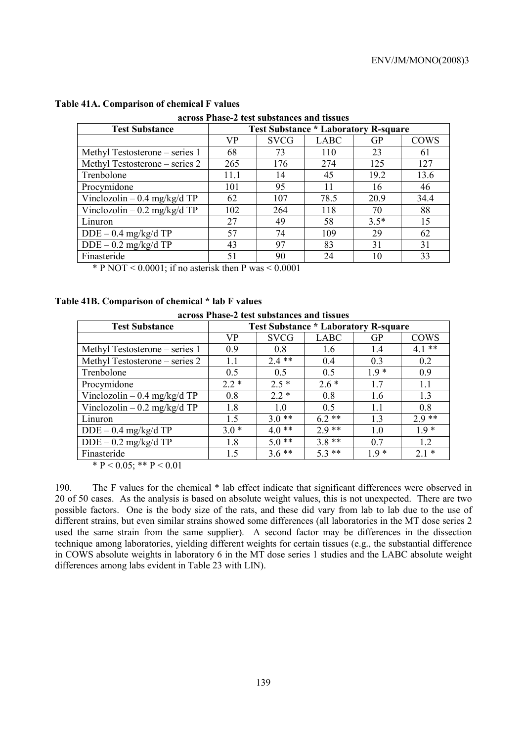| across Phase-2 test substances and tissues |                                             |             |             |           |             |  |
|--------------------------------------------|---------------------------------------------|-------------|-------------|-----------|-------------|--|
| <b>Test Substance</b>                      | <b>Test Substance * Laboratory R-square</b> |             |             |           |             |  |
|                                            | <b>VP</b>                                   | <b>SVCG</b> | <b>LABC</b> | <b>GP</b> | <b>COWS</b> |  |
| Methyl Testosterone – series 1             | 68                                          | 73          | 110         | 23        | 61          |  |
| Methyl Testosterone – series 2             | 265                                         | 176         | 274         | 125       | 127         |  |
| Trenbolone                                 | 11.1                                        | 14          | 45          | 19.2      | 13.6        |  |
| Procymidone                                | 101                                         | 95          | 11          | 16        | 46          |  |
| Vinclozolin $-0.4$ mg/kg/d TP              | 62                                          | 107         | 78.5        | 20.9      | 34.4        |  |
| Vinclozolin $-0.2$ mg/kg/d TP              | 102                                         | 264         | 118         | 70        | 88          |  |
| Linuron                                    | 27                                          | 49          | 58          | $3.5*$    | 15          |  |
| $DDE - 0.4$ mg/kg/d TP                     | 57                                          | 74          | 109         | 29        | 62          |  |
| $DDE - 0.2$ mg/kg/d TP                     | 43                                          | 97          | 83          | 31        | 31          |  |
| Finasteride                                | 51                                          | 90          | 24          | 10        | 33          |  |

# **Table 41A. Comparison of chemical F values**

**across Phase-2 test substances and tissues** 

\* P NOT <  $0.0001$ ; if no asterisk then P was <  $0.0001$ 

### **Table 41B. Comparison of chemical \* lab F values**

|  | across Phase-2 test substances and tissues |  |  |  |  |
|--|--------------------------------------------|--|--|--|--|
|--|--------------------------------------------|--|--|--|--|

| <b>Test Substance</b>          | <b>Test Substance * Laboratory R-square</b> |             |             |           |             |
|--------------------------------|---------------------------------------------|-------------|-------------|-----------|-------------|
|                                | VP                                          | <b>SVCG</b> | <b>LABC</b> | <b>GP</b> | <b>COWS</b> |
| Methyl Testosterone – series 1 | 0.9                                         | 0.8         | 1.6         | 1.4       | $4.1$ **    |
| Methyl Testosterone – series 2 | 1.1                                         | $2.4**$     | 0.4         | 0.3       | 0.2         |
| Trenbolone                     | 0.5                                         | 0.5         | 0.5         | $1.9*$    | 0.9         |
| Procymidone                    | $2.2*$                                      | $2.5*$      | $2.6*$      | 1.7       | 1.1         |
| Vinclozolin $-0.4$ mg/kg/d TP  | 0.8                                         | $2.2*$      | 0.8         | 1.6       | 1.3         |
| Vinclozolin – 0.2 mg/kg/d TP   | 1.8                                         | 1.0         | 0.5         | 1.1       | 0.8         |
| Linuron                        | 1.5                                         | $3.0**$     | $6.2**$     | 1.3       | $2.9**$     |
| $DDE - 0.4$ mg/kg/d TP         | $3.0*$                                      | $4.0**$     | $2.9**$     | 1.0       | $1.9*$      |
| $DDE - 0.2$ mg/kg/d TP         | 1.8                                         | $5.0**$     | $3.8**$     | 07        | 1.2         |
| Finasteride                    | 1.5                                         | $3.6**$     | $5.3**$     | $1.9*$    | $2.1*$      |

\*  $P < 0.05$ ; \*\*  $P < 0.01$ 

190. The F values for the chemical \* lab effect indicate that significant differences were observed in 20 of 50 cases. As the analysis is based on absolute weight values, this is not unexpected. There are two possible factors. One is the body size of the rats, and these did vary from lab to lab due to the use of different strains, but even similar strains showed some differences (all laboratories in the MT dose series 2 used the same strain from the same supplier). A second factor may be differences in the dissection technique among laboratories, yielding different weights for certain tissues (e.g., the substantial difference in COWS absolute weights in laboratory 6 in the MT dose series 1 studies and the LABC absolute weight differences among labs evident in Table 23 with LIN).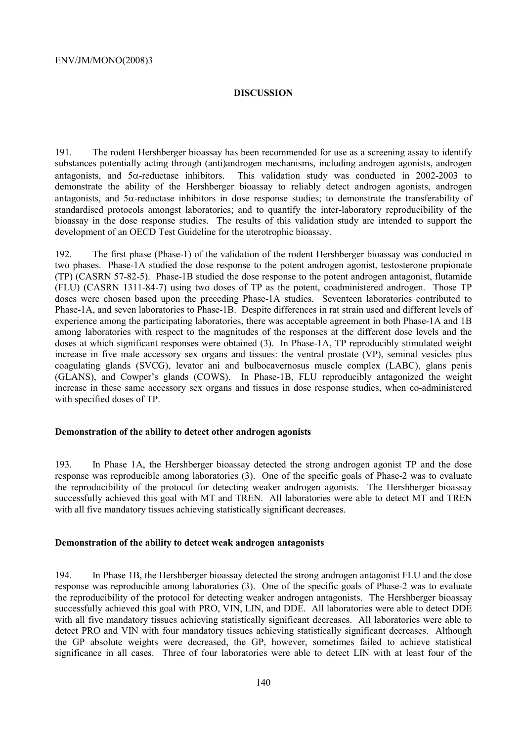# **DISCUSSION**

191. The rodent Hershberger bioassay has been recommended for use as a screening assay to identify substances potentially acting through (anti)androgen mechanisms, including androgen agonists, androgen antagonists, and 5α-reductase inhibitors. This validation study was conducted in 2002-2003 to demonstrate the ability of the Hershberger bioassay to reliably detect androgen agonists, androgen antagonists, and  $5\alpha$ -reductase inhibitors in dose response studies; to demonstrate the transferability of standardised protocols amongst laboratories; and to quantify the inter-laboratory reproducibility of the bioassay in the dose response studies. The results of this validation study are intended to support the development of an OECD Test Guideline for the uterotrophic bioassay.

192. The first phase (Phase-1) of the validation of the rodent Hershberger bioassay was conducted in two phases. Phase-1A studied the dose response to the potent androgen agonist, testosterone propionate (TP) (CASRN 57-82-5). Phase-1B studied the dose response to the potent androgen antagonist, flutamide (FLU) (CASRN 1311-84-7) using two doses of TP as the potent, coadministered androgen. Those TP doses were chosen based upon the preceding Phase-1A studies. Seventeen laboratories contributed to Phase-1A, and seven laboratories to Phase-1B. Despite differences in rat strain used and different levels of experience among the participating laboratories, there was acceptable agreement in both Phase-1A and 1B among laboratories with respect to the magnitudes of the responses at the different dose levels and the doses at which significant responses were obtained (3). In Phase-1A, TP reproducibly stimulated weight increase in five male accessory sex organs and tissues: the ventral prostate (VP), seminal vesicles plus coagulating glands (SVCG), levator ani and bulbocavernosus muscle complex (LABC), glans penis (GLANS), and Cowper's glands (COWS). In Phase-1B, FLU reproducibly antagonized the weight increase in these same accessory sex organs and tissues in dose response studies, when co-administered with specified doses of TP.

### **Demonstration of the ability to detect other androgen agonists**

193. In Phase 1A, the Hershberger bioassay detected the strong androgen agonist TP and the dose response was reproducible among laboratories (3). One of the specific goals of Phase-2 was to evaluate the reproducibility of the protocol for detecting weaker androgen agonists. The Hershberger bioassay successfully achieved this goal with MT and TREN. All laboratories were able to detect MT and TREN with all five mandatory tissues achieving statistically significant decreases.

### **Demonstration of the ability to detect weak androgen antagonists**

194. In Phase 1B, the Hershberger bioassay detected the strong androgen antagonist FLU and the dose response was reproducible among laboratories (3). One of the specific goals of Phase-2 was to evaluate the reproducibility of the protocol for detecting weaker androgen antagonists. The Hershberger bioassay successfully achieved this goal with PRO, VIN, LIN, and DDE. All laboratories were able to detect DDE with all five mandatory tissues achieving statistically significant decreases. All laboratories were able to detect PRO and VIN with four mandatory tissues achieving statistically significant decreases. Although the GP absolute weights were decreased, the GP, however, sometimes failed to achieve statistical significance in all cases. Three of four laboratories were able to detect LIN with at least four of the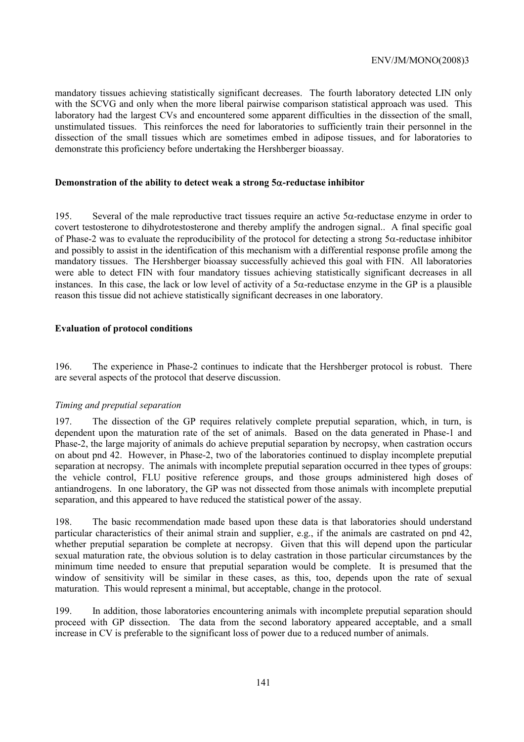mandatory tissues achieving statistically significant decreases. The fourth laboratory detected LIN only with the SCVG and only when the more liberal pairwise comparison statistical approach was used. This laboratory had the largest CVs and encountered some apparent difficulties in the dissection of the small, unstimulated tissues. This reinforces the need for laboratories to sufficiently train their personnel in the dissection of the small tissues which are sometimes embed in adipose tissues, and for laboratories to demonstrate this proficiency before undertaking the Hershberger bioassay.

### **Demonstration of the ability to detect weak a strong 5**α**-reductase inhibitor**

195. Several of the male reproductive tract tissues require an active 5α-reductase enzyme in order to covert testosterone to dihydrotestosterone and thereby amplify the androgen signal.. A final specific goal of Phase-2 was to evaluate the reproducibility of the protocol for detecting a strong 5α-reductase inhibitor and possibly to assist in the identification of this mechanism with a differential response profile among the mandatory tissues. The Hershberger bioassay successfully achieved this goal with FIN. All laboratories were able to detect FIN with four mandatory tissues achieving statistically significant decreases in all instances. In this case, the lack or low level of activity of a  $5\alpha$ -reductase enzyme in the GP is a plausible reason this tissue did not achieve statistically significant decreases in one laboratory.

### **Evaluation of protocol conditions**

196. The experience in Phase-2 continues to indicate that the Hershberger protocol is robust. There are several aspects of the protocol that deserve discussion.

# *Timing and preputial separation*

197. The dissection of the GP requires relatively complete preputial separation, which, in turn, is dependent upon the maturation rate of the set of animals. Based on the data generated in Phase-1 and Phase-2, the large majority of animals do achieve preputial separation by necropsy, when castration occurs on about pnd 42. However, in Phase-2, two of the laboratories continued to display incomplete preputial separation at necropsy. The animals with incomplete preputial separation occurred in thee types of groups: the vehicle control, FLU positive reference groups, and those groups administered high doses of antiandrogens. In one laboratory, the GP was not dissected from those animals with incomplete preputial separation, and this appeared to have reduced the statistical power of the assay.

198. The basic recommendation made based upon these data is that laboratories should understand particular characteristics of their animal strain and supplier, e.g., if the animals are castrated on pnd 42, whether preputial separation be complete at necropsy. Given that this will depend upon the particular sexual maturation rate, the obvious solution is to delay castration in those particular circumstances by the minimum time needed to ensure that preputial separation would be complete. It is presumed that the window of sensitivity will be similar in these cases, as this, too, depends upon the rate of sexual maturation. This would represent a minimal, but acceptable, change in the protocol.

199. In addition, those laboratories encountering animals with incomplete preputial separation should proceed with GP dissection. The data from the second laboratory appeared acceptable, and a small increase in CV is preferable to the significant loss of power due to a reduced number of animals.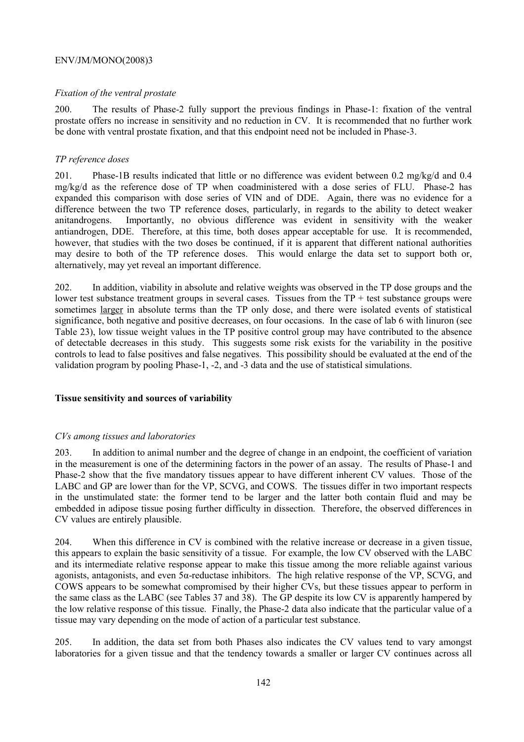### *Fixation of the ventral prostate*

200. The results of Phase-2 fully support the previous findings in Phase-1: fixation of the ventral prostate offers no increase in sensitivity and no reduction in CV. It is recommended that no further work be done with ventral prostate fixation, and that this endpoint need not be included in Phase-3.

### *TP reference doses*

201. Phase-1B results indicated that little or no difference was evident between 0.2 mg/kg/d and 0.4 mg/kg/d as the reference dose of TP when coadministered with a dose series of FLU. Phase-2 has expanded this comparison with dose series of VIN and of DDE. Again, there was no evidence for a difference between the two TP reference doses, particularly, in regards to the ability to detect weaker anitandrogens. Importantly, no obvious difference was evident in sensitivity with the weaker antiandrogen, DDE. Therefore, at this time, both doses appear acceptable for use. It is recommended, however, that studies with the two doses be continued, if it is apparent that different national authorities may desire to both of the TP reference doses. This would enlarge the data set to support both or, alternatively, may yet reveal an important difference.

202. In addition, viability in absolute and relative weights was observed in the TP dose groups and the lower test substance treatment groups in several cases. Tissues from the  $TP +$  test substance groups were sometimes larger in absolute terms than the TP only dose, and there were isolated events of statistical significance, both negative and positive decreases, on four occasions. In the case of lab 6 with linuron (see Table 23), low tissue weight values in the TP positive control group may have contributed to the absence of detectable decreases in this study. This suggests some risk exists for the variability in the positive controls to lead to false positives and false negatives. This possibility should be evaluated at the end of the validation program by pooling Phase-1, -2, and -3 data and the use of statistical simulations.

# **Tissue sensitivity and sources of variability**

### *CVs among tissues and laboratories*

203. In addition to animal number and the degree of change in an endpoint, the coefficient of variation in the measurement is one of the determining factors in the power of an assay. The results of Phase-1 and Phase-2 show that the five mandatory tissues appear to have different inherent CV values. Those of the LABC and GP are lower than for the VP, SCVG, and COWS. The tissues differ in two important respects in the unstimulated state: the former tend to be larger and the latter both contain fluid and may be embedded in adipose tissue posing further difficulty in dissection. Therefore, the observed differences in CV values are entirely plausible.

204. When this difference in CV is combined with the relative increase or decrease in a given tissue, this appears to explain the basic sensitivity of a tissue. For example, the low CV observed with the LABC and its intermediate relative response appear to make this tissue among the more reliable against various agonists, antagonists, and even 5α-reductase inhibitors. The high relative response of the VP, SCVG, and COWS appears to be somewhat compromised by their higher CVs, but these tissues appear to perform in the same class as the LABC (see Tables 37 and 38). The GP despite its low CV is apparently hampered by the low relative response of this tissue. Finally, the Phase-2 data also indicate that the particular value of a tissue may vary depending on the mode of action of a particular test substance.

205. In addition, the data set from both Phases also indicates the CV values tend to vary amongst laboratories for a given tissue and that the tendency towards a smaller or larger CV continues across all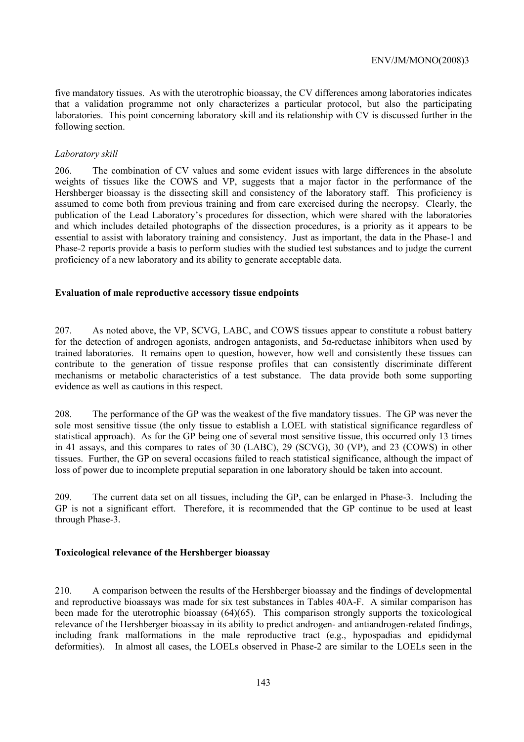five mandatory tissues. As with the uterotrophic bioassay, the CV differences among laboratories indicates that a validation programme not only characterizes a particular protocol, but also the participating laboratories. This point concerning laboratory skill and its relationship with CV is discussed further in the following section.

# *Laboratory skill*

206. The combination of CV values and some evident issues with large differences in the absolute weights of tissues like the COWS and VP, suggests that a major factor in the performance of the Hershberger bioassay is the dissecting skill and consistency of the laboratory staff. This proficiency is assumed to come both from previous training and from care exercised during the necropsy. Clearly, the publication of the Lead Laboratory's procedures for dissection, which were shared with the laboratories and which includes detailed photographs of the dissection procedures, is a priority as it appears to be essential to assist with laboratory training and consistency. Just as important, the data in the Phase-1 and Phase-2 reports provide a basis to perform studies with the studied test substances and to judge the current proficiency of a new laboratory and its ability to generate acceptable data.

# **Evaluation of male reproductive accessory tissue endpoints**

207. As noted above, the VP, SCVG, LABC, and COWS tissues appear to constitute a robust battery for the detection of androgen agonists, androgen antagonists, and 5α-reductase inhibitors when used by trained laboratories. It remains open to question, however, how well and consistently these tissues can contribute to the generation of tissue response profiles that can consistently discriminate different mechanisms or metabolic characteristics of a test substance. The data provide both some supporting evidence as well as cautions in this respect.

208. The performance of the GP was the weakest of the five mandatory tissues. The GP was never the sole most sensitive tissue (the only tissue to establish a LOEL with statistical significance regardless of statistical approach). As for the GP being one of several most sensitive tissue, this occurred only 13 times in 41 assays, and this compares to rates of 30 (LABC), 29 (SCVG), 30 (VP), and 23 (COWS) in other tissues. Further, the GP on several occasions failed to reach statistical significance, although the impact of loss of power due to incomplete preputial separation in one laboratory should be taken into account.

209. The current data set on all tissues, including the GP, can be enlarged in Phase-3. Including the GP is not a significant effort. Therefore, it is recommended that the GP continue to be used at least through Phase-3.

# **Toxicological relevance of the Hershberger bioassay**

210. A comparison between the results of the Hershberger bioassay and the findings of developmental and reproductive bioassays was made for six test substances in Tables 40A-F. A similar comparison has been made for the uterotrophic bioassay (64)(65). This comparison strongly supports the toxicological relevance of the Hershberger bioassay in its ability to predict androgen- and antiandrogen-related findings, including frank malformations in the male reproductive tract (e.g., hypospadias and epididymal deformities). In almost all cases, the LOELs observed in Phase-2 are similar to the LOELs seen in the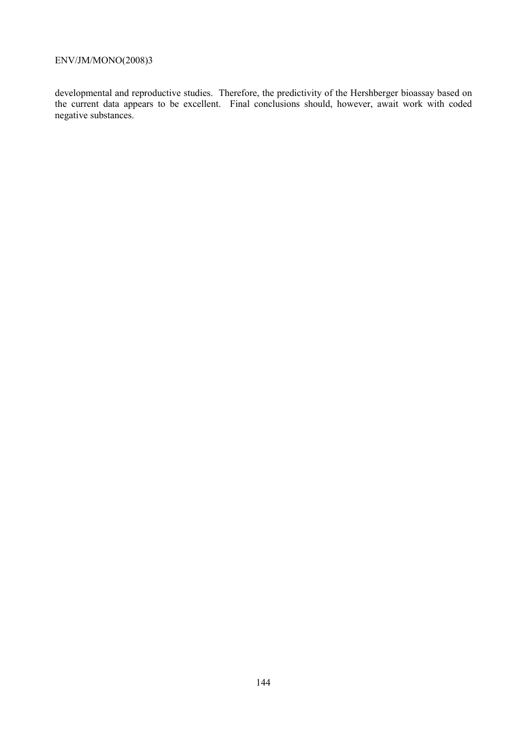developmental and reproductive studies. Therefore, the predictivity of the Hershberger bioassay based on the current data appears to be excellent. Final conclusions should, however, await work with coded negative substances.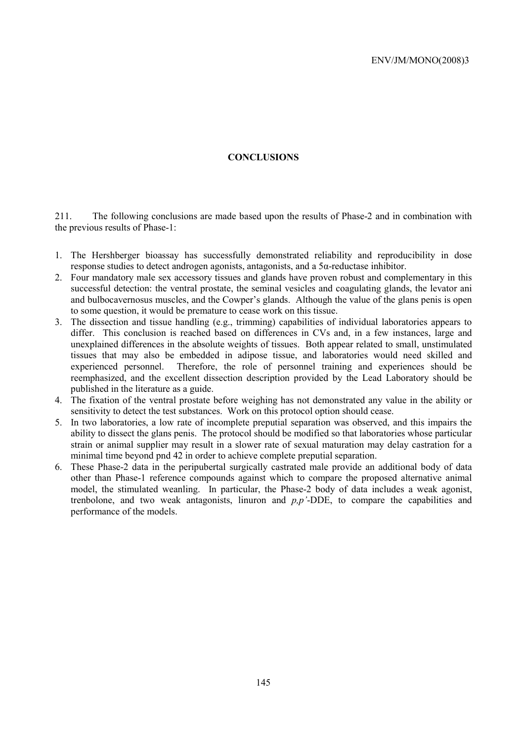## **CONCLUSIONS**

211. The following conclusions are made based upon the results of Phase-2 and in combination with the previous results of Phase-1:

- 1. The Hershberger bioassay has successfully demonstrated reliability and reproducibility in dose response studies to detect androgen agonists, antagonists, and a 5α-reductase inhibitor.
- 2. Four mandatory male sex accessory tissues and glands have proven robust and complementary in this successful detection: the ventral prostate, the seminal vesicles and coagulating glands, the levator ani and bulbocavernosus muscles, and the Cowper's glands. Although the value of the glans penis is open to some question, it would be premature to cease work on this tissue.
- 3. The dissection and tissue handling (e.g., trimming) capabilities of individual laboratories appears to differ. This conclusion is reached based on differences in CVs and, in a few instances, large and unexplained differences in the absolute weights of tissues. Both appear related to small, unstimulated tissues that may also be embedded in adipose tissue, and laboratories would need skilled and experienced personnel. Therefore, the role of personnel training and experiences should be reemphasized, and the excellent dissection description provided by the Lead Laboratory should be published in the literature as a guide.
- 4. The fixation of the ventral prostate before weighing has not demonstrated any value in the ability or sensitivity to detect the test substances. Work on this protocol option should cease.
- 5. In two laboratories, a low rate of incomplete preputial separation was observed, and this impairs the ability to dissect the glans penis. The protocol should be modified so that laboratories whose particular strain or animal supplier may result in a slower rate of sexual maturation may delay castration for a minimal time beyond pnd 42 in order to achieve complete preputial separation.
- 6. These Phase-2 data in the peripubertal surgically castrated male provide an additional body of data other than Phase-1 reference compounds against which to compare the proposed alternative animal model, the stimulated weanling. In particular, the Phase-2 body of data includes a weak agonist, trenbolone, and two weak antagonists, linuron and *p,p'*-DDE, to compare the capabilities and performance of the models.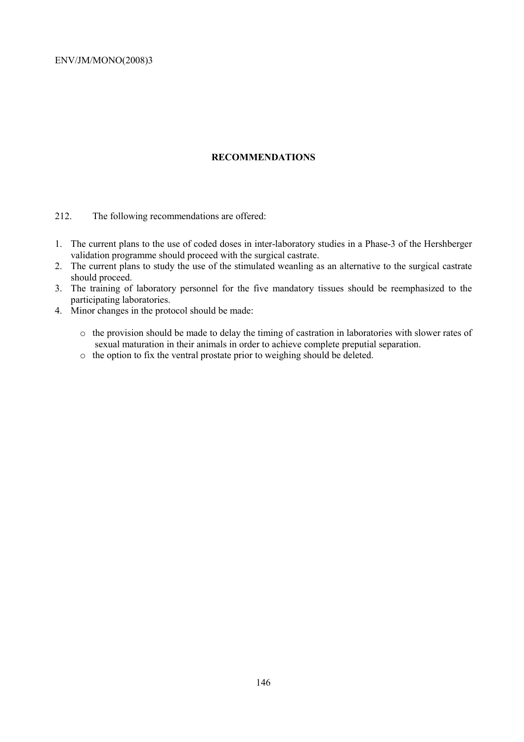# **RECOMMENDATIONS**

212. The following recommendations are offered:

- 1. The current plans to the use of coded doses in inter-laboratory studies in a Phase-3 of the Hershberger validation programme should proceed with the surgical castrate.
- 2. The current plans to study the use of the stimulated weanling as an alternative to the surgical castrate should proceed.
- 3. The training of laboratory personnel for the five mandatory tissues should be reemphasized to the participating laboratories.
- 4. Minor changes in the protocol should be made:
	- o the provision should be made to delay the timing of castration in laboratories with slower rates of sexual maturation in their animals in order to achieve complete preputial separation.
	- o the option to fix the ventral prostate prior to weighing should be deleted.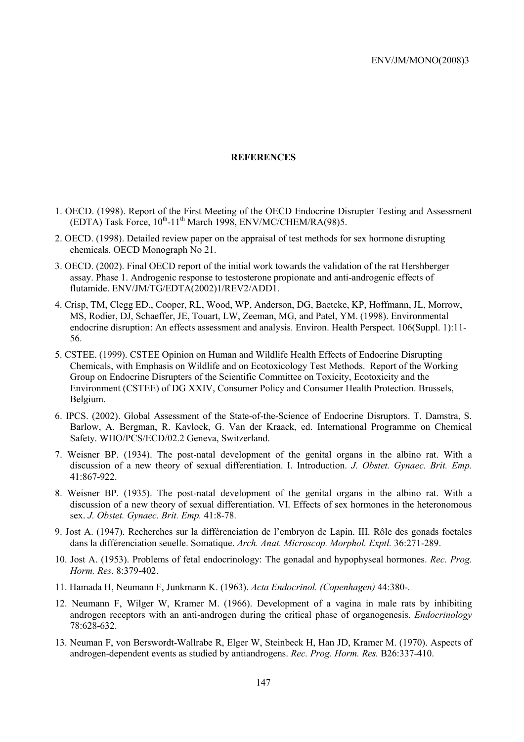#### **REFERENCES**

- 1. OECD. (1998). Report of the First Meeting of the OECD Endocrine Disrupter Testing and Assessment  $(EDTA)$  Task Force,  $10^{th}$ -11<sup>th</sup> March 1998, ENV/MC/CHEM/RA(98)5.
- 2. OECD. (1998). Detailed review paper on the appraisal of test methods for sex hormone disrupting chemicals. OECD Monograph No 21.
- 3. OECD. (2002). Final OECD report of the initial work towards the validation of the rat Hershberger assay. Phase 1. Androgenic response to testosterone propionate and anti-androgenic effects of flutamide. ENV/JM/TG/EDTA(2002)1/REV2/ADD1.
- 4. Crisp, TM, Clegg ED., Cooper, RL, Wood, WP, Anderson, DG, Baetcke, KP, Hoffmann, JL, Morrow, MS, Rodier, DJ, Schaeffer, JE, Touart, LW, Zeeman, MG, and Patel, YM. (1998). Environmental endocrine disruption: An effects assessment and analysis. Environ. Health Perspect. 106(Suppl. 1):11- 56.
- 5. CSTEE. (1999). CSTEE Opinion on Human and Wildlife Health Effects of Endocrine Disrupting Chemicals, with Emphasis on Wildlife and on Ecotoxicology Test Methods. Report of the Working Group on Endocrine Disrupters of the Scientific Committee on Toxicity, Ecotoxicity and the Environment (CSTEE) of DG XXIV, Consumer Policy and Consumer Health Protection. Brussels, Belgium.
- 6. IPCS. (2002). Global Assessment of the State-of-the-Science of Endocrine Disruptors. T. Damstra, S. Barlow, A. Bergman, R. Kavlock, G. Van der Kraack, ed. International Programme on Chemical Safety. WHO/PCS/ECD/02.2 Geneva, Switzerland.
- 7. Weisner BP. (1934). The post-natal development of the genital organs in the albino rat. With a discussion of a new theory of sexual differentiation. I. Introduction. *J. Obstet. Gynaec. Brit. Emp.* 41:867-922.
- 8. Weisner BP. (1935). The post-natal development of the genital organs in the albino rat. With a discussion of a new theory of sexual differentiation. VI. Effects of sex hormones in the heteronomous sex. *J. Obstet. Gynaec. Brit. Emp.* 41:8-78.
- 9. Jost A. (1947). Recherches sur la différenciation de l'embryon de Lapin. III. Rôle des gonads foetales dans la différenciation seuelle. Somatique. *Arch. Anat. Microscop. Morphol. Exptl.* 36:271-289.
- 10. Jost A. (1953). Problems of fetal endocrinology: The gonadal and hypophyseal hormones. *Rec. Prog. Horm. Res.* 8:379-402.
- 11. Hamada H, Neumann F, Junkmann K. (1963). *Acta Endocrinol. (Copenhagen)* 44:380-.
- 12. Neumann F, Wilger W, Kramer M. (1966). Development of a vagina in male rats by inhibiting androgen receptors with an anti-androgen during the critical phase of organogenesis. *Endocrinology* 78:628-632.
- 13. Neuman F, von Berswordt-Wallrabe R, Elger W, Steinbeck H, Han JD, Kramer M. (1970). Aspects of androgen-dependent events as studied by antiandrogens. *Rec. Prog. Horm. Res.* B26:337-410.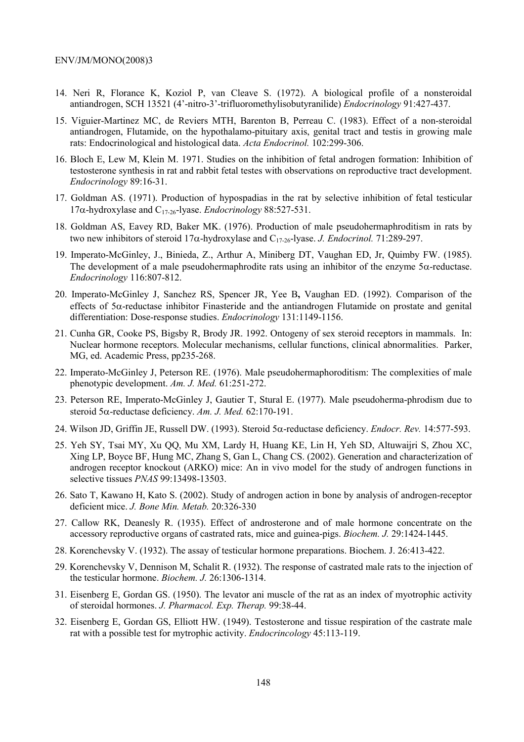- 14. Neri R, Florance K, Koziol P, van Cleave S. (1972). A biological profile of a nonsteroidal antiandrogen, SCH 13521 (4'-nitro-3'-trifluoromethylisobutyranilide) *Endocrinology* 91:427-437.
- 15. Viguier-Martinez MC, de Reviers MTH, Barenton B, Perreau C. (1983). Effect of a non-steroidal antiandrogen, Flutamide, on the hypothalamo-pituitary axis, genital tract and testis in growing male rats: Endocrinological and histological data. *Acta Endocrinol.* 102:299-306.
- 16. Bloch E, Lew M, Klein M. 1971. Studies on the inhibition of fetal androgen formation: Inhibition of testosterone synthesis in rat and rabbit fetal testes with observations on reproductive tract development. *Endocrinology* 89:16-31.
- 17. Goldman AS. (1971). Production of hypospadias in the rat by selective inhibition of fetal testicular 17α-hydroxylase and C17-26-lyase. *Endocrinology* 88:527-531.
- 18. Goldman AS, Eavey RD, Baker MK. (1976). Production of male pseudohermaphroditism in rats by two new inhibitors of steroid 17α-hydroxylase and C17-26-lyase. *J. Endocrinol.* 71:289-297.
- 19. Imperato-McGinley, J., Binieda, Z., Arthur A, Miniberg DT, Vaughan ED, Jr, Quimby FW. (1985). The development of a male pseudohermaphrodite rats using an inhibitor of the enzyme 5α-reductase. *Endocrinology* 116:807-812.
- 20. Imperato-McGinley J, Sanchez RS, Spencer JR, Yee B**,** Vaughan ED. (1992). Comparison of the effects of 5α-reductase inhibitor Finasteride and the antiandrogen Flutamide on prostate and genital differentiation: Dose-response studies. *Endocrinology* 131:1149-1156.
- 21. Cunha GR, Cooke PS, Bigsby R, Brody JR. 1992. Ontogeny of sex steroid receptors in mammals. In: Nuclear hormone receptors. Molecular mechanisms, cellular functions, clinical abnormalities. Parker, MG, ed. Academic Press, pp235-268.
- 22. Imperato-McGinley J, Peterson RE. (1976). Male pseudohermaphoroditism: The complexities of male phenotypic development. *Am. J. Med.* 61:251-272.
- 23. Peterson RE, Imperato-McGinley J, Gautier T, Stural E. (1977). Male pseudoherma-phrodism due to steroid 5α-reductase deficiency. *Am. J. Med.* 62:170-191.
- 24. Wilson JD, Griffin JE, Russell DW. (1993). Steroid 5α-reductase deficiency. *Endocr. Rev.* 14:577-593.
- 25. Yeh SY, Tsai MY, Xu QQ, Mu XM, Lardy H, Huang KE, Lin H, Yeh SD, Altuwaijri S, Zhou XC, Xing LP, Boyce BF, Hung MC, Zhang S, Gan L, Chang CS. (2002). Generation and characterization of androgen receptor knockout (ARKO) mice: An in vivo model for the study of androgen functions in selective tissues *PNAS* 99:13498-13503.
- 26. Sato T, Kawano H, Kato S. (2002). Study of androgen action in bone by analysis of androgen-receptor deficient mice. *J. Bone Min. Metab.* 20:326-330
- 27. Callow RK, Deanesly R. (1935). Effect of androsterone and of male hormone concentrate on the accessory reproductive organs of castrated rats, mice and guinea-pigs. *Biochem. J.* 29:1424-1445.
- 28. Korenchevsky V. (1932). The assay of testicular hormone preparations. Biochem. J. 26:413-422.
- 29. Korenchevsky V, Dennison M, Schalit R. (1932). The response of castrated male rats to the injection of the testicular hormone. *Biochem. J.* 26:1306-1314.
- 31. Eisenberg E, Gordan GS. (1950). The levator ani muscle of the rat as an index of myotrophic activity of steroidal hormones. *J. Pharmacol. Exp. Therap.* 99:38-44.
- 32. Eisenberg E, Gordan GS, Elliott HW. (1949). Testosterone and tissue respiration of the castrate male rat with a possible test for mytrophic activity. *Endocrincology* 45:113-119.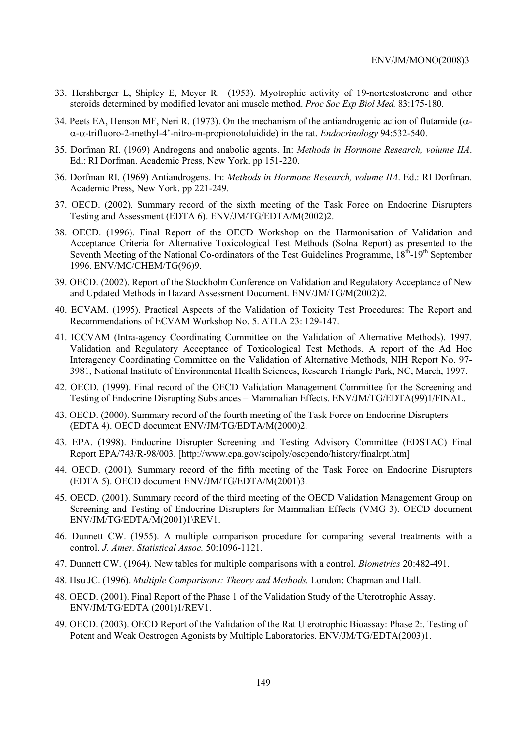- 33. Hershberger L, Shipley E, Meyer R. (1953). Myotrophic activity of 19-nortestosterone and other steroids determined by modified levator ani muscle method. *Proc Soc Exp Biol Med.* 83:175-180.
- 34. Peets EA, Henson MF, Neri R. (1973). On the mechanism of the antiandrogenic action of flutamide ( $\alpha$ α-α-trifluoro-2-methyl-4'-nitro-m-propionotoluidide) in the rat. *Endocrinology* 94:532-540.
- 35. Dorfman RI. (1969) Androgens and anabolic agents. In: *Methods in Hormone Research, volume IIA*. Ed.: RI Dorfman. Academic Press, New York. pp 151-220.
- 36. Dorfman RI. (1969) Antiandrogens. In: *Methods in Hormone Research, volume IIA*. Ed.: RI Dorfman. Academic Press, New York. pp 221-249.
- 37. OECD. (2002). Summary record of the sixth meeting of the Task Force on Endocrine Disrupters Testing and Assessment (EDTA 6). ENV/JM/TG/EDTA/M(2002)2.
- 38. OECD. (1996). Final Report of the OECD Workshop on the Harmonisation of Validation and Acceptance Criteria for Alternative Toxicological Test Methods (Solna Report) as presented to the Seventh Meeting of the National Co-ordinators of the Test Guidelines Programme, 18<sup>th</sup>-19<sup>th</sup> September 1996. ENV/MC/CHEM/TG(96)9.
- 39. OECD. (2002). Report of the Stockholm Conference on Validation and Regulatory Acceptance of New and Updated Methods in Hazard Assessment Document. ENV/JM/TG/M(2002)2.
- 40. ECVAM. (1995). Practical Aspects of the Validation of Toxicity Test Procedures: The Report and Recommendations of ECVAM Workshop No. 5. ATLA 23: 129-147.
- 41. ICCVAM (Intra-agency Coordinating Committee on the Validation of Alternative Methods). 1997. Validation and Regulatory Acceptance of Toxicological Test Methods. A report of the Ad Hoc Interagency Coordinating Committee on the Validation of Alternative Methods, NIH Report No. 97- 3981, National Institute of Environmental Health Sciences, Research Triangle Park, NC, March, 1997.
- 42. OECD. (1999). Final record of the OECD Validation Management Committee for the Screening and Testing of Endocrine Disrupting Substances – Mammalian Effects. ENV/JM/TG/EDTA(99)1/FINAL.
- 43. OECD. (2000). Summary record of the fourth meeting of the Task Force on Endocrine Disrupters (EDTA 4). OECD document ENV/JM/TG/EDTA/M(2000)2.
- 43. EPA. (1998). Endocrine Disrupter Screening and Testing Advisory Committee (EDSTAC) Final Report EPA/743/R-98/003. [http://www.epa.gov/scipoly/oscpendo/history/finalrpt.htm]
- 44. OECD. (2001). Summary record of the fifth meeting of the Task Force on Endocrine Disrupters (EDTA 5). OECD document ENV/JM/TG/EDTA/M(2001)3.
- 45. OECD. (2001). Summary record of the third meeting of the OECD Validation Management Group on Screening and Testing of Endocrine Disrupters for Mammalian Effects (VMG 3). OECD document ENV/JM/TG/EDTA/M(2001)1\REV1.
- 46. Dunnett CW. (1955). A multiple comparison procedure for comparing several treatments with a control. *J. Amer. Statistical Assoc.* 50:1096-1121.
- 47. Dunnett CW. (1964). New tables for multiple comparisons with a control. *Biometrics* 20:482-491.
- 48. Hsu JC. (1996). *Multiple Comparisons: Theory and Methods.* London: Chapman and Hall.
- 48. OECD. (2001). Final Report of the Phase 1 of the Validation Study of the Uterotrophic Assay. ENV/JM/TG/EDTA (2001)1/REV1.
- 49. OECD. (2003). OECD Report of the Validation of the Rat Uterotrophic Bioassay: Phase 2:. Testing of Potent and Weak Oestrogen Agonists by Multiple Laboratories. ENV/JM/TG/EDTA(2003)1.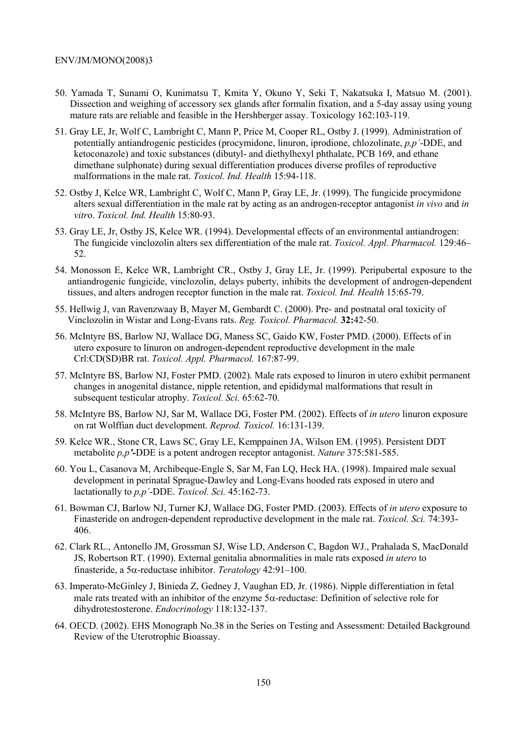- 50. Yamada T, Sunami O, Kunimatsu T, Kmita Y, Okuno Y, Seki T, Nakatsuka I, Matsuo M. (2001). Dissection and weighing of accessory sex glands after formalin fixation, and a 5-day assay using young mature rats are reliable and feasible in the Hershberger assay. Toxicology 162:103-119.
- 51. Gray LE, Jr, Wolf C, Lambright C, Mann P, Price M, Cooper RL, Ostby J. (1999). Administration of potentially antiandrogenic pesticides (procymidone, linuron, iprodione, chlozolinate, *p,p´*-DDE, and ketoconazole) and toxic substances (dibutyl- and diethylhexyl phthalate, PCB 169, and ethane dimethane sulphonate) during sexual differentiation produces diverse profiles of reproductive malformations in the male rat. *Toxicol. Ind. Health* 15:94-118.
- 52. Ostby J, Kelce WR, Lambright C, Wolf C, Mann P, Gray LE, Jr. (1999). The fungicide procymidone alters sexual differentiation in the male rat by acting as an androgen-receptor antagonist *in vivo* and *in vitr*o. *Toxicol. Ind. Health* 15:80-93.
- 53. Gray LE, Jr, Ostby JS, Kelce WR. (1994). Developmental effects of an environmental antiandrogen: The fungicide vinclozolin alters sex differentiation of the male rat. *Toxicol. Appl. Pharmacol.* 129:46– 52.
- 54. Monosson E, Kelce WR, Lambright CR., Ostby J, Gray LE, Jr. (1999). Peripubertal exposure to the antiandrogenic fungicide, vinclozolin, delays puberty, inhibits the development of androgen-dependent tissues, and alters androgen receptor function in the male rat. *Toxicol. Ind. Health* 15:65-79.
- 55. Hellwig J, van Ravenzwaay B, Mayer M, Gembardt C. (2000). Pre- and postnatal oral toxicity of Vinclozolin in Wistar and Long-Evans rats. *Reg. Toxicol. Pharmacol.* **32:**42-50.
- 56. McIntyre BS, Barlow NJ, Wallace DG, Maness SC, Gaido KW, Foster PMD. (2000). Effects of in utero exposure to linuron on androgen*-*dependent reproductive development in the male Crl:CD(SD)BR rat. *Toxicol. Appl. Pharmacol.* 167:87-99.
- 57. McIntyre BS, Barlow NJ, Foster PMD. (2002). Male rats exposed to linuron in utero exhibit permanent changes in anogenital distance, nipple retention, and epididymal malformations that result in subsequent testicular atrophy. *Toxicol. Sci.* 65:62-70.
- 58. McIntyre BS, Barlow NJ, Sar M, Wallace DG, Foster PM. (2002). Effects of *in utero* linuron exposure on rat Wolffian duct development. *Reprod. Toxicol.* 16:131-139.
- 59. Kelce WR., Stone CR, Laws SC, Gray LE, Kemppainen JA, Wilson EM. (1995). Persistent DDT metabolite *p,p'-*DDE is a potent androgen receptor antagonist. *Nature* 375:581-585.
- 60. You L, Casanova M, Archibeque-Engle S, Sar M, Fan LQ, Heck HA. (1998). Impaired male sexual development in perinatal Sprague-Dawley and Long-Evans hooded rats exposed in utero and lactationally to *p,p´*-DDE. *Toxicol. Sci.* 45:162-73.
- 61. Bowman CJ, Barlow NJ, Turner KJ, Wallace DG, Foster PMD. (2003). Effects of *in utero* exposure to Finasteride on androgen-dependent reproductive development in the male rat. *Toxicol. Sci.* 74:393- 406.
- 62. Clark RL., Antonello JM, Grossman SJ, Wise LD, Anderson C, Bagdon WJ., Prahalada S, MacDonald JS, Robertson RT. (1990). External genitalia abnormalities in male rats exposed *in utero* to finasteride, a 5α-reductase inhibitor. *Teratology* 42:91–100.
- 63. Imperato-McGinley J, Binieda Z, Gedney J, Vaughan ED, Jr. (1986). Nipple differentiation in fetal male rats treated with an inhibitor of the enzyme  $5\alpha$ -reductase: Definition of selective role for dihydrotestosterone. *Endocrinology* 118:132-137.
- 64. OECD. (2002). EHS Monograph No.38 in the Series on Testing and Assessment: Detailed Background Review of the Uterotrophic Bioassay.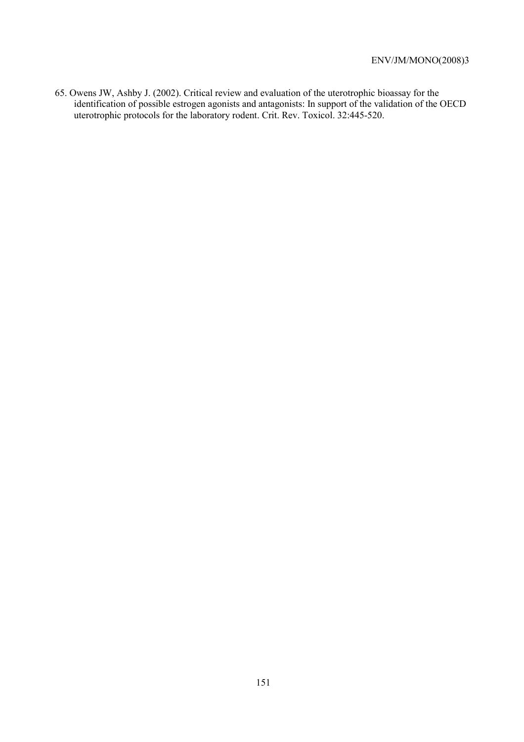65. Owens JW, Ashby J. (2002). Critical review and evaluation of the uterotrophic bioassay for the identification of possible estrogen agonists and antagonists: In support of the validation of the OECD uterotrophic protocols for the laboratory rodent. Crit. Rev. Toxicol. 32:445-520.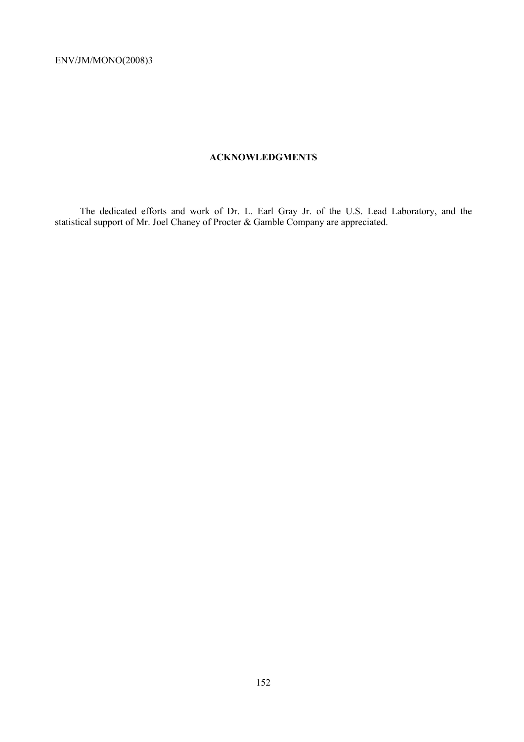## **ACKNOWLEDGMENTS**

 The dedicated efforts and work of Dr. L. Earl Gray Jr. of the U.S. Lead Laboratory, and the statistical support of Mr. Joel Chaney of Procter & Gamble Company are appreciated.

152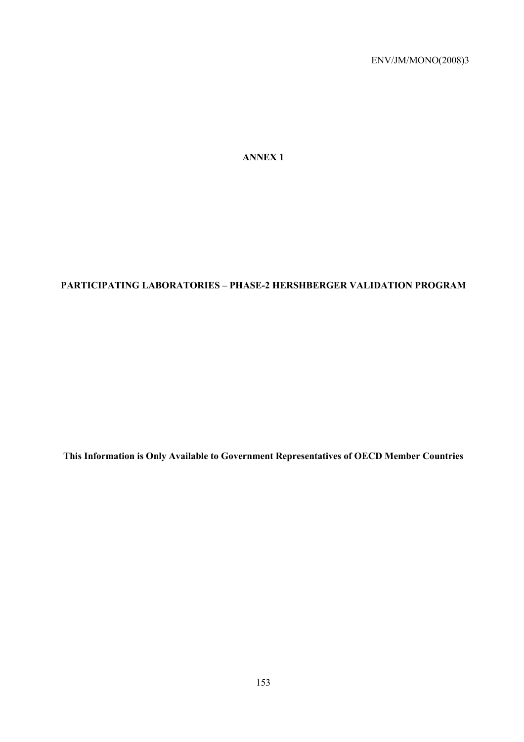**ANNEX 1** 

# **PARTICIPATING LABORATORIES – PHASE-2 HERSHBERGER VALIDATION PROGRAM**

**This Information is Only Available to Government Representatives of OECD Member Countries**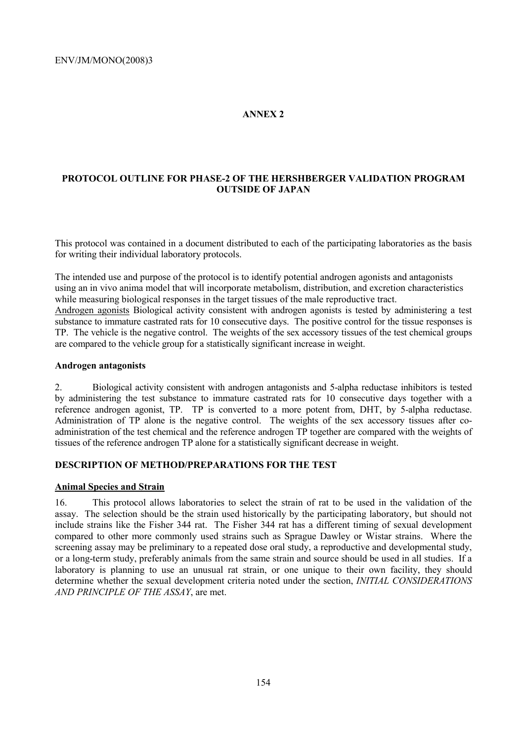# **ANNEX 2**

# **PROTOCOL OUTLINE FOR PHASE-2 OF THE HERSHBERGER VALIDATION PROGRAM OUTSIDE OF JAPAN**

This protocol was contained in a document distributed to each of the participating laboratories as the basis for writing their individual laboratory protocols.

The intended use and purpose of the protocol is to identify potential androgen agonists and antagonists using an in vivo anima model that will incorporate metabolism, distribution, and excretion characteristics while measuring biological responses in the target tissues of the male reproductive tract. Androgen agonists Biological activity consistent with androgen agonists is tested by administering a test substance to immature castrated rats for 10 consecutive days. The positive control for the tissue responses is TP. The vehicle is the negative control. The weights of the sex accessory tissues of the test chemical groups are compared to the vehicle group for a statistically significant increase in weight.

#### **Androgen antagonists**

2. Biological activity consistent with androgen antagonists and 5-alpha reductase inhibitors is tested by administering the test substance to immature castrated rats for 10 consecutive days together with a reference androgen agonist, TP. TP is converted to a more potent from, DHT, by 5-alpha reductase. Administration of TP alone is the negative control. The weights of the sex accessory tissues after coadministration of the test chemical and the reference androgen TP together are compared with the weights of tissues of the reference androgen TP alone for a statistically significant decrease in weight.

### **DESCRIPTION OF METHOD/PREPARATIONS FOR THE TEST**

## **Animal Species and Strain**

16. This protocol allows laboratories to select the strain of rat to be used in the validation of the assay. The selection should be the strain used historically by the participating laboratory, but should not include strains like the Fisher 344 rat. The Fisher 344 rat has a different timing of sexual development compared to other more commonly used strains such as Sprague Dawley or Wistar strains. Where the screening assay may be preliminary to a repeated dose oral study, a reproductive and developmental study, or a long-term study, preferably animals from the same strain and source should be used in all studies. If a laboratory is planning to use an unusual rat strain, or one unique to their own facility, they should determine whether the sexual development criteria noted under the section, *INITIAL CONSIDERATIONS AND PRINCIPLE OF THE ASSAY*, are met.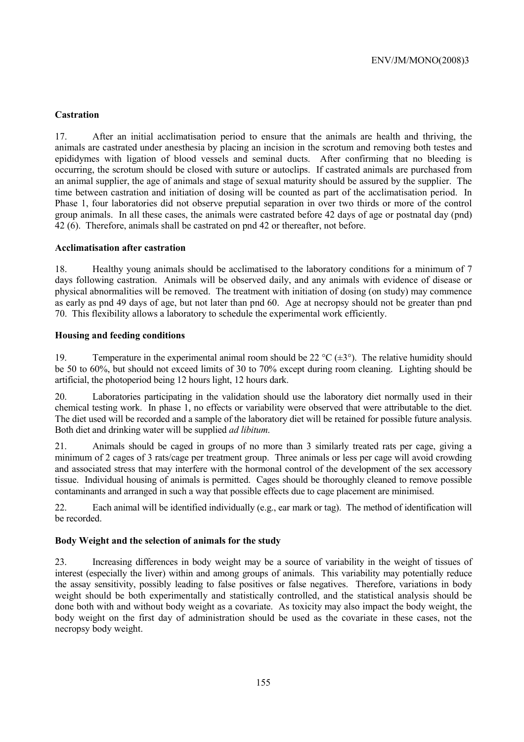# **Castration**

17. After an initial acclimatisation period to ensure that the animals are health and thriving, the animals are castrated under anesthesia by placing an incision in the scrotum and removing both testes and epididymes with ligation of blood vessels and seminal ducts. After confirming that no bleeding is occurring, the scrotum should be closed with suture or autoclips. If castrated animals are purchased from an animal supplier, the age of animals and stage of sexual maturity should be assured by the supplier. The time between castration and initiation of dosing will be counted as part of the acclimatisation period. In Phase 1, four laboratories did not observe preputial separation in over two thirds or more of the control group animals. In all these cases, the animals were castrated before 42 days of age or postnatal day (pnd) 42 (6). Therefore, animals shall be castrated on pnd 42 or thereafter, not before.

## **Acclimatisation after castration**

18. Healthy young animals should be acclimatised to the laboratory conditions for a minimum of 7 days following castration. Animals will be observed daily, and any animals with evidence of disease or physical abnormalities will be removed. The treatment with initiation of dosing (on study) may commence as early as pnd 49 days of age, but not later than pnd 60. Age at necropsy should not be greater than pnd 70. This flexibility allows a laboratory to schedule the experimental work efficiently.

#### **Housing and feeding conditions**

19. Temperature in the experimental animal room should be 22  $^{\circ}C$  ( $\pm$ 3°). The relative humidity should be 50 to 60%, but should not exceed limits of 30 to 70% except during room cleaning. Lighting should be artificial, the photoperiod being 12 hours light, 12 hours dark.

20. Laboratories participating in the validation should use the laboratory diet normally used in their chemical testing work. In phase 1, no effects or variability were observed that were attributable to the diet. The diet used will be recorded and a sample of the laboratory diet will be retained for possible future analysis. Both diet and drinking water will be supplied *ad libitum*.

21. Animals should be caged in groups of no more than 3 similarly treated rats per cage, giving a minimum of 2 cages of 3 rats/cage per treatment group. Three animals or less per cage will avoid crowding and associated stress that may interfere with the hormonal control of the development of the sex accessory tissue. Individual housing of animals is permitted. Cages should be thoroughly cleaned to remove possible contaminants and arranged in such a way that possible effects due to cage placement are minimised.

22. Each animal will be identified individually (e.g., ear mark or tag). The method of identification will be recorded.

### **Body Weight and the selection of animals for the study**

23. Increasing differences in body weight may be a source of variability in the weight of tissues of interest (especially the liver) within and among groups of animals. This variability may potentially reduce the assay sensitivity, possibly leading to false positives or false negatives. Therefore, variations in body weight should be both experimentally and statistically controlled, and the statistical analysis should be done both with and without body weight as a covariate. As toxicity may also impact the body weight, the body weight on the first day of administration should be used as the covariate in these cases, not the necropsy body weight.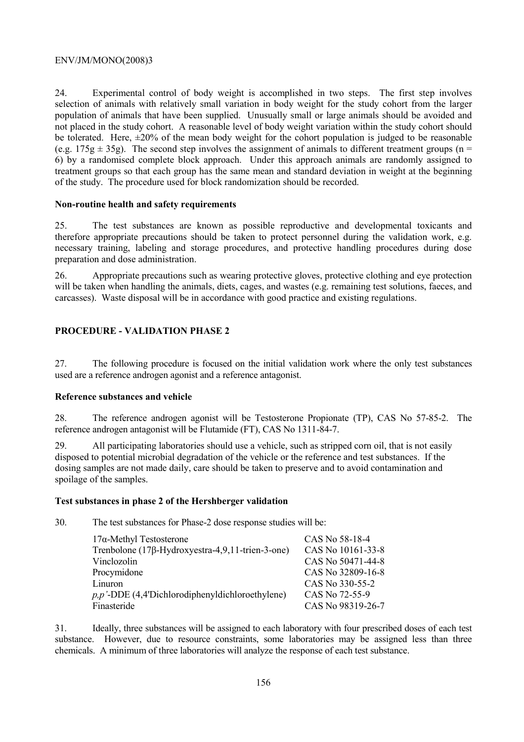24. Experimental control of body weight is accomplished in two steps. The first step involves selection of animals with relatively small variation in body weight for the study cohort from the larger population of animals that have been supplied. Unusually small or large animals should be avoided and not placed in the study cohort. A reasonable level of body weight variation within the study cohort should be tolerated. Here,  $\pm 20\%$  of the mean body weight for the cohort population is judged to be reasonable (e.g. 175g  $\pm$  35g). The second step involves the assignment of animals to different treatment groups (n = 6) by a randomised complete block approach. Under this approach animals are randomly assigned to treatment groups so that each group has the same mean and standard deviation in weight at the beginning of the study. The procedure used for block randomization should be recorded.

#### **Non-routine health and safety requirements**

25. The test substances are known as possible reproductive and developmental toxicants and therefore appropriate precautions should be taken to protect personnel during the validation work, e.g. necessary training, labeling and storage procedures, and protective handling procedures during dose preparation and dose administration.

26. Appropriate precautions such as wearing protective gloves, protective clothing and eye protection will be taken when handling the animals, diets, cages, and wastes (e.g. remaining test solutions, faeces, and carcasses). Waste disposal will be in accordance with good practice and existing regulations.

# **PROCEDURE - VALIDATION PHASE 2**

27. The following procedure is focused on the initial validation work where the only test substances used are a reference androgen agonist and a reference antagonist.

### **Reference substances and vehicle**

28. The reference androgen agonist will be Testosterone Propionate (TP), CAS No 57-85-2. The reference androgen antagonist will be Flutamide (FT), CAS No 1311-84-7.

29. All participating laboratories should use a vehicle, such as stripped corn oil, that is not easily disposed to potential microbial degradation of the vehicle or the reference and test substances. If the dosing samples are not made daily, care should be taken to preserve and to avoid contamination and spoilage of the samples.

### **Test substances in phase 2 of the Hershberger validation**

30. The test substances for Phase-2 dose response studies will be:

| $17\alpha$ -Methyl Testosterone                     | CAS No 58-18-4    |
|-----------------------------------------------------|-------------------|
| Trenbolone (17β-Hydroxyestra-4,9,11-trien-3-one)    | CAS No 10161-33-8 |
| Vinclozolin                                         | CAS No 50471-44-8 |
| Procymidone                                         | CAS No 32809-16-8 |
| Linuron                                             | CAS No 330-55-2   |
| $p, p'$ -DDE (4,4'Dichlorodiphenyldichloroethylene) | CAS No 72-55-9    |
| Finasteride                                         | CAS No 98319-26-7 |

31. Ideally, three substances will be assigned to each laboratory with four prescribed doses of each test substance. However, due to resource constraints, some laboratories may be assigned less than three chemicals. A minimum of three laboratories will analyze the response of each test substance.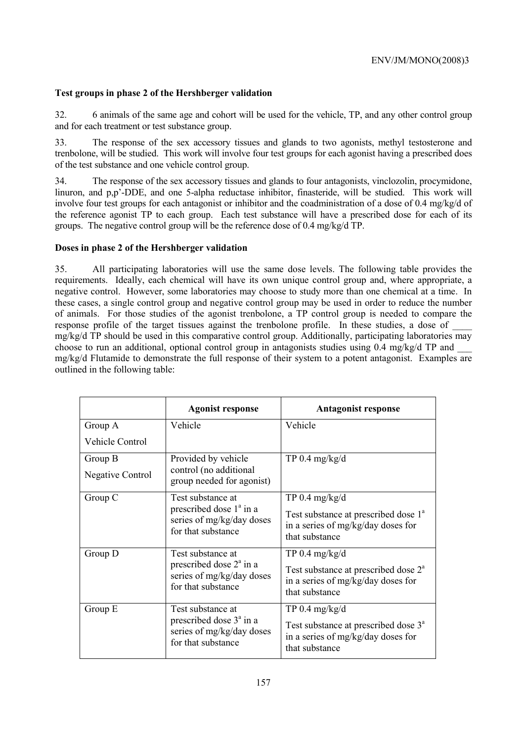# **Test groups in phase 2 of the Hershberger validation**

32. 6 animals of the same age and cohort will be used for the vehicle, TP, and any other control group and for each treatment or test substance group.

33. The response of the sex accessory tissues and glands to two agonists, methyl testosterone and trenbolone, will be studied. This work will involve four test groups for each agonist having a prescribed does of the test substance and one vehicle control group.

34. The response of the sex accessory tissues and glands to four antagonists, vinclozolin, procymidone, linuron, and p,p'-DDE, and one 5-alpha reductase inhibitor, finasteride, will be studied. This work will involve four test groups for each antagonist or inhibitor and the coadministration of a dose of 0.4 mg/kg/d of the reference agonist TP to each group. Each test substance will have a prescribed dose for each of its groups. The negative control group will be the reference dose of 0.4 mg/kg/d TP.

### **Doses in phase 2 of the Hershberger validation**

35. All participating laboratories will use the same dose levels. The following table provides the requirements. Ideally, each chemical will have its own unique control group and, where appropriate, a negative control. However, some laboratories may choose to study more than one chemical at a time. In these cases, a single control group and negative control group may be used in order to reduce the number of animals. For those studies of the agonist trenbolone, a TP control group is needed to compare the response profile of the target tissues against the trenbolone profile. In these studies, a dose of \_\_\_\_  $mg/kg/d$  TP should be used in this comparative control group. Additionally, participating laboratories may choose to run an additional, optional control group in antagonists studies using 0.4 mg/kg/d TP and \_\_\_ mg/kg/d Flutamide to demonstrate the full response of their system to a potent antagonist. Examples are outlined in the following table:

|                                                                               | <b>Agonist response</b>                                                                                  | <b>Antagonist response</b>                                                                               |
|-------------------------------------------------------------------------------|----------------------------------------------------------------------------------------------------------|----------------------------------------------------------------------------------------------------------|
| Group A                                                                       | Vehicle                                                                                                  | Vehicle                                                                                                  |
| Vehicle Control                                                               |                                                                                                          |                                                                                                          |
| Group B                                                                       | Provided by vehicle                                                                                      | TP $0.4 \text{ mg/kg/d}$                                                                                 |
| <b>Negative Control</b>                                                       | control (no additional<br>group needed for agonist)                                                      |                                                                                                          |
| Group C                                                                       | Test substance at                                                                                        | $TP 0.4$ mg/kg/d                                                                                         |
| prescribed dose $1^a$ in a<br>series of mg/kg/day doses<br>for that substance | Test substance at prescribed dose 1 <sup>a</sup><br>in a series of mg/kg/day doses for<br>that substance |                                                                                                          |
| Group D                                                                       | Test substance at                                                                                        | $TP 0.4$ mg/kg/d                                                                                         |
|                                                                               | prescribed dose $2a$ in a<br>series of mg/kg/day doses<br>for that substance                             | Test substance at prescribed dose 2 <sup>a</sup><br>in a series of mg/kg/day doses for<br>that substance |
| Group E                                                                       | Test substance at<br>prescribed dose $3a$ in a<br>series of mg/kg/day doses<br>for that substance        | $TP 0.4$ mg/kg/d                                                                                         |
|                                                                               |                                                                                                          | Test substance at prescribed dose 3 <sup>a</sup><br>in a series of mg/kg/day doses for<br>that substance |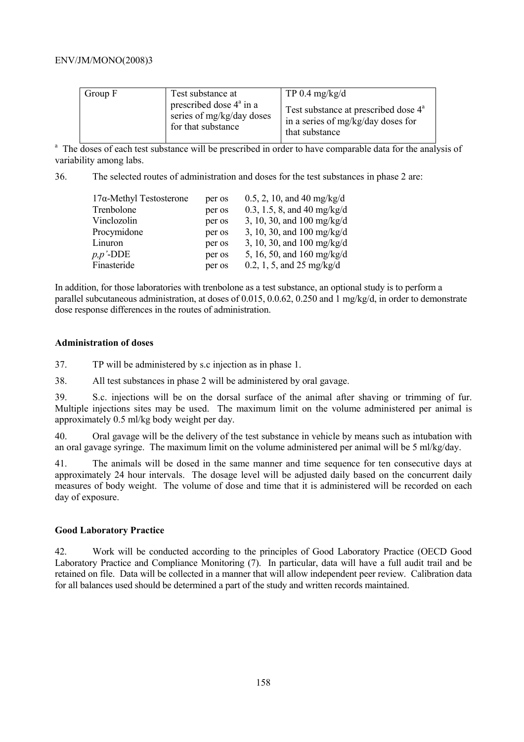| Group F | Test substance at<br>prescribed dose $4^a$ in a<br>series of mg/kg/day doses<br>for that substance | TP 0.4 $mg/kg/d$<br>Test substance at prescribed dose 4 <sup>a</sup><br>in a series of mg/kg/day doses for<br>that substance |
|---------|----------------------------------------------------------------------------------------------------|------------------------------------------------------------------------------------------------------------------------------|
|---------|----------------------------------------------------------------------------------------------------|------------------------------------------------------------------------------------------------------------------------------|

<sup>a</sup> The doses of each test substance will be prescribed in order to have comparable data for the analysis of variability among labs.

36. The selected routes of administration and doses for the test substances in phase 2 are:

| $17\alpha$ -Methyl Testosterone | per os | $0.5, 2, 10,$ and 40 mg/kg/d |
|---------------------------------|--------|------------------------------|
| Trenbolone                      | per os | 0.3, 1.5, 8, and 40 mg/kg/d  |
| Vinclozolin                     | per os | 3, 10, 30, and 100 mg/kg/d   |
| Procymidone                     | per os | 3, 10, 30, and 100 mg/kg/d   |
| Linuron                         | per os | 3, 10, 30, and 100 mg/kg/d   |
| $p, p'$ -DDE                    | per os | 5, 16, 50, and 160 mg/kg/d   |
| Finasteride                     | per os | 0.2, 1, 5, and 25 mg/kg/d    |

In addition, for those laboratories with trenbolone as a test substance, an optional study is to perform a parallel subcutaneous administration, at doses of 0.015, 0.0.62, 0.250 and 1 mg/kg/d, in order to demonstrate dose response differences in the routes of administration.

#### **Administration of doses**

37. TP will be administered by s.c injection as in phase 1.

38. All test substances in phase 2 will be administered by oral gavage.

39. S.c. injections will be on the dorsal surface of the animal after shaving or trimming of fur. Multiple injections sites may be used. The maximum limit on the volume administered per animal is approximately 0.5 ml/kg body weight per day.

40. Oral gavage will be the delivery of the test substance in vehicle by means such as intubation with an oral gavage syringe. The maximum limit on the volume administered per animal will be 5 ml/kg/day.

41. The animals will be dosed in the same manner and time sequence for ten consecutive days at approximately 24 hour intervals. The dosage level will be adjusted daily based on the concurrent daily measures of body weight. The volume of dose and time that it is administered will be recorded on each day of exposure.

### **Good Laboratory Practice**

42. Work will be conducted according to the principles of Good Laboratory Practice (OECD Good Laboratory Practice and Compliance Monitoring (7). In particular, data will have a full audit trail and be retained on file. Data will be collected in a manner that will allow independent peer review. Calibration data for all balances used should be determined a part of the study and written records maintained.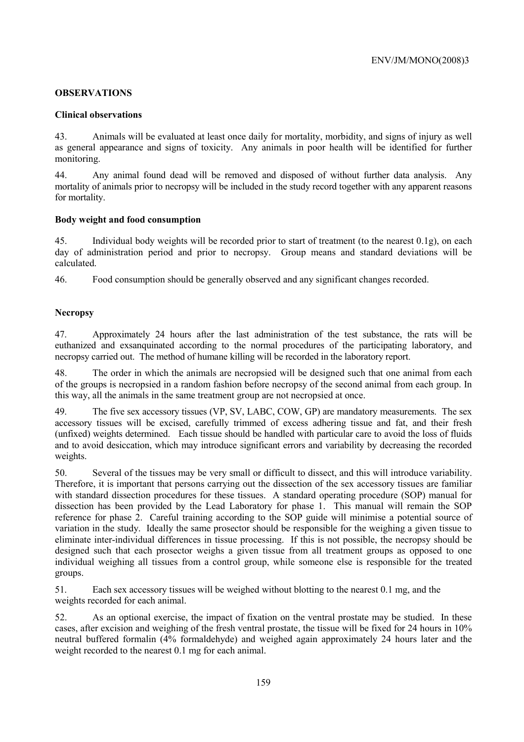# **OBSERVATIONS**

### **Clinical observations**

43. Animals will be evaluated at least once daily for mortality, morbidity, and signs of injury as well as general appearance and signs of toxicity. Any animals in poor health will be identified for further monitoring.

44. Any animal found dead will be removed and disposed of without further data analysis. Any mortality of animals prior to necropsy will be included in the study record together with any apparent reasons for mortality.

#### **Body weight and food consumption**

45. Individual body weights will be recorded prior to start of treatment (to the nearest 0.1g), on each day of administration period and prior to necropsy. Group means and standard deviations will be calculated.

46. Food consumption should be generally observed and any significant changes recorded.

# **Necropsy**

47. Approximately 24 hours after the last administration of the test substance, the rats will be euthanized and exsanquinated according to the normal procedures of the participating laboratory, and necropsy carried out. The method of humane killing will be recorded in the laboratory report.

48. The order in which the animals are necropsied will be designed such that one animal from each of the groups is necropsied in a random fashion before necropsy of the second animal from each group. In this way, all the animals in the same treatment group are not necropsied at once.

49. The five sex accessory tissues (VP, SV, LABC, COW, GP) are mandatory measurements. The sex accessory tissues will be excised, carefully trimmed of excess adhering tissue and fat, and their fresh (unfixed) weights determined. Each tissue should be handled with particular care to avoid the loss of fluids and to avoid desiccation, which may introduce significant errors and variability by decreasing the recorded weights.

50. Several of the tissues may be very small or difficult to dissect, and this will introduce variability. Therefore, it is important that persons carrying out the dissection of the sex accessory tissues are familiar with standard dissection procedures for these tissues. A standard operating procedure (SOP) manual for dissection has been provided by the Lead Laboratory for phase 1. This manual will remain the SOP reference for phase 2. Careful training according to the SOP guide will minimise a potential source of variation in the study. Ideally the same prosector should be responsible for the weighing a given tissue to eliminate inter-individual differences in tissue processing. If this is not possible, the necropsy should be designed such that each prosector weighs a given tissue from all treatment groups as opposed to one individual weighing all tissues from a control group, while someone else is responsible for the treated groups.

51. Each sex accessory tissues will be weighed without blotting to the nearest 0.1 mg, and the weights recorded for each animal.

52. As an optional exercise, the impact of fixation on the ventral prostate may be studied. In these cases, after excision and weighing of the fresh ventral prostate, the tissue will be fixed for 24 hours in 10% neutral buffered formalin (4% formaldehyde) and weighed again approximately 24 hours later and the weight recorded to the nearest 0.1 mg for each animal.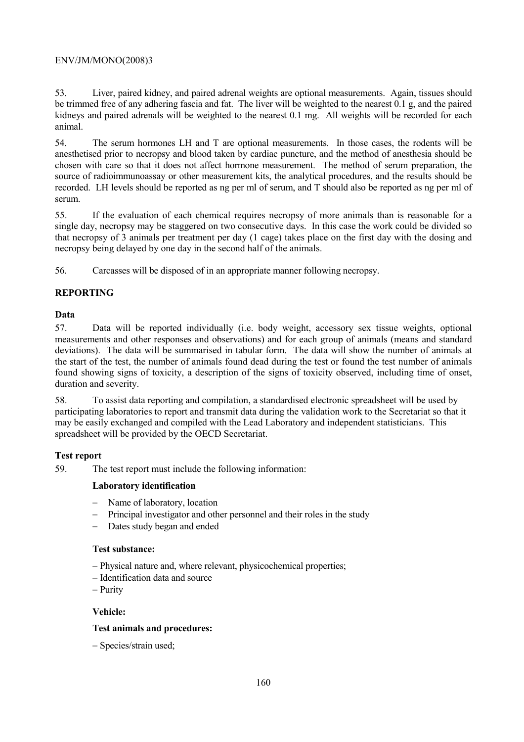53. Liver, paired kidney, and paired adrenal weights are optional measurements. Again, tissues should be trimmed free of any adhering fascia and fat. The liver will be weighted to the nearest 0.1 g, and the paired kidneys and paired adrenals will be weighted to the nearest 0.1 mg. All weights will be recorded for each animal.

54. The serum hormones LH and T are optional measurements. In those cases, the rodents will be anesthetised prior to necropsy and blood taken by cardiac puncture, and the method of anesthesia should be chosen with care so that it does not affect hormone measurement. The method of serum preparation, the source of radioimmunoassay or other measurement kits, the analytical procedures, and the results should be recorded. LH levels should be reported as ng per ml of serum, and T should also be reported as ng per ml of serum.

55. If the evaluation of each chemical requires necropsy of more animals than is reasonable for a single day, necropsy may be staggered on two consecutive days. In this case the work could be divided so that necropsy of 3 animals per treatment per day (1 cage) takes place on the first day with the dosing and necropsy being delayed by one day in the second half of the animals.

56. Carcasses will be disposed of in an appropriate manner following necropsy.

# **REPORTING**

# **Data**

57. Data will be reported individually (i.e. body weight, accessory sex tissue weights, optional measurements and other responses and observations) and for each group of animals (means and standard deviations). The data will be summarised in tabular form. The data will show the number of animals at the start of the test, the number of animals found dead during the test or found the test number of animals found showing signs of toxicity, a description of the signs of toxicity observed, including time of onset, duration and severity.

58. To assist data reporting and compilation, a standardised electronic spreadsheet will be used by participating laboratories to report and transmit data during the validation work to the Secretariat so that it may be easily exchanged and compiled with the Lead Laboratory and independent statisticians. This spreadsheet will be provided by the OECD Secretariat.

# **Test report**

59. The test report must include the following information:

# **Laboratory identification**

- − Name of laboratory, location
- − Principal investigator and other personnel and their roles in the study
- − Dates study began and ended

### **Test substance:**

- − Physical nature and, where relevant, physicochemical properties;
- − Identification data and source
- − Purity

# **Vehicle:**

### **Test animals and procedures:**

− Species/strain used;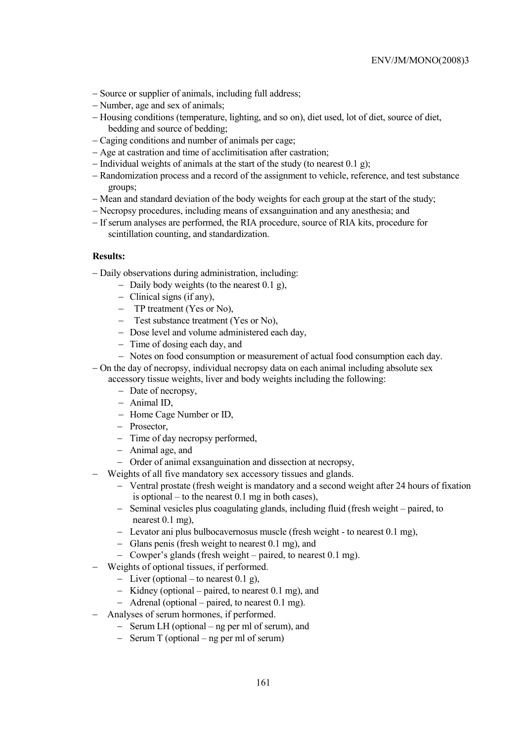- − Source or supplier of animals, including full address;
- − Number, age and sex of animals;
- − Housing conditions (temperature, lighting, and so on), diet used, lot of diet, source of diet, bedding and source of bedding;
- − Caging conditions and number of animals per cage;
- − Age at castration and time of acclimitisation after castration;
- − Individual weights of animals at the start of the study (to nearest 0.1 g);
- − Randomization process and a record of the assignment to vehicle, reference, and test substance groups;
- − Mean and standard deviation of the body weights for each group at the start of the study;
- − Necropsy procedures, including means of exsanguination and any anesthesia; and
- − If serum analyses are performed, the RIA procedure, source of RIA kits, procedure for scintillation counting, and standardization.

#### **Results:**

- − Daily observations during administration, including:
	- − Daily body weights (to the nearest 0.1 g),
	- − Clinical signs (if any),
	- − TP treatment (Yes or No),
	- − Test substance treatment (Yes or No),
	- − Dose level and volume administered each day,
	- − Time of dosing each day, and
	- − Notes on food consumption or measurement of actual food consumption each day.
- − On the day of necropsy, individual necropsy data on each animal including absolute sex accessory tissue weights, liver and body weights including the following:
	- − Date of necropsy,
	- − Animal ID,
	- − Home Cage Number or ID,
	- − Prosector,
	- − Time of day necropsy performed,
	- − Animal age, and
	- − Order of animal exsanguination and dissection at necropsy,
	- − Weights of all five mandatory sex accessory tissues and glands.
		- − Ventral prostate (fresh weight is mandatory and a second weight after 24 hours of fixation is optional – to the nearest 0.1 mg in both cases),
		- − Seminal vesicles plus coagulating glands, including fluid (fresh weight paired, to nearest 0.1 mg),
		- − Levator ani plus bulbocavernosus muscle (fresh weight to nearest 0.1 mg),
		- − Glans penis (fresh weight to nearest 0.1 mg), and
		- − Cowper's glands (fresh weight paired, to nearest 0.1 mg).
- − Weights of optional tissues, if performed.
	- − Liver (optional to nearest 0.1 g),
	- − Kidney (optional paired, to nearest 0.1 mg), and
	- − Adrenal (optional paired, to nearest 0.1 mg).
- − Analyses of serum hormones, if performed.
	- − Serum LH (optional ng per ml of serum), and
	- − Serum T (optional ng per ml of serum)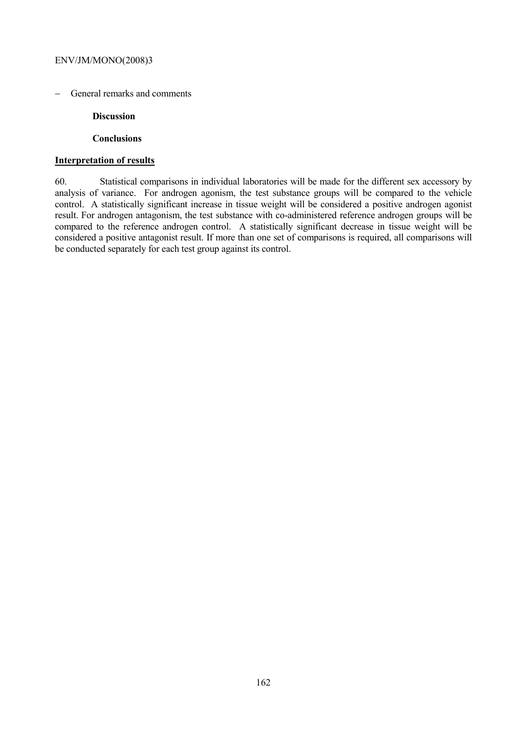− General remarks and comments

#### **Discussion**

#### **Conclusions**

### **Interpretation of results**

60. Statistical comparisons in individual laboratories will be made for the different sex accessory by analysis of variance. For androgen agonism, the test substance groups will be compared to the vehicle control. A statistically significant increase in tissue weight will be considered a positive androgen agonist result. For androgen antagonism, the test substance with co-administered reference androgen groups will be compared to the reference androgen control. A statistically significant decrease in tissue weight will be considered a positive antagonist result. If more than one set of comparisons is required, all comparisons will be conducted separately for each test group against its control.